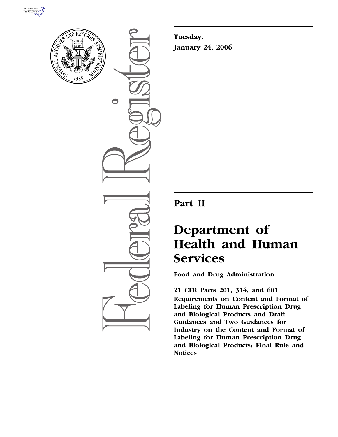



 $\bullet$ 

**Tuesday, January 24, 2006** 

# **Part II**

# **Department of Health and Human Services**

**Food and Drug Administration** 

**21 CFR Parts 201, 314, and 601 Requirements on Content and Format of Labeling for Human Prescription Drug and Biological Products and Draft Guidances and Two Guidances for Industry on the Content and Format of Labeling for Human Prescription Drug and Biological Products; Final Rule and Notices**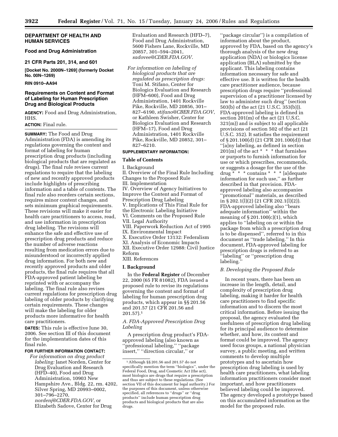# **DEPARTMENT OF HEALTH AND HUMAN SERVICES**

# **Food and Drug Administration**

#### **21 CFR Parts 201, 314, and 601**

**[Docket No. 2000N–1269] (formerly Docket No. 00N–1269)** 

#### **RIN 0910–AA94**

# **Requirements on Content and Format of Labeling for Human Prescription Drug and Biological Products**

**AGENCY:** Food and Drug Administration, HHS.

# **ACTION:** Final rule.

**SUMMARY:** The Food and Drug Administration (FDA) is amending its regulations governing the content and format of labeling for human prescription drug products (including biological products that are regulated as drugs). The final rule revises current regulations to require that the labeling of new and recently approved products include highlights of prescribing information and a table of contents. The final rule also reorders certain sections, requires minor content changes, and sets minimum graphical requirements. These revisions will make it easier for health care practitioners to access, read, and use information in prescription drug labeling. The revisions will enhance the safe and effective use of prescription drug products and reduce the number of adverse reactions resulting from medication errors due to misunderstood or incorrectly applied drug information. For both new and recently approved products and older products, the final rule requires that all FDA-approved patient labeling be reprinted with or accompany the labeling. The final rule also revises current regulations for prescription drug labeling of older products by clarifying certain requirements. These changes will make the labeling for older products more informative for health care practitioners.

**DATES:** This rule is effective June 30, 2006. See section III of this document for the implementation dates of this final rule.

#### **FOR FURTHER INFORMATION CONTACT:**

*For information on drug product labeling:* Janet Norden, Center for Drug Evaluation and Research (HFD–40), Food and Drug Administration, 10903 New Hampshire Ave., Bldg. 22, rm. 4202, Silver Spring, MD 20993–0002, 301–796–2270, *nordenj@CDER.FDA.GOV*, or

Elizabeth Sadove, Center for Drug

Evaluation and Research (HFD–7), Food and Drug Administration, 5600 Fishers Lane, Rockville, MD 20857, 301–594–2041, *sadovee@CDER.FDA.GOV*.

*For information on labeling of biological products that are regulated as prescription drugs:*  Toni M. Stifano, Center for Biologics Evaluation and Research (HFM–600), Food and Drug Administration, 1401 Rockville Pike, Rockville, MD 20856, 301– 827–6190, *stifano@CBER.FDA.GOV*, or Kathleen Swisher, Center for Biologics Evaluation and Research (HFM–17), Food and Drug Administration, 1401 Rockville Pike, Rockville, MD 20852, 301– 827–6210.

#### **SUPPLEMENTARY INFORMATION:**

#### **Table of Contents**

I. Background II. Overview of the Final Rule Including Changes to the Proposed Rule III. Implementation IV. Overview of Agency Initiatives to Improve the Content and Format of Prescription Drug Labeling V. Implications of This Final Rule for the Electronic Labeling Initiative VI. Comments on the Proposed Rule VII. Legal Authority VIII. Paperwork Reduction Act of 1995 IX. Environmental Impact X. Executive Order 13132: Federalism XI. Analysis of Economic Impacts XII. Executive Order 12988: Civil Justice Reform

# XIII. References

#### **I. Background**

In the **Federal Register** of December 22, 2000 (65 FR 81082), FDA issued a proposed rule to revise its regulations governing the content and format of labeling for human prescription drug products, which appear in §§ 201.56 and 201.57 (21 CFR 201.56 and 201.57).1

#### *A. FDA-Approved Prescription Drug Labeling*

A prescription drug product's FDAapproved labeling (also known as ''professional labeling,'' ''package insert,'' ''direction circular,'' or

''package circular'') is a compilation of information about the product, approved by FDA, based on the agency's thorough analysis of the new drug application (NDA) or biologics license application (BLA) submitted by the applicant. This labeling contains information necessary for safe and effective use. It is written for the health care practitioner audience, because prescription drugs require ''professional supervision of a practitioner licensed by law to administer such drug'' (section 503(b) of the act (21 U.S.C. 353(b))). FDA-approved labeling is defined in section 201(m) of the act (21 U.S.C. 321(m)) and is subject to all applicable provisions of section 502 of the act (21 U.S.C. 352). It satisfies the requirement of § 201.100(d) (21 CFR 201.100(d)) that ''[a]ny labeling, as defined in section 201(m) of the act \* \* \* that furnishes or purports to furnish information for use or which prescribes, recommends, or suggests a dosage for the use of the drug \* \* \* contains \* \* \* [a]dequate information for such use,'' as further described in that provision. FDAapproved labeling also accompanies ''promotional'' materials, as described in § 202.1(l)(2) (21 CFR 202.1(l)(2)). FDA-approved labeling also ''bears adequate information'' within the meaning of  $\S 201.100(c)(1)$ , which applies to ''labeling on or within the package from which a prescription drug is to be dispensed'', referred to in this document as ''trade labeling.'' In this document, FDA-approved labeling for prescription drugs is referred to as ''labeling'' or ''prescription drug labeling.

#### *B. Developing the Proposed Rule*

In recent years, there has been an increase in the length, detail, and complexity of prescription drug labeling, making it harder for health care practitioners to find specific information and to discern the most critical information. Before issuing the proposal, the agency evaluated the usefulness of prescription drug labeling for its principal audience to determine whether, and how, its content and format could be improved. The agency used focus groups, a national physician survey, a public meeting, and written comments to develop multiple prototypes and to ascertain how prescription drug labeling is used by health care practitioners, what labeling information practitioners consider most important, and how practitioners believed labeling could be improved. The agency developed a prototype based on this accumulated information as the model for the proposed rule.

<sup>1</sup>Although §§ 201.56 and 201.57 do not specifically mention the term ''biologics'', under the Federal Food, Drug, and Cosmetic Act (the act), most biologics are drugs that require a prescription and thus are subject to these regulations. (See section VII of this document for legal authority.) For the purposes of this document, unless otherwise specified, all references to ''drugs'' or ''drug products'' include human prescription drug products and biological products that are also drugs.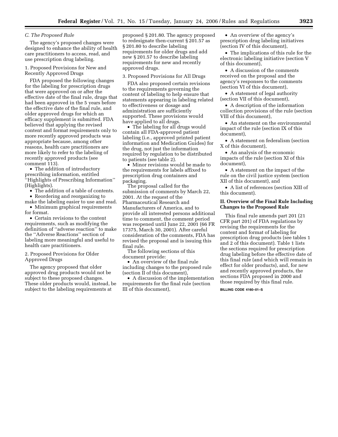#### *C. The Proposed Rule*

The agency's proposed changes were designed to enhance the ability of health care practitioners to access, read, and use prescription drug labeling.

1. Proposed Provisions for New and Recently Approved Drugs

FDA proposed the following changes for the labeling for prescription drugs that were approved on or after the effective date of the final rule, drugs that had been approved in the 5 years before the effective date of the final rule, and older approved drugs for which an efficacy supplement is submitted. FDA believed that applying the revised content and format requirements only to more recently approved products was appropriate because, among other reasons, health care practitioners are more likely to refer to the labeling of recently approved products (see comment 113).

• The addition of introductory prescribing information, entitled ''Highlights of Prescribing Information'' (Highlights).

• The addition of a table of contents.

• Reordering and reorganizing to

make the labeling easier to use and read. • Minimum graphical requirements

for format. • Certain revisions to the content requirements, such as modifying the definition of ''adverse reaction'' to make the ''Adverse Reactions'' section of labeling more meaningful and useful to health care practitioners.

2. Proposed Provisions for Older Approved Drugs

The agency proposed that older approved drug products would not be subject to these proposed changes. These older products would, instead, be subject to the labeling requirements at

proposed § 201.80. The agency proposed to redesignate then-current § 201.57 as § 201.80 to describe labeling requirements for older drugs and add new § 201.57 to describe labeling requirements for new and recently approved drugs.

3. Proposed Provisions for All Drugs

FDA also proposed certain revisions to the requirements governing the content of labeling to help ensure that statements appearing in labeling related to effectiveness or dosage and administration are sufficiently supported. These provisions would have applied to all drugs.

• The labeling for all drugs would contain all FDA-approved patient labeling (i.e., approved printed patient information and Medication Guides) for the drug, not just the information required by regulation to be distributed to patients (see table 2).

• Minor revisions would be made to the requirements for labels affixed to prescription drug containers and packaging.

The proposal called for the submission of comments by March 22, 2001. At the request of the Pharmaceutical Research and Manufacturers of America, and to provide all interested persons additional time to comment, the comment period was reopened until June 22, 2001 (66 FR 17375, March 30, 2001). After careful consideration of the comments, FDA has revised the proposal and is issuing this final rule.

The following sections of this document provide:

• An overview of the final rule including changes to the proposed rule (section II of this document),

• A discussion of the implementation requirements for the final rule (section III of this document),

• An overview of the agency's prescription drug labeling initiatives (section IV of this document),

• The implications of this rule for the electronic labeling initiative (section V of this document),

• A discussion of the comments received on the proposal and the agency's responses to the comments (section VI of this document),

• A statement of legal authority (section VII of this document),

• A description of the information collection provisions of the rule (section VIII of this document),

• An statement on the environmental impact of the rule (section IX of this document),

• A statement on federalism (section X of this document),

• An analysis of the economic impacts of the rule (section XI of this document),

• A statement on the impact of the rule on the civil justice system (section XII of this document), and

• A list of references (section XIII of this document).

#### **II. Overview of the Final Rule Including Changes to the Proposed Rule**

This final rule amends part 201 (21 CFR part 201) of FDA regulations by revising the requirements for the content and format of labeling for prescription drug products (see tables 1 and 2 of this document). Table 1 lists the sections required for prescription drug labeling before the effective date of this final rule (and which will remain in effect for older products), and, for new and recently approved products, the sections FDA proposed in 2000 and those required by this final rule.

**BILLING CODE 4160–01–S**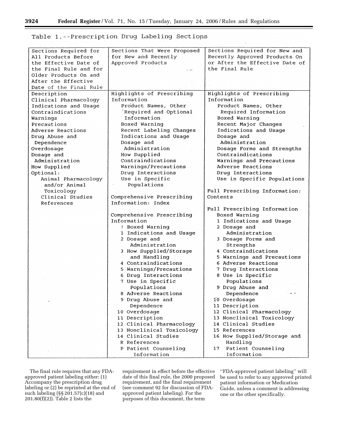| Table 1.--Prescription Drug Labeling Sections |                             |                                |  |  |
|-----------------------------------------------|-----------------------------|--------------------------------|--|--|
| Sections Required for                         | Sections That Were Proposed | Sections Required for New and  |  |  |
| All Products Before                           | for New and Recently        | Recently Approved Products On  |  |  |
| the Effective Date of                         | Approved Products           | or After the Effective Date of |  |  |
| the Final Rule and for                        |                             | the Final Rule                 |  |  |
| Older Products On and                         |                             |                                |  |  |
| After the Effective                           |                             |                                |  |  |
| Date of the Final Rule                        |                             |                                |  |  |
| Description                                   | Highlights of Prescribing   | Highlights of Prescribing      |  |  |
| Clinical Pharmacology                         | Information                 | Information                    |  |  |
| Indications and Usage                         | Product Names, Other        | Product Names, Other           |  |  |
| Contraindications                             | Required and Optional       | Required Information           |  |  |
| Warnings                                      | Information                 | Boxed Warning                  |  |  |
| Precautions                                   | Boxed Warning               | Recent Major Changes           |  |  |
| Adverse Reactions                             | Recent Labeling Changes     | Indications and Usage          |  |  |
| Drug Abuse and                                | Indications and Usage       | Dosage and                     |  |  |
| Dependence                                    | Dosage and                  | Administration                 |  |  |
| Overdosage                                    | Administration              | Dosage Forms and Strengths     |  |  |
| Dosage and                                    | How Supplied                | Contraindications              |  |  |
| Administration                                | Contraindications           | Warnings and Precautions       |  |  |
| How Supplied                                  | Warnings/Precautions        | Adverse Reactions              |  |  |
| Optional:                                     | Drug Interactions           | Drug Interactions              |  |  |
| Animal Pharmacology                           | Use in Specific             | Use in Specific Populations    |  |  |
| and/or Animal                                 | Populations                 |                                |  |  |
| Toxicology                                    |                             | Full Prescribing Information:  |  |  |

Comprehensive Prescribing Information: Index Comprehensive Prescribing

Information ! Boxed Warning

1 Indications and Usage 2 Dosage and

Contents

Full Prescribing Information

1 Indications and Usage

5 Warnings and Precautions

Administration

3 Dosage Forms and

4 Contraindications

6 Adverse Reactions

7 Drug Interactions

8 Use in Specific

Populations

9 Drug Abuse and

Dependence

14 Clinical Studies

Information

12 Clinical Pharmacology

13 Nonclinical Toxicology

16 How Supplied/Storage and

Patient Counseling

10 Overdosage

15 References

 $17$ 

Handling

11 Description

Strengths

Boxed Warning

2 Dosage and

- Administration 3 How Supplied/Storage
- and Handling
- 4 Contraindications
- 5 Warnings/Precautions
- 6 Drug Interactions 7 Use in Specific
- Populations 8 Adverse Reactions
- 9 Drug Abuse and Dependence
- 10 Overdosage 11 Description
- 12 Clinical Pharmacology 13 Nonclinical Toxicology
- 14 Clinical Studies

R References

P Patient Counseling

requirement in effect before the effective date of this final rule, the 2000 proposed requirement, and the final requirement (see comment 92 for discussion of FDAapproved patient labeling). For the purposes of this document, the term

Information

''FDA-approved patient labeling'' will be used to refer to any approved printed patient information or Medication Guide, unless a comment is addressing one or the other specifically.

The final rule requires that any FDAapproved patient labeling either: (1) Accompany the prescription drug labeling or (2) be reprinted at the end of such labeling (§§ 201.57(c)(18) and 201.80(f)(2)). Table 2 lists the

Clinical Studies

References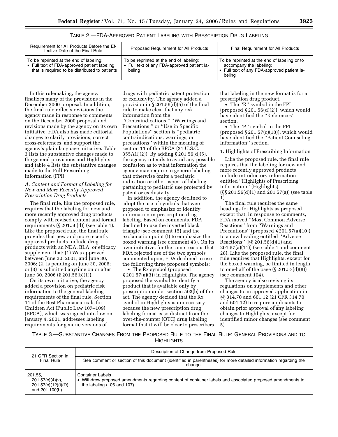# TABLE 2.—FDA-APPROVED PATIENT LABELING WITH PRESCRIPTION DRUG LABELING

| Requirement for All Products Before the Ef-<br>fective Date of the Final Rule                                                             | Proposed Requirement for All Products                                                            | Final Requirement for All Products                                                                                               |
|-------------------------------------------------------------------------------------------------------------------------------------------|--------------------------------------------------------------------------------------------------|----------------------------------------------------------------------------------------------------------------------------------|
| To be reprinted at the end of labeling:<br>• Full text of FDA-approved patient labeling<br>that is required to be distributed to patients | To be reprinted at the end of labeling:<br>• Full text of any FDA-approved patient la-<br>beling | To be reprinted at the end of labeling or to<br>accompany the labeling:<br>• Full text of any FDA-approved patient la-<br>beling |

In this rulemaking, the agency finalizes many of the provisions in the December 2000 proposal. In addition, the final rule reflects revisions the agency made in response to comments on the December 2000 proposal and revisions made by the agency on its own initiative. FDA also has made editorial changes to clarify provisions, correct cross-references, and support the agency's plain language initiative. Table 3 lists the substantive changes made to the general provisions and Highlights and table 4 lists the substantive changes made to the Full Prescribing Information (FPI).

#### *A. Content and Format of Labeling for New and More Recently Approved Prescription Drug Products*

The final rule, like the proposed rule, requires that the labeling for new and more recently approved drug products comply with revised content and format requirements (§ 201.56(d)) (see table 1). Like the proposed rule, the final rule provides that new and more recently approved products include drug products with an NDA, BLA, or efficacy supplement that: (1) Was approved between June 30, 2001, and June 30, 2006; (2) is pending on June 30, 2006; or (3) is submitted anytime on or after June 30, 2006 (§ 201.56(b)(1)).

On its own initiative, the agency added a provision on pediatric risk information to the general labeling requirements of the final rule. Section 11 of the Best Pharmaceuticals for Children Act (Public Law 107–109) (BPCA), which was signed into law on January 4, 2001, addresses labeling requirements for generic versions of

drugs with pediatric patent protection or exclusivity. The agency added a provision in § 201.56(d)(5) of the final rule to make clear that any risk information from the ''Contraindications,'' ''Warnings and Precautions,'' or ''Use in Specific Populations'' section is ''pediatric contraindications, warnings, or precautions'' within the meaning of section 11 of the BPCA (21 U.S.C. 355A(l)(2)). By adding § 201.56(d)(5), the agency intends to avoid any possible confusion as to what information the agency may require in generic labeling that otherwise omits a pediatric indication or other aspect of labeling pertaining to pediatric use protected by patent or exclusivity.

In addition, the agency declined to adopt the use of symbols that were proposed to emphasize or identify information in prescription drug labeling. Based on comments, FDA declined to use the inverted black triangle (see comment 15) and the exclamation point (!) to emphasize the boxed warning (see comment 43). On its own initiative, for the same reasons that FDA rejected use of the two symbols commented upon, FDA declined to use the following three proposed symbols:

• The Rx symbol (proposed § 201.57(a)(3)) in Highlights. The agency proposed the symbol to identify a product that is available only by prescription under section 503(b) of the act. The agency decided that the Rx symbol in Highlights is unnecessary because the new prescription drug labeling format is so distinct from the over-the-counter (OTC) drug labeling format that it will be clear to prescribers

that labeling in the new format is for a prescription drug product.

• The "R" symbol in the FPI (proposed § 201.56(d)(2)), which would have identified the ''References'' section.

• The ''P'' symbol in the FPI (proposed  $\S 201.57(c)(18)$ ), which would have identified the ''Patient Counseling Information'' section.

1. Highlights of Prescribing Information

Like the proposed rule, the final rule requires that the labeling for new and more recently approved products include introductory information entitled ''Highlights of Prescribing Information'' (Highlights) (§§ 201.56(d)(1) and 201.57(a)) (see table 1).

The final rule requires the same headings for Highlights as proposed, except that, in response to comments, FDA moved ''Most Common Adverse Reactions'' from ''Warnings and Precautions'' (proposed § 201.57(a)(10)) to a new heading entitled ''Adverse Reactions'' (§§ 201.56(d)(1) and 201.57(a)(11)) (see table 1 and comment 28). Like the proposed rule, the final rule requires that Highlights, except for the boxed warning, be limited in length to one-half of the page  $(S 201.57(d)(8))$ (see comment 104).

The agency is also revising its regulations on supplements and other changes to an approved application in §§ 314.70 and 601.12 (21 CFR 314.70 and 601.12) to require applicants to obtain prior approval of any labeling changes to Highlights, except for identified minor changes (see comment 5).

TABLE 3.—SUBSTANTIVE CHANGES FROM THE PROPOSED RULE TO THE FINAL RULE: GENERAL PROVISIONS AND TO **HIGHLIGHTS** 

| 21 CFR Section in                                                        | Description of Change from Proposed Rule                                                                                                                            |
|--------------------------------------------------------------------------|---------------------------------------------------------------------------------------------------------------------------------------------------------------------|
| Final Rule                                                               | See comment or section of this document (identified in parentheses) for more detailed information regarding the<br>change.                                          |
| 201.55.<br>$201.57(c)(4)(v)$ ,<br>201.57(c)(12)(i)(D),<br>and 201.100(b) | <b>Container Labels</b><br>• Withdrew proposed amendments regarding content of container labels and associated proposed amendments to<br>the labeling (106 and 107) |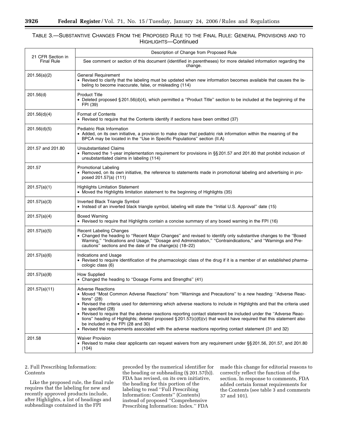# TABLE 3.—SUBSTANTIVE CHANGES FROM THE PROPOSED RULE TO THE FINAL RULE: GENERAL PROVISIONS AND TO HIGHLIGHTS—Continued

|                                        | Description of Change from Proposed Rule                                                                                                                                                                                                                                                                                                                                                                                                                                                                                                                                                                                                                                                           |
|----------------------------------------|----------------------------------------------------------------------------------------------------------------------------------------------------------------------------------------------------------------------------------------------------------------------------------------------------------------------------------------------------------------------------------------------------------------------------------------------------------------------------------------------------------------------------------------------------------------------------------------------------------------------------------------------------------------------------------------------------|
| 21 CFR Section in<br><b>Final Rule</b> | See comment or section of this document (identified in parentheses) for more detailed information regarding the<br>change.                                                                                                                                                                                                                                                                                                                                                                                                                                                                                                                                                                         |
| 201.56(a)(2)                           | General Requirement<br>• Revised to clarify that the labeling must be updated when new information becomes available that causes the la-<br>beling to become inaccurate, false, or misleading (114)                                                                                                                                                                                                                                                                                                                                                                                                                                                                                                |
| 201.56(d)                              | <b>Product Title</b><br>• Deleted proposed § 201.56(d)(4), which permitted a "Product Title" section to be included at the beginning of the<br>FPI (39)                                                                                                                                                                                                                                                                                                                                                                                                                                                                                                                                            |
| 201.56(d)(4)                           | <b>Format of Contents</b><br>• Revised to require that the Contents identify if sections have been omitted (37)                                                                                                                                                                                                                                                                                                                                                                                                                                                                                                                                                                                    |
| 201.56(d)(5)                           | Pediatric Risk Information<br>• Added, on its own initiative, a provision to make clear that pediatric risk information within the meaning of the<br>BPCA may be located in the "Use in Specific Populations" section (II.A)                                                                                                                                                                                                                                                                                                                                                                                                                                                                       |
| 201.57 and 201.80                      | <b>Unsubstantiated Claims</b><br>• Removed the 1-year implementation requirement for provisions in §§ 201.57 and 201.80 that prohibit inclusion of<br>unsubstantiated claims in labeling (114)                                                                                                                                                                                                                                                                                                                                                                                                                                                                                                     |
| 201.57                                 | <b>Promotional Labeling</b><br>• Removed, on its own initiative, the reference to statements made in promotional labeling and advertising in pro-<br>posed 201.57(a) (111)                                                                                                                                                                                                                                                                                                                                                                                                                                                                                                                         |
| 201.57(a)(1)                           | <b>Highlights Limitation Statement</b><br>• Moved the Highlights limitation statement to the beginning of Highlights (35)                                                                                                                                                                                                                                                                                                                                                                                                                                                                                                                                                                          |
| 201.57(a)(3)                           | Inverted Black Triangle Symbol<br>· Instead of an inverted black triangle symbol, labeling will state the "Initial U.S. Approval" date (15)                                                                                                                                                                                                                                                                                                                                                                                                                                                                                                                                                        |
| 201.57(a)(4)                           | <b>Boxed Warning</b><br>• Revised to require that Highlights contain a concise summary of any boxed warning in the FPI (16)                                                                                                                                                                                                                                                                                                                                                                                                                                                                                                                                                                        |
| 201.57(a)(5)                           | <b>Recent Labeling Changes</b><br>• Changed the heading to "Recent Major Changes" and revised to identify only substantive changes to the "Boxed<br>Warning," "Indications and Usage," "Dosage and Administration," "Contraindications," and "Warnings and Pre-<br>cautions" sections and the date of the change(s) (18-22)                                                                                                                                                                                                                                                                                                                                                                        |
| 201.57(a)(6)                           | Indications and Usage<br>• Revised to require identification of the pharmacologic class of the drug if it is a member of an established pharma-<br>cologic class (6)                                                                                                                                                                                                                                                                                                                                                                                                                                                                                                                               |
| 201.57(a)(8)                           | How Supplied<br>• Changed the heading to "Dosage Forms and Strengths" (41)                                                                                                                                                                                                                                                                                                                                                                                                                                                                                                                                                                                                                         |
| 201.57(a)(11)                          | <b>Adverse Reactions</b><br>• Moved "Most Common Adverse Reactions" from "Warnings and Precautions" to a new heading: "Adverse Reac-<br>tions" (28)<br>• Revised the criteria used for determining which adverse reactions to include in Highlights and that the criteria used<br>be specified (28)<br>• Revised to require that the adverse reactions reporting contact statement be included under the "Adverse Reac-<br>tions" heading of Highlights; deleted proposed $\S 201.57(c)(6)(v)$ that would have required that this statement also<br>be included in the FPI (28 and 30)<br>• Revised the requirements associated with the adverse reactions reporting contact statement (31 and 32) |
| 201.58                                 | <b>Waiver Provision</b><br>• Revised to make clear applicants can request waivers from any requirement under §§ 201.56, 201.57, and 201.80<br>(104)                                                                                                                                                                                                                                                                                                                                                                                                                                                                                                                                                |

2. Full Prescribing Information: Contents

Like the proposed rule, the final rule requires that the labeling for new and recently approved products include, after Highlights, a list of headings and subheadings contained in the FPI

preceded by the numerical identifier for the heading or subheading (§ 201.57(b)). FDA has revised, on its own initiative, the heading for this portion of the labeling to read ''Full Prescribing Information: Contents'' (Contents) instead of proposed ''Comprehensive Prescribing Information: Index.'' FDA

made this change for editorial reasons to correctly reflect the function of the section. In response to comments, FDA added certain format requirements for the Contents (see table 3 and comments 37 and 101).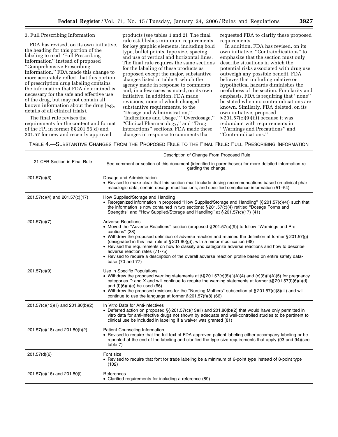#### 3. Full Prescribing Information

FDA has revised, on its own initiative, the heading for this portion of the labeling to read ''Full Prescribing Information'' instead of proposed ''Comprehensive Prescribing Information.'' FDA made this change to more accurately reflect that this portion of prescription drug labeling contains the information that FDA determined is necessary for the safe and effective use of the drug, but may not contain all known information about the drug (e.g., details of all clinical trials).

The final rule revises the requirements for the content and format of the FPI in former §§ 201.56(d) and 201.57 for new and recently approved

products (see tables 1 and 2). The final rule establishes minimum requirements for key graphic elements, including bold type, bullet points, type size, spacing and use of vertical and horizontal lines. The final rule requires the same sections for the labeling of these products as proposed except the major, substantive changes listed in table 4, which the agency made in response to comments and, in a few cases as noted, on its own initiative. In addition, FDA made revisions, none of which changed substantive requirements, to the ''Dosage and Administration,'' ''Indications and Usage,'' ''Overdosage,'' ''Clinical Pharmacology,'' and ''Drug Interactions'' sections. FDA made these changes in response to comments that

requested FDA to clarify these proposed requirements.

In addition, FDA has revised, on its own initiative, ''Contraindications'' to emphasize that the section must only describe situations in which the potential risks associated with drug use outweigh any possible benefit. FDA believes that including relative or hypothetical hazards diminishes the usefulness of the section. For clarity and emphasis, FDA is requiring that ''none'' be stated when no contraindications are known. Similarly, FDA deleted, on its own initiative, proposed  $§ 201.57(c)(9)(iii)$  because it was redundant with requirements in ''Warnings and Precautions'' and ''Contraindications.''

TABLE 4.—SUBSTANTIVE CHANGES FROM THE PROPOSED RULE TO THE FINAL RULE: FULL PRESCRIBING INFORMATION

|                                    | Description of Change From Proposed Rule                                                                                                                                                                                                                                                                                                                                                                                                                                                                                                                                                                              |  |  |
|------------------------------------|-----------------------------------------------------------------------------------------------------------------------------------------------------------------------------------------------------------------------------------------------------------------------------------------------------------------------------------------------------------------------------------------------------------------------------------------------------------------------------------------------------------------------------------------------------------------------------------------------------------------------|--|--|
| 21 CFR Section in Final Rule       | See comment or section of this document (identified in parentheses) for more detailed information re-<br>garding the change.                                                                                                                                                                                                                                                                                                                                                                                                                                                                                          |  |  |
| 201.57(c)(3)                       | Dosage and Administration<br>• Revised to make clear that this section must include dosing recommendations based on clinical phar-<br>macologic data, certain dosage modifications, and specified compliance information (51–54)                                                                                                                                                                                                                                                                                                                                                                                      |  |  |
| 201.57(c)(4) and 201.57(c)(17)     | How Supplied/Storage and Handling<br>• Reorganized information in proposed "How Supplied/Storage and Handling" (§ 201.57(c)(4)) such that<br>the information is now contained in two sections: $\S 201.57(c)(4)$ retitled "Dosage Forms and<br>Strengths" and "How Supplied/Storage and Handling" at §201.57(c)(17) (41)                                                                                                                                                                                                                                                                                              |  |  |
| 201.57(c)(7)                       | <b>Adverse Reactions</b><br>• Moved the "Adverse Reactions" section (proposed $\S 201.57(c)(9)$ ) to follow "Warnings and Pre-<br>cautions" (38)<br>• Withdrew the proposed definition of adverse reaction and retained the definition at former § 201.57(g)<br>(designated in this final rule at § 201.80(g)), with a minor modification (68)<br>• Revised the requirements on how to classify and categorize adverse reactions and how to describe<br>adverse reaction rates (71-75)<br>• Revised to require a description of the overall adverse reaction profile based on entire safety data-<br>base (70 and 77) |  |  |
| 201.57(c)(9)                       | Use in Specific Populations<br>• Withdrew the proposed warning statements at $\S\S 201.57(c)(8)(i)(A)(4)$ and (c)(8)(i)(A)(5) for pregnancy<br>categories D and X and will continue to require the warning statements at former §§ 201.57(f)(6)(i)(d)<br>and $(f)(6)(i)(e)$ be used $(66)$<br>• Withdrew the proposed revisions for the "Nursing Mothers" subsection at $\S 201.57(c)(8)(iii)$ and will<br>continue to use the language at former $\S 201.57(f)(8)$ (66)                                                                                                                                              |  |  |
| 201.57(c)(13)(ii) and 201.80(b)(2) | In Vitro Data for Anti-infectives<br>• Deferred action on proposed §§ 201.57(c)(13)(ii) and 201.80(b)(2) that would have only permitted in<br>vitro data for anti-infective drugs not shown by adequate and well-controlled studies to be pertinent to<br>clinical use be included in labeling if a waiver was granted (81)                                                                                                                                                                                                                                                                                           |  |  |
| 201.57(c)(18) and 201.80(f)(2)     | Patient Counseling Information<br>• Revised to require that the full text of FDA-approved patient labeling either accompany labeling or be<br>reprinted at the end of the labeling and clarified the type size requirements that apply (93 and 94)(see<br>table 7)                                                                                                                                                                                                                                                                                                                                                    |  |  |
| 201.57(d)(6)                       | Font size<br>• Revised to require that font for trade labeling be a minimum of 6-point type instead of 8-point type<br>(102)                                                                                                                                                                                                                                                                                                                                                                                                                                                                                          |  |  |
| 201.57(c)(16) and 201.80(l)        | References<br>• Clarified requirements for including a reference (89)                                                                                                                                                                                                                                                                                                                                                                                                                                                                                                                                                 |  |  |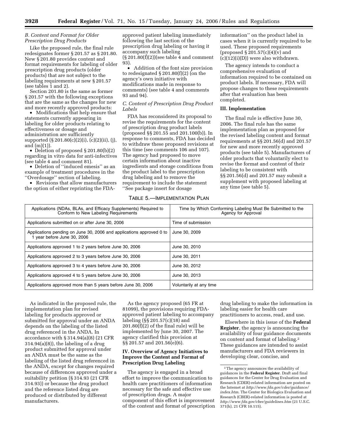# *B. Content and Format for Older Prescription Drug Products*

Like the proposed rule, the final rule redesignates former § 201.57 as § 201.80. New § 201.80 provides content and format requirements for labeling of older prescription drug products (older products) that are not subject to the labeling requirements at new § 201.57 (see tables 1 and 2).

Section 201.80 is the same as former § 201.57 with the following exceptions that are the same as the changes for new and more recently approved products:

• Modifications that help ensure that statements currently appearing in labeling for older products relating to effectiveness or dosage and administration are sufficiently supported (§ 201.80(c)(2)(i), (c)(2)(ii), (j), and  $(m)(1)$ ).

• Deletion of proposed § 201.80(b)(2) regarding in vitro data for anti-infectives (see table 4 and comment 81).

• Deletion of ''induced emesis'' as an example of treatment procedures in the ''Overdosage'' section of labeling.

• Revisions that allow manufacturers the option of either reprinting the FDA-

approved patient labeling immediately following the last section of the prescription drug labeling or having it accompany such labeling  $(\S 201.80(f)(2))($ see table 4 and comment 93).

• Addition of the font size provision to redesignated § 201.80(f)(2) (on the agency's own initiative with modifications made in response to comments) (see table 4 and comments 93 and 94).

*C. Content of Prescription Drug Product Labels* 

FDA has reconsidered its proposal to revise the requirements for the content of prescription drug product labels (proposed §§ 201.55 and 201.100(b)). In response to comments, FDA has decided to withdraw these proposed revisions at this time (see comments 106 and 107). The agency had proposed to move certain information about inactive ingredients and storage conditions from the product label to the prescription drug labeling and to remove the requirement to include the statement ''See package insert for dosage

# TABLE 5.—IMPLEMENTATION PLAN

information'' on the product label in cases when it is currently required to be used. These proposed requirements (proposed  $\S 201.57(c)(4)(v)$  and  $(c)(12)(i)(D))$  were also withdrawn.

The agency intends to conduct a comprehensive evaluation of information required to be contained on product labels. If necessary, FDA will propose changes to these requirements after that evaluation has been completed.

#### **III. Implementation**

The final rule is effective June 30, 2006. The final rule has the same implementation plan as proposed for the revised labeling content and format requirements at §§ 201.56(d) and 201.57 for new and more recently approved products (see table 5). Manufacturers of older products that voluntarily elect to revise the format and content of their labeling to be consistent with §§ 201.56(d) and 201.57 may submit a supplement with proposed labeling at any time (see table 5).

| Applications (NDAs, BLAs, and Efficacy Supplements) Required to<br>Conform to New Labeling Requirements | Time by Which Conforming Labeling Must Be Submitted to the<br>Agency for Approval |
|---------------------------------------------------------------------------------------------------------|-----------------------------------------------------------------------------------|
| Applications submitted on or after June 30, 2006                                                        | Time of submission                                                                |
| Applications pending on June 30, 2006 and applications approved 0 to<br>1 year before June 30, 2006     | June 30, 2009                                                                     |
| Applications approved 1 to 2 years before June 30, 2006                                                 | June 30, 2010                                                                     |
| Applications approved 2 to 3 years before June 30, 2006                                                 | June 30, 2011                                                                     |
| Applications approved 3 to 4 years before June 30, 2006                                                 | June 30, 2012                                                                     |
| Applications approved 4 to 5 years before June 30, 2006                                                 | June 30, 2013                                                                     |
| Applications approved more than 5 years before June 30, 2006                                            | Voluntarily at any time                                                           |

As indicated in the proposed rule, the implementation plan for revised labeling for products approved or submitted for approval under an ANDA depends on the labeling of the listed drug referenced in the ANDA. In accordance with § 314.94(a)(8) (21 CFR  $314.94(a)(8)$ , the labeling of a drug product submitted for approval under an ANDA must be the same as the labeling of the listed drug referenced in the ANDA, except for changes required because of differences approved under a suitability petition (§ 314.93 (21 CFR 314.93)) or because the drug product and the reference listed drug are produced or distributed by different manufacturers.

As the agency proposed (65 FR at 81099), the provisions requiring FDAapproved patient labeling to accompany labeling (§§ 201.57(c)(18) and 201.80(f)(2) of the final rule) will be implemented by June 30, 2007. The agency clarified this provision at §§ 201.57 and 201.56(e)(6).

# **IV. Overview of Agency Initiatives to Improve the Content and Format of Prescription Drug Labeling**

The agency is engaged in a broad effort to improve the communication to health care practitioners of information necessary for the safe and effective use of prescription drugs. A major component of this effort is improvement of the content and format of prescription

drug labeling to make the information in labeling easier for health care practitioners to access, read, and use.

Elsewhere in this issue of the **Federal Register**, the agency is announcing the availability of four guidance documents on content and format of labeling.2 These guidances are intended to assist manufacturers and FDA reviewers in developing clear, concise, and

<sup>2</sup>The agency announces the availability of guidances in the **Federal Register**. Draft and final guidances for the Center for Drug Evaluation and Research (CDER)-related information are posted on the Internet at *http://www.fda.gov/cder/guidance/ index.htm*. The Center for Biologics Evaluation and Research (CBER)-related information is posted at *http://www.fda.gov/cber/guidelines.htm* (21 U.S.C. 371(h), 21 CFR 10.115).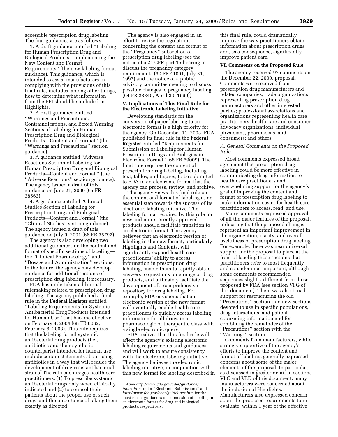accessible prescription drug labeling. The four guidances are as follows:

1. A draft guidance entitled ''Labeling for Human Prescription Drug and Biological Products—Implementing the New Content and Format Requirements'' (the new labeling format guidance). This guidance, which is intended to assist manufacturers in complying with the provisions of this final rule, includes, among other things, how to determine what information from the FPI should be included in Highlights.

2. A draft guidance entitled ''Warnings and Precautions, Contraindications, and Boxed Warning Sections of Labeling for Human Prescription Drug and Biological Products—Content and Format'' (the ''Warnings and Precautions'' section guidance).

3. A guidance entitled ''Adverse Reactions Section of Labeling for Human Prescription Drug and Biological Products—Content and Format '' (the ''Adverse Reactions'' section guidance). The agency issued a draft of this guidance on June 21, 2000 (65 FR 38563).

4. A guidance entitled ''Clinical Studies Section of Labeling for Prescription Drug and Biological Products—Content and Format'' (the ''Clinical Studies'' section guidance). The agency issued a draft of this guidance on July 9, 2001 (66 FR 35797).

The agency is also developing two additional guidances on the content and format of specific sections of labeling the ''Clinical Pharmacology'' and ''Dosage and Administration'' sections. In the future, the agency may develop guidance for additional sections of prescription drug labeling, if necessary.

FDA has undertaken additional rulemaking related to prescription drug labeling. The agency published a final rule in the **Federal Register** entitled ''Labeling Requirements for Systemic Antibacterial Drug Products Intended for Human Use'' that became effective on February 4, 2004 (68 FR 6062, February 6, 2003). This rule requires that the labeling for all systemic antibacterial drug products (i.e., antibiotics and their synthetic counterparts) intended for human use include certain statements about using antibiotics in a way that will reduce the development of drug-resistant bacterial strains. The rule encourages health care practitioners: (1) To prescribe systemic antibacterial drugs only when clinically indicated and (2) to counsel their patients about the proper use of such drugs and the importance of taking them exactly as directed.

The agency is also engaged in an effort to revise the regulations concerning the content and format of the ''Pregnancy'' subsection of prescription drug labeling (see the notice of a 21 CFR part 15 hearing to discuss the pregnancy category requirements (62 FR 41061, July 31, 1997) and the notice of a public advisory committee meeting to discuss possible changes to pregnancy labeling (64 FR 23340, April 30, 1999)).

#### **V. Implications of This Final Rule for the Electronic Labeling Initiative**

Developing standards for the conversion of paper labeling to an electronic format is a high priority for the agency. On December 11, 2003, FDA published its final rule in the **Federal Register** entitled ''Requirements for Submission of Labeling for Human Prescription Drugs and Biologics in Electronic Format'' (68 FR 69009). The final rule requires the content of prescription drug labeling, including text, tables, and figures, to be submitted to FDA in an electronic format that the agency can process, review, and archive.

The agency views this final rule on the content and format of labeling as an essential step towards the success of its electronic labeling initiative. The labeling format required by this rule for new and more recently approved products should facilitate transition to an electronic format. The agency believes that an electronic version of labeling in the new format, particularly Highlights and Contents, will significantly expand health care practitioners' ability to access information in prescription drug labeling, enable them to rapidly obtain answers to questions for a range of drug products, and ultimately facilitate the development of a comprehensive repository for drug labeling. For example, FDA envisions that an electronic version of the new format will eventually enable health care practitioners to quickly access labeling information for all drugs in a pharmacologic or therapeutic class with a single electronic query.

FDA realizes that this final rule will affect the agency's existing electronic labeling requirements and guidances and will work to ensure consistency with the electronic labeling initiative.<sup>3</sup> The agency believes the electronic labeling initiative, in conjunction with this new format for labeling described in

this final rule, could dramatically improve the way practitioners obtain information about prescription drugs and, as a consequence, significantly improve patient care.

#### **VI. Comments on the Proposed Rule**

The agency received 97 comments on the December 22, 2000, proposal. Comments were received from prescription drug manufacturers and related companies; trade organizations representing prescription drug manufacturers and other interested parties; professional associations and organizations representing health care practitioners; health care and consumer advocacy organizations; individual physicians, pharmacists, and consumers; and others.

#### *A. General Comments on the Proposed Rule*

Most comments expressed broad agreement that prescription drug labeling could be more effective in communicating drug information to health care practitioners and overwhelming support for the agency's goal of improving the content and format of prescription drug labeling to make information easier for health care practitioners to access, read, and use.

Many comments expressed approval of all the major features of the proposal, indicating that the proposed changes represent an important improvement in the organization, clarity, and overall usefulness of prescription drug labeling. For example, there was near universal support for the proposal to place at the front of labeling those sections that practitioners refer to most frequently and consider most important, although some comments recommended sequences slightly different from those proposed by FDA (see section VI.G of this document). There was also broad support for restructuring the old ''Precautions'' section into new sections devoted to use in specific populations, drug interactions, and patient counseling information and for combining the remainder of the ''Precautions'' section with the ''Warnings'' section.

Comments from manufacturers, while strongly supportive of the agency's efforts to improve the content and format of labeling, generally expressed concerns about some of the major elements of the proposal. In particular, as discussed in greater detail in sections VI.C and VI.D of this document, many manufacturers were concerned about the inclusion of Highlights. Manufacturers also expressed concern about the proposed requirements to reevaluate, within 1 year of the effective

<sup>3</sup>See *http://www.fda.gov/cder/guidance/ index.htm* under ''Electronic Submissions'' and *http://www.fda.gov/cber/guidelines.htm* for the most recent guidances on submission of labeling in an electronic format for drug and biological products, respectively.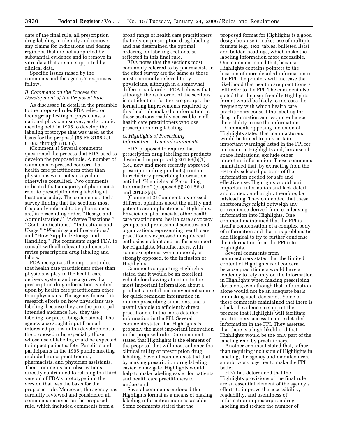date of the final rule, all prescription drug labeling to identify and remove any claims for indications and dosing regimens that are not supported by substantial evidence and to remove in vitro data that are not supported by clinical data.

Specific issues raised by the comments and the agency's responses follow.

#### *B. Comments on the Process for Development of the Proposed Rule*

As discussed in detail in the preamble to the proposed rule, FDA relied on focus group testing of physicians, a national physician survey, and a public meeting held in 1995 to develop the labeling prototype that was used as the basis for the proposal (65 FR 81082 at 81083 through 81085).

(Comment 1) Several comments questioned the process that FDA used to develop the proposed rule. A number of comments expressed concern that health care practitioners other than physicians were not surveyed or otherwise consulted. Two comments indicated that a majority of pharmacists refer to prescription drug labeling at least once a day. The comments cited a survey finding that the sections most frequently referred to by pharmacists are, in descending order, ''Dosage and Administration,'' ''Adverse Reactions,'' ''Contraindications,'' ''Indications and Usage,'' ''Warnings and Precautions,'' and ''How Supplied/Storage and Handling.'' The comments urged FDA to consult with all relevant audiences to revise prescription drug labeling and labels.

FDA recognizes the important roles that health care practitioners other than physicians play in the health care delivery system and recognizes that prescription drug information is relied upon by health care practitioners other than physicians. The agency focused its research efforts on how physicians use labeling, because they are the principal intended audience (i.e., they use labeling for prescribing decisions). The agency also sought input from all interested parties in the development of the proposed rule, especially those whose use of labeling could be expected to impact patient safety. Panelists and participants in the 1995 public meeting included nurse practitioners, pharmacists, and physician assistants. Their comments and observations directly contributed to refining the third version of FDA's prototype into the version that was the basis for the proposed rule. Moreover, the agency has carefully reviewed and considered all comments received on the proposed rule, which included comments from a

broad range of health care practitioners that rely on prescription drug labeling, and has determined the optimal ordering for labeling sections, as reflected in this final rule.

FDA notes that the sections most commonly referred to by pharmacists in the cited survey are the same as those most commonly referred to by physicians, although in a somewhat different rank order. FDA believes that, although the rank order of the sections is not identical for the two groups, the formatting improvements required by this final rule make the information in these sections readily accessible to all health care practitioners who use prescription drug labeling.

# *C. Highlights of Prescribing Information—General Comments*

FDA proposed to require that prescription drug labeling for products described in proposed § 201.56(b)(1) (i.e., new and more recently approved prescription drug products) contain introductory prescribing information entitled ''Highlights of Prescribing Information'' (proposed §§ 201.56(d) and 201.57(a)).

(Comment 2) Comments expressed different opinions about the utility and patient care implications of Highlights. Physicians, pharmacists, other health care practitioners, health care advocacy groups, and professional societies and organizations representing health care practitioners expressed unequivocal enthusiasm about and uniform support for Highlights. Manufacturers, with some exceptions, were opposed, or strongly opposed, to the inclusion of Highlights.

Comments supporting Highlights stated that it would be an excellent vehicle for drawing attention to the most important information about a product, a useful and convenient source for quick reminder information in routine prescribing situations, and a useful vehicle to efficiently direct practitioners to the more detailed information in the FPI. Several comments stated that Highlights is probably the most important innovation in the proposed rule. One comment stated that Highlights is the element of the proposal that will most enhance the clinical utility of prescription drug labeling. Several comments stated that by making prescription drug labeling easier to navigate, Highlights would help to make labeling easier for patients and health care practitioners to understand.

Several comments endorsed the Highlights format as a means of making labeling information more accessible. Some comments stated that the

proposed format for Highlights is a good design because it makes use of multiple formats (e.g., text, tables, bulleted lists) and bolded headings, which make the labeling information more accessible. One comment noted that, because Highlights contains pointers to the location of more detailed information in the FPI, the pointers will increase the likelihood that health care practitioners will refer to the FPI. The comment also stated that the user-friendly Highlights format would be likely to increase the frequency with which health care practitioners consult the labeling for drug information and would enhance their ability to use the information.

Comments opposing inclusion of Highlights stated that manufacturers would be forced to pick certain important warnings listed in the FPI for inclusion in Highlights and, because of space limitations, exclude other important information. These comments maintained that, by extracting from the FPI only selected portions of the information needed for safe and effective use, Highlights would omit important information and lack detail and context, and might, therefore, be misleading. They contended that these shortcomings might outweigh any convenience derived from condensing information into Highlights. One comment maintained that the FPI is itself a condensation of a complex body of information and that it is problematic and illogical to try to further condense the information from the FPI into Highlights.

Several comments from manufacturers stated that the limited content of Highlights is of concern because practitioners would have a tendency to rely only on the information in Highlights when making prescribing decisions, even though that information alone would not be an adequate basis for making such decisions. Some of these comments maintained that there is a lack of evidence to support the premise that Highlights will facilitate practitioners' access to more detailed information in the FPI. They asserted that there is a high likelihood that Highlights would be the only part of the labeling read by practitioners.

Another comment stated that, rather than requiring inclusion of Highlights in labeling, the agency and manufacturers should work together to make the FPI better.

FDA has determined that the Highlights provisions of the final rule are an essential element of the agency's efforts to improve the accessibility, readability, and usefulness of information in prescription drug labeling and reduce the number of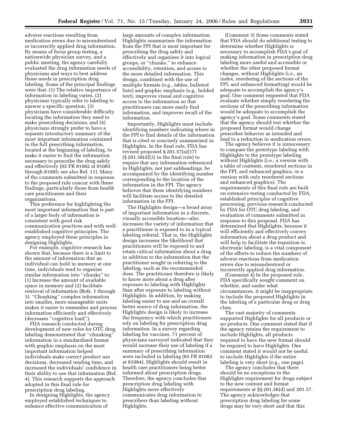adverse reactions resulting from medication errors due to misunderstood or incorrectly applied drug information. By means of focus group testing, a nationwide physician survey, and a public meeting, the agency carefully evaluated the drug information needs of physicians and ways to best address those needs in prescription drug labeling. Some of the principal findings were that: (1) The relative importance of information in labeling varies, (2) physicians typically refer to labeling to answer a specific question, (3) physicians have considerable difficulty locating the information they need to make prescribing decisions, and (4) physicians strongly prefer to have a separate introductory summary of the most important information contained in the full prescribing information, located at the beginning of labeling, to make it easier to find the information necessary to prescribe the drug safely and effectively (65 FR 81082 at 81083 through 81085; see also Ref. 11). Many of the comments submitted in response to the proposed rule concur with these findings, particularly those from health care practitioners and their organizations.

This preference for highlighting the most important information that is part of a larger body of information is consistent with good risk communication practices and with wellestablished cognitive principles. The agency employed these principles in designing Highlights.

For example, cognitive research has shown that, because there is a limit to the amount of information that an individual can hold in memory at one time, individuals tend to organize similar information into ''chunks'' to: (1) Increase the amount of available space in memory and (2) facilitate retrieval of information (Refs. 1 through 3). ''Chunking'' complex information into smaller, more manageable units makes it easier to remember and process information efficiently and effectively (decreases ''cognitive load'').

FDA research conducted during development of new rules for OTC drug labeling demonstrated that ''chunking'' information in a standardized format with graphic emphasis on the most important information helped individuals make correct product use decisions, decreased reading time, and increased the individuals' confidence in their ability to use that information (Ref. 4). This research supports the approach adopted in this final rule for prescription drug labeling.

In designing Highlights, the agency employed established techniques to enhance effective communication of

large amounts of complex information. Highlights summarizes the information from the FPI that is most important for prescribing the drug safely and effectively and organizes it into logical groups, or ''chunks,'' to enhance accessibility, retention, and access to the more detailed information. This design, combined with the use of multiple formats (e.g., tables, bulleted lists) and graphic emphasis (e.g., bolded text), improves visual and cognitive access to the information so that practitioners can more easily find information, and improves recall of the information.

Importantly, Highlights must include identifying numbers indicating where in the FPI to find details of the information that is cited or concisely summarized in Highlights. In the final rule, FDA has revised proposed § 201.57(a)(17) (§ 201.56(d)(3) in the final rule) to require that any information referenced in Highlights, not just subheadings, be accompanied by the identifying number corresponding to the location of the information in the FPI. The agency believes that these identifying numbers will facilitate access to the detailed information in the FPI.

The Highlights design—a broad array of important information in a discrete, visually accessible location—also increases the variety of information that a practitioner is exposed to in a typical labeling referral. That is, the Highlights design increases the likelihood that practitioners will be exposed to and retain critical information about a drug in addition to the information that the practitioner sought in referring to the labeling, such as the recommended dose. The practitioner therefore is likely to know more about a drug after exposure to labeling with Highlights than after exposure to labeling without Highlights. In addition, by making labeling easier to use and an overall better source of drug information, the Highlights design is likely to increase the frequency with which practitioners rely on labeling for prescription drug information. In a survey regarding labeling for vaccines, 71 percent of physicians surveyed indicated that they would increase their use of labeling if a summary of prescribing information were included in labeling (65 FR 81082 at 81084). Highlights should result in health care practitioners being better informed about prescription drugs. Therefore, the agency concludes that prescription drug labeling with Highlights more effectively communicates drug information to prescribers than labeling without Highlights.

(Comment 3) Some comments stated that FDA should do additional testing to determine whether Highlights is necessary to accomplish FDA's goal of making information in prescription drug labeling more useful and accessible or whether the other proposed format changes, without Highlights (i.e., an index, reordering of the sections of the FPI, and enhanced formatting) would be adequate to accomplish the agency's goal. One comment requested that FDA evaluate whether simply reordering the sections of the prescribing information would be adequate to accomplish the agency's goal. Some comments stated that the agency should test whether the proposed format would change prescriber behavior as intended and lead to a reduction in medication errors.

The agency believes it is unnecessary to compare the prototype labeling with Highlights to the prototype labeling without Highlights (i.e., a version with a table of contents, reordered sections in the FPI, and enhanced graphics, or a version with only reordered sections and enhanced graphics). The requirements of this final rule are built on extensive testing conducted by FDA, established principles of cognitive processing, previous research conducted by FDA for OTC drug labeling, and evaluation of comments submitted in response to this proposal. FDA has determined that Highlights, because it will efficiently and effectively convey information about a drug product and will help to facilitate the transition to electronic labeling, is a vital component of the efforts to reduce the numbers of adverse reactions from medication errors due to misunderstood or incorrectly applied drug information.

(Comment 4) In the proposed rule, FDA specifically sought comment on whether, and under what circumstances, it might be inappropriate to include the proposed Highlights in the labeling of a particular drug or drug class.

The vast majority of comments supported Highlights for all products or no products. One comment stated that if the agency retains the requirement to include Highlights, all products required to have the new format should be required to have Highlights. One comment stated it would not be useful to include Highlights if the entire labeling is very short (e.g., one page).

The agency concludes that there should be no exceptions to the Highlights requirement for drugs subject to the new content and format requirements at §§ 201.56(d) and 201.57. The agency acknowledges that prescription drug labeling for some drugs may be very short and that this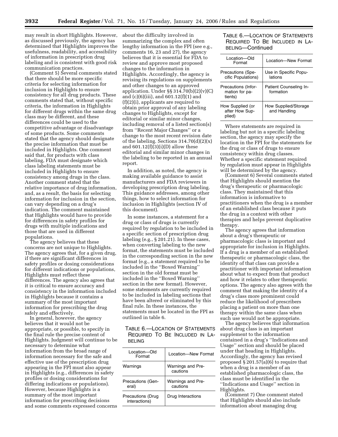may result in short Highlights. However, as discussed previously, the agency has determined that Highlights improves the usefulness, readability, and accessibility of information in prescription drug labeling and is consistent with good risk communication practices.

(Comment 5) Several comments stated that there should be more specific criteria for selecting information for inclusion in Highlights to ensure consistency for all drug products. These comments stated that, without specific criteria, the information in Highlights for different drugs within the same drug class may be different, and these differences could be used to the competitive advantage or disadvantage of some products. Some comments stated that the agency should designate the precise information that must be included in Highlights. One comment said that, for products with class labeling, FDA must designate which class labeling statements must be included in Highlights to ensure consistency among drugs in the class. Another comment stated that the relative importance of drug information, and, as a result, the basis for selecting information for inclusion in the section, can vary depending on a drug's indication. The comment maintained that Highlights would have to provide for differences in safety profiles for drugs with multiple indications and those that are used in different populations.

The agency believes that these concerns are not unique to Highlights. The agency agrees that, for a given drug, if there are significant differences in safety profiles or dosing considerations for different indications or populations, Highlights must reflect these differences. The agency also agrees that it is critical to ensure accuracy and consistency in the information included in Highlights because it contains a summary of the most important information for prescribing the drug safely and effectively.

In general, however, the agency believes that it would not be appropriate, or possible, to specify in the final rule the precise content of Highlights. Judgment will continue to be necessary to determine what information from the broad range of information necessary for the safe and effective use of the prescription drug appearing in the FPI must also appear in Highlights (e.g., differences in safety profiles or dosing considerations for differing indications or populations). However, because Highlights is a summary of the most important information for prescribing decisions and some comments expressed concerns about the difficulty involved in summarizing the complex and often lengthy information in the FPI (see e.g., comments 16, 23 and 27), the agency believes that it is essential for FDA to review and approve most proposed changes to the information in Highlights. Accordingly, the agency is revising its regulations on supplements and other changes to an approved application. Under  $\S$ § 314.70(b)(2)(v)(C) and (c)(6)(iii), and 601.12(f)(1) and (f)(2)(i), applicants are required to obtain prior approval of any labeling changes to Highlights, except for editorial or similar minor changes, including removal of a listed section(s) from ''Recent Major Changes'' or a change to the most recent revision date of the labeling. Sections  $314.70(d)(2)(x)$ and  $601.12(f)(3)(i)(D)$  allow these editorial and similar minor changes in the labeling to be reported in an annual report.

In addition, as noted, the agency is making available guidance to assist manufacturers and FDA reviewers in developing prescription drug labeling. This guidance addresses, among other things, how to select information for inclusion in Highlights (section IV of this document).

In some instances, a statement for a drug or class of drugs is currently required by regulation to be included in a specific section of prescription drug labeling (e.g., § 201.21). In these cases, when converting labeling to the new format, the statements must be included in the corresponding section in the new format (e.g., a statement required to be included in the ''Boxed Warning'' section in the old format must be included in the ''Boxed Warning'' section in the new format). However, some statements are currently required to be included in labeling sections that have been altered or eliminated by this final rule. In these instances, the statements must be located in the FPI as outlined in table 6.

# TABLE 6.—LOCATION OF STATEMENTS REQUIRED TO BE INCLUDED IN LA-BELING

| l ocation—Old<br>Format            | Location-New Format           |
|------------------------------------|-------------------------------|
| Warnings                           | Warnings and Pre-<br>cautions |
| <b>Precautions (Gen-</b><br>eral)  | Warnings and Pre-<br>cautions |
| Precautions (Drug<br>interactions) | Drug Interactions             |

# TABLE 6.—LOCATION OF STATEMENTS REQUIRED TO BE INCLUDED IN LA-BELING—Continued

| Location-Old<br>Format                                  | Location-New Format                  |
|---------------------------------------------------------|--------------------------------------|
| Precautions (Spe-<br>cific Populations)                 | Use in Specific Popu-<br>lations     |
| <b>Precautions (Infor-</b><br>mation for pa-<br>tients) | Patient Counseling In-<br>formation  |
| How Supplied (or<br>after How Sup-<br>plied)            | How Supplied/Storage<br>and Handling |

Where statements are required in labeling but not in a specific labeling section, the agency may specify the location in the FPI for the statements for the drug or class of drugs to ensure consistency within drug classes. Whether a specific statement required by regulation must appear in Highlights will be determined by the agency.

(Comment 6) Several comments stated that Highlights should mention the drug's therapeutic or pharmacologic class. They maintained that this information is informative to practitioners when the drug is a member of an established class because it puts the drug in a context with other therapies and helps prevent duplicative therapy.

The agency agrees that information about a drug's therapeutic or pharmacologic class is important and appropriate for inclusion in Highlights. If a drug is a member of an established therapeutic or pharmacologic class, the identity of that class can provide a practitioner with important information about what to expect from that product and how it relates to other therapeutic options. The agency also agrees with the comment that making the identity of a drug's class more prominent could reduce the likelihood of prescribers placing a patient on more than one therapy within the same class when such use would not be appropriate.

The agency believes that information about drug class is an important supplement to the information contained in a drug's ''Indications and Usage'' section and should be placed under that heading in Highlights. Accordingly, the agency has revised proposed § 201.57(a)(6) to require that when a drug is a member of an established pharmacologic class, the class must be identified in the ''Indications and Usage'' section in Highlights.

(Comment 7) One comment stated that Highlights should also include information about managing drug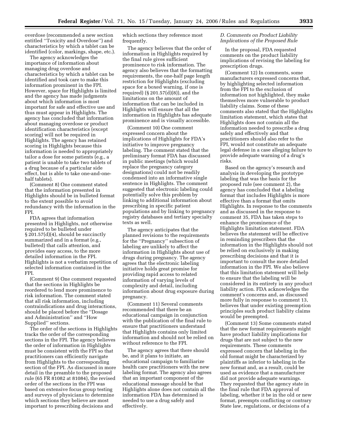overdose (recommended a new section entitled ''Toxicity and Overdose'') and characteristics by which a tablet can be identified (color, markings, shape, etc.).

The agency acknowledges the importance of information about managing drug overdose and characteristics by which a tablet can be identified and took care to make this information prominent in the FPI. However, space for Highlights is limited and the agency has made judgments about which information is most important for safe and effective use and thus must appear in Highlights. The agency has concluded that information about managing overdose or product identification characteristics (except scoring) will not be required in Highlights. The agency has retained scoring in Highlights because this information is needed to appropriately tailor a dose for some patients (e.g., a patient is unable to take two tablets of a drug because of a particular side effect, but is able to take one-and-onehalf tablets).

(Comment 8) One comment stated that the information presented in Highlights should be in bulleted format to the extent possible to avoid redundancy with the information in the FPI.

FDA agrees that information presented in Highlights, not otherwise required to be bulleted under § 201.57(d)(4), should be succinctly summarized and in a format (e.g., bulleted) that calls attention, and provides easy access, to the more detailed information in the FPI. Highlights is not a verbatim repetition of selected information contained in the FPI.

(Comment 9) One comment requested that the sections in Highlights be reordered to lend more prominence to risk information. The comment stated that all risk information, including contraindications and drug interactions, should be placed before the ''Dosage and Administration'' and ''How Supplied'' sections.

The order of the sections in Highlights tracks the order of the corresponding sections in the FPI. The agency believes the order of information in Highlights must be consistent with the FPI so that practitioners can efficiently navigate from Highlights to the corresponding section of the FPI. As discussed in more detail in the preamble to the proposed rule (65 FR 81082 at 81084), the revised order of the sections in the FPI was based on extensive focus group testing and surveys of physicians to determine which sections they believe are most important to prescribing decisions and

which sections they reference most frequently.

The agency believes that the order of information in Highlights required by the final rule gives sufficient prominence to risk information. The agency also believes that the formatting requirements, the one-half page length restriction for Highlights (excluding space for a boxed warning, if one is required) (§ 201.57(d)(8)), and the limitations on the amount of information that can be included in Highlights will ensure that all the information in Highlights has adequate prominence and is visually accessible.

(Comment 10) One comment expressed concern about the implications of Highlights for FDA's initiative to improve pregnancy labeling. The comment stated that the preliminary format FDA has discussed in public meetings (which would replace the pregnancy category designations) could not be readily condensed into an informative single sentence in Highlights. The comment suggested that electronic labeling could potentially solve this problem by linking to additional information about prescribing in specific patient populations and by linking to pregnancy registry databases and tertiary specialty texts as well.

The agency anticipates that the planned revisions to the requirements for the ''Pregnancy'' subsection of labeling are unlikely to affect the information in Highlights about use of drugs during pregnancy. The agency agrees that the electronic labeling initiative holds great promise for providing rapid access to related information of varying levels of complexity and detail, including information about drug exposure during pregnancy.

(Comment 11) Several comments recommended that there be an educational campaign in conjunction with the publication of the final rule to ensure that practitioners understand that Highlights contains only limited information and should not be relied on without reference to the FPI.

The agency agrees that there should be, and it plans to initiate, an educational campaign to familiarize health care practitioners with the new labeling format. The agency also agrees that an important component of the educational message should be that Highlights alone does not contain all the information FDA has determined is needed to use a drug safely and effectively.

# *D. Comments on Product Liability Implications of the Proposed Rule*

In the proposal, FDA requested comments on the product liability implications of revising the labeling for prescription drugs.

(Comment 12) In comments, some manufacturers expressed concerns that, by highlighting selected information from the FPI to the exclusion of information not highlighted, they make themselves more vulnerable to product liability claims. Some of these comments also stated that the Highlights limitation statement, which states that Highlights does not contain all the information needed to prescribe a drug safely and effectively and that practitioners should also refer to the FPI, would not constitute an adequate legal defense in a case alleging failure to provide adequate warning of a drug's risks.

Based on the agency's research and analysis in developing the prototype labeling that was the basis for the proposed rule (see comment 2), the agency has concluded that a labeling format that includes Highlights is more effective than a format that omits Highlights. In response to the comments and as discussed in the response to comment 35, FDA has taken steps to enhance the prominence of the Highlights limitation statement. FDA believes the statement will be effective in reminding prescribers that the information in the Highlights should not be relied on exclusively in making prescribing decisions and that it is important to consult the more detailed information in the FPI. We also believe that this limitation statement will help to ensure that the labeling will be considered in its entirety in any product liability action. FDA acknowledges the comment's concerns and, as discussed more fully in response to comment 13, believes that under existing preemption principles such product liability claims would be preempted.

(Comment 13) Some comments stated that the new format requirements might have product liability implications for drugs that are not subject to the new requirements. These comments expressed concern that labeling in the old format might be characterized by plaintiffs as inferior to labeling in the new format and, as a result, could be used as evidence that a manufacturer did not provide adequate warnings. They requested that the agency state in the final rule that FDA approval of labeling, whether it be in the old or new format, preempts conflicting or contrary State law, regulations, or decisions of a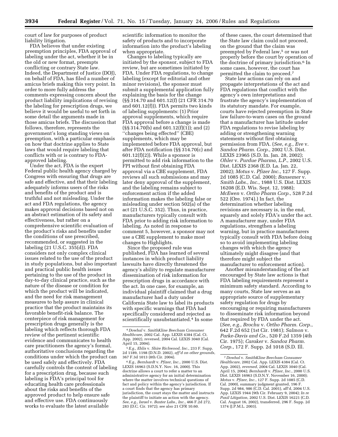court of law for purposes of product liability litigation.

FDA believes that under existing preemption principles, FDA approval of labeling under the act, whether it be in the old or new format, preempts conflicting or contrary State law. Indeed, the Department of Justice (DOJ), on behalf of FDA, has filed a number of amicus briefs making this very point. In order to more fully address the comments expressing concern about the product liability implications of revising the labeling for prescription drugs, we believe it would be useful to set forth in some detail the arguments made in those amicus briefs. The discussion that follows, therefore, represents the government's long standing views on preemption, with a particular emphasis on how that doctrine applies to State laws that would require labeling that conflicts with or is contrary to FDAapproved labeling.

Under the act, FDA is the expert Federal public health agency charged by Congress with ensuring that drugs are safe and effective, and that their labeling adequately informs users of the risks and benefits of the product and is truthful and not misleading. Under the act and FDA regulations, the agency makes approval decisions based not on an abstract estimation of its safety and effectiveness, but rather on a comprehensive scientific evaluation of the product's risks and benefits under the conditions of use prescribed, recommended, or suggested in the labeling (21 U.S.C. 355(d)). FDA considers not only complex clinical issues related to the use of the product in study populations, but also important and practical public health issues pertaining to the use of the product in day-to-day clinical practice, such as the nature of the disease or condition for which the product will be indicated, and the need for risk management measures to help assure in clinical practice that the product maintains its favorable benefit-risk balance. The centerpiece of risk management for prescription drugs generally is the labeling which reflects thorough FDA review of the pertinent scientific evidence and communicates to health care practitioners the agency's formal, authoritative conclusions regarding the conditions under which the product can be used safely and effectively. FDA carefully controls the content of labeling for a prescription drug, because such labeling is FDA's principal tool for educating health care professionals about the risks and benefits of the approved product to help ensure safe and effective use. FDA continuously works to evaluate the latest available

scientific information to monitor the safety of products and to incorporate information into the product's labeling when appropriate.

Changes to labeling typically are initiated by the sponsor, subject to FDA review, but are sometimes initiated by FDA. Under FDA regulations, to change labeling (except for editorial and other minor revisions), the sponsor must submit a supplemental application fully explaining the basis for the change (§§ 314.70 and 601.12(f) (21 CFR 314.70 and 601.12(f))). FDA permits two kinds of labeling supplements: (1) Prior approval supplements, which require FDA approval before a change is made (§§ 314.70(b) and 601.12(f)(1)); and (2) ''changes being effected'' (CBE) supplements, which may be implemented before FDA approval, but after FDA notification (§§ 314.70(c) and  $601.12(f)(2)$ . While a sponsor is permitted to add risk information to the FPI without first obtaining FDA approval via a CBE supplement, FDA reviews all such submissions and may later deny approval of the supplement, and the labeling remains subject to enforcement action if the added information makes the labeling false or misleading under section 502(a) of the act (21 U.S.C. 352). Thus, in practice, manufacturers typically consult with FDA prior to adding risk information to labeling. As noted in response to comment 5, however, a sponsor may not use a CBE supplement to make most changes to Highlights.

Since the proposed rule was published, FDA has learned of several instances in which product liability lawsuits have directly threatened the agency's ability to regulate manufacturer dissemination of risk information for prescription drugs in accordance with the act. In one case, for example, an individual plaintiff claimed that a drug manufacturer had a duty under California State law to label its products with specific warnings that FDA had specifically considered and rejected as scientifically unsubstantiated.4 In some

of these cases, the court determined that the State law claim could not proceed, on the ground that the claim was preempted by Federal law,5 or was not properly before the court by operation of the doctrine of primary jurisdiction.6 In some cases, however, the court has permitted the claim to proceed.7

State law actions can rely on and propagate interpretations of the act and FDA regulations that conflict with the agency's own interpretations and frustrate the agency's implementation of its statutory mandate. For example, courts have rejected preemption in State law failure-to-warn cases on the ground that a manufacturer has latitude under FDA regulations to revise labeling by adding or strengthening warning statements without first obtaining permission from FDA. (*See, e.g., Eve* v. *Sandoz Pharm. Corp.*, 2002 U.S. Dist. LEXIS 23965 (S.D. In. Jan. 28, 2002); *Ohler* v. *Purdue Pharma, L.P.*, 2002 U.S. Dist. LEXIS 2368 (E.D. La. Jan. 22, 2002); *Motus* v. *Pfizer Inc.*, 127 F. Supp. 2d 1085 (C.D. Cal. 2000); *Bansemer* v. *Smith Labs., Inc.*, 1988 U.S. Dist. LEXIS 16208 (E.D. Wis. Sept. 12, 1988); *McEwen* v. *Ortho Pharm Corp.*, 528 P.2d 522 (Ore. 1974).) In fact, the determination whether labeling revisions are necessary is, in the end, squarely and solely FDA's under the act. A manufacturer may, under FDA regulations, strengthen a labeling warning, but in practice manufacturers typically consult with FDA before doing so to avoid implementing labeling changes with which the agency ultimately might disagree (and that therefore might subject the manufacturer to enforcement action).

Another misunderstanding of the act encouraged by State law actions is that FDA labeling requirements represent a minimum safety standard. According to many courts, State law serves as an appropriate source of supplementary safety regulation for drugs by encouraging or requiring manufacturers to disseminate risk information beyond that required by FDA under the act. (*See, e.g., Brochu* v. *Ortho Pharm. Corp.*, 642 F.2d 652 (1st Cir. 1981); *Salmon* v. *Parke-Davis and Co.*, 520 F.2d 1359 (4th Cir. 1975); *Caraker* v. *Sandoz Pharm. Corp.*, 172 F. Supp. 2d 1018 (S.D. Ill.

<sup>4</sup> *Dowhal* v. *SmithKline Beecham Consumer Healthcare*, 2002 Cal. App. LEXIS 4384 (Cal. Ct. App. 2002), reversed, 2004 Cal. LEXIS 3040 (Cal. April 15, 2004).

<sup>5</sup>*E.g., Ehlis* v. *Shire Richwood, Inc.*, 233 F. Supp. 2d 1189, 1198 (D.N.D. 2002), *aff'd on other grounds*, 367 F.3d 1013 (8th Cir. 2004).

<sup>6</sup>*E.g., Bernhardt* v. *Pfizer, Inc.*, 2000 U.S. Dist. LEXIS 16963 (S.D.N.Y. Nov. 16, 2000). This doctrine allows a court to refer a matter to an administrative agency for an initial determination where the matter involves technical questions of fact and policy within the agency's jurisdiction. If a court finds that the agency has primary jurisdiction, the court stays the matter and instructs the plaintiff to initiate an action with the agency. *See, e.g., Israel* v. *Baxter Labs., Inc.*, 466 F.2d 272, 283 (D.C. Cir. 1972); see also 21 CFR 10.60.

<sup>7</sup> *Dowhal* v. *SmithKline Beecham Consumer Healthcare*, 2002 Cal. App. LEXIS 4384 (Cal. Ct. App. 2002), *reversed*, 2004 Cal. LEXIS 3040 (Cal. April 15, 2004); *Bernhardt* v. *Pfizer, Inc.*, 2000 U.S. Dist. LEXIS 16963 (S.D.N.Y. November 16, 2000); *Motus* v. *Pfizer, Inc.*, 127 F. Supp. 2d 1085 (C.D. Cal. 2000), summary judgment granted, 196 F. Supp. 2d 984, 986 (C.D. Cal. 2001), aff'd, 2004 U.S. App. LEXIS 1944 (9th Cir. February 9, 2004); *In re Paxil Litigation*, 2002 U.S. Dist. LEXIS 16221 (C.D. Cal. August 16, 2002), transferred, 296 F. Supp. 2d 1374 (J.P.M.L. 2003).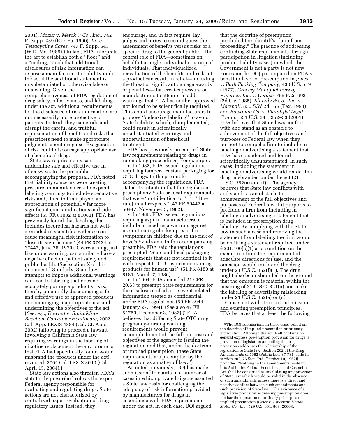2001); *Mazur* v. *Merck & Co., Inc.*, 742 F. Supp. 239 (E.D. Pa. 1990); *In re Tetracycline Cases*, 747 F. Supp. 543 (W.D. Mo. 1989).) In fact, FDA interprets the act to establish both a ''floor'' and a ''ceiling,'' such that additional disclosures of risk information can expose a manufacturer to liability under the act if the additional statement is unsubstantiated or otherwise false or misleading. Given the comprehensiveness of FDA regulation of drug safety, effectiveness, and labeling under the act, additional requirements for the disclosure of risk information are not necessarily more protective of patients. Instead, they can erode and disrupt the careful and truthful representation of benefits and risks that prescribers need to make appropriate judgments about drug use. Exaggeration of risk could discourage appropriate use of a beneficial drug.

State law requirements can undermine safe and effective use in other ways. In the preamble accompanying the proposal, FDA noted that liability concerns were creating pressure on manufacturers to expand labeling warnings to include speculative risks and, thus, to limit physician appreciation of potentially far more significant contraindications and side effects (65 FR 81082 at 81083). FDA has previously found that labeling that includes theoretical hazards not wellgrounded in scientific evidence can cause meaningful risk information to ''lose its significance'' (44 FR 37434 at 37447, June 26, 1979). Overwarning, just like underwarning, can similarly have a negative effect on patient safety and public health. (See section X of this document.) Similarly, State-law attempts to impose additional warnings can lead to labeling that does not accurately portray a product's risks, thereby potentially discouraging safe and effective use of approved products or encouraging inappropriate use and undermining the objectives of the act. (*See, e.g., Dowhal* v. *SmithKline Beecham Consumer Healthcare*, 2002 Cal. App. LEXIS 4384 (Cal. Ct. App. 2002) (allowing to proceed a lawsuit involving a California State law requiring warnings in the labeling of nicotine replacement therapy products that FDA had specifically found would misbrand the products under the act), reversed, 2004 Cal. LEXIS 3040 (Cal. April 15, 2004).)

State law actions also threaten FDA's statutorily prescribed role as the expert Federal agency responsible for evaluating and regulating drugs. State actions are not characterized by centralized expert evaluation of drug regulatory issues. Instead, they

encourage, and in fact require, lay judges and juries to second-guess the assessment of benefits versus risks of a specific drug to the general public—the central role of FDA—sometimes on behalf of a single individual or group of individuals. That individualized reevaluation of the benefits and risks of a product can result in relief—including the threat of significant damage awards or penalties—that creates pressure on manufacturers to attempt to add warnings that FDA has neither approved nor found to be scientifically required. This could encourage manufacturers to propose ''defensive labeling'' to avoid State liability, which, if implemented, could result in scientifically unsubstantiated warnings and underutilization of beneficial treatments.

FDA has previously preempted State law requirements relating to drugs in rulemaking proceedings. For example:

• In 1982, FDA issued regulations requiring tamper-resistant packaging for OTC drugs. In the preamble accompanying the regulations, FDA stated its intention that the regulations preempt any State or local requirements that were "not identical to  $* * *$  [the rule] in all respects'' (47 FR 50442 at 50447, November 5, 1982).

• In 1986, FDA issued regulations requiring aspirin manufacturers to include in labeling a warning against use in treating chicken pox or flu symptoms in children due to the risk of Reye's Syndrome. In the accompanying preamble, FDA said the regulations preempted ''State and local packaging requirements that are not identical to it with respect to OTC aspirin-containing products for human use'' (51 FR 8180 at 8181, March 7, 1986).

• In 1994, FDA amended 21 CFR 20.63 to preempt State requirements for the disclosure of adverse event-related information treated as confidential under FDA regulations (59 FR 3944, January 27, 1994). (See also 47 FR 54750, December 3, 1982) (''FDA believes that differing State OTC drug pregnancy-nursing warning requirements would prevent accomplishment of the full purpose and objectives of the agency in issuing the regulation and that, under the doctrine of implied preemption, these State requirements are preempted by the regulation as a matter of law.'')

As noted previously, DOJ has made submissions to courts in a number of cases in which private litigants asserted a State law basis for challenging the adequacy of risk information provided by manufacturers for drugs in accordance with FDA requirements under the act. In each case, DOJ argued

that the doctrine of preemption precluded the plaintiff's claim from proceeding.8 The practice of addressing conflicting State requirements through participation in litigation (including product liability cases) in which the Government is not a party is not new. For example, DOJ participated on FDA's behalf in favor of pre-emption in *Jones*  v. *Rath Packing Company*, 430 U.S. 519 (1977), *Grocery Manufacturers of America, Inc.* v. *Gerace*, 755 F.2d 993 (2d Cir. 1985), *Eli Lilly & Co., Inc.* v. *Marshall*, 850 S.W.2d 155 (Tex. 1993), and *Buckman Co.* v. *Plaintiffs' Legal Comm.*, 531 U.S. 341, 352–53 (2001). FDA believes that State laws conflict with and stand as an obstacle to achievement of the full objectives and purposes of Federal law when they purport to compel a firm to include in labeling or advertising a statement that FDA has considered and found scientifically unsubstantiated. In such cases, including the statement in labeling or advertising would render the drug misbranded under the act (21 U.S.C. 352(a) and (f)). The agency believes that State law conflicts with and stands as an obstacle to achievement of the full objectives and purposes of Federal law if it purports to preclude a firm from including in labeling or advertising a statement that is included in prescription drug labeling. By complying with the State law in such a case and removing the statement from labeling, the firm would be omitting a statement required under  $\S 201.100(c)(1)$  as a condition on the exemption from the requirement of adequate directions for use, and the omission would misbrand the drug under 21 U.S.C. 352(f)(1). The drug might also be misbranded on the ground that the omission is material within the meaning of 21 U.S.C. 321(n) and makes the labeling or advertising misleading under 21 U.S.C. 352(a) or (n).

Consistent with its court submissions and existing preemption principles, FDA believes that at least the following

<sup>8</sup>The DOJ submissions in these cases relied on the doctrine of implied preemption or primary jurisdiction. Although the act itself contains no general express pre-emption provision for drugs, a provision of legislation amending the drug provisions addresses the relationship of the legislation to State law. Section 202 of the Drug Amendments of 1962 (Public Law 87-781, Title II, section 202, 76 Stat. 793 (October 10, 1962)) provides: ''Nothing in the amendments made by this Act to the Federal Food, Drug, and Cosmetic Act shall be construed as invalidating any provision of State law which would be valid in the absence of such amendments unless there is a direct and positive conflict between such amendments and such provision of State law.'' The existence of a legislative provision addressing pre-emption does not bar the operation of ordinary principles of implied preemption (*Geier* v. *American Honda Motor Co., Inc.*, 529 U.S. 861, 869 (2000)).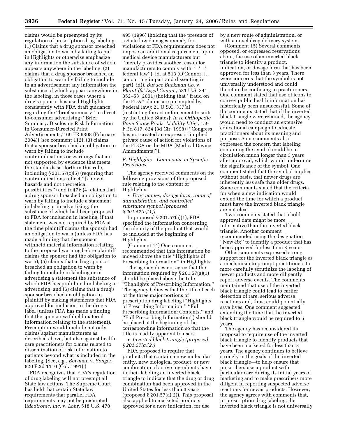claims would be preempted by its regulation of prescription drug labeling: (1) Claims that a drug sponsor breached an obligation to warn by failing to put in Highlights or otherwise emphasize any information the substance of which appears anywhere in the labeling; (2) claims that a drug sponsor breached an obligation to warn by failing to include in an advertisement any information the substance of which appears anywhere in the labeling, in those cases where a drug's sponsor has used Highlights consistently with FDA draft guidance regarding the ''brief summary'' in directto-consumer advertising (''Brief Summary: Disclosing Risk Information in Consumer-Directed Print Advertisements,'' 69 FR 6308 (February 2004)) (see comment 112); (3) claims that a sponsor breached an obligation to warn by failing to include contraindications or warnings that are not supported by evidence that meets the standards set forth in this rule, including § 201.57(c)(5) (requiring that contraindications reflect ''[k]nown hazards and not theoretical possibilities'') and (c)(7); (4) claims that a drug sponsor breached an obligation to warn by failing to include a statement in labeling or in advertising, the substance of which had been proposed to FDA for inclusion in labeling, if that statement was not required by FDA at the time plaintiff claims the sponsor had an obligation to warn (unless FDA has made a finding that the sponsor withheld material information relating to the proposed warning before plaintiff claims the sponsor had the obligation to warn); (5) claims that a drug sponsor breached an obligation to warn by failing to include in labeling or in advertising a statement the substance of which FDA has prohibited in labeling or advertising; and (6) claims that a drug's sponsor breached an obligation to plaintiff by making statements that FDA approved for inclusion in the drug's label (unless FDA has made a finding that the sponsor withheld material information relating to the statement). Preemption would include not only claims against manufacturers as described above, but also against health care practitioners for claims related to dissemination of risk information to patients beyond what is included in the labeling. (See, e.g., *Bowman* v. *Songer*, 820 P.2d 1110 (Col. 1991).)

FDA recognizes that FDA's regulation of drug labeling will not preempt all State law actions. The Supreme Court has held that certain State law requirements that parallel FDA requirements may not be preempted (*Medtronic, Inc.* v. *Lohr*, 518 U.S. 470,

495 (1996) (holding that the presence of a State law damages remedy for violations of FDA requirements does not impose an additional requirement upon medical device manufacturers but ''merely provides another reason for manufacturers to comply with \* \* \* federal law''); id. at 513 (O'Connor, J., concurring in part and dissenting in part); id)). *But see Buckman Co.* v. *Plaintiffs' Legal Comm.*, 531 U.S. 341, 352–53 (2001) (holding that ''fraud on the FDA'' claims are preempted by Federal law); 21 U.S.C. 337(a) (restricting the act enforcement to suits by the United States); *In re Orthopedic Bone Screw Prods. Liability Litig.*, 159 F.3d 817, 824 (3d Cir. 1998) (''Congress has not created an express or implied private cause of action for violations of the FDCA or the MDA [Medical Device Amendments]'').

# *E. Highlights—Comments on Specific Provisions*

The agency received comments on the following provisions of the proposed rule relating to the content of Highlights:

• *Drug names, dosage form, route of administration, and controlled substance symbol (proposed § 201.57(a)(1))* 

In proposed § 201.57(a)(1), FDA specified the information concerning the identity of the product that would be included at the beginning of Highlights.

(Comment 14) One comment recommended that this information be moved above the title ''Highlights of Prescribing Information'' in Highlights.

The agency does not agree that the information required by § 201.57(a)(1) should be placed above the title ''Highlights of Prescribing Information.'' The agency believes that the title of each of the three major portions of prescription drug labeling (''Highlights of Prescribing Information,'' ''Full Prescribing Information: Contents,'' and ''Full Prescribing Information'') should be placed at the beginning of the corresponding information so that the title is readily apparent to users.

• *Inverted black triangle (proposed § 201.57(a)(2))* 

FDA proposed to require that products that contain a new molecular entity, new biological product, or new combination of active ingredients have in their labeling an inverted black triangle to indicate that the drug or drug combination had been approved in the United States for less than 3 years (proposed  $\S 201.57(a)(2)$ ). This proposal also applied to marketed products approved for a new indication, for use

by a new route of administration, or with a novel drug delivery system.

(Comment 15) Several comments opposed, or expressed reservations about, the use of an inverted black triangle to identify a product, indication, or dosage form that has been approved for less than 3 years. There were concerns that the symbol is not universally understood and could therefore be confusing to practitioners. One comment stated that use of icons to convey public health information has historically been unsuccessful. Some of the comments stated that if the inverted black triangle were retained, the agency would need to conduct an extensive educational campaign to educate practitioners about its meaning and purpose. Some comments also expressed the concern that labeling containing the symbol could be in circulation much longer than 3 years after approval, which would undermine the significance of the symbol. One comment stated that the symbol implies, without basis, that newer drugs are inherently less safe than older drugs. Some comments stated that the criteria for when a new indication would extend the time for which a product must have the inverted black triangle are not clear.

Two comments stated that a bold approval date might be more informative than the inverted black triangle. Another comment recommended using the designation ''New-Rx'' to identify a product that has been approved for less than 3 years.

Other comments expressed strong support for the inverted black triangle as a mechanism to prompt practitioners to more carefully scrutinize the labeling of newer products and more diligently report adverse events. The comments maintained that use of the inverted black triangle could lead to earlier detection of rare, serious adverse reactions and, thus, could potentially save lives. One comment suggested extending the time that the inverted black triangle would be required to 5 years.

The agency has reconsidered its proposal to require use of the inverted black triangle to identify products that have been marketed for less than 3 years. The agency continues to believe strongly in the goals of the inverted black triangle—to help ensure that prescribers use a product with particular care during its initial years of marketing and to make prescribers more diligent in reporting suspected adverse reactions for newer products. However, the agency agrees with comments that, in prescription drug labeling, the inverted black triangle is not universally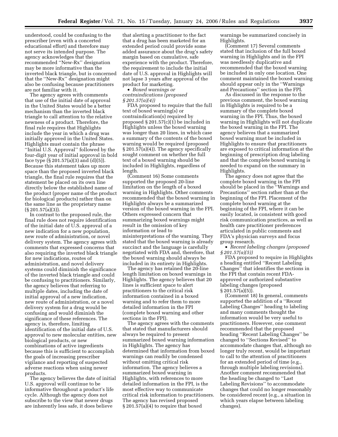understood, could be confusing to the prescriber (even with a concerted educational effort) and therefore may not serve its intended purpose. The agency acknowledges that the recommended ''New-Rx'' designation may be more informative than the inverted black triangle, but is concerned that the ''New-Rx'' designation might also be confusing because practitioners are not familiar with it.

The agency agrees with comments that use of the initial date of approval in the United States would be a better mechanism than the inverted black triangle to call attention to the relative newness of a product. Therefore, the final rule requires that Highlights include the year in which a drug was initially approved in the United States. Highlights must contain the phrase ''Initial U.S. Approval'' followed by the four-digit year of initial approval in bold face type (§ 201.57(a)(3) and (d)(5)). Because this statement takes up more space than the proposed inverted black triangle, the final rule requires that the statement be placed on its own line directly below the established name of the product (proper name of the product for biological products) rather than on the same line as the proprietary name (§ 201.57(a)(3)).

In contrast to the proposed rule, the final rule does not require identification of the initial date of U.S. approval of a new indication for a new population, new route of administration, or novel delivery system. The agency agrees with comments that expressed concerns that also requiring the inverted black triangle for new indications, routes of administration, and novel delivery systems could diminish the significance of the inverted black triangle and could be confusing to practitioners. Similarly, the agency believes that referring to multiple dates, including the date of initial approval of a new indication, new route of administration, or a novel delivery system for a drug would be confusing and would diminish the significance of these references. The agency is, therefore, limiting identification of the initial date of U.S. approval to new molecular entities, new biological products, or new combinations of active ingredients because this is sufficient to accomplish the goals of increasing prescriber vigilance and reporting of suspected adverse reactions when using newer products.

The agency believes the date of initial U.S. approval will continue to be informative throughout a product's life cycle. Although the agency does not subscribe to the view that newer drugs are inherently less safe, it does believe

that alerting a practitioner to the fact that a drug has been marketed for an extended period could provide some added assurance about the drug's safety margin based on cumulative, safe experience with the product. Therefore, the requirement to include the initial date of U.S. approval in Highlights will not lapse 3 years after approval of the product for marketing.

• *Boxed warnings or contraindications (proposed § 201.57(a)(4))* 

FDA proposed to require that the full text of boxed warning(s) or contraindication(s) required by proposed § 201.57(c)(1) be included in Highlights unless the boxed warning was longer than 20 lines, in which case a summary of the contents of the boxed warning would be required (proposed § 201.57(a)(4)). The agency specifically sought comment on whether the full text of a boxed warning should be included in Highlights, regardless of length.

(Comment 16) Some comments supported the proposed 20-line limitation on the length of a boxed warning in Highlights. Other comments recommended that the boxed warning in Highlights always be a summarized version of the boxed warning in the FPI. Others expressed concern that summarizing boxed warnings might result in the omission of key information or lead to misinterpretations of the warning. They stated that the boxed warning is already succinct and the language is carefully negotiated with FDA and, therefore, that the boxed warning should always be included in its entirety in Highlights.

The agency has retained the 20-line length limitation on boxed warnings in Highlights. The agency believes that 20 lines is sufficient space to alert practitioners to the critical risk information contained in a boxed warning and to refer them to more detailed information in the FPI (complete boxed warning and other sections in the FPI).

The agency agrees with the comments that stated that manufacturers should always be required to present summarized boxed warning information in Highlights. The agency has determined that information from boxed warnings can readily be condensed without omitting critical risk information. The agency believes a summarized boxed warning in Highlights, with references to more detailed information in the FPI, is the most effective way to communicate critical risk information to practitioners. The agency has revised proposed § 201.57(a)(4) to require that boxed

warnings be summarized concisely in Highlights.

(Comment 17) Several comments stated that inclusion of the full boxed warning in Highlights and in the FPI was needlessly duplicative and recommended that the boxed warning be included in only one location. One comment maintained the boxed warning should appear only in the ''Warnings and Precautions'' section in the FPI.

As discussed in the response to the previous comment, the boxed warning in Highlights is required to be a summary of the complete boxed warning in the FPI. Thus, the boxed warning in Highlights will not duplicate the boxed warning in the FPI. The agency believes that a summarized boxed warning must be included in Highlights to ensure that practitioners are exposed to critical information at the beginning of prescription drug labeling and that the complete boxed warning is needed to expand on the summary in Highlights.

The agency does not agree that the complete boxed warning in the FPI should be placed in the ''Warnings and Precautions'' section rather than at the beginning of the FPI. Placement of the complete boxed warning at the beginning of the FPI, where it can be easily located, is consistent with good risk communication practices, as well as health care practitioner preferences articulated in public comments and FDA's physician surveys and focus group research.

• *Recent labeling changes (proposed § 201.57(a)(5))* 

FDA proposed to require in Highlights a heading entitled ''Recent Labeling Changes'' that identifies the sections in the FPI that contain recent FDAapproved or authorized substantive labeling changes (proposed  $\S 201.57(a)(5)$ ).

(Comment 18) In general, comments supported the addition of a ''Recent Labeling Changes'' heading to labeling and many comments thought the information would be very useful to practitioners. However, one comment recommended that the proposed heading ''Recent Labeling Changes'' be changed to ''Sections Revised'' to accommodate changes that, although no longer truly recent, would be important to call to the attention of practitioners for an extended period of time (e.g., through multiple labeling revisions). Another comment recommended that the heading be changed to ''Last Labeling Revisions'' to accommodate changes that could no longer reasonably be considered recent (e.g., a situation in which years elapse between labeling changes).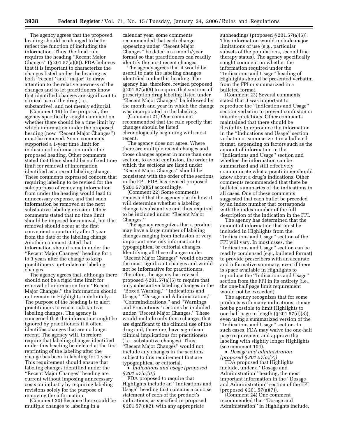The agency agrees that the proposed heading should be changed to better reflect the function of including the information. Thus, the final rule requires the heading ''Recent Major Changes'' (§ 201.57(a)(5)). FDA believes that it is important to characterize the changes listed under the heading as both "recent" and "major" to draw attention to the relative newness of the changes and to let practitioners know that identified changes are significant to clinical use of the drug (i.e., substantive), and not merely editorial.

(Comment 19) In the proposal, the agency specifically sought comment on whether there should be a time limit by which information under the proposed heading (now ''Recent Major Changes'') must be removed. Some comments supported a 1-year time limit for inclusion of information under the proposed heading. Other comments stated that there should be no fixed time limit for removal of information identified as a recent labeling change. These comments expressed concern that requiring labeling to be revised for the sole purpose of removing information from under the heading would lead to unnecessary expense, and that such information be removed at the next substantive labeling revision. Other comments stated that no time limit should be imposed for removal, but that removal should occur at the first convenient opportunity after 1 year from the date of the labeling change. Another comment stated that information should remain under the ''Recent Major Changes'' heading for 1 to 3 years after the change to keep practitioners up-to-date on labeling changes.

The agency agrees that, although there should not be a rigid time limit for removal of information from ''Recent Major Changes,'' the information should not remain in Highlights indefinitely. The purpose of the heading is to alert practitioners to recent substantive labeling changes. The agency is concerned that the information might be ignored by practitioners if it often identifies changes that are no longer recent. The agency will, therefore, require that labeling changes identified under this heading be deleted at the first reprinting of the labeling after the change has been in labeling for 1 year. This requirement should ensure that labeling changes identified under the ''Recent Major Changes'' heading are current without imposing unnecessary costs on industry by requiring labeling revisions solely for the purpose of removing the information.

(Comment 20) Because there could be multiple changes to labeling in a

calendar year, some comments recommended that each change appearing under ''Recent Major Changes'' be dated in a month/year format so that practitioners can readily identify the most recent changes.

The agency agrees that it would be useful to date the labeling changes identified under this heading. The agency has, therefore, revised proposed § 201.57(a)(5) to require that sections of prescription drug labeling listed under ''Recent Major Changes'' be followed by the month and year in which the change was incorporated in the labeling.

(Comment 21) One comment recommended that the rule specify that changes should be listed chronologically beginning with most recent.

The agency does not agree. Where there are multiple recent changes and those changes appear in more than one section, to avoid confusion, the order in which the sections are listed under ''Recent Major Changes'' should be consistent with the order of the sections in the FPI. FDA has revised proposed  $\S 201.57(a)(5)$  accordingly.

(Comment 22) Some comments requested that the agency clarify how it will determine whether a labeling change is substantive and thus required to be included under ''Recent Major Changes.''

The agency recognizes that a product may have a large number of labeling changes ranging from inclusion of very important new risk information to typographical or editorial changes. Identifying all these changes under ''Recent Major Changes'' would obscure the most significant changes and would not be informative for practitioners. Therefore, the agency has revised proposed § 201.57(a)(5) to require that only substantive labeling changes in the ''Boxed Warning,'' ''Indications and Usage,'' ''Dosage and Administration,'' ''Contraindications,'' and ''Warnings and Precautions'' sections be included under ''Recent Major Changes.'' These would include only those changes that are significant to the clinical use of the drug and, therefore, have significant clinical implications for practitioners (i.e., substantive changes). Thus, ''Recent Major Changes'' would not include any changes in the sections subject to this requirement that are typographical or editorial.

• *Indications and usage (proposed § 201.57(a)(6))* 

FDA proposed to require that Highlights include an ''Indications and Usage'' heading that contains a concise statement of each of the product's indications, as specified in proposed § 201.57(c)(2), with any appropriate

subheadings (proposed § 201.57(a)(6)). This information would include major limitations of use (e.g., particular subsets of the populations, second line therapy status). The agency specifically sought comment on whether the information required under the ''Indications and Usage'' heading of Highlights should be presented verbatim from the FPI or summarized in a bulleted format.

(Comment 23) Several comments stated that it was important to reproduce the ''Indications and Usage'' section verbatim to prevent confusion or misinterpretations. Other comments maintained that there should be flexibility to reproduce the information in the ''Indications and Usage'' section verbatim or summarize it in a bulleted format, depending on factors such as the amount of information in the ''Indications and Usage'' section and whether the information can be summarized and still effectively communicate what a practitioner should know about a drug's indications. Other comments recommended that there be bulleted summaries of the indications in all cases. One of these comments suggested that each bullet be preceded by an index number that corresponds with the index number of the full description of the indication in the FPI.

The agency has determined that the amount of information that must be included in Highlights from the ''Indications and Usage'' section of the FPI will vary. In most cases, the ''Indications and Usage'' section can be readily condensed (e.g., bulleted format) to provide prescribers with an accurate and informative summary, even if there is space available in Highlights to reproduce the ''Indications and Usage'' section from the FPI in its entirety (i.e., the one-half page limit requirement would not be exceeded).

The agency recognizes that for some products with many indications, it may not be possible to limit Highlights to one-half page in length (§ 201.57(d)(8)), even using a summarized version of the ''Indications and Usage'' section. In such cases, FDA may waive the one-half page requirement and approve the labeling with slightly longer Highlights (see comment 104).

• *Dosage and administration (proposed § 201.57(a)(7))* 

FDA proposed that Highlights include, under a ''Dosage and Administration'' heading, the most important information in the ''Dosage and Administration'' section of the FPI (proposed § 201.57(a)(7)).

(Comment 24) One comment recommended that ''Dosage and Administration'' in Highlights include,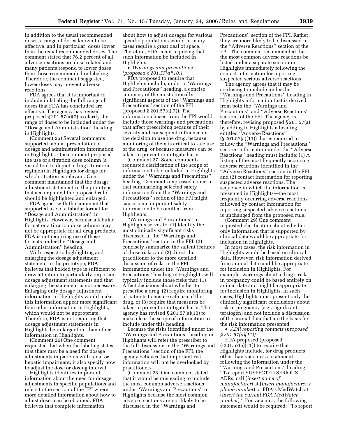in addition to the usual recommended doses, a range of doses known to be effective, and in particular, doses lower than the usual recommended doses. The comment stated that 76.2 percent of all adverse reactions are dose-related and many patients respond to lower doses than those recommended in labeling. Therefore, the comment suggested, lower doses may prevent adverse reactions.

FDA agrees that it is important to include in labeling the full range of doses that FDA has concluded are effective. The agency has revised proposed § 201.57(a)(7) to clarify the range of doses to be included under the ''Dosage and Administration'' heading in Highlights.

(Comment 25) Several comments supported tabular presentation of dosage and administration information in Highlights. One comment proposed the use of a titration dose column (a visual tool to depict a drug's titration regimen) in Highlights for drugs for which titration is relevant. One comment maintained that the dosage adjustment statement in the prototype that accompanied the proposed rule should be highlighted and enlarged.

FDA agrees with the comment that supported use of a tabular format for ''Dosage and Administration'' in Highlights. However, because a tabular format or a titration dose column may not be appropriate for all drug products, FDA is not requiring use of these formats under the ''Dosage and Administration'' heading.

With respect to highlighting and enlarging the dosage adjustment statement in the prototype, FDA believes that bolded type is sufficient to draw attention to particularly important dosage adjustment statements and that enlarging the statement is not necessary. Enlarging only dosage adjustment information in Highlights would make this information appear more significant than other information in Highlights, which would not be appropriate. Therefore, FDA is not requiring that dosage adjustment statements in Highlights be in larger font than other information in Highlights.

(Comment 26) One comment requested that when the labeling states that there may be a need for dosage adjustments in patients with renal or hepatic impairment, it also specify how to adjust the dose or dosing interval.

Highlights identifies important information about the need for dosage adjustments in specific populations and refers to the section of the FPI where more detailed information about how to adjust doses can be obtained. FDA believes that complete information

about how to adjust dosages for various specific populations would in many cases require a great deal of space. Therefore, FDA is not requiring that such information be included in Highlights.

• *Warnings and precautions (proposed § 201.57(a)(10))*  FDA proposed to require that Highlights include, under a ''Warnings and Precautions'' heading, a concise summary of the most clinically significant aspects of the ''Warnings and Precautions'' section of the FPI (proposed § 201.57(a)(7)). The information chosen from the FPI would include those warnings and precautions that affect prescribing because of their severity and consequent influence on the decision to use the drug, because monitoring of them is critical to safe use of the drug, or because measures can be taken to prevent or mitigate harm.

(Comment 27) Some comments requested clarification of the scope of information to be included in Highlights under the ''Warnings and Precautions'' heading. Comments expressed concern that summarizing selected safety information from the ''Warnings and Precautions'' section of the FPI might cause some important safety information to be omitted from Highlights.

''Warnings and Precautions'' in Highlights serves to: (1) Identify the most clinically significant risks discussed in the ''Warnings and Precautions'' section in the FPI, (2) concisely summarize the salient features of those risks, and (3) direct the practitioner to the more detailed discussion of risks in the FPI. Information under the ''Warnings and Precautions'' heading in Highlights will typically include those risks that: (1) Affect decisions about whether to prescribe a drug, (2) require monitoring of patients to ensure safe use of the drug, or (3) require that measures be taken to prevent or mitigate harm. The agency has revised § 201.57(a)(10) to make clear the scope of information to include under this heading.

Because the risks identified under the ''Warnings and Precautions'' heading in Highlights will refer the prescriber to the full discussion in the ''Warnings and Precautions'' section of the FPI, the agency believes that important risk information will not be overlooked by practitioners.

(Comment 28) One comment stated that it would be misleading to include the most common adverse reactions under ''Warnings and Precautions'' in Highlights because the most common adverse reactions are not likely to be discussed in the ''Warnings and

Precautions'' section of the FPI. Rather, they are more likely to be discussed in the ''Adverse Reactions'' section of the FPI. The comment recommended that the most common adverse reactions be listed under a separate section in Highlights immediately following the contact information for reporting suspected serious adverse reactions.

The agency agrees that it may be confusing to include under the ''Warnings and Precautions'' heading in Highlights information that is derived from both the ''Warnings and Precautions'' and ''Adverse Reactions'' sections of the FPI. The agency is, therefore, revising proposed § 201.57(a) by adding to Highlights a heading entitled ''Adverse Reactions''  $(\S 201.57(a)(11))$  that is required to follow the ''Warnings and Precautions'' section. Information under the ''Adverse Reactions'' heading must include: (1) A listing of the most frequently occurring adverse reactions identified in the ''Adverse Reactions'' section in the FPI and (2) contact information for reporting suspected adverse reactions. The sequence in which the information is presented in Highlights—the most frequently occurring adverse reactions followed by contact information for reporting suspected adverse reactions is unchanged from the proposed rule.

(Comment 29) One comment requested clarification about whether only information that is supported by clinical data would be appropriate for inclusion in Highlights.

In most cases, the risk information in Highlights would be based on clinical data. However, risk information derived from animal data could be appropriate for inclusion in Highlights. For example, warnings about a drug's risks in pregnancy could be based entirely on animal data and might be appropriate for inclusion in Highlights. In such cases, Highlights must present only the clinically significant conclusions about risk in pregnancy (e.g., significant teratogen) and not include a discussion of the animal data that are the basis for the risk information presented.

• *ADR reporting contacts (proposed § 201.57(a)(11))* 

FDA proposed (proposed  $\S 201.57(a)(11)$  to require that Highlights include, for drug products other than vaccines, a statement following the information under the ''Warnings and Precautions'' heading: ''To report SUSPECTED SERIOUS ADRs, call (*insert name of manufacturer*) at (*insert manufacturer's phone number*) or FDA's MedWatch at (*insert the current FDA MedWatch number*).'' For vaccines, the following statement would be required: ''To report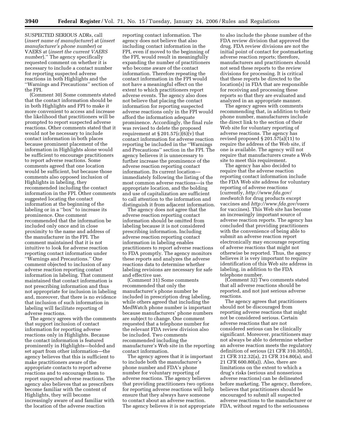SUSPECTED SERIOUS ADRs, call (*insert name of manufacturer*) at (*insert manufacturer's phone number*) or VAERS at (*insert the current VAERS number*).'' The agency specifically requested comment on whether it is necessary to include a contact number for reporting suspected adverse reactions in both Highlights and the ''Warnings and Precautions'' section of the FPI.

(Comment 30) Some comments stated that the contact information should be in both Highlights and FPI to make it more convenient to access and increase the likelihood that practitioners will be prompted to report suspected adverse reactions. Other comments stated that it would not be necessary to include contact information in both places because prominent placement of the information in Highlights alone would be sufficient to encourage practitioners to report adverse reactions. Some comments agreed that one location would be sufficient, but because those comments also opposed inclusion of Highlights in labeling, they recommended including the contact information in the FPI. Other comments suggested locating the contact information at the beginning of the labeling or in a ''box'' to increase its prominence. One comment recommended that the information be included only once and in close proximity to the name and address of the manufacturer in the FPI. The comment maintained that it is not intuitive to look for adverse reaction reporting contact information under ''Warnings and Precautions.'' One comment objected to inclusion of any adverse reaction reporting contact information in labeling. That comment maintained that contact information is not prescribing information and thus not appropriate for inclusion in labeling and, moreover, that there is no evidence that inclusion of such information in labeling will facilitate reporting of adverse reactions.

The agency agrees with the comments that support inclusion of contact information for reporting adverse reactions only in Highlights. Because the contact information is featured prominently in Highlights—bolded and set apart from other information—the agency believes that this is sufficient to make practitioners aware of the appropriate contacts to report adverse reactions and to encourage them to report suspected adverse reactions. The agency also believes that as prescribers become familiar with the content of Highlights, they will become increasingly aware of and familiar with the location of the adverse reaction

reporting contact information. The agency does not believe that also including contact information in the FPI, even if moved to the beginning of the FPI, would result in meaningfully expanding the number of practitioners who become aware of the contact information. Therefore repeating the contact information in the FPI would not have a meaningful effect on the extent to which practitioners report adverse events. The agency also does not believe that placing the contact information for reporting suspected adverse reactions only in the FPI would afford the information adequate prominence. Accordingly, the final rule was revised to delete the proposed requirement at  $\S 201.57(c)(6)(v)$  that contact information for adverse reaction reporting be included in the ''Warnings and Precautions'' section in the FPI. The agency believes it is unnecessary to further increase the prominence of the adverse reaction reporting contact information. Its current location immediately following the listing of the most common adverse reactions—is the appropriate location, and the bolding and use of capitalization are sufficient to call attention to the information and distinguish it from adjacent information.

The agency does not agree that the adverse reaction reporting contact information should be omitted from labeling because it is not considered prescribing information. Including adverse reaction reporting contact information in labeling enables practitioners to report adverse reactions to FDA promptly. The agency monitors these reports and analyzes the adverse reactions data to determine whether labeling revisions are necessary for safe and effective use.

(Comment 31) Some comments recommended that only the manufacturer's phone number be included in prescription drug labeling, while others agreed that including the MedWatch phone number is important because manufacturers' phone numbers are subject to change. One comment requested that a telephone number for the relevant FDA review division also be included. Two comments recommended including the manufacturer's Web site in the reporting contact information.

The agency agrees that it is important to include both the manufacturer's phone number and FDA's phone number for voluntary reporting of adverse reactions. The agency believes that providing practitioners two options for reporting adverse reactions will help ensure that they always have someone to contact about an adverse reaction. The agency believes it is not appropriate

to also include the phone number of the FDA review division that approved the drug. FDA review divisions are not the initial point of contact for postmarketing adverse reaction reports; therefore, manufacturers and practitioners should not send these reports to the review divisions for processing. It is critical that these reports be directed to the location(s) in FDA that are responsible for receiving and processing these reports so that they are evaluated and analyzed in an appropriate manner.

The agency agrees with comments recommending that, in addition to their phone number, manufacturers include the direct link to the section of their Web site for voluntary reporting of adverse reactions. The agency has revised proposed § 201.57(a)(11) to require the address of the Web site, if one is available. The agency will not require that manufacturers create a Web site to meet this requirement.

The agency has also decided to require that the adverse reaction reporting contact information include the FDA Web site address for voluntary reporting of adverse reactions (currently, *http://www.fda.gov/ medwatch* for drug products except vaccines and *http://www.fda.gov/vaers*  for vaccines). This Web site has become an increasingly important source of adverse reaction reports. The agency has concluded that providing practitioners with the convenience of being able to submit an adverse reaction report electronically may encourage reporting of adverse reactions that might not otherwise be reported. Thus, the agency believes it is very important to require identification of this Web site address in labeling, in addition to the FDA telephone number.

(Comment 32) Two comments stated that all adverse reactions should be reported, and not just serious adverse reactions.

The agency agrees that practitioners should not be discouraged from reporting adverse reactions that might not be considered serious. Certain adverse reactions that are not considered serious can be clinically significant. Moreover, practitioners may not always be able to determine whether an adverse reaction meets the regulatory definition of serious (21 CFR 310.305(b), 21 CFR 312.32(a), 21 CFR 314.80(a), and 21 CFR 600.80(a)). Also, there are limitations on the extent to which a drug's risks (serious and nonserious adverse reactions) can be delineated before marketing. The agency, therefore, believes that practitioners should be encouraged to submit all suspected adverse reactions to the manufacturer or FDA, without regard to the seriousness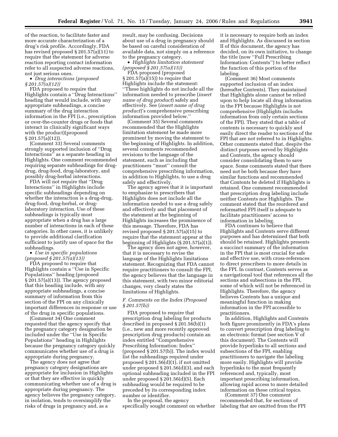of the reaction, to facilitate faster and more accurate characterization of a drug's risk profile. Accordingly, FDA has revised proposed § 201.57(a)(11) to require that the statement for adverse reaction reporting contact information refer to all suspected adverse reactions, not just serious ones.

• *Drug interactions (proposed § 201.57(a)(12))* 

FDA proposed to require that Highlights contain a ''Drug Interactions'' heading that would include, with any appropriate subheadings, a concise summary of the drug interaction information in the FPI (i.e., prescription or over-the-counter drugs or foods that interact in clinically significant ways with the product)(proposed § 201.57(a)(12)).

(Comment 33) Several comments strongly supported inclusion of ''Drug Interactions'' as a separate heading in Highlights. One comment recommended requiring separate subheadings for drugdrug, drug-food, drug-laboratory, and possibly drug-herbal interactions.

FDA will not require that ''Drug Interactions'' in Highlights include specific subheadings depending on whether the interaction is a drug-drug, drug-food, drug-herbal, or druglaboratory interaction. Use of these subheadings is typically most appropriate when a drug has a large number of interactions in each of these categories. In other cases, it is unlikely to provide additional clarification sufficient to justify use of space for the subheadings.

• *Use in specific populations (proposed § 201.57(a)(13))* 

FDA proposed to require that Highlights contain a ''Use in Specific Populations'' heading (proposed § 201.57(a)(13)). The agency proposed that this heading include, with any appropriate subheadings, a concise summary of information from this section of the FPI on any clinically important differences in response or use of the drug in specific populations.

(Comment 34) One comment requested that the agency specify that the pregnancy category designation be included under the ''Use in Specific Populations'' heading in Highlights because the pregnancy category quickly communicates whether use of a drug is appropriate during pregnancy.

The agency does not agree that pregnancy category designations are appropriate for inclusion in Highlights or that they are effective in quickly communicating whether use of a drug is appropriate during pregnancy. The agency believes the pregnancy category, in isolation, tends to oversimplify the risks of drugs in pregnancy and, as a

result, may be confusing. Decisions about use of a drug in pregnancy should be based on careful consideration of available data, not simply on a reference to the pregnancy category.

• *Highlights limitation statement (proposed § 201.57(a)(15))*  FDA proposed (proposed § 201.57(a)(15)) to require that Highlights include the statement: ''These highlights do not include all the information needed to prescribe (*insert name of drug product*) safely and effectively. See (*insert name of drug product*)'s comprehensive prescribing information provided below.''

(Comment 35) Several comments recommended that the Highlights limitation statement be made more prominent by moving the statement to the beginning of Highlights. In addition, several comments recommended revisions to the language of the statement, such as including that practitioners ''must'' consult the comprehensive prescribing information, in addition to Highlights, to use a drug safely and effectively.

The agency agrees that it is important to emphasize to prescribers that Highlights does not include all the information needed to use a drug safely and effectively and that placement of the statement at the beginning of Highlights increases the prominence of this message. Therefore, FDA has revised proposed § 201.57(a)(15) to require that the statement appear at the beginning of Highlights ( $\S 201.57(a)(1)$ ).

The agency does not agree, however, that it is necessary to revise the language of the Highlights limitations statement. Recognizing that FDA cannot require practitioners to consult the FPI, the agency believes that the language in this statement, with two minor editorial changes, very clearly states the limitations of Highlights.

# *F. Comments on the Index (Proposed § 201.57(b))*

FDA proposed to require that prescription drug labeling for products described in proposed § 201.56(b)(1) (i.e., new and more recently approved prescription drug products) contain an index entitled ''Comprehensive Prescribing Information: Index'' (proposed § 201.57(b)). The index would list the subheadings required under proposed § 201.56(d)(1), if not omitted under proposed § 201.56(d)(3), and each optional subheading included in the FPI under proposed § 201.56(d)(5). Each subheading would be required to be preceded by its corresponding index number or identifier.

In the proposal, the agency specifically sought comment on whether it is necessary to require both an index and Highlights. As discussed in section II of this document, the agency has decided, on its own initiative, to change the title (now ''Full Prescribing Information: Contents'') to better reflect the function of this portion of the labeling.

(Comment 36) Most comments supported inclusion of an index (hereafter Contents). They maintained that Highlights alone cannot be relied upon to help locate all drug information in the FPI because Highlights is not comprehensive (Highlights includes information from only certain sections of the FPI). They stated that a table of contents is necessary to quickly and easily direct the reader to sections of the FPI that are not referred to in Highlights. Other comments stated that, despite the distinct purposes served by Highlights and Contents, the agency should consider consolidating them to save space. Some comments stated that there need not be both because they have similar functions and recommended that Contents be deleted if Highlights is retained. One comment recommended that prescription drug labeling include neither Contents nor Highlights. The comment stated that the reordered and reformatted FPI itself is adequate to facilitate practitioners' access to information in labeling.

FDA continues to believe that Highlights and Contents serve different purposes and has determined that both should be retained. Highlights presents a succinct summary of the information in the FPI that is most crucial for safe and effective use, with cross-references to direct prescribers to more details in the FPI. In contrast, Contents serves as a navigational tool that references all the sections and subsections in the FPI, some of which will not be referenced in Highlights. Therefore, the agency believes Contents has a unique and meaningful function in making information in the FPI accessible to practitioners.

In addition, Highlights and Contents both figure prominently in FDA's plans to convert prescription drug labeling to an electronic format (see section V of this document). The Contents will provide hyperlinks to all sections and subsections of the FPI, enabling practitioners to navigate the labeling more easily. Highlights will provide hyperlinks to the most frequently referenced and, typically, most important prescribing information, allowing rapid access to more detailed information on these critical topics.

(Comment 37) One comment recommended that, for sections of labeling that are omitted from the FPI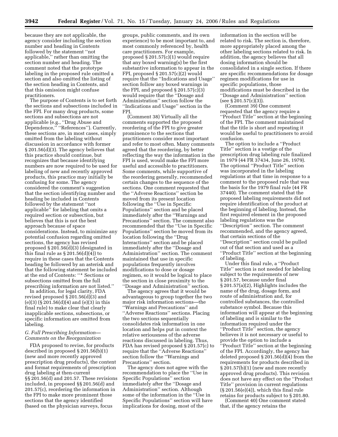because they are not applicable, the agency consider including the section number and heading in Contents followed by the statement ''not applicable,'' rather than omitting the section number and heading. The comment noted that the prototype labeling in the proposed rule omitted a section and also omitted the listing of the section heading in Contents, and that this omission might confuse practitioners.

The purpose of Contents is to set forth the sections and subsections included in the FPI. For many drug products, some sections and subsections are not applicable (e.g., ''Drug Abuse and Dependence,'' ''References''). Currently, these sections are, in most cases, simply omitted from the labeling without discussion in accordance with former § 201.56(d)(3). The agency believes that this practice should continue, but recognizes that because identifying numbers are now required to be used for labeling of new and recently approved products, this practice may initially be confusing for some. The agency considered the comment's suggestion that the section identifying number and heading be included in Contents followed by the statement ''not applicable'' for labeling that omits a required section or subsection, but believes that this is not the best approach because of space considerations. Instead, to minimize any potential confusion regarding omitted sections, the agency has revised proposed § 201.56(d)(3) (designated in this final rule as § 201.56(d)(4)) to require in these cases that the Contents heading be followed by an asterisk and that the following statement be included at the end of Contents: ''\* Sections or subsections omitted from the full prescribing information are not listed.''

In addition, for legal clarity, FDA revised proposed § 201.56(d)(3) and (e)(3) (§ 201.56(d)(4) and (e)(3) in this final rule) to make clear that clearly inapplicable sections, subsections, or specific information are omitted from labeling.

#### *G. Full Prescribing Information— Comments on the Reorganization*

FDA proposed to revise, for products described in proposed § 201.56(b)(1) (new and more recently approved prescription drug products), the content and format requirements of prescription drug labeling at then-current §§ 201.56(d) and 201.57. These revisions included, in proposed §§ 201.56(d) and 201.57(c), reordering the information in the FPI to make more prominent those sections that the agency identified (based on the physician surveys, focus

groups, public comments, and its own experience) to be most important to, and most commonly referenced by, health care practitioners. For example, proposed § 201.57(c)(1) would require that any boxed warning(s) be the first substantive information to appear in the FPI, proposed § 201.57(c)(2) would require that the ''Indications and Usage'' section follow any boxed warnings in the FPI, and proposed  $\S 201.57(c)(3)$ would require that the ''Dosage and Administration'' section follow the ''Indications and Usage'' section in the FPI.

(Comment 38) Virtually all the comments supported the proposed reordering of the FPI to give greater prominence to the sections that practitioners consider most important and refer to most often. Many comments agreed that the reordering, by better reflecting the way the information in the FPI is used, would make the FPI more useful and accessible to practitioners. Some comments, while supportive of the reordering generally, recommended certain changes to the sequence of the sections. One comment requested that the ''Adverse Reactions'' section be moved from its present location following the ''Use in Specific Populations'' section and be placed immediately after the ''Warnings and Precautions'' section. The comment also recommended that the ''Use in Specific Populations'' section be moved from its location following the ''Drug Interactions'' section and be placed immediately after the ''Dosage and Administration'' section. The comment maintained that use in specific populations frequently involves modifications to dose or dosage regimen, so it would be logical to place the section in close proximity to the ''Dosage and Administration'' section.

The agency agrees that it would be advantageous to group together the two major risk information sections—the ''Warnings and Precautions'' and ''Adverse Reactions'' sections. Placing the two sections sequentially consolidates risk information in one location and helps put in context the relative seriousness of the adverse reactions discussed in labeling. Thus, FDA has revised proposed § 201.57(c) to require that the ''Adverse Reactions'' section follow the ''Warnings and Precautions'' section.

The agency does not agree with the recommendation to place the ''Use in Specific Populations'' section immediately after the ''Dosage and Administration'' section. Although some of the information in the ''Use in Specific Populations'' section will have implications for dosing, most of the

information in the section will be related to risk. The section is, therefore, more appropriately placed among the other labeling sections related to risk. In addition, the agency believes that all dosing information should be consolidated in a single section. If there are specific recommendations for dosage regimen modifications for use in specific populations, those modifications must be described in the ''Dosage and Administration'' section (see § 201.57(c)(3)).

(Comment 39) One comment requested that the agency require a ''Product Title'' section at the beginning of the FPI. The comment maintained that the title is short and repeating it would be useful to practitioners to avoid confusion.

The option to include a ''Product Title'' section is a vestige of the prescription drug labeling rule finalized in 1979 (44 FR 37434, June 26, 1979). The optional ''Product Title'' section was incorporated in the labeling regulations at that time in response to a comment to the proposed rule that was the basis for the 1979 final rule (44 FR 37440). The comment stated that the proposed labeling requirements did not require identification of the product at the beginning of labeling. Instead, the first required element in the proposed labeling regulations was the ''Description'' section. The comment recommended, and the agency agreed, that certain sections of the ''Description'' section could be pulled out of that section and used as a ''Product Title'' section at the beginning of labeling.

Under this final rule, a ''Product Title'' section is not needed for labeling subject to the requirements of new § 201.57, because under final § 201.57(a)(2), Highlights includes the name of the drug, dosage form, and route of administration and, for controlled substances, the controlled substance symbol. Because this information will appear at the beginning of labeling and is similar to the information required under the ''Product Title'' section, the agency believes it is not necessary or useful to provide the option to include a ''Product Title'' section at the beginning of the FPI. Accordingly, the agency has deleted proposed § 201.56(d)(4) from the requirements for products described in § 201.57(b)(1) (new and more recently approved drug products). This revision does not have any effect on the ''Product Title'' provision in current regulations  $(S 201.56(e)(4))$ , which this final rule retains for products subject to § 201.80.

(Comment 40) One comment stated that, if the agency retains the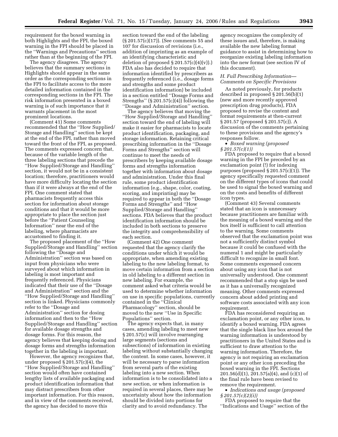requirement for the boxed warning in both Highlights and the FPI, the boxed warning in the FPI should be placed in the ''Warnings and Precautions'' section rather than at the beginning of the FPI.

The agency disagrees. The agency believes that the summary sections in Highlights should appear in the same order as the corresponding sections in the FPI to facilitate access to the more detailed information contained in the corresponding sections in the FPI. The risk information presented in a boxed warning is of such importance that it warrants placement in the most prominent locations.

(Comment 41) Some comments recommended that the ''How Supplied/ Storage and Handling'' section be kept at the end of the FPI, rather than moved toward the front of the FPI, as proposed. The comments expressed concern that, because of the variable length of the three labeling sections that precede the ''How Supplied/Storage and Handling'' section, it would not be in a consistent location; therefore, practitioners would have more difficulty locating the section than if it were always at the end of the FPI. One comment stated that pharmacists frequently access this section for information about storage conditions and that it would be more appropriate to place the section just before the ''Patient Counseling Information'' near the end of the labeling, where pharmacists are accustomed to finding it.

The proposed placement of the "How Supplied/Storage and Handling'' section following the ''Dosage and Administration'' section was based on input from physicians who were surveyed about which information in labeling is most important and frequently referenced. Physicians indicated that their use of the ''Dosage and Administration'' section and the ''How Supplied/Storage and Handling'' section is linked. Physicians commonly refer to the ''Dosage and Administration'' section for dosing information and then to the ''How Supplied/Storage and Handling'' section for available dosage strengths and dosage forms. For this reason, the agency believes that keeping dosing and dosage forms and strengths information together in the labeling is important.

However, the agency recognizes that, under proposed § 201.57(c)(4), the ''How Supplied/Storage and Handling'' section would often have contained lengthy lists of available packaging and product identification information that may distract prescribers from other important information. For this reason, and in view of the comments received, the agency has decided to move this

section toward the end of the labeling (§ 201.57(c)(17)). (See comments 55 and 107 for discussion of revisions (i.e., addition of imprinting as an example of an identifying characteristic and deletion of proposed  $\S 201.57(c)(4)(v)$ . FDA also has decided to require that information identified by prescribers as frequently referenced (i.e., dosage forms and strengths and some product identification information) be included in a section entitled ''Dosage Forms and Strengths'' (§ 201.57(c)(4)) following the ''Dosage and Administration'' section.

The agency believes that moving the ''How Supplied/Storage and Handling'' section toward the end of labeling will make it easier for pharmacists to locate product identification, packaging, and storage information. Retaining critical prescribing information in the ''Dosage Forms and Strengths'' section will continue to meet the needs of prescribers by keeping available dosage forms and strengths information together with information about dosage and administration. Under this final rule, some product identification information (e.g., shape, color, coating, scoring, and imprinting) may be required to appear in both the ''Dosage Forms and Strengths'' and ''How Supplied/Storage and Handling'' sections. FDA believes that the product identification information should be included in both sections to preserve the integrity and comprehensibility of each section.

(Comment 42) One comment requested that the agency clarify the conditions under which it would be appropriate, when amending existing labeling to the new labeling format, to move certain information from a section in old labeling to a different section in new labeling. For example, the comment asked what criteria would be used to determine whether information on use in specific populations, currently contained in the ''Clinical Pharmacology'' section, should be moved to the new ''Use in Specific Populations'' section.

The agency expects that, in many cases, amending labeling to meet new § 201.57(c) will involve rearranging large segments (sections and subsections) of information in existing labeling without substantially changing the content. In some cases, however, it will be necessary to parse information from several parts of the existing labeling into a new section. When information is to be consolidated into a new section, or when information is required in several places, there may be uncertainty about how the information should be divided into portions for clarity and to avoid redundancy. The

agency recognizes the complexity of these issues and, therefore, is making available the new labeling format guidance to assist in determining how to reorganize existing labeling information into the new format (see section IV of this document).

#### *H. Full Prescribing Information— Comments on Specific Provisions*

As noted previously, for products described in proposed § 201.56(b)(1) (new and more recently approved prescription drug products), FDA proposed to revise the content and format requirements at then-current § 201.57 (proposed § 201.57(c)). A discussion of the comments pertaining to these provisions and the agency's responses follow.

• *Boxed warning (proposed § 201.57(c)(1))* 

FDA proposed to require that a boxed warning in the FPI be preceded by an exclamation point (!) for indexing purposes (proposed § 201.57(c)(1)). The agency specifically requested comment on the different types of icons that could be used to signal the boxed warning and on the costs and benefits of different icon types.

(Comment 43) Several comments stated that an icon is unnecessary because practitioners are familiar with the meaning of a boxed warning and the box itself is sufficient to call attention to the warning. Some comments observed that the exclamation point was not a sufficiently distinct symbol because it could be confused with the numeral 1 and might be particularly difficult to recognize in small font. Some comments expressed concern about using any icon that is not universally understood. One comment recommended that a stop sign be used as it has a universally recognized meaning. Other comments expressed concern about added printing and software costs associated with any icon requirement.

FDA has reconsidered requiring an exclamation point, or any other icon, to identify a boxed warning. FDA agrees that the single black line box around the warning information is understood by practitioners in the United States and is sufficient to draw attention to the warning information. Therefore, the agency is not requiring an exclamation point or any other icon preceding the boxed warning in the FPI. Sections  $201.56(d)(1)$ ,  $201.57(a)(4)$ , and  $(c)(1)$  of the final rule have been revised to remove the requirement.

• *Indications and usage (proposed § 201.57(c)(2)(i))* 

FDA proposed to require that the ''Indications and Usage'' section of the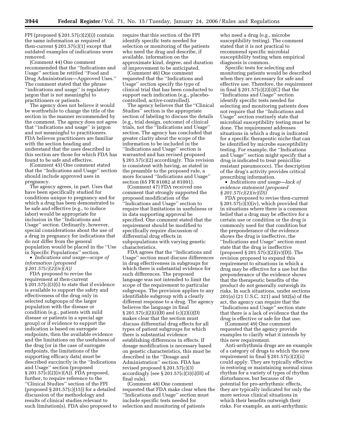FPI (proposed  $\S 201.57(c)(2)(i)$ ) contain the same information as required at then-current  $\S 201.57(c)(1)$  except that outdated examples of indications were removed.

(Comment 44) One comment recommended that the ''Indications and Usage'' section be retitled ''Food and Drug Administration—Approved Uses.'' The comment stated that the phrase ''indications and usage'' is regulatory jargon that is not meaningful to practitioners or patients.

The agency does not believe it would be worthwhile to change the title of the section in the manner recommended by the comment. The agency does not agree that ''indications and usage'' is jargon and not meaningful to practitioners. FDA believes practitioners are familiar with the section heading and understand that the uses described in this section are those for which FDA has found to be safe and effective.

(Comment 45) One comment stated that the ''Indications and Usage'' section should include approved uses in pregnancy.

The agency agrees, in part. Uses that have been specifically studied for conditions unique to pregnancy and for which a drug has been demonstrated to be safe and effective (e.g., to induce labor) would be appropriate for inclusion in the ''Indications and Usage'' section. Ordinarily, however, special considerations about the use of a drug in pregnancy for indications that do not differ from the general population would be placed in the ''Use in Specific Populations'' section.

• *Indications and usage—scope of information (proposed § 201.57(c)(2)(iv)(A))* 

FDA proposed to revise the requirement at then-current § 201.57(c)(3)(i) to state that if evidence is available to support the safety and effectiveness of the drug only in selected subgroups of the larger population with the disease or condition (e.g., patients with mild disease or patients in a special age group) or if evidence to support the indication is based on surrogate endpoints, then the available evidence and the limitations on the usefulness of the drug (or in the case of surrogate endpoints, the limitations of the supporting efficacy data) must be described succinctly in the ''Indications and Usage'' section (proposed § 201.57(c)(2)(iv)(A)). FDA proposed, further, to require reference to the ''Clinical Studies'' section of the FPI (proposed  $\S 201.57(c)(15)$ ) for a detailed discussion of the methodology and results of clinical studies relevant to such limitation(s). FDA also proposed to require that this section of the FPI identify specific tests needed for selection or monitoring of the patients who need the drug and describe, if available, information on the approximate kind, degree, and duration of improvement to be anticipated.

(Comment 46) One comment requested that the ''Indications and Usage'' section specify the type of clinical trial that has been conducted to support each indication (e.g., placebocontrolled, active-controlled).

The agency believes that the ''Clinical Studies'' section is the appropriate section of labeling to discuss the details (e.g., trial design, outcome) of clinical trials, not the ''Indications and Usage'' section. The agency has concluded that greater clarity about the scope of the information to be included in the ''Indications and Usage'' section is warranted and has revised proposed § 201.57(c)(2) accordingly. This revision is consistent with having, as stated in the preamble to the proposed rule, a more focused ''Indications and Usage'' section (65 FR 81082 at 81091).

(Comment 47) FDA received one comment that strongly supported the proposed modification of the ''Indications and Usage'' section to require that limitations in usefulness or in data supporting approval be specified. One comment stated that the requirement should be modified to specifically require discussion of differential drug effects in subpopulations with varying genetic characteristics.

FDA agrees that the ''Indications and Usage'' section must discuss differences in drug effectiveness in subgroups for which there is substantial evidence for such differences. The proposed language was not intended to limit the scope of the requirement to particular subgroups. The provision applies to any identifiable subgroup with a clearly different response to a drug. The agency believes the language in final  $\S 201.57(c)(2)(i)(B)$  and  $(c)(2)(i)(D)$ makes clear that the section must discuss differential drug effects for all types of patient subgroups for which there is substantial evidence establishing differences in effects. If dosage modification is necessary based on genetic characteristics, this must be described in the ''Dosage and Administration'' section. FDA has revised proposed § 201.57(c)(3) accordingly (see  $\S 201.57(c)(3)(i)(H)$  of final rule).

(Comment 48) One comment requested that FDA make clear when the ''Indications and Usage'' section must include specific tests needed for selection and monitoring of patients

who need a drug (e.g., microbe susceptibility testing). The comment stated that it is not practical to recommend specific microbial susceptibility testing when empirical diagnosis is common.

Specific tests for selecting and monitoring patients would be described when they are necessary for safe and effective use. Therefore, the requirement in final  $\S 201.57(c)(2)(i)(C)$  that the ''Indications and Usage'' section identify specific tests needed for selecting and monitoring patients does not require that the ''Indications and Usage'' section routinely state that microbial susceptibility testing must be done. The requirement addresses situations in which a drug is indicated for a specific therapeutic niche that can be identified by microbe susceptibility testing. For example, the ''Indications and Usage'' section might specify that a drug is indicated to treat penicillinresistant pneumococci. The description of the drug's activity provides critical prescribing information.

• *Indications and usage—lack of evidence statement (proposed § 201.57(c)(2)(iv)(D))* 

FDA proposed to revise then-current § 201.57(c)(3)(iv), which provided that in situations where there is a common belief that a drug may be effective for a certain use or condition or the drug is commonly used for that condition but the preponderance of the evidence shows the drug is ineffective, the ''Indications and Usage'' section must state that the drug is ineffective (proposed § 201.57(c)(2)(iv)(D)). The revision proposed to expand this requirement to situations in which a drug may be effective for a use but the preponderance of the evidence shows that the therapeutic benefits of the product do not generally outweigh its risks. In such situations, under sections 201(n) (21 U.S.C. 321) and 502(a) of the act, the agency can require that the ''Indications and Usage'' section state that there is a lack of evidence that the drug is effective or safe for that use.

(Comment 49) One comment requested that the agency provide examples to clarify what it intends by this new requirement.

Anti-arrhythmia drugs are an example of a category of drugs to which the new requirement in final  $\S 201.57(c)(2)(ii)$ could apply. They are typically effective in restoring or maintaining normal sinus rhythm for a variety of types of rhythm disturbances, but because of the potential for pro-arrhythmic effects, they are typically indicated for only the more serious clinical situations in which their benefits outweigh their risks. For example, an anti-arrhythmic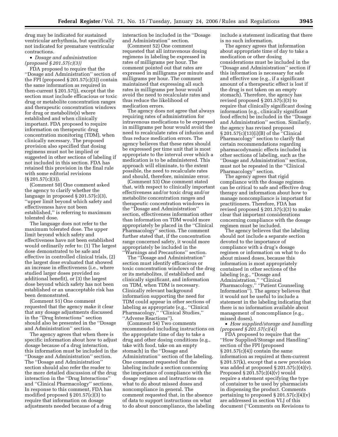drug may be indicated for sustained ventricular arrhythmia, but specifically not indicated for premature ventricular contractions.

• *Dosage and administration (proposed § 201.57(c)(3))* 

FDA proposed to require that the ''Dosage and Administration'' section of the FPI (proposed  $\S 201.57(c)(3)$ ) contain the same information as required in then-current § 201.57(j), except that the section must include efficacious or toxic drug or metabolite concentration ranges and therapeutic concentration windows for drug or metabolite(s) where established and when clinically important. FDA proposed to require information on therapeutic drug concentration monitoring (TDM), when clinically necessary. The proposed provision also specified that dosing regimens must not be implied or suggested in other sections of labeling if not included in this section. FDA has retained this provision in the final rule with some editorial revisions (§ 201.57(c)(3)).

(Comment 50) One comment asked the agency to clarify whether the language in proposed § 201.57(c)(3), ''upper limit beyond which safety and effectiveness have not been established,'' is referring to maximum tolerated dose.

The language does not refer to the maximum tolerated dose. The upper limit beyond which safety and effectiveness have not been established would ordinarily refer to: (1) The largest dose demonstrated to be safe and effective in controlled clinical trials, (2) the largest dose evaluated that showed an increase in effectiveness (i.e., where studied larger doses provided no additional benefit), or (3) the largest dose beyond which safety has not been established or an unacceptable risk has been demonstrated.

(Comment 51) One comment requested that the agency make it clear that any dosage adjustments discussed in the ''Drug Interactions'' section should also be presented in the ''Dosage and Administration'' section.

The agency agrees that when there is specific information about how to adjust dosage because of a drug interaction, this information must be included in the ''Dosage and Administration'' section. The ''Dosage and Administration'' section should also refer the reader to the more detailed discussion of the drug interaction in the ''Drug Interactions'' and ''Clinical Pharmacology'' sections. In response to this comment, FDA has modified proposed § 201.57(c)(3) to require that information on dosage adjustments needed because of a drug

interaction be included in the ''Dosage and Administration'' section.

(Comment 52) One comment requested that all intravenous dosing regimens in labeling be expressed in rates of milligrams per hour. The comment pointed out that rates are expressed in milligrams per minute and milligrams per hour. The comment maintained that expressing all such rates in milligrams per hour would avoid the need to recalculate rates and thus reduce the likelihood of medication errors.

The agency does not agree that always requiring rates of administration for intravenous medications to be expressed in milligrams per hour would avoid the need to recalculate rates of infusion and thus reduce medication errors. The agency believes that these rates should be expressed per time unit that is most appropriate to the interval over which a medication is to be administered. This approach will eliminate, to the extent possible, the need to recalculate rates and should, therefore, minimize error.

(Comment 53) One comment stated that, with respect to clinically important effectiveness and/or toxic drug and/or metabolite concentration ranges and therapeutic concentration windows in the ''Dosage and Administration'' section, effectiveness information other than information on TDM would more appropriately be placed in the ''Clinical Pharmacology'' section. The comment further stated that, if the concentration range concerned safety, it would more appropriately be included in the ''Warnings and Precautions'' section.

The ''Dosage and Administration'' section must identify efficacious or toxic concentration windows of the drug or its metabolites, if established and clinically significant, and information on TDM, when TDM is necessary. Clinically relevant background information supporting the need for TDM could appear in other sections of labeling as appropriate (e.g., ''Clinical Pharmacology," "Clinical Studies," ''Adverse Reactions'').

(Comment 54) Two comments recommended including instructions on the appropriate time of day to take a drug and other dosing conditions (e.g., take with food, take on an empty stomach) in the ''Dosage and Administration'' section of the labeling. One comment requested that the labeling include a section concerning the importance of compliance with the dosage regimen and instructions on what to do about missed doses and noncompliance in general. The comment requested that, in the absence of data to support instructions on what to do about noncompliance, the labeling

include a statement indicating that there is no such information.

The agency agrees that information about appropriate time of day to take a medication or other dosing considerations must be included in the ''Dosage and Administration'' section if this information is necessary for safe and effective use (e.g., if a significant amount of a therapeutic effect is lost if the drug is not taken on an empty stomach). Therefore, the agency has revised proposed § 201.57(c)(3) to require that clinically significant dosing information (e.g., clinically significant food effects) be included in the ''Dosage and Administration'' section. Similarly, the agency has revised proposed § 201.57(c)(13)(i)(B) of the ''Clinical Pharmacology'' section to clarify that certain recommendations regarding pharmacodynamic effects included in other sections of labeling, such as the ''Dosage and Administration'' section, must not be repeated in the ''Clinical Pharmacology'' section.

The agency agrees that rigid compliance with the dosage regimen can be critical to safe and effective drug therapy and information about how to manage noncompliance is important for practitioners. Therefore, FDA has revised proposed  $\S 201.57(c)(3)$  to make clear that important considerations concerning compliance with the dosage regimen must be included.

The agency believes that the labeling should not include a separate section devoted to the importance of compliance with a drug's dosage regimen or information on what to do about missed doses, because this information is most appropriately contained in other sections of the labeling (e.g., ''Dosage and Administration,'' ''Clinical Pharmacology,'' ''Patient Counseling Information''). The agency believes that it would not be useful to include a statement in the labeling indicating that there is no information available about management of noncompliance (e.g., missed doses).

• *How supplied/storage and handling (proposed § 201.57(c)(4))* 

FDA proposed to require that the ''How Supplied/Storage and Handling'' section of the FPI (proposed  $\S 201.57(c)(4)$  contain the same information as required at then-current § 201.57(k), except that a new provision was added at proposed  $\S 201.57(c)(4)(v)$ . Proposed  $\S 201.57(c)(4)(v)$  would require a statement specifying the type of container to be used by pharmacists in dispensing the product. Comments pertaining to proposed  $\S 201.57(c)(4)(v)$ are addressed in section VI.J of this document (''Comments on Revisions to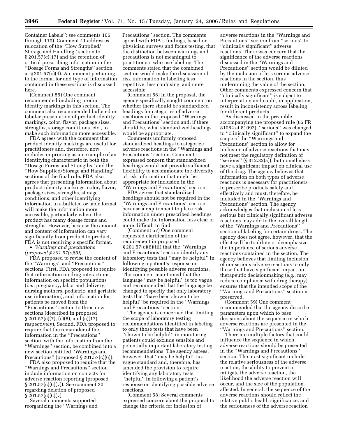Container Labels''; see comments 106 through 110). Comment 41 addresses relocation of the ''How Supplied/ Storage and Handling'' section to § 201.57(c)(17) and the retention of critical prescribing information in the ''Dosage Forms and Strengths'' section at § 201.57(c)(4). A comment pertaining to the format for and type of information contained in these sections is discussed here.

(Comment 55) One comment recommended including product identity markings in this section. The comment also recommended bulleted or tabular presentation of product identity markings, color, flavor, package sizes, strengths, storage conditions, etc., to make such information more accessible.

FDA agrees with the comment that product identity markings are useful for practitioners and, therefore, now includes imprinting as an example of an identifying characteristic in both the ''Dosage Forms and Strengths'' and the ''How Supplied/Storage and Handling'' sections of the final rule. FDA also agrees that presenting information about product identity markings, color, flavor, package sizes, strengths, storage conditions, and other identifying information in a bulleted or table format will make the information more accessible, particularly where the product has many dosage forms and strengths. However, because the amount and content of information can vary significantly from product to product, FDA is not requiring a specific format.

• *Warnings and precautions (proposed § 201.57(c)(6))* 

FDA proposed to revise the content of the ''Warnings'' and ''Precautions'' sections. First, FDA proposed to require that information on drug interactions, information on specific populations (i.e., pregnancy, labor and delivery, nursing mothers, pediatric, and geriatric use information), and information for patients be moved from the ''Precautions'' section to three new sections (described in proposed  $\S 201.57(c)(7)$ , (c)(8), and (c)(17) respectively). Second, FDA proposed to require that the remainder of the information in the ''Precautions'' section, with the information from the ''Warnings'' section, be combined into a

new section entitled ''Warnings and Precautions" (proposed § 201.57(c)(6)). FDA also proposed to require that the ''Warnings and Precautions'' section include information on contacts for adverse reaction reporting (proposed § 201.57(c)(6)(v)). See comment 30 regarding deletion of proposed  $§ 201.57(c)(6)(v).$ 

Several comments supported reorganizing the ''Warnings and

Precautions'' section. The comments agreed with FDA's findings, based on physician surveys and focus testing, that the distinction between warnings and precautions is not meaningful to practitioners who use labeling. The comments stated that the combined section would make the discussion of risk information in labeling less repetitive, less confusing, and more accessible.

(Comment 56) In the proposal, the agency specifically sought comment on whether there should be standardized headings for categories of adverse reactions in the proposed ''Warnings and Precautions'' section and, if there should be, what standardized headings would be appropriate.

Comments uniformly opposed standardized headings to categorize adverse reactions in the ''Warnings and Precautions'' section. Comments expressed concern that standardized headings would not provide sufficient flexibility to accommodate the diversity of risk information that might be appropriate for inclusion in the ''Warnings and Precautions'' section.

FDA agrees that standardized headings should not be required in the ''Warnings and Precautions'' section because a requirement to place risk information under prescribed headings could make the information less clear or more difficult to find.

(Comment 57) One comment requested clarification of the requirement in proposed  $\S 201.57(c)(6)(iii)$  that the "Warnings" and Precautions'' section identify any laboratory tests that ''may be helpful'' in following a patient's response or identifying possible adverse reactions. The comment maintained that the language ''may be helpful'' is too vague and recommended that the language be changed to specify that only laboratory tests that ''have been shown to be helpful'' be required in the ''Warnings and Precautions'' section.

The agency is concerned that limiting the scope of laboratory testing recommendations identified in labeling to only those tests that have been ''shown to be helpful'' in monitoring patients could exclude sensible and potentially important laboratory testing recommendations. The agency agrees, however, that ''may be helpful'' is a vague standard and, therefore, has amended the provision to require identifying any laboratory tests ''helpful'' in following a patient's response or identifying possible adverse reactions.

(Comment 58) Several comments expressed concern about the proposal to change the criteria for inclusion of

adverse reactions in the ''Warnings and Precautions'' section from ''serious'' to ''clinically significant'' adverse reactions. There was concern that the significance of the adverse reactions discussed in the ''Warnings and Precautions'' section would be diluted by the inclusion of less serious adverse reactions in the section, thus undermining the value of the section. Other comments expressed concern that ''clinically significant'' is subject to interpretation and could, in application, result in inconsistency across labeling for different products.

As discussed in the preamble accompanying the proposed rule (65 FR 81082 at 81092), ''serious'' was changed to ''clinically significant'' to expand the scope of the ''Warnings and Precautions'' section to allow for inclusion of adverse reactions that may not meet the regulatory definition of ''serious'' (§ 312.32(a)), but nonetheless have a significant impact on clinical use of the drug. The agency believes that information on both types of adverse reactions is necessary for practitioners to prescribe products safely and effectively and must, therefore, be included in the ''Warnings and Precautions'' section. The agency acknowledges that inclusion of less serious but clinically significant adverse reactions may add to the overall length of the ''Warnings and Precautions'' section of labeling for certain drugs. The agency does not agree, however, that the effect will be to dilute or deemphasize the importance of serious adverse reactions contained in the section. The agency believes that limiting inclusion of nonserious adverse reactions to only those that have significant impact on therapeutic decisionmaking (e.g., may reduce compliance with drug therapy) ensures that the intended scope of the ''Warnings and Precautions'' section is preserved.

(Comment 59) One comment recommended that the agency describe parameters upon which to base decisions about the sequence in which adverse reactions are presented in the ''Warnings and Precautions'' section.

There are multiple factors that could influence the sequence in which adverse reactions should be presented in the ''Warnings and Precautions'' section. The most significant include the relative seriousness of the adverse reaction, the ability to prevent or mitigate the adverse reaction, the likelihood the adverse reaction will occur, and the size of the population affected. In general, the sequence of the adverse reactions should reflect the relative public health significance, and the seriousness of the adverse reaction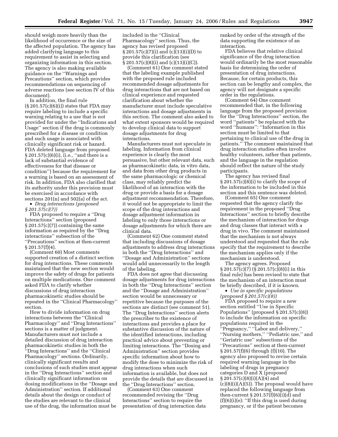should weigh more heavily than the likelihood of occurrence or the size of the affected population. The agency has added clarifying language to this requirement to assist in selecting and organizing information in this section. The agency is also making available guidance on the ''Warnings and Precautions'' section, which provides recommendations on sequencing of adverse reactions (see section IV of this document).

In addition, the final rule  $(\S 201.57(c)(6)(i))$  states that FDA may require labeling to include a specific warning relating to a use that is not provided for under the ''Indications and Usage'' section if the drug is commonly prescribed for a disease or condition and such usage is associated with clinically significant risk or hazard. FDA deleted language from proposed § 201.57(c)(6)(i), (i.e., ''and there is a lack of substantial evidence of effectiveness for that disease or condition'') because the requirement for a warning is based on an assessment of risk. In addition, FDA also clarified that its authority under this provision must be exercised in accordance with sections  $201(n)$  and  $502(a)$  of the act.

• *Drug interactions (proposed § 201.57(c)(7))* 

FDA proposed to require a ''Drug Interactions'' section (proposed  $\S 201.57(c)(7)$  containing the same information as required by the ''Drug interactions'' subsection of the ''Precautions'' section at then-current  $\S 201.57(f)(4)$ .

(Comment 60) Most comments supported creation of a distinct section for drug interactions. These comments maintained that the new section would improve the safety of drugs for patients on multiple medications. One comment asked FDA to clarify whether discussions of drug interaction pharmacokinetic studies should be repeated in the ''Clinical Pharmacology'' section.

How to divide information on drug interactions between the ''Clinical Pharmacology'' and ''Drug Interactions'' sections is a matter of judgment. Manufacturers must not include a detailed discussion of drug interaction pharmacokinetic studies in both the ''Drug Interactions'' and the ''Clinical Pharmacology'' sections. Ordinarily, clinically significant results and conclusions of such studies must appear in the ''Drug Interactions'' section and clinically significant information on dosing modifications in the ''Dosage and Administration'' section. If additional details about the design or conduct of the studies are relevant to the clinical use of the drug, the information must be

included in the ''Clinical Pharmacology'' section. Thus, the agency has revised proposed § 201.57(c)(7)(i) and (c)(13)(i)(D) to provide this clarification (see § 201.57(c)(8)(i) and (c)(13)(i)(C)).

(Comment 61) One comment stated that the labeling example published with the proposed rule included recommended dosage adjustments for drug interactions that are not based on clinical experience and requested clarification about whether the manufacturer must include speculative interactions and dosage adjustments in this section. The comment also asked to what extent sponsors would be required to develop clinical data to support dosage adjustments for drug interactions.

Manufacturers must not speculate in labeling. Information from clinical experience is clearly the most persuasive, but other relevant data, such as pharmacokinetic data, in vitro data, and data from other drug products in the same pharmacologic or chemical class, may reliably predict the likelihood of an interaction with the drug or provide a basis for a dosage adjustment recommendation. Therefore, it would not be appropriate to limit the scope of the drug interactions and dosage adjustment information in labeling to only those interactions or dosage adjustments for which there are clinical data.

(Comment 62) One comment stated that including discussions of dosage adjustments to address drug interactions in both the ''Drug Interactions'' and ''Dosage and Administration'' sections would add unnecessarily to the length of the labeling.

FDA does not agree that discussing dosage adjustments for drug interactions in both the ''Drug Interactions'' section and the ''Dosage and Administration'' section would be unnecessary or repetitive because the purposes of the sections are distinct (see comment 51). The ''Drug Interactions'' section alerts the prescriber to the existence of interactions and provides a place for substantive discussion of the nature of the identified interactions, including practical advice about preventing or limiting interactions. The ''Dosing and Administration'' section provides specific information about how to modify the dose to minimize the risk of drug interactions when such information is available, but does not provide the details that are discussed in the ''Drug Interactions'' section.

(Comment 63) One comment recommended revising the ''Drug Interactions'' section to require the presentation of drug interaction data ranked by order of the strength of the data supporting the existence of an interaction.

FDA believes that relative clinical significance of the drug interaction would ordinarily be the most reasonable basis for determining the order of presentation of drug interactions. Because, for certain products, this section can be lengthy and complex, the agency will not designate a specific order in the regulations.

(Comment 64) One comment recommended that, in the following language from the proposed provision for the ''Drug Interactions'' section, the word ''patients'' be replaced with the word ''humans'': ''Information in this section must be limited to that pertaining to clinical use of the drug in patients.'' The comment maintained that drug interaction studies often involve healthy volunteers, rather than patients, and the language in the regulation should reflect the nature of the study participants.

The agency has revised final § 201.57(c)(8)(i) to clarify the scope of the information to be included in this section and this sentence was deleted.

(Comment 65) One comment requested that the agency clarify the requirement in the proposed ''Drug Interactions'' section to briefly describe the mechanism of interaction for drugs and drug classes that interact with a drug in vivo. The comment maintained that the mechanism is not always understood and requested that the rule specify that the requirement to describe the mechanism applies only if the mechanism is understood.

The agency agrees. Proposed § 201.57(c)(7) (§ 201.57(c)(8)(i) in this final rule) has been revised to state that the mechanism of an interaction must be briefly described, if it is known.

• *Use in specific populations (proposed § 201.57(c)(8))* 

FDA proposed to require a new section entitled ''Use in Specific Populations'' (proposed § 201.57(c)(8)) to include the information on specific populations required in the ''Pregnancy,'' ''Labor and delivery,'' ''Nursing mothers,'' ''Pediatric use,'' and ''Geriatric use'' subsections of the ''Precautions'' section at then-current § 201.57(f)(6) through (f)(10). The agency also proposed to revise certain required warning language in the labeling of drugs in pregnancy categories D and X (proposed  $\S 201.57(c)(8)(i)(A)(4)$  and  $(c)(8)(i)(A)(5)$ . The proposal would have replaced the following language from then-current  $\S 201.57(f)(6)(i)(d)$  and  $(f)(6)(i)(e)$ : "If this drug is used during pregnancy, or if the patient becomes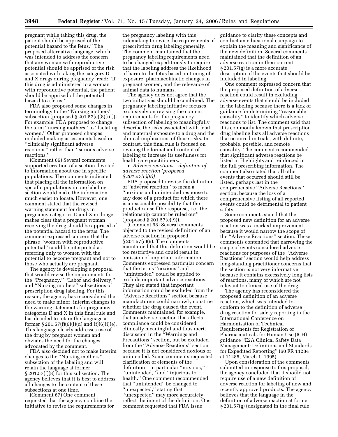pregnant while taking this drug, the patient should be apprised of the potential hazard to the fetus.'' The proposed alternative language, which was intended to address the concern that any woman with reproductive potential should be apprised of the risk associated with taking the category D and X drugs during pregnancy, read: ''If this drug is administered to a woman with reproductive potential, the patient should be apprised of the potential hazard to a fetus.''

FDA also proposed some changes in terminology to the ''Nursing mothers'' subsection (proposed § 201.57(c)(8)(iii)). For example, FDA proposed to change the term ''nursing mothers'' to ''lactating women.'' Other proposed changes included making assessments based on ''clinically significant adverse reactions'' rather than ''serious adverse reactions.''

(Comment 66) Several comments supported creation of a section devoted to information about use in specific populations. The comments indicated that placing all the information on specific populations in one labeling section would make the information much easier to locate. However, one comment stated that the revised warning statement for drugs in pregnancy categories D and X no longer makes clear that a pregnant woman receiving the drug should be apprised of the potential hazard to the fetus. The comment expressed concern that the phrase ''women with reproductive potential'' could be interpreted as referring only to women with the potential to become pregnant and not to those who actually are pregnant.

The agency is developing a proposal that would revise the requirements for the ''Pregnancy,'' ''Labor and delivery,'' and ''Nursing mothers'' subsections of prescription drug labeling. For this reason, the agency has reconsidered the need to make minor, interim changes to the warning statements for pregnancy categories D and X in this final rule and has decided to retain the language at former  $\S 201.57(f)(6)(i)(d)$  and  $(f)(6)(i)(e)$ . This language clearly addresses use of the drug by pregnant women and obviates the need for the changes advocated by the comment.

FDA also decided not to make interim changes to the ''Nursing mothers'' subsection of the labeling and will retain the language at former § 201.57(f)(8) for this subsection. The agency believes that it is best to address all changes to the content of these subsections at one time.

(Comment 67) One comment requested that the agency combine the initiative to revise the requirements for

the pregnancy labeling with this rulemaking to revise the requirements of prescription drug labeling generally. The comment maintained that the pregnancy labeling requirements need to be changed expeditiously to require that the labeling address the likelihood of harm to the fetus based on timing of exposure, pharmacokinetic changes in pregnant women, and the relevance of animal data to humans.

The agency does not agree that the two initiatives should be combined. The pregnancy labeling initiative focuses exclusively on revising the content requirements for the pregnancy subsection of labeling to meaningfully describe the risks associated with fetal and maternal exposure to a drug and the clinical implications of those risks. In contrast, this final rule is focused on revising the format and content of labeling to increase its usefulness for health care practitioners.

• *Adverse reactions—definition of adverse reaction (proposed § 201.57(c)(9))* 

FDA proposed to revise the definition of ''adverse reaction'' to mean a ''noxious and unintended response to any dose of a product for which there is a reasonable possibility that the product caused the response, i.e., the relationship cannot be ruled out'' (proposed  $\bar{\S}$  201.57(c)(9)).

(Comment 68) Several comments objected to the revised definition of an adverse reaction in proposed § 201.57(c)(9). The comments maintained that this definition would be too restrictive and could result in omission of important information. Comments expressed particular concern that the terms ''noxious'' and ''unintended'' could be applied to exclude important adverse reactions. They also stated that important information could be excluded from the ''Adverse Reactions'' section because manufacturers could narrowly construe whether the drug caused the event. Comments maintained, for example, that an adverse reaction that affects compliance could be considered clinically meaningful and thus merit discussion in the ''Warnings and Precautions'' section, but be excluded from the ''Adverse Reactions'' section because it is not considered noxious or unintended. Some comments requested clarification of elements of the definition—in particular ''noxious,'' ''unintended,'' and ''injurious to health.'' One comment recommended that ''unintended'' be changed to ''unexpected,'' stating that ''unexpected'' may more accurately reflect the intent of the definition. One comment requested that FDA issue

guidance to clarify these concepts and conduct an educational campaign to explain the meaning and significance of the new definition. Several comments maintained that the definition of an adverse reaction in then-current § 201.57(g) is a more accurate description of the events that should be included in labeling.

One comment expressed concern that the proposed definition of adverse reaction could result in excluding adverse events that should be included in the labeling because there is a lack of guidance for determining ''reasonable causality'' to identify which adverse reactions to list. The comment said that it is commonly known that prescription drug labeling lists all adverse reactions that occurred in trials, with definite, probable, possible, and remote causality. The comment recommended that significant adverse reactions be listed in Highlights and reinforced in the full prescribing information. The comment also stated that all other events that occurred should still be listed, perhaps last in the comprehensive ''Adverse Reactions'' section, because the loss of a comprehensive listing of all reported events could be detrimental to patient safety.

Some comments stated that the proposed new definition for an adverse reaction was a marked improvement because it would narrow the scope of the ''Adverse Reactions'' section. These comments contended that narrowing the scope of events considered adverse reactions for purposes of the ''Adverse Reactions'' section would help address long-standing practitioner concerns that the section is not very informative because it contains excessively long lists of reactions, many of which are not relevant to clinical use of the drug.

The agency has reconsidered the proposed definition of an adverse reaction, which was intended to conform to the definition of adverse drug reaction for safety reporting in the International Conference on Harmonisation of Technical Requirements for Registration of Pharmaceuticals for Human Use (ICH) guidance ''E2A Clinical Safety Data Management: Definitions and Standards for Expedited Reporting'' (60 FR 11284 at 11285, March 1, 1995).

Upon consideration of the comments submitted in response to this proposal, the agency concluded that it should not require use of a new definition of adverse reaction for labeling of new and recently approved products. The agency believes that the language in the definition of adverse reaction at former § 201.57(g) (designated in the final rule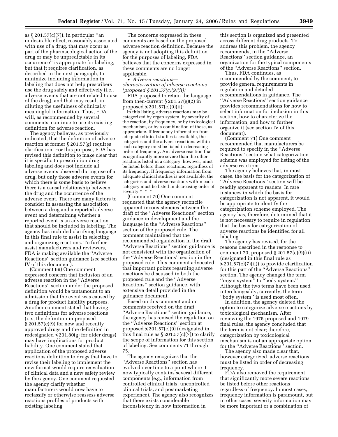as  $\S 201.57(c)(7)$ , in particular "an undesirable effect, reasonably associated with use of a drug, that may occur as part of the pharmacological action of the drug or may be unpredictable in its occurrence'' is appropriate for labeling, but that it requires clarification, as described in the next paragraph, to minimize including information in labeling that does not help prescribers use the drug safely and effectively (i.e., adverse events that are not related to use of the drug), and that may result in diluting the usefulness of clinically meaningful information. Thus, FDA will, as recommended by several comments, continue to use its existing definition for adverse reaction.

The agency believes, as previously indicated, that the definition of adverse reaction at former § 201.57(g) requires clarification. For this purpose, FDA has revised this definition to make clear that it is specific to prescription drug labeling and does not include all adverse events observed during use of a drug, but only those adverse events for which there is some basis to believe there is a causal relationship between the drug and the occurrence of the adverse event. There are many factors to consider in assessing the association between a drug and a reported adverse event and determining whether a reported event is an adverse reaction that should be included in labeling. The agency has included clarifying language in this final rule to assist in selecting and organizing reactions. To further assist manufacturers and reviewers, FDA is making available the ''Adverse Reactions'' section guidance (see section IV of this document).

(Comment 69) One comment expressed concern that inclusion of an adverse reaction in the ''Adverse Reactions'' section under the proposed definition would be tantamount to an admission that the event was caused by a drug for product liability purposes. Another comment stated that having two definitions for adverse reactions (i.e., the definition in proposed § 201.57(c)(9) for new and recently approved drugs and the definition in redesignated  $\frac{201.80(g)}{g}$  for older drugs) may have implications for product liability. One comment stated that application of the proposed adverse reactions definition to drugs that have to revise their labeling to implement the new format would require reevaluation of clinical data and a new safety review by the agency. One comment requested the agency clarify whether manufacturers would now have to reclassify or otherwise reassess adverse reactions profiles of products with existing labeling.

The concerns expressed in these comments are based on the proposed adverse reaction definition. Because the agency is not adopting this definition for the purposes of labeling, FDA believes that the concerns expressed in these comments are no longer applicable.

• *Adverse reactions characterization of adverse reactions (proposed § 201.57(c)(9)(ii))* 

FDA proposed to retain the language from then-current  $\S 201.57(g)(2)$  in proposed § 201.57(c)(9)(ii):

In this listing, adverse reactions may be categorized by organ system, by severity of the reaction, by frequency, or by toxicological mechanism, or by a combination of these, as appropriate. If frequency information from adequate clinical studies is available, the categories and the adverse reactions within each category must be listed in decreasing order of frequency. An adverse reaction that is significantly more severe than the other reactions listed in a category, however, must be listed before those reactions, regardless of its frequency. If frequency information from adequate clinical studies is not available, the categories and adverse reactions within each category must be listed in decreasing order of severity.\* \* \*

(Comment 70) One comment requested that the agency reconcile apparent inconsistencies between the draft of the ''Adverse Reactions'' section guidance in development and the language in the ''Adverse Reactions'' section of the proposed rule. The comment maintained that the recommended organization in the draft ''Adverse Reactions'' section guidance is not consistent with the organization of the ''Adverse Reactions'' section in the proposed rule. This comment advocated that important points regarding adverse reactions be discussed in both the proposed rule and the ''Adverse Reactions'' section guidance, with extensive detail provided in the guidance document.

Based on this comment and on comments received on the draft ''Adverse Reactions'' section guidance, the agency has revised the regulation on the ''Adverse Reactions'' section at proposed § 201.57(c)(9) (designated in this final rule as  $\S 201.57(c)(7)$  to clarify the scope of information for this section of labeling. See comments 71 through 75.

The agency recognizes that the ''Adverse Reactions'' section has evolved over time to a point where it now typically contains several different components (e.g., information from controlled clinical trials, uncontrolled clinical trials, and postmarketing experience). The agency also recognizes that there exists considerable inconsistency in how information in

this section is organized and presented across different drug products. To address this problem, the agency recommends, in the ''Adverse Reactions'' section guidance, an organization for the typical components of the ''Adverse Reactions'' section.

Thus, FDA continues, as recommended by the comment, to provide general requirements in regulation and detailed

recommendations in guidance. The ''Adverse Reactions'' section guidance provides recommendations for how to select information for inclusion in this section, how to characterize the information, and how to further organize it (see section IV of this document).

(Comment 71) One comment recommended that manufacturers be required to specify in the ''Adverse Reactions'' section what categorization scheme was employed for listing of the adverse reactions.

The agency believes that, in most cases, the basis for the categorization of ''Adverse Reactions'' section will be readily apparent to readers. In rare instances in which the basis for categorization is not apparent, it would be appropriate to identify the categorization scheme employed. The agency has, therefore, determined that it is not necessary to require in regulation that the basis for categorization of adverse reactions be identified for all labeling.

The agency has revised, for the reasons described in the response to comment 70, proposed  $\S 201.57(c)(9)(ii)$ (designated in this final rule as § 201.57(c)(7)(ii)) to provide clarification for this part of the ''Adverse Reactions'' section. The agency changed the term ''organ system'' to ''body system.'' Although the two terms have been used interchangeably, currently, the term ''body system'' is used most often.

In addition, the agency deleted the option to categorize adverse reactions by toxicological mechanism. After reviewing the 1975 proposed and 1979 final rules, the agency concluded that the term is not clear; therefore, categorization by toxicological mechanism is not an appropriate option for the ''Adverse Reactions'' section.

The agency also made clear that, however categorized, adverse reactions must be listed in order of decreasing frequency.

FDA also removed the requirement that significantly more severe reactions be listed before other reactions regardless of frequency. In most cases, frequency information is paramount, but in other cases, severity information may be more important or a combination of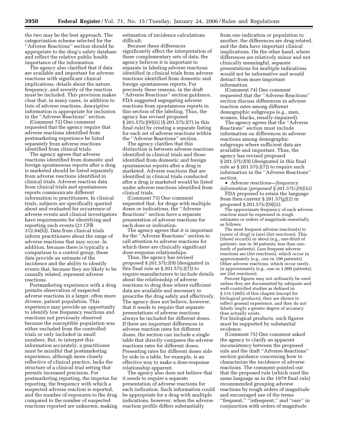the two may be the best approach. The categorization scheme selected for the ''Adverse Reactions'' section should be appropriate to the drug's safety database and reflect the relative public health importance of the information.

The agency also clarified that if data are available and important for adverse reactions with significant clinical implications, details about the nature, frequency, and severity of the reaction must be included. This provision makes clear that, in many cases, in addition to lists of adverse reactions, descriptive information is appropriate for inclusion in the ''Adverse Reactions'' section.

(Comment 72) One comment requested that the agency require that adverse reactions identified from postmarketing experience be listed separately from adverse reactions identified from clinical trials.

The agency agrees that adverse reactions identified from domestic and foreign spontaneous reports after a drug is marketed should be listed separately from adverse reactions identified in clinical trials. Adverse reaction data from clinical trials and spontaneous reports communicate different information to practitioners. In clinical trials, subjects are specifically queried about and evaluated for occurrence of adverse events and clinical investigators have requirements for identifying and reporting such events (21 CFR 312.64(b)). Data from clinical trials inform practitioners about the range of adverse reactions that may occur. In addition, because there is typically a comparison to a control group, these data provide an estimate of the incidence and the ability to identify events that, because they are likely to be causally related, represent adverse reactions.

Postmarketing experience with a drug permits observation of suspected adverse reactions in a larger, often more diverse, patient population. This experience may provide an opportunity to identify low frequency reactions and reactions not previously observed because the susceptible population was either excluded from the controlled trials or only included in small numbers. But, to interpret this information accurately, a practitioner must be mindful that postmarketing experience, although more closely reflective of clinical practice, lacks the structure of a clinical trial setting that permits increased precision. For postmarketing reporting, the impetus for reporting, the frequency with which a suspected adverse reaction is reported, and the number of exposures to the drug compared to the number of suspected reactions reported are unknown, making estimation of incidence calculations difficult.

Because these differences significantly affect the interpretation of these complementary sets of data, the agency believes it is important to separate in labeling adverse reactions identified in clinical trials from adverse reactions identified from domestic and foreign spontaneous reports. For precisely these reasons, in the draft ''Adverse Reactions'' section guidance, FDA suggested segregating adverse reactions from spontaneous reports in this section of the labeling. Thus, the agency has revised proposed § 201.57(c)(9)(ii) (§ 201.57(c)(7) in this final rule) by creating a separate listing for each set of adverse reactions within the ''Adverse Reactions'' section.

The agency clarifies that this distinction is between adverse reactions identified in clinical trials and those identified from domestic and foreign spontaneous reports after a drug is marketed. Adverse reactions that are identified in clinical trials conducted after a drug is marketed would be listed under adverse reactions identified from clinical trials.

(Comment 73) One comment requested that, for drugs with multiple doses or indications, the ''Adverse Reactions'' section have a separate presentation of adverse reactions for each dose or indication.

The agency agrees that it is important for the ''Adverse Reactions'' section to call attention to adverse reactions for which there are clinically significant dose-response relationships.

Thus, the agency has revised proposed § 201.57(c)(9) (designated in this final rule as  $\S 201.57(c)(7)$  to require manufacturers to include details about the relationship of adverse reactions to drug dose where sufficient data are available and necessary to prescribe the drug safely and effectively. The agency does not believe, however, that it needs to require that separate presentations of adverse reactions always be included for different doses. If there are important differences in adverse reaction rates for different doses, the section can include a single table that directly compares the adverse reactions rates for different doses. Presenting rates for different doses side by side in a table, for example, is an effective way to make a dose-response relationship apparent.

The agency also does not believe that it needs to require a separate presentation of adverse reactions for each indication. Such information could be appropriate for a drug with multiple indications, however, when the adverse reaction profile differs substantially

from one indication or population to another, the differences are drug related, and the data have important clinical implications. On the other hand, where differences are relatively minor and not clinically meaningful, separate presentations for multiple indications would not be informative and would detract from more important information.

(Comment 74) One comment requested that the ''Adverse Reactions'' section discuss differences in adverse reaction rates among different demographic subgroups (e.g., men, women, blacks, renally-impaired).

The agency agrees that the ''Adverse Reactions'' section must include information on differences in adverse reactions among demographic subgroups where sufficient data are available and important. Thus, the agency has revised proposed § 201.57(c)(9) (designated in this final rule as § 201.57(c)(7)) to require such information in the ''Adverse Reactions'' section.

• *Adverse reactions—frequency information (proposed § 201.57(c)(9)(ii))* 

FDA proposed to retain the language from then-current  $\S 201.57(g)(2)$  in proposed § 201.57(c)(9)(ii):

The approximate frequency of each adverse reaction must be expressed in rough estimates or orders of magnitude essentially as follows:

The most frequent adverse reaction(s) to (*name of drug*) is (*are*) (*list reactions*). This (*these*) occur(s) in about (e.g., one-third of patients; one in 30 patients; less than onetenth of patients). Less frequent adverse reactions are (*list reactions*), which occur in approximately (e.g., one in 100 patients). Other adverse reactions, which occur rarely, in approximately (e.g., one in 1,000 patients), are (*list reactions*).

Percent figures may not ordinarily be used unless they are documented by adequate and well-controlled studies as defined in § 314.126(b) of this chapter (except for biological products), they are shown to reflect general experience, and they do not falsely imply a greater degree of accuracy than actually exists.

For biological products, such figures must be supported by substantial evidence.

(Comment 75) One comment asked the agency to clarify an apparent inconsistency between the proposed rule and the draft ''Adverse Reactions'' section guidance concerning how to characterize the incidence of adverse reactions. The comment pointed out that the proposed rule (which used the same language as in the 1979 final rule) recommended grouping adverse reactions by rough orders of magnitude and encouraged use of the terms ''frequent,'' ''infrequent,'' and ''rare'' in conjunction with orders of magnitude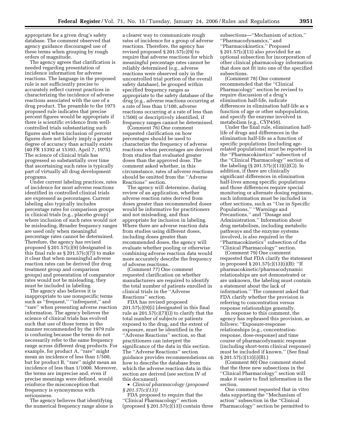appropriate for a given drug's safety database. The comment observed that agency guidance discouraged use of these terms when grouping by rough orders of magnitude.

The agency agrees that clarification is needed regarding presentation of incidence information for adverse reactions. The language in the proposed rule is not sufficiently precise to accurately reflect current practices in characterizing the incidence of adverse reactions associated with the use of a drug product. The preamble to the 1975 proposed rule indicates that precise percent figures would be appropriate if there is scientific evidence from wellcontrolled trials substantiating such figures and when inclusion of percent figures does not falsely imply a greater degree of accuracy than actually exists (40 FR 15392 at 15393, April 7, 1975). The science of clinical trials has progressed so substantially over time that ascertaining such rates is typically part of virtually all drug development programs.

Under current labeling practices, rates of incidence for most adverse reactions identified in controlled clinical trials are expressed as percentages. Current labeling also typically includes percentage rates for comparison groups in clinical trials (e.g., placebo group) where inclusion of such rates would not be misleading. Broader frequency ranges are used only when meaningful percentage rates cannot be determined. Therefore, the agency has revised proposed § 201.57(c)(9) (designated in this final rule as  $\S 201.57(c)(7)$  to make it clear that when meaningful adverse reaction rates can be derived (for drug treatment group and comparison groups) and presentation of comparator rates would not be misleading, they must be included in labeling.

The agency also believes it is inappropriate to use nonspecific terms such as "frequent," "infrequent," and ''rare'' when presenting adverse reaction information. The agency believes the science of clinical trials has evolved such that use of those terms in the manner recommended by the 1979 rule is confusing because the terms do not necessarily refer to the same frequency range across different drug products. For example, for product A, ''rare'' might mean an incidence of less than 1/500, but for product B, ''rare'' might mean an incidence of less than 1/1000. Moreover, the terms are imprecise and, even if precise meanings were defined, would reinforce the misconception that frequency is synonymous with seriousness.

The agency believes that identifying the numerical frequency range alone is

a clearer way to communicate rough rates of incidence for a group of adverse reactions. Therefore, the agency has revised proposed § 201.57(c)(9) to require that adverse reactions for which meaningful percentage rates cannot be reliably determined (e.g., adverse reactions were observed only in the uncontrolled trial portion of the overall safety database), be grouped within specified frequency ranges as appropriate to the safety database of the drug (e.g., adverse reactions occurring at a rate of less than 1/100, adverse reactions occurring at a rate of less than 1/500) or descriptively identified, if frequency ranges cannot be determined.

(Comment 76) One comment requested clarification on how percentages should be used to characterize the frequency of adverse reactions when percentages are derived from studies that evaluated greater doses than the approved dose. The comment asked whether, in this circumstance, rates of adverse reactions should be omitted from the ''Adverse Reactions'' section.

The agency will determine, during review of an application, whether adverse reaction rates derived from doses greater than recommended doses would be informative for practitioners and not misleading, and thus appropriate for inclusion in labeling. Where there are adverse reaction data from studies using different doses, including doses greater than recommended doses, the agency will evaluate whether pooling or otherwise combining adverse reaction data would more accurately describe the frequency of adverse reactions.

(Comment 77) One comment requested clarification on whether manufacturers are required to identify the total number of patients enrolled in clinical trials in the ''Adverse Reactions'' section.

FDA has revised proposed 201.57(c)(9)(i) (designated in this final rule as  $201.57(c)(7)(i)$  to clarify that the total number of subjects or patients exposed to the drug, and the extent of exposure, must be identified in the ''Adverse Reactions'' section, so that practitioners can interpret the significance of the data in this section. The ''Adverse Reactions'' section guidance provides recommendations on how to describe the database from which the adverse reaction data in this section are derived (see section IV of this document).

• *Clinical pharmacology (proposed § 201.57(c)(13))* 

FDA proposed to require that the ''Clinical Pharmacology'' section (proposed  $\S 201.57(c)(13)$ ) contain three

subsections—''Mechanism of action,'' ''Pharmacodynamics,'' and ''Pharmacokinetics.'' Proposed § 201.57(c)(13) also provided for an optional subsection for incorporation of other clinical pharmacology information that does not fit into one of the specified subsections.

(Comment 78) One comment recommended that the ''Clinical Pharmacology'' section be revised to require discussion of a drug's elimination half-life, indicate differences in elimination half-life as a function of age or other subpopulation, and specify the enzyme involved in metabolism (e.g., CYP450).

Under the final rule, elimination halflife of drugs and differences in the elimination half-life as a function of specific populations (including agerelated populations) must be reported in the ''Pharmacokinetics'' subsection of the ''Clinical Pharmacology'' section of the labeling  $(S 201.57(c)(13)(i)(C))$ . In addition, if there are clinically significant differences in elimination half-lives among specific populations and those differences require special monitoring or alternate dosing regimens, such information must be included in other sections, such as ''Use in Specific Populations,'' ''Warnings and Precautions,'' and ''Dosage and Administration.'' Information about drug metabolism, including metabolic pathways and the enzyme systems involved, is also required in the ''Pharmacokinetics'' subsection of the ''Clinical Pharmacology'' section.

(Comment 79) One comment requested that FDA clarify the statement in proposed § 201.57(c)(13)(i)(B): ''If pharmacokinetic/pharmacodynamic relationships are not demonstrated or are unknown, the labeling must contain a statement about the lack of information.'' The comment asked that FDA clarify whether the provision is referring to concentration versus response relationships generally.

In response to this comment, the agency has rephrased this provision, as follows: ''Exposure-response relationships (e.g., concentrationresponse, dose-response) and time course of pharmacodynamic response (including short-term clinical response) must be included if known.'' (See final § 201.57(c)(13)(i)(B).)

(Comment 80) One comment stated that the three new subsections in the ''Clinical Pharmacology'' section will make it easier to find information in the section.

One comment requested that in vitro data supporting the ''Mechanism of action'' subsection in the ''Clinical Pharmacology'' section be permitted to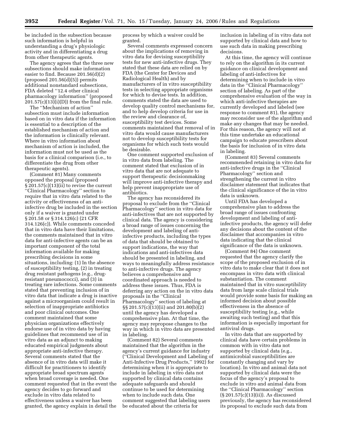be included in the subsection because such information is helpful in understanding a drug's physiologic activity and in differentiating a drug from other therapeutic agents.

The agency agrees that the three new subsections should make information easier to find. Because 201.56(d)(2)  $(proposed 201.56(d)(5))$  permits additional nonstandard subsections, FDA deleted ''12.4 other clinical pharmacology information'' (proposed  $201.57(c)(13)(i)(D))$  from the final rule.

The ''Mechanism of action'' subsection must include information based on in vitro data if the information is essential to a description of the established mechanism of action and the information is clinically relevant. Where in vitro information about mechanism of action is included, the information must not be used as the basis for a clinical comparison (i.e., to differentiate the drug from other therapeutic agents).

(Comment 81) Many comments opposed the proposal (proposed § 201.57(c)(13)(ii) to revise the current ''Clinical Pharmacology'' section to require that in vitro data related to the activity or effectiveness of an antiinfective drug be included in the section only if a waiver is granted under § 201.58 or § 314.126(c) (21 CFR 314.126(c)). While comments conceded that in vitro data have their limitations, the comments maintained that in vitro data for anti-infective agents can be an important component of the total information available for making prescribing decisions in some situations, including: (1) In the absence of susceptibility testing, (2) in treating drug resistant pathogens (e.g., drugresistant pneumococci), and (3) in treating rare infections. Some comments stated that preventing inclusion of in vitro data that indicate a drug is inactive against a microorganism could result in selection of inappropriate antibiotics and poor clinical outcomes. One comment maintained that some physician organizations effectively endorse use of in vitro data by having guidelines that recommend use of in vitro data as an adjunct to making educated empirical judgments about appropriate anti-infective therapy. Several comments stated that the absence of in vitro data will make it difficult for practitioners to identify appropriate broad spectrum agents when broad coverage is needed. One comment requested that in the event the agency decides to go forward and exclude in vitro data related to effectiveness unless a waiver has been granted, the agency explain in detail the

process by which a waiver could be granted.

Several comments expressed concern about the implications of removing in vitro data for devising susceptibility tests for new anti-infective drugs. They stated that these data are relied on by FDA (the Center for Devices and Radiological Health) and by manufacturers of in vitro susceptibility tests in selecting appropriate organisms for which to devise tests. In addition, comments stated the data are used to develop quality control mechanisms for, and to help develop criteria for use in the review and clearance of, susceptibility test devices. Some comments maintained that removal of in vitro data would cause manufacturers not to develop susceptibility tests for organisms for which such tests would be desirable.

One comment supported exclusion of in vitro data from labeling. The comment stated that exclusion of in vitro data that are not adequate to support therapeutic decisionmaking will improve anti-infective therapy and help prevent inappropriate use of antibiotics.

The agency has reconsidered its proposal to exclude from the ''Clinical Pharmacology'' section in vitro data for anti-infectives that are not supported by clinical data. The agency is considering a broad range of issues concerning the development and labeling of antiinfective products, including the types of data that should be obtained to support indications, the way that indications and anti-infectives data should be presented in labeling, and ways to meaningfully address resistance to anti-infective drugs. The agency believes a comprehensive and coordinated approach is needed to address these issues. Thus, FDA is deferring any action on the in vitro data proposals in the ''Clinical Pharmacology'' section of labeling at §§ 201.57(c)(13)(ii) and 201.80(b)(2) until the agency has developed a comprehensive plan. At that time, the agency may repropose changes to the way in which in vitro data are presented in labeling.

(Comment 82) Several comments maintained that the algorithm in the agency's current guidance for industry (''Clinical Development and Labeling of Anti-Infective Drug Products,'' 1992) for determining when it is appropriate to include in labeling in vitro data not supported by clinical data contains adequate safeguards and should continue to be used for determining when to include such data. One comment suggested that labeling users be educated about the criteria for

inclusion in labeling of in vitro data not supported by clinical data and how to use such data in making prescribing decisions.

At this time, the agency will continue to rely on the algorithm in its current guidance on clinical development and labeling of anti-infectives for determining when to include in vitro data in the ''Clinical Pharmacology'' section of labeling. As part of the comprehensive evaluation of the way in which anti-infective therapies are currently developed and labeled (see response to comment 81), the agency may reconsider use of the algorithm and make any changes that may be needed. For this reason, the agency will not at this time undertake an educational campaign to educate prescribers about the basis for inclusion of in vitro data in labeling.

(Comment 83) Several comments recommended retaining in vitro data for anti-infective drugs in the ''Clinical Pharmacology'' section and strengthening the current in vitro disclaimer statement that indicates that the clinical significance of the in vitro data is unknown.

Until FDA has developed a comprehensive plan to address the broad range of issues confronting development and labeling of antiinfective products, the agency will defer any decisions about the content of the disclaimer that accompanies in vitro data indicating that the clinical significance of the data is unknown.

(Comment 84) One comment requested that the agency clarify the scope of the proposed exclusion of in vitro data to make clear that it does not encompass in vitro data with clinical substantiation. The comment maintained that in vitro susceptibility data from large scale clinical trials would provide some basis for making an informed decision about possible effectiveness in the absence of susceptibility testing (e.g., while awaiting such testing) and that this information is especially important for antiviral drugs.

In vitro data that are supported by clinical data have certain problems in common with in vitro data not supported by clinical data (e.g., antimicrobial susceptibilities are constantly changing and vary by location). In vitro and animal data not supported by clinical data were the focus of the agency's proposal to exclude in vitro and animal data from the ''Clinical Pharmacology'' section (§ 201.57(c)(13)(ii)). As discussed previously, the agency has reconsidered its proposal to exclude such data from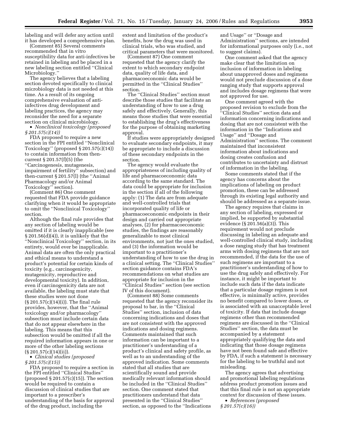labeling and will defer any action until it has developed a comprehensive plan.

(Comment 85) Several comments recommended that in vitro susceptibility data for anti-infectives be retained in labeling and be placed in a new labeling section entitled ''Clinical Microbiology.''

The agency believes that a labeling section devoted specifically to clinical microbiology data is not needed at this time. As a result of its ongoing comprehensive evaluation of antiinfectives drug development and labeling practices, the agency may reconsider the need for a separate section on clinical microbiology.

• *Nonclinical toxicology (proposed § 201.57(c)(14))* 

FDA proposed to require a new section in the FPI entitled ''Nonclinical Toxicology'' (proposed § 201.57(c)(14)) to contain information from thencurrent § 201.57(f)(5) (the ''Carcinogenesis, mutagenesis, impairment of fertility'' subsection) and then-current § 201.57(l) (the ''Animal Pharmacology and/or Animal Toxicology'' section).

(Comment 86) One comment requested that FDA provide guidance clarifying when it would be appropriate to omit the ''Nonclinical Toxicology'' section.

Although the final rule provides that any section of labeling would be omitted if it is clearly inapplicable (see § 201.56(d)(4)), it is unlikely that the ''Nonclinical Toxicology'' section, in its entirety, would ever be inapplicable. Animal data are often the only practical and ethical means to understand a product's potential for certain kinds of toxicity (e.g., carcinogenicity, mutagenicity, reproductive and developmental toxicity). In addition, even if carcinogenicity data are not available, the labeling must state that these studies were not done (§ 201.57(c)(14)(i)). The final rule provides, however, that the ''Animal toxicology and/or pharmacology'' subsection must include certain data that do not appear elsewhere in the labeling. This means that this subsection would be omitted if all the required information appears in one or more of the other labeling sections  $(S 201.57(c)(14)(ii)).$ 

• *Clinical studies (proposed § 201.57(c)(15))* 

FDA proposed to require a section in the FPI entitled ''Clinical Studies'' (proposed  $\S 201.57(c)(15)$ ). The section would be required to contain a discussion of clinical studies that are important to a prescriber's understanding of the basis for approval of the drug product, including the

extent and limitation of the product's benefits, how the drug was used in clinical trials, who was studied, and critical parameters that were monitored.

(Comment 87) One comment requested that the agency clarify the extent to which secondary endpoint data, quality of life data, and pharmacoeconomic data would be permitted in the ''Clinical Studies'' section.

The ''Clinical Studies'' section must describe those studies that facilitate an understanding of how to use a drug safely and effectively. Generally, this means those studies that were essential to establishing the drug's effectiveness for the purpose of obtaining marketing approval.

If studies were appropriately designed to evaluate secondary endpoints, it may be appropriate to include a discussion of these secondary endpoints in the section.

The agency would evaluate the appropriateness of including quality of life and pharmacoeconomic data according to the same standard. The data could be appropriate for inclusion in the section if all of the following apply: (1) The data are from adequate and well-controlled trials that incorporated quality of life or pharmacoeconomic endpoints in their design and carried out appropriate analyses, (2) for pharmacoeconomic studies, the findings are reasonably generalizable to most clinical environments, not just the ones studied, and (3) the information would be important to a practitioner's understanding of how to use the drug in a clinical setting. The ''Clinical Studies'' section guidance contains FDA's recommendations on what studies are appropriate for inclusion in the ''Clinical Studies'' section (see section IV of this document).

(Comment 88) Some comments requested that the agency reconsider its proposal to bar, in the ''Clinical Studies'' section, inclusion of data concerning indications and doses that are not consistent with the approved indications and dosing regimens. Comments maintained that such information can be important to a practitioner's understanding of a product's clinical and safety profile, as well as to an understanding of the approved indication. Some comments stated that all studies that are scientifically sound and provide medically relevant information should be included in the ''Clinical Studies'' section. One comment stated that practitioners understand that data presented in the ''Clinical Studies'' section, as opposed to the ''Indications

and Usage'' or ''Dosage and Administration'' sections, are intended for informational purposes only (i.e., not to suggest claims).

One comment asked that the agency make clear that the limitation on inclusion of information in labeling about unapproved doses and regimens would not preclude discussion of a dose ranging study that supports approval and includes dosage regimens that were not approved for use.

One comment agreed with the proposed revision to exclude from the ''Clinical Studies'' section data and information concerning indications and dosing that are not consistent with the information in the ''Indications and Usage'' and ''Dosage and Administration'' sections. The comment maintained that inconsistent information about indications and dosing creates confusion and contributes to uncertainty and distrust of information in the labeling.

Some comments stated that if the agency has concerns about the implications of labeling on product promotion, these can be addressed through its existing legal authority and should be addressed as a separate issue.

The agency requires that claims in any section of labeling, expressed or implied, be supported by substantial evidence (§ 201.56(a)(3)). This requirement would not preclude discussing in labeling an adequate and well-controlled clinical study, including a dose ranging study that has treatment arms with dosing regimens that are not recommended, if the data for the use of such regimens are important to a practitioner's understanding of how to use the drug safely and effectively. For instance, it might be important to include such data if the data indicate that a particular dosage regimen is not effective, is minimally active, provides no benefit compared to lower doses, or is associated with an unacceptable level of toxicity. If data that include dosage regimens other than recommended regimens are discussed in the ''Clinical Studies'' section, the data must be accompanied by a statement appropriately qualifying the data and indicating that those dosage regimens have not been found safe and effective by FDA, if such a statement is necessary for the labeling to be truthful and not misleading.

The agency agrees that advertising and promotional labeling regulations address product promotion issues and that this final rule is not an appropriate context for discussion of these issues.

• *References (proposed § 201.57(c)(16))*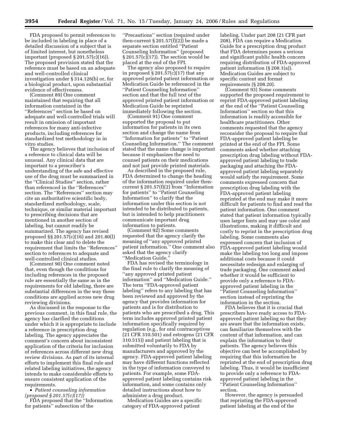FDA proposed to permit references to be included in labeling in place of a detailed discussion of a subject that is of limited interest, but nonetheless important (proposed § 201.57(c)(16)). The proposed provision stated that the reference must be based on an adequate and well-controlled clinical investigation under § 314.126(b) or, for a biological product, upon substantial evidence of effectiveness.

(Comment 89) One comment maintained that requiring that all information contained in the ''References'' section be based on adequate and well-controlled trials will result in omission of important references for many anti-infective products, including references for standardized test methodology in in vitro studies.

The agency believes that inclusion of a reference to clinical data will be unusual. Any clinical data that are important to a prescriber's understanding of the safe and effective use of the drug must be summarized in the ''Clinical Studies'' section, rather than referenced in the ''References'' section. The ''References'' section may cite an authoritative scientific body, standardized methodology, scale, technique, or similar material important to prescribing decisions that are mentioned in another section of labeling, but cannot readily be summarized. The agency has revised proposed §§ 201.57(c)(16) and 201.80(l) to make this clear and to delete the requirement that limits the ''References'' section to references to adequate and well-controlled clinical studies.

(Comment 90) One comment noted that, even though the conditions for including references in the proposed rule are essentially the same as in the requirements for old labeling, there are substantial differences in the way these conditions are applied across new drug reviewing divisions.

As discussed in the response to the previous comment, in this final rule, the agency has clarified the conditions under which it is appropriate to include a reference in prescription drug labeling. The agency appreciates the comment's concern about inconsistent application of the criteria for inclusion of references across different new drug review divisions. As part of its internal efforts to implement this final rule and related labeling initiatives, the agency intends to make considerable efforts to ensure consistent application of the requirements.

• *Patient counseling information (proposed § 201.57(c)(17))* 

FDA proposed that the ''Information for patients'' subsection of the

''Precautions'' section (required under then-current  $\S 201.57(f)(2)$  be made a separate section entitled ''Patient Counseling Information'' (proposed § 201.57(c)(17)). The section would be placed at the end of the FPI.

The agency also proposed to require in proposed § 201.57(c)(17) that any approved printed patient information or Medication Guide be referenced in the ''Patient Counseling Information'' section and that the full text of the approved printed patient information or Medication Guide be reprinted immediately following the section.

(Comment 91) One comment supported the proposal to put information for patients in its own section and change the name from ''Information for patients'' to ''Patient Counseling Information.'' The comment stated that the name change is important because it emphasizes the need to counsel patients on their medications and not just provide printed materials.

As described in the proposed rule, FDA determined to change the heading of the information required under thencurrent § 201.57(f)(2) from ''Information for patients'' to ''Patient Counseling Information'' to clarify that the information under this section is not intended to be distributed to patients, but is intended to help practitioners communicate important drug information to patients.

(Comment 92) Some comments requested that the agency clarify the meaning of ''any approved printed patient information.'' One comment also asked that the agency clarify ''Medication Guide.''

FDA has revised the terminology in the final rule to clarify the meaning of ''any approved printed patient information'' and ''Medication Guide.'' The term ''FDA-approved patient labeling'' refers to any labeling that has been reviewed and approved by the agency that provides information for patients and is for distribution to patients who are prescribed a drug. This term includes approved printed patient information specifically required by regulation (e.g., for oral contraceptives (21 CFR 310.501) and estrogens (21 CFR 310.515)) and patient labeling that is submitted voluntarily to FDA by manufacturers and approved by the agency. FDA-approved patient labeling may have different functions reflected in the type of information conveyed to patients. For example, some FDAapproved patient labeling contains risk information, and some contains only detailed instructions about how to administer a drug product.

Medication Guides are a specific category of FDA-approved patient

labeling. Under part 208 (21 CFR part 208), FDA can require a Medication Guide for a prescription drug product that FDA determines poses a serious and significant public health concern requiring distribution of FDA-approved patient information (§ 208.1(a)). Medication Guides are subject to specific content and format requirements (§ 208.20).

(Comment 93) Some comments supported the proposed requirement to reprint FDA-approved patient labeling at the end of the ''Patient Counseling Information'' section so that this information is readily accessible for healthcare practitioners. Other comments requested that the agency reconsider the proposal to require that FDA-approved patient labeling be printed at the end of the FPI. Some comments asked whether attaching prescription drug labeling without FDAapproved patient labeling to trade packaging and attaching the FDAapproved patient labeling separately would satisfy the requirement. Some comments expressed concern that prescription drug labeling with the FDA-approved patient labeling reprinted at the end may make it more difficult for patients to find and read the patient information. One comment stated that patient information typically uses larger fonts and may use color and illustrations, making it difficult and costly to reprint in the prescription drug labeling. Some comments also expressed concern that inclusion of FDA-approved patient labeling would make the labeling too long and impose additional costs because it could necessitate redesign and enlarging of trade packaging. One comment asked whether it would be sufficient to provide only a reference to FDAapproved patient labeling in the ''Patient Counseling Information'' section instead of reprinting the information in the section.

FDA believes that it is crucial that prescribers have ready access to FDAapproved patient labeling so that they are aware that the information exists, can familiarize themselves with the content of that information, and can explain the information to their patients. The agency believes this objective can best be accomplished by requiring that this information be reprinted at the end of prescription drug labeling. Thus, it would be insufficient to provide only a reference to FDAapproved patient labeling in the ''Patient Counseling Information'' section.

However, the agency is persuaded that reprinting the FDA-approved patient labeling at the end of the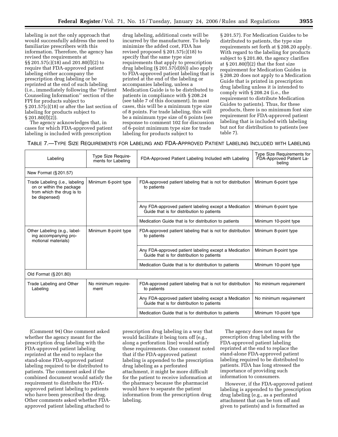labeling is not the only approach that would successfully address the need to familiarize prescribers with this information. Therefore, the agency has revised the requirements at §§ 201.57(c)(18) and 201.80(f)(2) to require that FDA-approved patient labeling either accompany the prescription drug labeling or be reprinted at the end of such labeling (i.e., immediately following the ''Patient Counseling Information'' section of the FPI for products subject to § 201.57(c)(18) or after the last section of labeling for products subject to § 201.80(f)(2)).

The agency acknowledges that, in cases for which FDA-approved patient labeling is included with prescription

drug labeling, additional costs will be incurred by the manufacturer. To help minimize the added cost, FDA has revised proposed § 201.57(c)(18) to specify that the same type size requirements that apply to prescription drug labeling (§ 201.57(d)(6)) also apply to FDA-approved patient labeling that is printed at the end of the labeling or accompanies labeling, unless a Medication Guide is to be distributed to patients in compliance with § 208.24 (see table 7 of this document). In most cases, this will be a minimum type size of 8 points. For trade labeling, this will be a minimum type size of 6 points (see response to comment 102 for discussion of 6-point minimum type size for trade labeling for products subject to

§ 201.57). For Medication Guides to be distributed to patients, the type size requirements set forth at § 208.20 apply. With regard to the labeling for products subject to § 201.80, the agency clarifies at  $\S 201.80(f)(2)$  that the font size requirement for Medication Guides in § 208.20 does not apply to a Medication Guide that is printed in prescription drug labeling unless it is intended to comply with § 208.24 (i.e., the requirement to distribute Medication Guides to patients). Thus, for these products, there is no minimum font size requirement for FDA-approved patient labeling that is included with labeling but not for distribution to patients (see table 7).

TABLE 7.—TYPE SIZE REQUIREMENTS FOR LABELING AND FDA-APPROVED PATIENT LABELING INCLUDED WITH LABELING

| Labeling                                                                                                 | Type Size Require-<br>ments for Labeling                                                          | FDA-Approved Patient Labeling Included with Labeling                                                | Type Size Requirements for<br>FDA-Approved Patient La-<br>beling |  |  |
|----------------------------------------------------------------------------------------------------------|---------------------------------------------------------------------------------------------------|-----------------------------------------------------------------------------------------------------|------------------------------------------------------------------|--|--|
| New Format (§ 201.57)                                                                                    |                                                                                                   |                                                                                                     |                                                                  |  |  |
| Trade Labeling (i.e., labeling<br>on or within the package<br>from which the drug is to<br>be dispensed) | Minimum 6-point type                                                                              | FDA-approved patient labeling that is not for distribution<br>to patients                           | Minimum 6-point type                                             |  |  |
|                                                                                                          |                                                                                                   | Any FDA-approved patient labeling except a Medication<br>Guide that is for distribution to patients | Minimum 6-point type                                             |  |  |
|                                                                                                          |                                                                                                   | Medication Guide that is for distribution to patients                                               | Minimum 10-point type                                            |  |  |
| Other Labeling (e.g., label-<br>ing accompanying pro-<br>motional materials)                             | Minimum 8-point type<br>FDA-approved patient labeling that is not for distribution<br>to patients |                                                                                                     | Minimum 8-point type                                             |  |  |
|                                                                                                          |                                                                                                   | Any FDA-approved patient labeling except a Medication<br>Guide that is for distribution to patients | Minimum 8-point type                                             |  |  |
|                                                                                                          |                                                                                                   | Medication Guide that is for distribution to patients                                               | Minimum 10-point type                                            |  |  |
| Old Format (§ 201.80)                                                                                    |                                                                                                   |                                                                                                     |                                                                  |  |  |
| Trade Labeling and Other<br>Labeling                                                                     | No minimum require-<br>ment                                                                       | FDA-approved patient labeling that is not for distribution<br>to patients                           | No minimum requirement                                           |  |  |
|                                                                                                          |                                                                                                   | Any FDA-approved patient labeling except a Medication<br>Guide that is for distribution to patients | No minimum requirement                                           |  |  |
|                                                                                                          |                                                                                                   | Medication Guide that is for distribution to patients                                               | Minimum 10-point type                                            |  |  |

(Comment 94) One comment asked whether the agency meant for the prescription drug labeling with the FDA-approved patient labeling reprinted at the end to replace the stand-alone FDA-approved patient labeling required to be distributed to patients. The comment asked if the combined document would satisfy the requirement to distribute the FDAapproved patient labeling to patients who have been prescribed the drug. Other comments asked whether FDAapproved patient labeling attached to

prescription drug labeling in a way that would facilitate it being torn off (e.g., along a perforation line) would satisfy these requirements. One comment noted that if the FDA-approved patient labeling is appended to the prescription drug labeling as a perforated attachment, it might be more difficult for the patient to receive information at the pharmacy because the pharmacist would have to separate the patient information from the prescription drug labeling.

The agency does not mean for prescription drug labeling with the FDA-approved patient labeling reprinted at the end to replace the stand-alone FDA-approved patient labeling required to be distributed to patients. FDA has long stressed the importance of providing such information to consumers.

However, if the FDA-approved patient labeling is appended to the prescription drug labeling (e.g., as a perforated attachment that can be torn off and given to patients) and is formatted as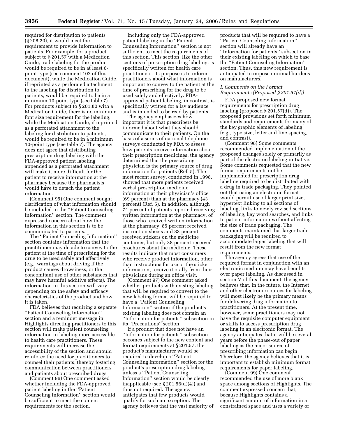required for distribution to patients (§ 208.20), it would meet the requirement to provide information to patients. For example, for a product subject to § 201.57 with a Medication Guide, trade labeling for the product would be required to be in at least 6 point type (see comment 102 of this document), while the Medication Guide, if reprinted as a perforated attachment to the labeling for distribution to patients, would be required to be in a minimum 10-point type (see table 7). For products subject to § 201.80 with a Medication Guide, there is no minimum font size requirement for the labeling, while the Medication Guide, if reprinted as a perforated attachment to the labeling for distribution to patients, would be required to be in a minimum 10-point type (see table 7). The agency does not agree that distributing prescription drug labeling with the FDA-approved patient labeling appended as a perforated attachment will make it more difficult for the patient to receive information at the pharmacy because the pharmacists would have to detach the patient information.

(Comment 95) One comment sought clarification of what information should be included in the ''Patient Counseling Information'' section. The comment expressed concern about how the information in this section is to be communicated to patients.

The ''Patient Counseling Information'' section contains information that the practitioner may decide to convey to the patient at the time of prescribing for the drug to be used safely and effectively (e.g., warnings about driving if the product causes drowsiness, or the concomitant use of other substances that may have harmful additive effects). The information in this section will vary depending on the safety and efficacy characteristics of the product and how it is taken.

FDA believes that requiring a separate ''Patient Counseling Information'' section and a reminder message in Highlights directing practitioners to this section will make patient counseling information in labeling more accessible to health care practitioners. These requirements will increase the accessibility of the section and should reinforce the need for practitioners to counsel their patients, thereby fostering communication between practitioners and patients about prescribed drugs.

(Comment 96) One comment asked whether including the FDA-approved patient labeling in the ''Patient Counseling Information'' section would be sufficient to meet the content requirements for the section.

Including only the FDA-approved patient labeling in the ''Patient Counseling Information'' section is not sufficient to meet the requirements of this section. This section, like the other sections of prescription drug labeling, is specifically written for health care practitioners. Its purpose is to inform practitioners about what information is important to convey to the patient at the time of prescribing for the drug to be used safely and effectively. FDAapproved patient labeling, in contrast, is specifically written for a lay audience and is intended to be read by patients.

The agency emphasizes how important it is that prescribers be informed about what they should communicate to their patients. On the basis of a series of national telephone surveys conducted by FDA to assess how patients receive information about their prescription medicines, the agency determined that the prescribing physician is the primary source of drug information for patients (Ref. 5). The most recent survey, conducted in 1998, showed that more patients received verbal prescription medicine information at their physician's office (69 percent) than at the pharmacy (43 percent) (Ref. 5). In addition, although 74 percent of patients reported receiving written information at the pharmacy, of those who received written information at the pharmacy, 85 percent received instruction sheets and 83 percent received stickers on the medicine container, but only 38 percent received brochures about the medicine. These results indicate that most consumers who receive product information, other than instructions for use or the sticker information, receive it orally from their physicians during an office visit.

(Comment 97) One comment asked whether products with existing labeling that will be required to convert to the new labeling format will be required to have a ''Patient Counseling Information'' section if the product's existing labeling does not contain an ''Information for patients'' subsection in its ''Precautions'' section.

If a product that does not have an ''Information for patients'' subsection becomes subject to the new content and format requirements at § 201.57, the product's manufacturer would be required to develop a ''Patient Counseling Information'' section for the product's prescription drug labeling unless a ''Patient Counseling Information'' section would be clearly inapplicable (see § 201.56(d)(4)) and thus not required. The agency anticipates that few products would qualify for such an exception. The agency believes that the vast majority of

products that will be required to have a ''Patient Counseling Information'' section will already have an ''Information for patients'' subsection in their existing labeling on which to base the ''Patient Counseling Information'' section. Thus, this new requirement is anticipated to impose minimal burdens on manufacturers.

# *I. Comments on the Format Requirements (Proposed § 201.57(d))*

FDA proposed new format requirements for prescription drug labeling (proposed § 201.57(d)). The proposed provisions set forth minimum standards and requirements for many of the key graphic elements of labeling (e.g., type size, letter and line spacing, and contrast).

(Comment 98) Some comments recommended implementation of the proposed changes solely or primarily as part of the electronic labeling initiative. Some comments requested that the new format requirements not be implemented for prescription drug labeling required to be distributed with a drug in trade packaging. They pointed out that using an electronic format would permit use of larger print size, hypertext linking to all sections of labeling, links to newly revised sections of labeling, key word searches, and links to patient information without affecting the size of trade packaging. The comments maintained that larger trade packaging will be required to accommodate larger labeling that will result from the new format requirements.

The agency agrees that use of the required format in conjunction with an electronic medium may have benefits over paper labeling. As discussed in section V of this document, the agency believes that, in the future, the Internet and other electronic sources for labeling will most likely be the primary means for delivering drug information to practitioners. At the present time, however, some practitioners may not have the requisite computer equipment or skills to access prescription drug labeling in an electronic format. The agency anticipates that it will be several years before the phase-out of paper labeling as the major source of prescribing information can begin. Therefore, the agency believes that it is important to establish minimum format requirements for paper labeling.

(Comment 99) One comment recommended the use of more blank space among sections of Highlights. The comment expressed concern that, because Highlights contains a significant amount of information in a constrained space and uses a variety of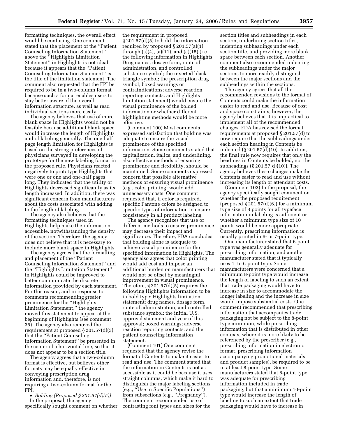formatting techniques, the overall effect would be confusing. One comment stated that the placement of the ''Patient Counseling Information Statement'' above the ''Highlights Limitation Statement'' in Highlights is not ideal because it appears that the ''Patient Counseling Information Statement'' is the title of the limitation statement. The comment also requested that the FPI be required to be in a two-column format because such a format enables users to stay better aware of the overall information structure, as well as read individual sections more easily.

The agency believes that use of more blank space in Highlights would not be feasible because additional blank space would increase the length of Highlights and of labeling generally. The one-half page length limitation for Highlights is based on the strong preferences of physicians surveyed in developing the prototype for the new labeling format in the proposed rule. Physicians reacted negatively to prototype Highlights that were one or one and one-half pages long. They indicated that the utility of Highlights decreased significantly as its length increased. In addition, there was significant concern from manufacturers about the costs associated with adding to the length of labeling.

The agency also believes that the formatting techniques used in Highlights help make the information accessible, notwithstanding the density of the section. Therefore, the agency does not believe that it is necessary to include more blank space in Highlights.

The agency agrees that the formatting and placement of the ''Patient Counseling Information Statement'' and the ''Highlights Limitation Statement'' in Highlights could be improved to better communicate the discrete information provided by each statement. For this reason, and in response to comments recommending greater prominence for the ''Highlights Limitation Statement,'' the agency moved this statement to appear at the beginning of Highlights (see comment 35). The agency also removed the requirement at proposed § 201.57(d)(3) that the ''Patient Counseling Information Statement'' be presented in the center of a horizontal line, so that it does not appear to be a section title.

The agency agrees that a two-column format is effective, but believes other formats may be equally effective in conveying prescription drug information and, therefore, is not requiring a two-column format for the FPI.

• *Bolding (Proposed § 201.57(d)(5))*  In the proposal, the agency specifically sought comment on whether the requirement in proposed § 201.57(d)(5) to bold the information required by proposed § 201.57(a)(1) through (a)(4), (a)(11), and (a)(15) (i.e., the following information in Highlights: Drug names, dosage form, route of administration, and controlled substance symbol; the inverted black triangle symbol; the prescription drug symbol; boxed warnings or contraindications; adverse reaction reporting contacts; and Highlights limitation statement) would ensure the visual prominence of the bolded information or whether different highlighting methods would be more effective.

(Comment 100) Most comments expressed satisfaction that bolding was adequate to ensure the visual prominence of the specified information. Some comments stated that capitalization, italics, and underlining, also effective methods of ensuring prominence and flexibility, should be maintained. Some comments expressed concern that possible alternative methods of ensuring visual prominence (e.g., color printing) would add unnecessary costs. One comment requested that, if color is required, specific Pantone colors be assigned to specific types of information to ensure consistency in all product labeling.

The agency recognizes that use of different methods to ensure prominence may decrease their impact and significance. Therefore, FDA concludes that bolding alone is adequate to achieve visual prominence for the specified information in Highlights. The agency also agrees that color printing would add cost and impose an additional burden on manufacturers that would not be offset by meaningful improvement in visual prominence. Therefore, § 201.57(d)(5) requires the following Highlights information to be in bold type: Highlights limitation statement; drug names, dosage form, route of administration, and controlled substance symbol; the initial U.S. approval statement and year of this approval; boxed warnings; adverse reaction reporting contacts; and the patient counseling information statement.

(Comment 101) One comment requested that the agency revise the format of Contents to make it easier to read and use. The comment stated that the information in Contents is not as accessible as it could be because it uses straight columns, which make it hard to distinguish the major labeling sections (e.g., ''Use in Specific Populations'') from subsections (e.g., "Pregnancy"). The comment recommended use of contrasting font types and sizes for the

section titles and subheadings in each section, underlining section titles, indenting subheadings under each section title, and providing more blank space between each section. Another comment also recommended indenting the subheadings under the major sections to more readily distinguish between the major sections and the subheadings within the sections.

The agency agrees that all the recommended revisions to the format of Contents could make the information easier to read and use. Because of cost and space constraints, however, the agency believes that it is impractical to implement all of the recommended changes. FDA has revised the format requirements at proposed § 201.57(d) to now require that the subheadings under each section heading in Contents be indented  $(\S 201.57(d)(10)$ . In addition, the final rule now requires that only the headings in Contents be bolded, not the subheadings (§ 201.57(d)(10)). The agency believes these changes make the Contents easier to read and use without increasing its length or attendant costs.

(Comment 102) In the proposal, the agency specifically sought comment on whether the proposed requirement (proposed  $\S 201.57(d)(6)$ ) for a minimum type size of 8 points for all typeface information in labeling is sufficient or whether a minimum type size of 10 points would be more appropriate. Currently, prescribing information is usually printed in 6- or 7-point type.

One manufacturer stated that 6-point type was generally adequate for prescribing information, and another manufacturer stated that it typically uses 4- to 6-point type. Some manufacturers were concerned that a minimum 8-point type would increase the length of labeling to such an extent that trade packaging would have to increase in size to accommodate the longer labeling and the increase in size would impose substantial costs. One comment recommended that prescribing information that accompanies trade packaging not be subject to the 8-point type minimum, while prescribing information that is distributed in other contexts, where it is more likely to be referenced by the prescriber (e.g., prescribing information in electronic format, prescribing information accompanying promotional materials and product samples), be required to be in at least 8-point type. Some manufacturers stated that 8-point type was adequate for prescribing information included in trade packaging, but that a minimum 10-point type would increase the length of labeling to such an extent that trade packaging would have to increase in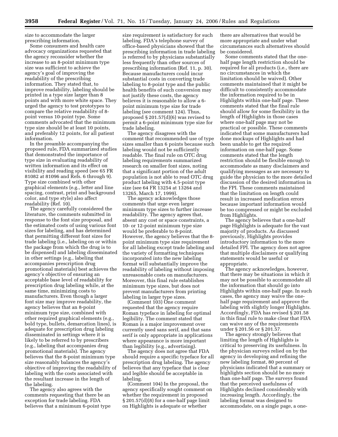size to accommodate the larger prescribing information.

Some consumers and health care advocacy organizations requested that the agency reconsider whether the increase to an 8-point minimum type size was sufficient to achieve the agency's goal of improving the readability of the prescribing information. They stated that, to improve readability, labeling should be printed in a type size larger than 8 points and with more white space. They urged the agency to test prototypes to compare the relative readability of 8 point versus 10-point type. Some comments advocated that the minimum type size should be at least 10 points, and preferably 12 points, for all patient information.

In the preamble accompanying the proposed rule, FDA summarized studies that demonstrated the importance of type size in evaluating readability of written information and its effect on visibility and reading speed (see 65 FR 81082 at 81096 and Refs. 6 through 9). Type size combined with other graphical elements (e.g., letter and line spacing, contrast, print and background color, and type style) also affect readability (Ref. 10).

The agency carefully considered the literature, the comments submitted in response to the font size proposal, and the estimated costs of using various font sizes for labeling, and has determined that permitting different font sizes for trade labeling (i.e., labeling on or within the package from which the drug is to be dispensed) and labeling disseminated in other settings (e.g., labeling that accompanies prescription drug promotional materials) best achieves the agency's objective of ensuring an acceptable base level of readability for prescription drug labeling while, at the same time, minimizing costs to manufacturers. Even though a larger font size may improve readability, the agency believes that an 8-point minimum type size, combined with other required graphical elements (e.g., bold type, bullets, demarcation lines), is adequate for prescription drug labeling disseminated in settings where it is likely to be referred to by prescribers (e.g., labeling that accompanies drug promotional materials). The agency believes that the 8-point minimum type size reasonably balances the agency's objective of improving the readability of labeling with the costs associated with the resultant increase in the length of the labeling.

The agency also agrees with the comments requesting that there be an exception for trade labeling. FDA believes that a minimum 6-point type

size requirement is satisfactory for such labeling. FDA's telephone survey of office-based physicians showed that the prescribing information in trade labeling is referred to by physicians substantially less frequently than other sources of prescribing information (Ref. 11, p. 30). Because manufacturers could incur substantial costs in converting trade labeling to 8-point type and the public health benefits of such conversion may not justify these costs, the agency believes it is reasonable to allow a 6 point minimum type size for trade labeling (see comment 124). Thus, proposed § 201.57(d)(6) was revised to permit a 6-point minimum type size for trade labeling.

The agency disagrees with the comment that recommended use of type sizes smaller than 6 points because such labeling would not be sufficiently readable. The final rule on OTC drug labeling requirements summarized research on smaller font sizes, noting that a significant portion of the adult population is not able to read OTC drug product labeling with 4.5-point type size (see 64 FR 13254 at 13264 and 13265, March 17, 1999).

The agency acknowledges those comments that urge even larger minimum type sizes to further increase readability. The agency agrees that, absent any cost or space constraints, a 10- or 12-point minimum type size would be preferable to 8-point. However, the agency believes that the 8 point minimum type size requirement for all labeling except trade labeling and the variety of formatting techniques incorporated into the new labeling format will substantially improve the readability of labeling without imposing unreasonable costs on manufacturers. Moreover, this final rule establishes minimum type sizes, but does not prevent manufacturers from printing labeling in larger type sizes.

(Comment 103) One comment requested that the agency require Roman typeface in labeling for optimal legibility. The comment stated that Roman is a major improvement over currently used sans serif, and that sans serif is only appropriate in applications where appearance is more important than legibility (e.g., advertising).

The agency does not agree that FDA should require a specific typeface for all prescription drug labeling. The agency believes that any typeface that is clear and legible should be acceptable in labeling.

(Comment 104) In the proposal, the agency specifically sought comment on whether the requirement in proposed § 201.57(d)(8) for a one-half page limit on Highlights is adequate or whether

there are alternatives that would be more appropriate and under what circumstances such alternatives should be considered.

Some comments stated that the onehalf page length restriction should be required for all products (i.e., there are no circumstances in which the limitation should be waived). Other comments maintained that it might be difficult to consistently accommodate the information required to be in Highlights within one-half page. These comments stated that the final rule should allow for some flexibility in the length of Highlights in those cases where one-half page may not be practical or possible. These comments indicated that some manufacturers had done mockups of Highlights and had been unable to get the required information on one-half page. Some comments stated that the length restriction should be flexible enough to accommodate as many disclaimers and qualifying messages as are necessary to guide the physician to the more detailed discussion of the desired information in the FPI. These comments maintained that the limitation on length could result in increased medication errors because important information would be too compressed or might be excluded from Highlights.

The agency believes that a one-half page Highlights is adequate for the vast majority of products. As discussed previously, Highlights provides introductory information to the more detailed FPI. The agency does not agree that multiple disclaimers or qualifying statements would be useful or appropriate.

The agency acknowledges, however, that there may be situations in which it may not be possible to accommodate all the information that should go into Highlights within one-half page. In such cases, the agency may waive the onehalf page requirement and approve the labeling with slightly longer Highlights. Accordingly, FDA has revised § 201.58 in this final rule to make clear that FDA can waive any of the requirements under § 201.56 or § 201.57.

The agency strongly believes that limiting the length of Highlights is critical to preserving its usefulness. In the physician surveys relied on by the agency in developing and refining the new labeling format, 80 percent of physicians indicated that a summary or highlights section should be no more than one-half page. The surveys found that the perceived usefulness of Highlights declined considerably with increasing length. Accordingly, the labeling format was designed to accommodate, on a single page, a one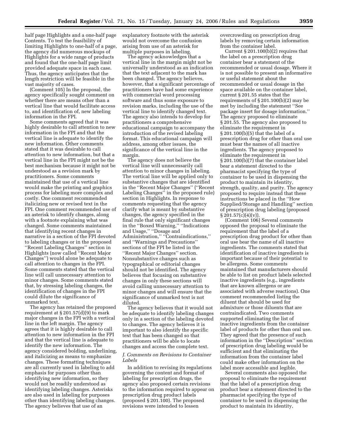half page Highlights and a one-half page Contents. To test the feasibility of limiting Highlights to one-half of a page, the agency did numerous mockups of Highlights for a wide range of products and found that the one-half page limit provided adequate space in each case. Thus, the agency anticipates that the length restriction will be feasible in the vast majority of cases.

(Comment 105) In the proposal, the agency specifically sought comment on whether there are means other than a vertical line that would facilitate access to, and identification of, new labeling information in the FPI.

Some comments agreed that it was highly desirable to call attention to new information in the FPI and that the vertical line is adequate to identify the new information. Other comments stated that it was desirable to call attention to new information, but that a vertical line in the FPI might not be the best mechanism because it might not be understood as a revision mark by practitioners. Some comments maintained that use of a vertical line would make the printing and graphics process for labeling more complex and costly. One comment recommended italicizing new or revised text in the FPI. One comment recommended use of an asterisk to identify changes, along with a footnote explaining what was changed. Some comments maintained that identifying recent changes in narrative in a section of the FPI devoted to labeling changes or in the proposed ''Recent Labeling Changes'' section in Highlights (now called ''Recent Major Changes'') would alone be adequate to call attention to changes in the FPI. Some comments stated that the vertical line will call unnecessary attention to minor changes. Some comments stated that, by stressing labeling changes, the identification of changes in the FPI could dilute the significance of unmarked text.

The agency has retained the proposed requirement at § 201.57(d)(9) to mark major changes in the FPI with a vertical line in the left margin. The agency agrees that it is highly desirable to call attention to new information in the FPI and that the vertical line is adequate to identify the new information. The agency considered bolding, underlining, and italicizing as means to emphasize changes. These formatting techniques are all currently used in labeling to add emphasis for purposes other than identifying new information, so they would not be readily understood as identifying labeling changes. Asterisks are also used in labeling for purposes other than identifying labeling changes. The agency believes that use of an

explanatory footnote with the asterisk would not overcome the confusion arising from use of an asterisk for multiple purposes in labeling.

The agency acknowledges that a vertical line in the margin might not be universally understood as an indication that the text adjacent to the mark has been changed. The agency believes, however, that a significant percentage of practitioners have had some experience with commercial word processing software and thus some exposure to revision marks, including the use of the vertical line to identify changed text. The agency also intends to develop for practitioners a comprehensive educational campaign to accompany the introduction of the revised labeling format. This educational campaign will address, among other issues, the significance of the vertical line in the margin.

The agency does not believe the vertical line will unnecessarily call attention to minor changes in labeling. The vertical line will be applied only to substantive changes that are identified in the ''Recent Major Changes'' (''Recent Labeling Changes'' in the proposed rule) section in Highlights. In response to comments requesting that the agency clarify what is meant by substantive changes, the agency specified in the final rule that only significant changes in the ''Boxed Warning,'' ''Indications and Usage,'' ''Dosage and Administration,'' ''Contraindications,'' and ''Warnings and Precautions'' sections of the FPI be listed in the ''Recent Major Changes'' section. Nonsubstantive changes such as typographical or editorial changes should not be identified. The agency believes that focusing on substantive changes in only these sections will avoid calling unnecessary attention to minor changes and will ensure that the significance of unmarked text is not diluted.

The agency believes that it would not be adequate to identify labeling changes only in a section of the labeling devoted to changes. The agency believes it is important to also identify the specific text that has been changed so that practitioners will be able to locate changes and access the complete text.

### *J. Comments on Revisions to Container Labels*

In addition to revising its regulations governing the content and format of labeling for prescription drugs, the agency also proposed certain revisions to the information required to appear on prescription drug product labels (proposed § 201.100). The proposed revisions were intended to lessen

overcrowding on prescription drug labels by removing certain information from the container label.

Current  $\S 201.100(b)(2)$  requires that the label on a prescription drug container bear a statement of the recommended or usual dosage. Where it is not possible to present an informative or useful statement about the recommended or usual dosage in the space available on the container label, current § 201.55 states that the requirements of  $\S 201.100(b)(2)$  may be met by including the statement ''See package insert for dosage information.'' The agency proposed to eliminate § 201.55. The agency also proposed to eliminate the requirement in § 201.100(b)(5) that the label of a prescription drug for other than oral use must bear the names of all inactive ingredients. The agency proposed to eliminate the requirement in § 201.100(b)(7) that the container label bear a statement directed to the pharmacist specifying the type of container to be used in dispensing the product to maintain its identity, strength, quality, and purity. The agency proposed to require instead that these instructions be placed in the ''How Supplied/Storage and Handling'' section of prescription drug labeling (proposed  $\S 201.57(c)(4)(v)$ .

(Comment 106) Several comments opposed the proposal to eliminate the requirement that the label of a prescription drug product for other than oral use bear the name of all inactive ingredients. The comments stated that identification of inactive ingredients is important because of their potential to be allergens. Some comments maintained that manufacturers should be able to list on product labels selected inactive ingredients (e.g., ingredients that are known allergens or are associated with adverse reactions). One comment recommended listing the diluent that should be used for admixture or those diluents that are contraindicated. Two comments supported eliminating the list of inactive ingredients from the container label of products for other than oral use. They agreed that the presence of such information in the ''Description'' section of prescription drug labeling would be sufficient and that eliminating the information from the container label could make other information on the label more accessible and legible.

Several comments also opposed the proposal to eliminate the requirement that the label of a prescription drug product bear a statement directed to the pharmacist specifying the type of container to be used in dispensing the product to maintain its identity,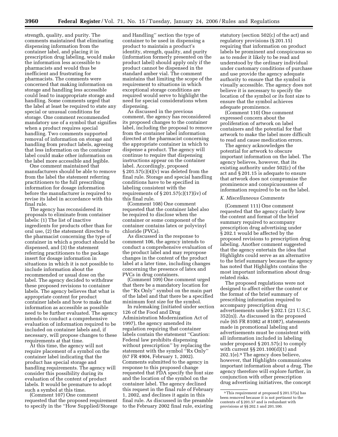strength, quality, and purity. The comments maintained that eliminating dispensing information from the container label, and placing it in prescription drug labeling, would make the information less accessible to pharmacists and would thus be inefficient and frustrating for pharmacists. The comments were concerned that making information on storage and handling less accessible could lead to inappropriate storage and handling. Some comments urged that the label at least be required to state any special or unusual conditions for storage. One comment recommended mandatory use of a symbol that signifies when a product requires special handling. Two comments supported removal of information on storage and handling from product labels, agreeing that less information on the container label could make other information on the label more accessible and legible.

One comment maintained that manufacturers should be able to remove from the label the statement referring practitioners to the full prescribing information for dosage information before the manufacturer is required to revise its label in accordance with this final rule.

The agency has reconsidered its proposals to eliminate from container labels: (1) The list of inactive ingredients for products other than for oral use, (2) the statement directed to the pharmacist concerning the type of container in which a product should be dispensed, and (3) the statement referring practitioners to the package insert for dosage information in situations in which it is not possible to include information about the recommended or usual dose on the label. The agency decided to withdraw these proposed revisions to container labels. The agency believes that what is appropriate content for product container labels and how to make that information as accessible as possible need to be further evaluated. The agency intends to conduct a comprehensive evaluation of information required to be included on container labels and, if necessary, will propose changes to these requirements at that time.

At this time, the agency will not require placement of a symbol on the container label indicating that the product has special storage and handling requirements. The agency will consider this possibility during its evaluation of the content of product labels. It would be premature to adopt such a symbol at this time.

(Comment 107) One comment requested that the proposed requirement to specify in the ''How Supplied/Storage

and Handling'' section the type of container to be used in dispensing a product to maintain a product's identity, strength, quality, and purity (information formerly presented on the product label) should apply only if the product cannot be dispensed in the standard amber vial. The comment maintains that limiting the scope of the requirement to situations in which exceptional storage conditions are required would serve to highlight the need for special considerations when dispensing.

As discussed in the previous comment, the agency has reconsidered its proposed changes to the container label, including the proposal to remove from the container label information directed at the pharmacist concerning the appropriate container in which to dispense a product. The agency will continue to require that dispensing instructions appear on the container label. Accordingly, proposed  $\S 201.57(c)(4)(v)$  was deleted from the final rule. Storage and special handling conditions have to be specified in labeling consistent with the requirements of  $\S 201.57(c)(17)(iv)$  of this final rule.

(Comment 108) One comment requested that the container label also be required to disclose when the container or some component of the container contains latex or polyvinyl chloride (PVCs).

As discussed in the response to comment 106, the agency intends to conduct a comprehensive evaluation of the product label and may repropose changes in the content of the product label at a later time, including changes concerning the presence of latex and PVCs in drug containers.

(Comment 109) One comment urged that there be a mandatory location for the ''Rx Only'' symbol on the main part of the label and that there be a specified minimum font size for the symbol.

In rulemaking (initiated under section 126 of the Food and Drug Administration Modernization Act of 1997), the agency amended its regulation requiring that container labels contain the statement ''Caution: Federal law prohibits dispensing without prescription'' by replacing the statement with the symbol ''Rx Only'' (67 FR 4904, February 1, 2002). Comments submitted to the agency in response to this proposed change requested that FDA specify the font size and the location of the symbol on the container label. The agency declined this request in the final rule of February 1, 2002, and declines it again in this final rule. As discussed in the preamble to the February 2002 final rule, existing

statutory (section 502(c) of the act) and regulatory provisions (§ 201.15) requiring that information on product labels be prominent and conspicuous so as to render it likely to be read and understood by the ordinary individual under customary conditions of purchase and use provide the agency adequate authority to ensure that the symbol is visually accessible. The agency does not believe it is necessary to specify the location of the symbol or its font size to ensure that the symbol achieves adequate prominence.

(Comment 110) One comment expressed concern about the proliferation of artwork on label containers and the potential for that artwork to make the label more difficult to read and cause medication errors.

The agency acknowledges the potential for artwork to obscure important information on the label. The agency believes, however, that its existing authority under 502(c) of the act and § 201.15 is adequate to ensure that artwork does not compromise the prominence and conspicuousness of information required to be on the label.

#### *K. Miscellaneous Comments*

(Comment 111) One comment requested that the agency clarify how the content and format of the brief summary required to accompany prescription drug advertising under § 202.1 would be affected by the proposed revisions to prescription drug labeling. Another comment suggested that the agency entertain the idea that Highlights could serve as an alternative to the brief summary because the agency has noted that Highlights contains the most important information about drugrelated risks.

The proposed regulations were not designed to affect either the content or the format of the brief summary of prescribing information required to accompany prescription drug advertisements under § 202.1 (21 U.S.C. 352(n)). As discussed in the proposed rule (65 FR 81082 at 81087), statements made in promotional labeling and advertisements must be consistent with all information included in labeling under proposed § 201.57(c) to comply with current §§ 201.100(d)(1) and 202.1(e).9 The agency does believe, however, that Highlights communicates important information about a drug. The agency therefore will explore further, in conjunction with other prescription drug advertising initiatives, the concept

<sup>9</sup>This requirement at proposed § 201.57(a) has been removed because it is not pertinent to the contents of § 201.57 and is redundant with provisions at §§ 202.1 and 201.100.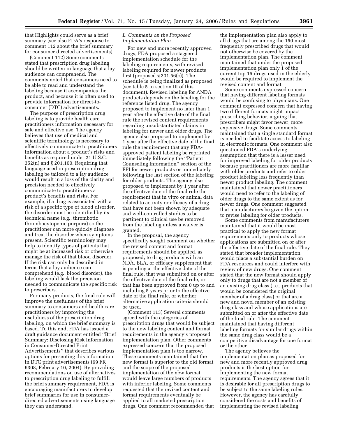that Highlights could serve as a brief summary (see also FDA's response to comment 112 about the brief summary for consumer directed advertisements).

(Comment 112) Some comments stated that prescription drug labeling should be written in language that a lay audience can comprehend. The comments noted that consumers need to be able to read and understand the labeling because it accompanies the product, and because it is often used to provide information for direct-toconsumer (DTC) advertisements.

The purpose of prescription drug labeling is to provide health care practitioners information necessary for safe and effective use. The agency believes that use of medical and scientific terminology is necessary to effectively communicate to practitioners information about a product's risks and benefits as required under 21 U.S.C. 352(n) and § 201.100. Requiring that language used in prescription drug labeling be tailored to a lay audience would result in a loss of the clarity and precision needed to effectively communicate to practitioners a product's benefits and risks. For example, if a drug is associated with a risk of a specific type of blood disorder, the disorder must be identified by its technical name (e.g., thrombotic thrombocytopenic purpura) so the practitioner can more quickly diagnose and treat the disorder when symptoms present. Scientific terminology may help to identify types of patients that might be at increased risk or otherwise manage the risk of that blood disorder. If the risk can only be described in terms that a lay audience can comprehend (e.g., blood disorder), the labeling would lack the precision needed to communicate the specific risk to prescribers.

For many products, the final rule will improve the usefulness of the brief summary to consumers and health care practitioners by improving the usefulness of the prescription drug labeling, on which the brief summary is based. To this end, FDA has issued a draft guidance document entitled ''Brief Summary: Disclosing Risk Information in Consumer-Directed Print Advertisements'' that describes various options for presenting this information in DTC print advertisements (69 FR 6308, February 10, 2004). By providing recommendations on use of alternatives to prescription drug labeling to fulfill the brief summary requirement, FDA is encouraging manufacturers to develop brief summaries for use in consumerdirected advertisements using language they can understand.

# *L. Comments on the Proposed Implementation Plan*

For new and more recently approved drugs, FDA proposed a staggered implementation schedule for the labeling requirements, with revised labeling required for newer products first (proposed  $\S 201.56(c)$ ). The schedule is being finalized as proposed (see table 5 in section III of this document). Revised labeling for ANDA products depends on the labeling for the reference listed drug. The agency proposed to implement no later than 1 year after the effective date of the final rule the revised content requirements regarding unsubstantiated claims in labeling for newer and older drugs. The agency also proposed to implement by 1 year after the effective date of the final rule the requirement that any FDAapproved patient labeling be reprinted immediately following the ''Patient Counseling Information'' section of the FPI for newer products or immediately following the last section of the labeling for older products. The agency also proposed to implement by 1 year after the effective date of the final rule the requirement that in vitro or animal data related to activity or efficacy of a drug that have not been shown by adequate and well-controlled studies to be pertinent to clinical use be removed from the labeling unless a waiver is granted.

In the proposal, the agency specifically sought comment on whether the revised content and format requirements should be applied, as proposed, to drug products with an NDA, BLA, or efficacy supplement that is pending at the effective date of the final rule, that was submitted on or after the effective date of the final rule, or that has been approved from 0 up to and including 5 years prior to the effective date of the final rule, or whether alternative application criteria should be used.

(Comment 113) Several comments agreed with the categories of prescription drugs that would be subject to the new labeling content and format requirements in the agency's proposed implementation plan. Other comments expressed concern that the proposed implementation plan is too narrow. These comments maintained that the new format is superior to the old format and the scope of the proposed implementation of the new format would leave large numbers of products with inferior labeling. Some comments requested that the revised content and format requirements eventually be applied to all marketed prescription drugs. One comment recommended that

the implementation plan also apply to all drugs that are among the 150 most frequently prescribed drugs that would not otherwise be covered by the implementation plan. The comment maintained that under the proposed implementation plan only 1 of the current top 15 drugs used in the elderly would be required to implement the revised content and format.

Some comments expressed concern that having different labeling formats would be confusing to physicians. One comment expressed concern that having two different formats might impact prescribing behavior, arguing that prescribers might favor newer, more expensive drugs. Some comments maintained that a single standard format is needed to facilitate access to labeling in electronic formats. One comment also questioned FDA's underlying assumption that there is a lesser need for improved labeling for older products because practitioners are more familiar with older products and refer to older product labeling less frequently than newer product labeling. The comment maintained that newer practitioners would need to refer to the labeling of older drugs to the same extent as for newer drugs. One comment suggested that manufacturers be given the option to revise labeling for older products.

Some comments from manufacturers maintained that it would be most practical to apply the new format requirements only to products whose applications are submitted on or after the effective date of the final rule. They stated that broader implementation would place a substantial burden on FDA resources and could interfere with review of new drugs. One comment stated that the new format should apply only to drugs that are not a member of an existing drug class (i.e., products that would be considered the original member of a drug class) or that are a new and novel member of an existing drug class and whose applications are submitted on or after the effective date of the final rule. The comment maintained that having different labeling formats for similar drugs within the same drug class would be a competitive disadvantage for one format or the other.

The agency believes the implementation plan as proposed for new and more recently approved drug products is the best option for implementing the new format requirements. The agency agrees that it is desirable for all prescription drugs to be subject to the same labeling rules. However, the agency has carefully considered the costs and benefits of implementing the revised labeling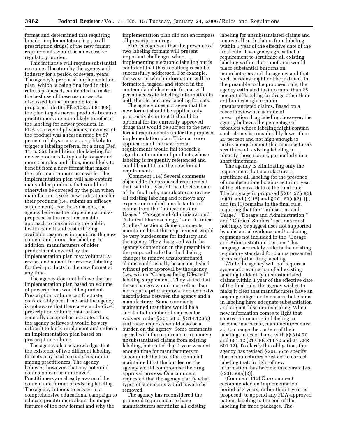format and determined that requiring broader implementation (e.g., to all prescription drugs) of the new format requirements would be an excessive regulatory burden.

This initiative will require substantial resource allocation by the agency and industry for a period of several years. The agency's proposed implementation plan, which is being finalized in this rule as proposed, is intended to make the best use of these resources. As discussed in the preamble to the proposed rule (65 FR 81082 at 81098), the plan targets newer products because practitioners are more likely to refer to the labeling for newer products. In FDA's survey of physicians, newness of the product was a reason rated by 87 percent of physicians as very likely to trigger a labeling referral for a drug (Ref. 11, p. 35). In addition, the labeling for newer products is typically longer and more complex and, thus, more likely to benefit from a new format that makes the information more accessible. The implementation plan will also capture many older products that would not otherwise be covered by the plan when manufacturers seek new indications for their products (i.e., submit an efficacy supplement). For these reasons, the agency believes the implementation as proposed is the most reasonable approach to maximizing the public health benefit and best utilizing available resources in requiring the new content and format for labeling. In addition, manufacturers of older products not covered by the implementation plan may voluntarily revise, and submit for review, labeling for their products in the new format at any time.

The agency does not believe that an implementation plan based on volume of prescriptions would be prudent. Prescription volume can fluctuate considerably over time, and the agency is not aware that there are standardized prescription volume data that are generally accepted as accurate. Thus, the agency believes it would be very difficult to fairly implement and enforce an implementation plan based on prescription volume.

The agency also acknowledges that the existence of two different labeling formats may lead to some frustration among practitioners. The agency believes, however, that any potential confusion can be minimized. Practitioners are already aware of the content and format of existing labeling. The agency intends to engage in a comprehensive educational campaign to educate practitioners about the major features of the new format and why the

implementation plan did not encompass all prescription drugs.

FDA is cognizant that the presence of two labeling formats will present important challenges when implementing electronic labeling but is confident that these challenges can be successfully addressed. For example, the ways in which information will be formatted, tagged, and stored in the contemplated electronic format will permit access to labeling information in both the old and new labeling formats.

The agency does not agree that the new format should be applied only prospectively or that it should be optional for the currently approved drugs that would be subject to the new format requirements under the proposed implementation plan. This narrower application of the new format requirements would fail to reach a significant number of products whose labeling is frequently referenced and could benefit from the new format requirements.

(Comment 114) Several comments objected to the proposed requirement that, within 1 year of the effective date of the final rule, manufacturers review all existing labeling and remove any express or implied unsubstantiated claims from the ''Indications and Usage,'' ''Dosage and Administration,'' ''Clinical Pharmacology,'' and ''Clinical Studies'' sections. Some comments maintained that this requirement would be very burdensome for industry and the agency. They disagreed with the agency's contention in the preamble to the proposed rule that the labeling changes to remove unsubstantiated claims could usually be accomplished without prior approval by the agency (i.e., with a ''Changes Being Effected'' labeling supplement). They stated that these changes would more often than not require prior approval and extensive negotiations between the agency and a manufacturer. Some comments maintained that there would be a substantial number of requests for waivers under § 201.58 or § 314.126(c) and these requests would also be a burden on the agency. Some comments agreed with the requirement to remove unsubstantiated claims from existing labeling, but stated that 1 year was not enough time for manufacturers to accomplish the task. One comment maintained that the burden on the agency would compromise the drug approval process. One comment requested that the agency clarify what types of statements would have to be removed.

The agency has reconsidered the proposed requirement to have manufacturers scrutinize all existing labeling for unsubstantiated claims and remove all such claims from labeling within 1 year of the effective date of the final rule. The agency agrees that a requirement to scrutinize all existing labeling within that timeframe would place substantial burdens on manufacturers and the agency and that such burdens might not be justified. In the preamble to the proposed rule, the agency estimated that no more than 25 percent of labeling for drugs other than antibiotics might contain unsubstantiated claims. Based on a recent review of a sample of prescription drug labeling, however, the agency believes the percentage of products whose labeling might contain such claims is considerably lower than 25 percent and not high enough to justify a requirement that manufacturers scrutinize all existing labeling to identify those claims, particularly in a short timeframe.

The agency is eliminating only the requirement that manufacturers scrutinize all labeling for the presence of unsubstantiated claims within 1 year of the effective date of the final rule. The language in proposed § 201.57(c)(2),  $(c)(3)$ , and  $(c)(15)$  and  $\S 201.80(c)(2)$ , (j), and (m)(1) remains in the final rule, requiring that the ''Indications and Usage,'' ''Dosage and Administration,'' and ''Clinical Studies'' sections must not imply or suggest uses not supported by substantial evidence and/or dosing regimens not included in the ''Dosage and Administration'' section. This language accurately reflects the existing regulatory standard for claims presented in prescription drug labeling.

While the agency will not require a systematic evaluation of all existing labeling to identify unsubstantiated claims within 1 year of the effective date of the final rule, the agency wishes to make it clear that manufacturers have an ongoing obligation to ensure that claims in labeling have adequate substantiation and are not false or misleading. When new information comes to light that causes information in labeling to become inaccurate, manufacturers must act to change the content of their labeling, in accordance with §§ 314.70 and 601.12 (21 CFR 314.70 and 21 CFR 601.12). To clarify this obligation, the agency has revised § 201.56 to specify that manufacturers must act to correct labeling that, in light of new information, has become inaccurate (see § 201.56(a)(2)).

(Comment 115) One comment recommended an implementation period of 3 years, rather than 1 year as proposed, to append any FDA-approved patient labeling to the end of the labeling for trade packages. The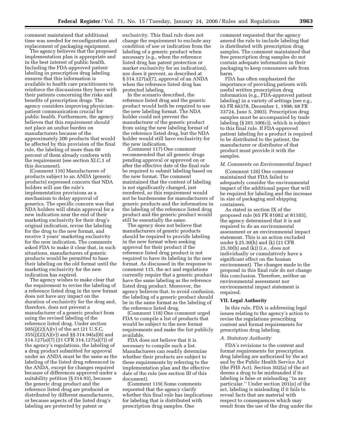comment maintained that additional time was needed for reconfiguration and replacement of packaging equipment.

The agency believes that the proposed implementation plan is appropriate and in the best interest of public health. Including the FDA-approved patient labeling in prescription drug labeling ensures that this information is available to health care practitioners to reinforce the discussions they have with their patients concerning the risks and benefits of prescription drugs. The agency considers improving physicianpatient communication crucial for public health. Furthermore, the agency believes that this requirement should not place an undue burden on manufacturers because of the approximately 200 products that would be affected by this provision of the final rule, the labeling of more than 60 percent of them already conform with the requirement (see section XI.C.1 of this document).

(Comment 116) Manufacturers of products subject to an ANDA (generic products) expressed concern that NDA holders will use the rule's implementation provisions as a mechanism to delay approval of generics. The specific concern was that NDA holders will obtain approval for a new indication near the end of their marketing exclusivity for their drug's original indication, revise the labeling for the drug to the new format, and receive 3 years' marketing exclusivity for the new indication. The comments asked FDA to make it clear that, in such situations, manufacturers of generic products would be permitted to base their labeling on the old format until the marketing exclusivity for the new indication has expired.

The agency wishes to make clear that the requirement to revise the labeling of a reference listed drug in the new format does not have any impact on the duration of exclusivity for the drug and, therefore, does not prevent a manufacturer of a generic product from using the revised labeling of the reference listed drug. Under section 505(j)(2)(A)(v) of the act (21 U.S.C. 355(j)(2)(A)(v)) and §§ 314.94(a)(8) and 314.127(a)(7) (21 CFR 314.127(a)(7)) of the agency's regulations, the labeling of a drug product submitted for approval under an ANDA must be the same as the labeling of the listed drug referenced in the ANDA, except for changes required because of differences approved under a suitability petition (§ 314.93), because the generic drug product and the reference listed drug are produced or distributed by different manufacturers, or because aspects of the listed drug's labeling are protected by patent or

exclusivity. This final rule does not change the requirement to exclude any condition of use or indication from the labeling of a generic product when necessary (e.g., when the reference listed drug has patent protection or market exclusivity for an indication), nor does it prevent, as described at § 314.127(a)(7), approval of an ANDA when the reference listed drug has protected labeling.

In the scenario described, the reference listed drug and the generic product would both be required to use the new labeling format. The NDA holder could not prevent the manufacturer of the generic product from using the new labeling format of the reference listed drug, but the NDA holder would still have exclusivity for the new indication.

(Comment 117) One comment recommended that all generic drugs pending approval or approved on or after the effective date of the final rule be required to submit labeling based on the new format. The comment maintained that the content of labeling is not significantly changed, just reordered, so this requirement would not be burdensome for manufacturers of generic products and the information in the labeling of the reference listed drug product and the generic product would still be essentially the same.

The agency does not believe that manufacturers of generic products should be required to provide labeling in the new format when seeking approval for their product if the reference listed drug product is not required to have its labeling in the new format. As discussed in the response to comment 115, the act and regulations currently require that a generic product have the same labeling as the reference listed drug product. Moreover, the agency believes that, to avoid confusion, the labeling of a generic product should be in the same format as the labeling of the reference listed drug.

(Comment 118) One comment urged FDA to compile a list of products that would be subject to the new format requirements and make the list publicly available.

FDA does not believe that it is necessary to compile such a list. Manufacturers can readily determine whether their products are subject to these requirements by referring to the implementation plan and the effective date of the rule (see section III of this document).

(Comment 119) Some comments requested that the agency clarify whether this final rule has implications for labeling that is distributed with prescription drug samples. One

comment requested that the agency amend the rule to include labeling that is distributed with prescription drug samples. The comment maintained that free prescription drug samples do not contain adequate information in their packaging to keep consumers safe from harm.

FDA has often emphasized the importance of providing patients with useful written prescription drug information (e.g., FDA-approved patient labeling) in a variety of settings (see e.g., 63 FR 66378, December 1, 1998; 68 FR 33724, June 5, 2003). Prescription drug samples must be accompanied by trade labeling (§ 201.100(c)), which is subject to this final rule. If FDA-approved patient labeling for a product is required to be distributed to the patient, the manufacturer or distributor of that product must provide it with the samples.

#### *M. Comments on Environmental Impact*

(Comment 120) One comment maintained that FDA failed to adequately consider the environmental impact of the additional paper that will be required for labeling and the increase in size of packaging and shipping containers.

As stated in section IX of the proposed rule (65 FR 81082 at 81103), the agency determined that it is not required to do an environmental assessment or an environmental impact statement. This is an action excluded under § 25.30(h) and (k) (21 CFR 25.30(h) and (k)) (i.e., does not individually or cumulatively have a significant effect on the human environment). The changes made to the proposal in this final rule do not change this conclusion. Therefore, neither an environmental assessment nor environmental impact statement is required.

#### **VII. Legal Authority**

In this rule, FDA is addressing legal issues relating to the agency's action to revise the regulations prescribing content and format requirements for prescription drug labeling.

#### *A. Statutory Authority*

FDA's revisions to the content and format requirements for prescription drug labeling are authorized by the act and by the Public Health Service Act (the PHS Act). Section 502(a) of the act deems a drug to be misbranded if its labeling is false or misleading ''in any particular.'' Under section 201(n) of the act, labeling is misleading if it fails to reveal facts that are material with respect to consequences which may result from the use of the drug under the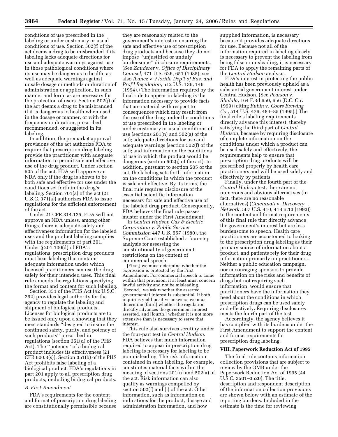**3964 Federal Register** / Vol. 71, No. 15 / Tuesday, January 24, 2006 / Rules and Regulations

conditions of use prescribed in the labeling or under customary or usual conditions of use. Section 502(f) of the act deems a drug to be misbranded if its labeling lacks adequate directions for use and adequate warnings against use in those pathological conditions where its use may be dangerous to health, as well as adequate warnings against unsafe dosage or methods or duration of administration or application, in such manner and form, as are necessary for the protection of users. Section 502(j) of the act deems a drug to be misbranded if it is dangerous to health when used in the dosage or manner, or with the frequency or duration, prescribed, recommended, or suggested in its labeling.

In addition, the premarket approval provisions of the act authorize FDA to require that prescription drug labeling provide the practitioner with adequate information to permit safe and effective use of the drug product. Under section 505 of the act, FDA will approve an NDA only if the drug is shown to be both safe and effective for use under the conditions set forth in the drug's labeling. Section 701(a) of the act (21 U.S.C. 371(a)) authorizes FDA to issue regulations for the efficient enforcement of the act.

Under 21 CFR 314.125, FDA will not approve an NDA unless, among other things, there is adequate safety and effectiveness information for the labeled uses and the product labeling complies with the requirements of part 201. Under § 201.100(d) of FDA's regulations, prescription drug products must bear labeling that contains adequate information under which licensed practitioners can use the drug safely for their intended uses. This final rule amends the regulations specifying the format and content for such labeling.

Section 351 of the PHS Act (42 U.S.C. 262) provides legal authority for the agency to regulate the labeling and shipment of biological products. Licenses for biological products are to be issued only upon a showing that they meet standards ''designed to insure the continued safety, purity, and potency of such products'' prescribed in regulations (section 351(d) of the PHS Act). The ''potency'' of a biological product includes its effectiveness (21 CFR 600.3(s)). Section 351(b) of the PHS Act prohibits false labeling of a biological product. FDA's regulations in part 201 apply to all prescription drug products, including biological products.

# *B. First Amendment*

FDA's requirements for the content and format of prescription drug labeling are constitutionally permissible because

they are reasonably related to the government's interest in ensuring the safe and effective use of prescription drug products and because they do not impose ''unjustified or unduly burdensome'' disclosure requirements. (See *Zauderer* v. *Office of Disciplinary Counsel*, 471 U.S. 626, 651 (1985); see also *Ibanez* v. *Florida Dep't of Bus. and Prof'l Regulation*, 512 U.S. 136, 146 (1994).) The information required by the final rule to appear in labeling is the information necessary to provide facts that are material with respect to consequences which may result from the use of the drug under the conditions of use prescribed in the labeling or under customary or usual conditions of use (sections 201(n) and 502(a) of the act); adequate directions for use and adequate warnings (section 502(f) of the act); and information on the conditions of use in which the product would be dangerous (section 502(j) of the act). In addition, pursuant to section 505 of the act, the labeling sets forth information on the conditions in which the product is safe and effective. By its terms, the final rule requires disclosure of the essential scientific information necessary for safe and effective use of the labeled drug product. Consequently, FDA believes the final rule passes muster under the First Amendment.

In *Central Hudson Gas & Electric Corporation* v. *Public Service Commission* 447 U.S. 557 (1980), the Supreme Court established a four-step analysis for assessing the constitutionality of government restrictions on the content of commercial speech.

[First,] we must determine whether the expression is protected by the First Amendment. For commercial speech to come within that provision, it at least must concern lawful activity and not be misleading. [Second,] we ask whether the asserted governmental interest is substantial. If both inquiries yield positive answers, we must determine [third] whether the regulation directly advances the government interest asserted, and [fourth,] whether it is not more extensive than is necessary to serve that interest.

This rule also survives scrutiny under the four-part test in *Central Hudson*. FDA believes that much information required to appear in prescription drug labeling is necessary for labeling to be nonmisleading. The risk information contained in such labeling, for example, constitutes material facts within the meaning of sections 201(n) and 502(a) of the act. Risk information can also qualify as warnings compelled by section 502(f) and (j) of the act. Other information, such as information on indications for the product, dosage and administration information, and how

supplied information, is necessary because it provides adequate directions for use. Because not all of the information required in labeling clearly is necessary to prevent the labeling from being false or misleading, it is necessary for FDA to apply the remaining parts of the *Central Hudson* analysis.

FDA's interest in protecting the public health has been previously upheld as a substantial government interest under Central Hudson. (See *Pearson* v. *Shalala*, 164 F.3d 650, 656 (D.C. Cir. 1999) (citing *Rubin* v. *Coors Brewing Co.*, 514 U.S. 476, 484–85 (1995).) The final rule's labeling requirements directly advance this interest, thereby satisfying the third part of *Central Hudson*, because by requiring disclosure of complete information on the conditions under which a product can be used safely and effectively, the requirements help to ensure that prescription drug products will be prescribed properly by health care practitioners and will be used safely and effectively by patients.

Finally, under the fourth part of the *Central Hudson* test, there are not numerous and obvious alternatives (in fact, there are no reasonable alternatives) (*Cincinnati* v. *Discovery Network*, 507 U.S. 410, 418 n.13 (1993)) to the content and format requirements of this final rule that directly advance the government's interest but are less burdensome to speech. Health care practitioners are accustomed to looking to the prescription drug labeling as their primary source of information about a product, and patients rely for their drug information primarily on practitioners. Neither a public education campaign, nor encouraging sponsors to provide information on the risks and benefits of drugs but not requiring such information, would ensure that practitioners have the information they need about the conditions in which prescription drugs can be used safely and effectively. Requiring disclosures meets the fourth part of the test.

Accordingly, the agency believes it has complied with its burdens under the First Amendment to support the content and format requirements for prescription drug labeling.

### **VIII. Paperwork Reduction Act of 1995**

The final rule contains information collection provisions that are subject to review by the OMB under the Paperwork Reduction Act of 1995 (44 U.S.C. 3501–3520). The title, description and respondent description of the information collection provisions are shown below with an estimate of the reporting burdens. Included in the estimate is the time for reviewing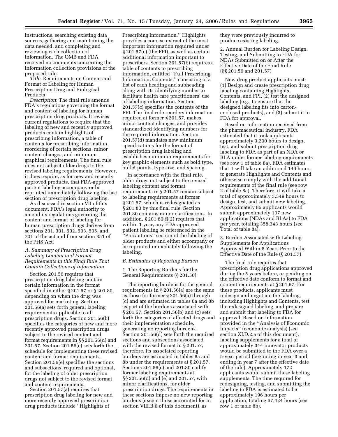instructions, searching existing data sources, gathering and maintaining the data needed, and completing and reviewing each collection of information. The OMB and FDA received no comments concerning the information collection provisions of the proposed rule.

*Title*: Requirements on Content and Format of Labeling for Human Prescription Drug and Biological Products

*Description*: The final rule amends FDA's regulations governing the format and content of labeling for human prescription drug products. It revises current regulations to require that the labeling of new and recently approved products contain highlights of prescribing information, a table of contents for prescribing information, reordering of certain sections, minor content changes, and minimum graphical requirements. The final rule does not subject older drugs to the revised labeling requirements. However, it does require, as for new and recently approved products, that FDA-approved patient labeling accompany or be reprinted immediately following the last section of prescription drug labeling.

As discussed in section VII of this document, FDA's legal authority to amend its regulations governing the content and format of labeling for human prescription drugs derives from sections 201, 301, 502, 503, 505, and 701 of the act and from section 351 of the PHS Act.

# *A. Summary of Prescription Drug Labeling Content and Format Requirements in this Final Rule That Contain Collections of Information*

Section 201.56 requires that prescription drug labeling contain certain information in the format specified in either § 201.57 or § 201.80, depending on when the drug was approved for marketing. Section 201.56(a) sets forth general labeling requirements applicable to all prescription drugs. Section 201.56(b) specifies the categories of new and more recently approved prescription drugs subject to the revised content and format requirements in §§ 201.56(d) and 201.57. Section 201.56(c) sets forth the schedule for implementing these revised content and format requirements. Section 201.56(e) specifies the sections and subsections, required and optional, for the labeling of older prescription drugs not subject to the revised format and content requirements.

Section 201.57(a) requires that prescription drug labeling for new and more recently approved prescription drug products include ''Highlights of

Prescribing Information.'' Highlights provides a concise extract of the most important information required under § 201.57(c) (the FPI), as well as certain additional information important to prescribers. Section 201.57(b) requires a table of contents to prescribing information, entitled ''Full Prescribing Information: Contents,'' consisting of a list of each heading and subheading along with its identifying number to facilitate health care practitioners' use of labeling information. Section 201.57(c) specifies the contents of the FPI. The final rule reorders information required at former § 201.57, makes minor content changes, and provides standardized identifying numbers for the required information. Section 201.57(d) mandates new minimum specifications for the format of prescription drug labeling and establishes minimum requirements for key graphic elements such as bold type, bullet points, type size, and spacing.

In accordance with the final rule, older drugs not subject to the revised labeling content and format requirements in § 201.57 remain subject to labeling requirements at former § 201.57, which is redesignated as § 201.80 by this final rule. Section 201.80 contains minor clarifications. In addition, § 201.80(f)(2) requires that within 1 year, any FDA-approved patient labeling be referenced in the ''Precautions'' section of the labeling of older products and either accompany or be reprinted immediately following the labeling.

# *B. Estimates of Reporting Burden*

1. The Reporting Burdens for the General Requirements (§ 201.56)

The reporting burdens for the general requirements in § 201.56(a) are the same as those for former § 201.56(a) through (c) and are estimated in tables 8a and 8b as part of the burdens associated with § 201.57. Section 201.56(b) and (c) sets forth the categories of affected drugs and their implementation schedule, generating no reporting burdens. Section 201.56(d) sets forth the required sections and subsections associated with the revised format in § 201.57; therefore, its associated reporting burdens are estimated in tables 8a and 8b under the requirements at § 201.57. Sections 201.56(e) and 201.80 codify former labeling requirements at §§ 201.56(d) and (e) and 201.57, with minor clarifications, for older prescription drugs. The requirements in these sections impose no new reporting burdens (except those accounted for in section VIII.B.6 of this document), as

they were previously incurred to produce existing labeling.

2. Annual Burden for Labeling Design, Testing, and Submitting to FDA for NDAs Submitted on or After the Effective Date of the Final Rule (§§ 201.56 and 201.57)

New drug product applicants must: (1) Design and create prescription drug labeling containing Highlights, Contents, and FPI, (2) test the designed labeling (e.g., to ensure that the designed labeling fits into cartonenclosed products), and (3) submit it to FDA for approval.

Based on information received from the pharmaceutical industry, FDA estimated that it took applicants approximately 3,200 hours to design, test, and submit prescription drug labeling to FDA as part of an NDA or BLA under former labeling requirements (see row 1 of table 8a). FDA estimates that it will take an additional 149 hours to generate Highlights and Contents and otherwise comply with the additional requirements of the final rule (see row 2 of table 8a). Therefore, it will take a total of approximately 3,349 hours to design, test, and submit new labeling. Approximately 85 applicants would submit approximately 107 new applications (NDAs and BLAs) to FDA per year, totaling 358,343 hours (see Total of table 8a).

3. Burden Associated with Labeling Supplements for Applications Approved Within 5 Years Prior to the Effective Date of the Rule (§ 201.57)

The final rule requires that prescription drug applications approved during the 5 years before, or pending on, the effective date conform to format and content requirements at § 201.57. For these products, applicants must redesign and negotiate the labeling, including Highlights and Contents, test the redesigned labeling, and prepare and submit that labeling to FDA for approval. Based on information provided in the ''Analysis of Economic Impacts'' (economic analysis) (see section XI.D.2.a of this document), labeling supplements for a total of approximately 344 innovator products would be submitted to the FDA over a 5-year period (beginning in year 3 and ending in year 7 after the effective date of the rule). Approximately 172 applicants would submit these labeling supplements. The time required for redesigning, testing, and submitting the labeling to FDA is estimated to be approximately 196 hours per application, totaling 67,424 hours (see row 1 of table 8b).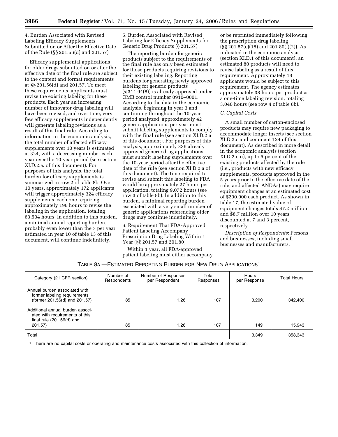4. Burden Associated with Revised Labeling Efficacy Supplements Submitted on or After the Effective Date of the Rule (§§ 201.56(d) and 201.57)

Efficacy supplemental applications for older drugs submitted on or after the effective date of the final rule are subject to the content and format requirements at §§ 201.56(d) and 201.57. To meet these requirements, applicants must revise the existing labeling for these products. Each year an increasing number of innovator drug labeling will have been revised, and over time, very few efficacy supplements independently will generate labeling revisions as a result of this final rule. According to information in the economic analysis, the total number of affected efficacy supplements over 10 years is estimated at 324, with a decreasing number each year over the 10-year period (see section XI.D.2.a. of this document). For purposes of this analysis, the total burden for efficacy supplements is summarized in row 2 of table 8b. Over 10 years, approximately 172 applicants will trigger approximately 324 efficacy supplements, each one requiring approximately 196 hours to revise the labeling in the application, totaling 63,504 hours. In addition to this burden, a minimal annual reporting burden, probably even lower than the 7 per year estimated in year 10 of table 13 of this document, will continue indefinitely.

5. Burden Associated with Revised Labeling for Efficacy Supplements for Generic Drug Products (§ 201.57)

The reporting burden for generic products subject to the requirements of the final rule has only been estimated for those products requiring revisions to their existing labeling. Reporting burdens for generating newly approved labeling for generic products (§ 314.94(8)) is already approved under OMB control number 0910–0001. According to the data in the economic analysis, beginning in year 3 and continuing throughout the 10-year period analyzed, approximately 42 generic applications per year must submit labeling supplements to comply with the final rule (see section XI.D.2.a of this document). For purposes of this analysis, approximately 336 already approved generic drug applications must submit labeling supplements over the 10-year period after the effective date of the rule (see section XI.D.2.a of this document). The time required to revise and submit this labeling to FDA would be approximately 27 hours per application, totaling 9,072 hours (see row 3 of table 8b). In addition to this burden, a minimal reporting burden associated with a very small number of generic applications referencing older drugs may continue indefinitely.

6. Requirement That FDA-Approved Patient Labeling Accompany Prescription Drug Labeling Within 1 Year (§§ 201.57 and 201.80)

Within 1 year, all FDA-approved patient labeling must either accompany

or be reprinted immediately following the prescription drug labeling (§§ 201.57(c)(18) and 201.80(f)(2)). As indicated in the economic analysis (section XI.D.1 of this document), an estimated 80 products will need to revise labeling as a result of this requirement. Approximately 18 applicants would be subject to this requirement. The agency estimates approximately 38 hours per product as a one-time labeling revision, totaling 3,040 hours (see row 4 of table 8b).

# *C. Capital Costs*

A small number of carton-enclosed products may require new packaging to accommodate longer inserts (see section XI.D.2.c and comment 124 of this document). As described in more detail in the economic analysis (section XI.D.2.c.ii), up to 5 percent of the existing products affected by the rule (i.e., products with new efficacy supplements, products approved in the 5 years prior to the effective date of the rule, and affected ANDAs) may require equipment changes at an estimated cost of \$200,000 each product. As shown in table 17, the estimated value of equipment changes totals \$7.2 million and \$8.7 million over 10 years discounted at 7 and 3 percent, respectively.

*Description of Respondents*: Persons and businesses, including small businesses and manufacturers.

# TABLE 8A.—ESTIMATED REPORTING BURDEN FOR NEW DRUG APPLICATIONS1

| Category (21 CFR section)                                                                                    | Number of<br>Respondents | Number of Responses<br>per Respondent | Total<br>Responses | Hours<br>per Response | <b>Total Hours</b> |
|--------------------------------------------------------------------------------------------------------------|--------------------------|---------------------------------------|--------------------|-----------------------|--------------------|
| Annual burden associated with<br>former labeling requirements<br>(former 201.56(d) and 201.57)               | 85                       | 1.26                                  | 107                | 3.200                 | 342,400            |
| Additional annual burden associ-<br>ated with requirements of this<br>final rule $(201.56(d)$ and<br>201.57) | 85                       | l.26                                  | 107                | 149                   | 15,943             |
| Total                                                                                                        |                          |                                       |                    | 3,349                 | 358,343            |

1 There are no capital costs or operating and maintenance costs associated with this collection of information.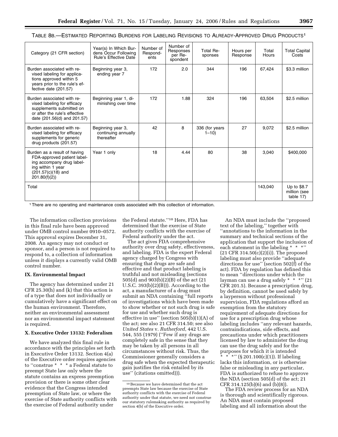TABLE 8B.—ESTIMATED REPORTING BURDENS FOR LABELING REVISIONS TO ALREADY-APPROVED DRUG PRODUCTS1

| Category (21 CFR section)                                                                                                                             | Year(s) In Which Bur-<br>dens Occur Following<br>Rule's Effective Date | Number of<br>Respond-<br>ents | Number of<br>Responses<br>per Re-<br>spondent | Total Re-<br>sponses       | Hours per<br>Response | Total<br>Hours | <b>Total Capital</b><br>Costs            |
|-------------------------------------------------------------------------------------------------------------------------------------------------------|------------------------------------------------------------------------|-------------------------------|-----------------------------------------------|----------------------------|-----------------------|----------------|------------------------------------------|
| Burden associated with re-<br>vised labeling for applica-<br>tions approved within 5<br>years prior to the rule's ef-<br>fective date $(201.57)$      | Beginning year 3,<br>ending year 7                                     | 172                           | 2.0                                           | 344                        | 196                   | 67,424         | \$3.3 million                            |
| Burden associated with re-<br>vised labeling for efficacy<br>supplements submitted on<br>or after the rule's effective<br>date (201.56(d) and 201.57) | Beginning year 1, di-<br>minishing over time                           | 172                           | 1.88                                          | 324                        | 196                   | 63,504         | \$2.5 million                            |
| Burden associated with re-<br>vised labeling for efficacy<br>supplements for generic<br>drug products (201.57)                                        | Beginning year 3,<br>continuing annually<br>thereafter                 | 42                            | 8                                             | 336 (for years<br>$1 - 10$ | 27                    | 9.072          | \$2.5 million                            |
| Burden as a result of having<br>FDA-approved patient label-<br>ing accompany drug label-<br>ing within 1 year<br>$(201.57(c)(18)$ and<br>201.80(f)(2) | Year 1 only                                                            | 18                            | 4.44                                          | 80                         | 38                    | 3.040          | \$400,000                                |
| Total                                                                                                                                                 |                                                                        |                               |                                               |                            |                       | 143.040        | Up to \$8.7<br>million (see<br>table 17) |

1There are no operating and maintenance costs associated with this collection of information.

The information collection provisions in this final rule have been approved under OMB control number 0910–0572. This approval expires December 31, 2008. An agency may not conduct or sponsor, and a person is not required to respond to, a collection of information unless it displays a currently valid OMB control number.

# **IX. Environmental Impact**

The agency has determined under 21 CFR 25.30(h) and (k) that this action is of a type that does not individually or cumulatively have a significant effect on the human environment. Therefore, neither an environmental assessment nor an environmental impact statement is required.

## **X. Executive Order 13132: Federalism**

We have analyzed this final rule in accordance with the principles set forth in Executive Order 13132. Section 4(a) of the Executive order requires agencies to ''construe \* \* \* a Federal statute to preempt State law only where the statute contains an express preemption provision or there is some other clear evidence that the Congress intended preemption of State law, or where the exercise of State authority conflicts with the exercise of Federal authority under

the Federal statute.''10 Here, FDA has determined that the exercise of State authority conflicts with the exercise of Federal authority under the act.

The act gives FDA comprehensive authority over drug safety, effectiveness, and labeling. FDA is the expert Federal agency charged by Congress with ensuring that drugs are safe and effective and that product labeling is truthful and not misleading (sections 505(d) and 903(b)(2)(B) of the act (21 U.S.C.  $393(b)(2)(B))$ . According to the act, a manufacturer of a drug must submit an NDA containing ''full reports of investigations which have been made to show whether or not such drug is safe for use and whether such drug is effective in use" (section  $505(\bar{b})(1)(A)$  of the act; see also 21 CFR 314.50; see also *United States* v. *Rutherford*, 442 U.S. 544, 555 (1979) (''Few if any drugs are completely safe in the sense that they may be taken by all persons in all circumstances without risk. Thus, the Commissioner generally considers a drug safe when the expected therapeutic gain justifies the risk entailed by its use'' (citations omitted))).

An NDA must include the ''proposed text of the labeling,'' together with ''annotations to the information in the summary and technical sections of the application that support the inclusion of each statement in the labeling \* \* \*'' (21 CFR 314.50(c)(2)(i)). The proposed labeling must also provide ''adequate directions for use'' (section 502(f) of the act). FDA by regulation has defined this to mean ''directions under which the layman can use a drug safely \* \* \*'' (21 CFR 201.5). Because a prescription drug, by definition, cannot be used safely by a layperson without professional supervision, FDA regulations afford an exemption from the statutory requirement of adequate directions for use for a prescription drug whose labeling includes ''any relevant hazards, contraindications, side effects, and precautions under which practitioners licensed by law to administer the drug can use the drug safely and for the purposes for which it is intended

\* \* \*'' (§ 201.100(c)(1)). If labeling lacks this information, or is otherwise false or misleading in any particular, FDA is authorized to refuse to approve the NDA (section 505(d) of the act; 21 CFR 314.125(b)(6) and (b)(8)).

The FDA review process for an NDA is thorough and scientifically rigorous. An NDA must contain proposed labeling and all information about the

<sup>10</sup>Because we have determined that the act preempts State law because the exercise of State authority conflicts with the exercise of Federal authority under that statute, we need not construe our statutory rulemaking authority as required by section 4(b) of the Executive order.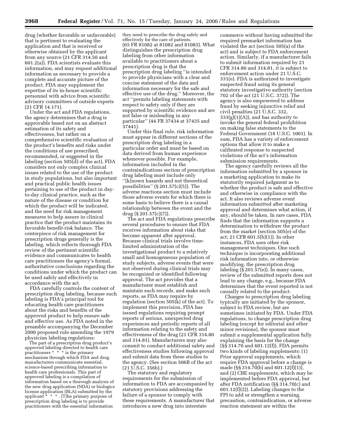drug (whether favorable or unfavorable) that is pertinent to evaluating the application and that is received or otherwise obtained by the applicant from any source (21 CFR 314.50 and 601.2(a)). FDA scientists evaluate this information, and may request additional information as necessary to provide a complete and accurate picture of the product. FDA may supplement the expertise of its in-house scientific personnel with advice from scientific advisory committees of outside experts (21 CFR 14.171).

Under the act and FDA regulations, the agency determines that a drug is approvable based not on an abstract estimation of its safety and effectiveness, but rather on a comprehensive scientific evaluation of the product's benefits and risks under the conditions of use prescribed, recommended, or suggested in the labeling (section 505(d) of the act). FDA considers not only complex clinical issues related to the use of the product in study populations, but also important and practical public health issues pertaining to use of the product in dayto-day clinical practice, such as the nature of the disease or condition for which the product will be indicated, and the need for risk management measures to help assure in clinical practice that the product maintains its favorable benefit-risk balance. The centerpiece of risk management for prescription drugs generally is the labeling, which reflects thorough FDA review of the pertinent scientific evidence and communicates to health care practitioners the agency's formal, authoritative conclusions regarding the conditions under which the product can be used safely and effectively in accordance with the act.

FDA carefully controls the content of prescription drug labeling, because such labeling is FDA's principal tool for educating health care practitioners about the risks and benefits of the approved product to help ensure safe and effective use. As FDA noted in the preamble accompanying the December 2000 proposed rule amending the 1979 physician labeling regulations:

The part of a prescription drug product's approved labeling directed to health care practitioners \* \* \* is the primary mechanism through which FDA and drug manufacturers communicate essential, science-based prescribing information to health care professionals. This part of approved labeling is a compilation of information based on a thorough analysis of the new drug application (NDA) or biologics license application (BLA) submitted by the applicant \* \* \* . [T]he primary purpose of prescription drug labeling is to provide practitioners with the essential information

they need to prescribe the drug safely and effectively for the care of patients. (65 FR 81082 at 81082 and 81083). What distinguishes the prescription drug labeling from other information available to practitioners about a prescription drug is that the prescription drug labeling ''is intended to provide physicians with a clear and concise statement of the data and information necessary for the safe and effective use of the drug.'' Moreover, the act ''permits labeling statements with respect to safety only if they are supported by scientific evidence and are not false or misleading in any particular'' (44 FR 37434 at 37435 and 37441).

Under this final rule, risk information must appear in different sections of the prescription drug labeling in a particular order and must be based on data derived from human experience whenever possible. For example, information included in the contraindications section of prescription drug labeling must include only ''[k]nown hazards and not theoretical possibilities'' (§ 201.57(c)(5)). The adverse reactions section must include those adverse events for which there is some basis to believe there is a causal relationship between the event and the drug  $(S \ 201.57(c)(7))$ .

The act and FDA regulations prescribe several procedures to ensure that FDA receives information about risks that become apparent after approval. Because clinical trials involve timelimited administration of the investigational product to a relatively small and homogeneous population of study subjects, adverse events that were not observed during clinical trials may be recognized or identified following approval. The act provides that a manufacturer must establish and maintain such records, and make such reports, as FDA may require by regulation (section 505(k) of the act). To implement this provision, FDA has issued regulations requiring prompt reports of serious, unexpected drug experiences and periodic reports of all information relating to the safety and effectiveness of the drug (21 CFR 314.80 and 314.81). Manufacturers may also commit to conduct additional safety and effectiveness studies following approval and submit data from these studies to the agency. (See section 506B of the act (21 U.S.C. 356b).)

The statutory and regulatory requirements for the submission of information to FDA are accompanied by statutory provisions addressing the failure of a sponsor to comply with these requirements. A manufacturer that introduces a new drug into interstate

commerce without having submitted the required premarket information has violated the act (section 505(a) of the act) and is subject to FDA enforcement action. Similarly, if a manufacturer fails to submit information required by 21 CFR 314.80 and 314.81, it is subject to enforcement action under 21 U.S.C. 331(e). FDA is authorized to investigate suspected fraud using its general statutory investigative authority (section 702 of the act (21 U.S.C. 372)). The agency is also empowered to address fraud by seeking injunctive relief and civil penalties (21 U.S.C. 332,  $333(g)(1)(A)$ , and has authority to invoke the general federal prohibition on making false statements to the Federal Government (18 U.S.C. 1001). In sum, FDA has a variety of enforcement options that allow it to make a calibrated response to suspected violations of the act's information submission requirements.

The agency carefully reviews all the information submitted by a sponsor in a marketing application to make its statutorily required judgment as to whether the product is safe and effective and otherwise in compliance with the act. It also reviews adverse event information submitted after marketing approval and determines what action, if any, should be taken. In rare cases, FDA finds that the information supports a determination to withdraw the product from the market (section 505(e) of the act; 21 CFR 601.5(b)(1)). In other instances, FDA uses other risk management techniques. One such technique is incorporating additional risk information into, or otherwise modifying, the prescription drug labeling (§ 201.57(e)). In many cases, review of the submitted reports does not lead to any change, e.g., because FDA determines that the event reported is not causally related to the product.

Changes to prescription drug labeling typically are initiated by the sponsor, subject to FDA review, but are sometimes initiated by FDA. Under FDA regulations, to change prescription drug labeling (except for editorial and other minor revisions), the sponsor must submit a supplemental application fully explaining the basis for the change (§§ 314.70 and 601.12(f)). FDA permits two kinds of labeling supplements: (1) Prior approval supplements, which require FDA approval before a change is made (§§ 314.70(b) and 601.12(f)(1)), and (2) CBE supplements, which may be implemented before FDA approval, but after FDA notification (§§ 314.70(c) and 601.12(f)(2)). Labeling changes to the FPI to add or strengthen a warning, precaution, contraindication, or adverse reaction statement are within the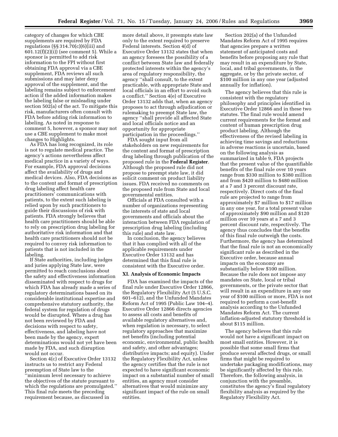category of changes for which CBE supplements are required by FDA regulations  $(\S\S 314.70(c)(6)(iii)$  and 601.12(f)(2)(i)) (see comment 5). While a sponsor is permitted to add risk information to the FPI without first obtaining FDA approval via a CBE supplement, FDA reviews all such submissions and may later deny approval of the supplement, and the labeling remains subject to enforcement action if the added information makes the labeling false or misleading under section 502(a) of the act. To mitigate this risk, manufacturers often consult with FDA before adding risk information to labeling. As noted in response to comment 5, however, a sponsor may not use a CBE supplement to make most changes to Highlights.

As FDA has long recognized, its role is not to regulate medical practice. The agency's actions nevertheless affect medical practice in a variety of ways. For example, FDA approval decisions affect the availability of drugs and medical devices. Also, FDA decisions as to the content and format of prescription drug labeling affect health care practitioners' communications with patients, to the extent such labeling is relied upon by such practitioners to guide their discussions of risk with patients. FDA strongly believes that health care practitioners should be able to rely on prescription drug labeling for authoritative risk information and that health care practitioners should not be required to convey risk information to patients that is not included in the labeling.

If State authorities, including judges and juries applying State law, were permitted to reach conclusions about the safety and effectiveness information disseminated with respect to drugs for which FDA has already made a series of regulatory determinations based on its considerable institutional expertise and comprehensive statutory authority, the federal system for regulation of drugs would be disrupted. Where a drug has not been reviewed by FDA and decisions with respect to safety, effectiveness, and labeling have not been made by the agency, expert determinations would not yet have been made by FDA, and such disruption would not occur.

Section 4(c) of Executive Order 13132 instructs us to restrict any Federal preemption of State law to the ''minimum level necessary to achieve the objectives of the statute pursuant to which the regulations are promulgated.'' This final rule meets the preceding requirement because, as discussed in

more detail above, it preempts state law only to the extent required to preserve Federal interests. Section 4(d) of Executive Order 13132 states that when an agency foresees the possibility of a conflict between State law and federally protected interests within the agency's area of regulatory responsibility, the agency ''shall consult, to the extent practicable, with appropriate State and local officials in an effort to avoid such a conflict.'' Section 4(e) of Executive Order 13132 adds that, when an agency proposes to act through adjudication or rulemaking to preempt State law, the agency ''shall provide all affected State and local officials notice and an opportunity for appropriate participation in the proceedings.''

FDA sought input from all stakeholders on new requirements for the content and format of prescription drug labeling through publication of the proposed rule in the **Federal Register**. Although the proposed rule did not propose to preempt state law, it did solicit comment on product liability issues. FDA received no comments on the proposed rule from State and local governmental entities.

Officials at FDA consulted with a number of organizations representing the interests of state and local governments and officials about the interaction between FDA regulation of prescription drug labeling (including this rule) and state law.

In conclusion, the agency believes that it has complied with all of the applicable requirements under Executive Order 13132 and has determined that this final rule is consistent with the Executive order.

#### **XI. Analysis of Economic Impacts**

FDA has examined the impacts of the final rule under Executive Order 12866, the Regulatory Flexibility Act (5 U.S.C. 601–612), and the Unfunded Mandates Reform Act of 1995 (Public Law 104–4). Executive Order 12866 directs agencies to assess all costs and benefits of available regulatory alternatives and, when regulation is necessary, to select regulatory approaches that maximize net benefits (including potential economic, environmental, public health and safety, and other advantages; distributive impacts; and equity). Under the Regulatory Flexibility Act, unless the agency certifies that the rule is not expected to have significant economic impact on a substantial number of small entities, an agency must consider alternatives that would minimize any significant impact of the rule on small entities.

Section 202(a) of the Unfunded Mandates Reform Act of 1995 requires that agencies prepare a written statement of anticipated costs and benefits before proposing any rule that may result in an expenditure by State, local, and tribal governments, in the aggregate, or by the private sector, of \$100 million in any one year (adjusted annually for inflation).

The agency believes that this rule is consistent with the regulatory philosophy and principles identified in Executive Order 12866 and in these two statutes. The final rule would amend current requirements for the format and content of human prescription drug product labeling. Although the effectiveness of the revised labeling in achieving time savings and reductions in adverse reactions is uncertain, based on the following analysis as summarized in table 9, FDA projects that the present value of the quantifiable benefits of the final rule over 10 years range from \$330 million to \$380 million and from \$420 million to \$480 million at a 7 and 3 percent discount rate, respectively. Direct costs of the final rule are projected to range from approximately \$7 million to \$17 million in any one year, for a total present value of approximately \$90 million and \$120 million over 10 years at a 7 and 3 percent discount rate, respectively. The agency thus concludes that the benefits of this final rule outweigh the costs. Furthermore, the agency has determined that the final rule is not an economically significant rule as described in the Executive order, because annual impacts on the economy are substantially below \$100 million. Because the rule does not impose any mandates on State, local or tribal governments, or the private sector that will result in an expenditure in any one year of \$100 million or more, FDA is not required to perform a cost-benefit analysis according to the Unfunded Mandates Reform Act. The current inflation-adjusted statutory threshold is about \$115 million.

The agency believes that this rule would not have a significant impact on most small entities. However, it is possible that some small firms that produce several affected drugs, or small firms that might be required to undertake packaging modifications, may be significantly affected by this rule. Therefore, the following analysis, in conjunction with the preamble, constitutes the agency's final regulatory flexibility analysis as required by the Regulatory Flexibility Act.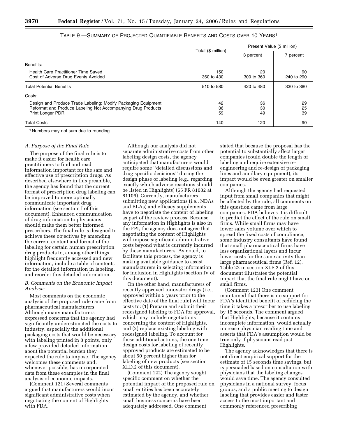|                                                                                                                                                   |                    | Present Value (\$ million) |                  |
|---------------------------------------------------------------------------------------------------------------------------------------------------|--------------------|----------------------------|------------------|
|                                                                                                                                                   | Total (\$ million) | 3 percent                  | 7 percent        |
| Benefits:                                                                                                                                         |                    |                            |                  |
| <b>Health Care Practitioner Time Saved</b><br>Cost of Adverse Drug Events Avoided                                                                 | 150<br>360 to 430  | 120<br>300 to 360          | 90<br>240 to 290 |
| <b>Total Potential Benefits</b>                                                                                                                   | 510 to 580         | 420 to 480                 | 330 to 380       |
| Costs:                                                                                                                                            |                    |                            |                  |
| Design and Produce Trade Labeling; Modify Packaging Equipment<br>Reformat and Produce Labeling Not Accompanying Drug Products<br>Print Longer PDR | 42<br>36<br>59     | 36<br>30<br>49             | 29<br>25<br>39   |
| <b>Total Costs</b>                                                                                                                                | 140                | 120                        | 90               |

1 Numbers may not sum due to rounding.

#### *A. Purpose of the Final Rule*

The purpose of the final rule is to make it easier for health care practitioners to find and read information important for the safe and effective use of prescription drugs. As described elsewhere in this preamble, the agency has found that the current format of prescription drug labeling can be improved to more optimally communicate important drug information (see section I of this document). Enhanced communication of drug information to physicians should make them better informed prescribers. The final rule is designed to achieve these objectives by amending the current content and format of the labeling for certain human prescription drug products to, among other things, highlight frequently accessed and new information, include a table of contents for the detailed information in labeling, and reorder this detailed information.

### *B. Comments on the Economic Impact Analysis*

Most comments on the economic analysis of the proposed rule came from pharmaceutical manufacturers. Although many manufacturers expressed concerns that the agency had significantly underestimated the costs to industry, especially the additional packaging costs that would be necessary with labeling printed in 8 points, only a few provided detailed information about the potential burden they expected the rule to impose. The agency welcomes these comments and, whenever possible, has incorporated data from these examples in the final analysis of economic impacts.

(Comment 121) Several comments argued that manufacturers would incur significant administrative costs when negotiating the content of Highlights with FDA.

Although our analysis did not separate administrative costs from other labeling design costs, the agency anticipated that manufacturers would require some ''detailed discussions and drug-specific decisions'' during the design phase of labeling (e.g., regarding exactly which adverse reactions should be listed in Highlights) (65 FR 81082 at 81106). Currently, manufacturers submitting new applications (i.e., NDAs and BLAs) and efficacy supplements have to negotiate the content of labeling as part of the review process. Because any information in Highlights is also in the FPI, the agency does not agree that negotiating the content of Highlights will impose significant administrative costs beyond what is currently incurred by these manufacturers. As noted, to facilitate this process, the agency is making available guidance to assist manufacturers in selecting information for inclusion in Highlights (section IV of this document).

On the other hand, manufacturers of recently approved innovator drugs (i.e., approved within 5 years prior to the effective date of the final rule) will incur costs to: (1) Prepare and submit their redesigned labeling to FDA for approval, which may include negotiations concerning the content of Highlights, and (2) replace existing labeling with redesigned labeling. To account for these additional actions, the one-time design costs for labeling of recently approved products are estimated to be about 50 percent higher than for labeling of new products (see section XI.D.2 of this document).

(Comment 122) The agency sought specific comment on whether the potential impact of the proposed rule on small entities has been accurately estimated by the agency, and whether small business concerns have been adequately addressed. One comment

stated that because the proposal has the potential to substantially affect larger companies (could double the length of labeling and require extensive reengineering and re-design of packaging lines and ancillary equipment), its impact would be even greater on smaller companies.

Although the agency had requested input from small companies that might be affected by the rule, all comments on this question came from large companies. FDA believes it is difficult to predict the effect of the rule on small firms. While small firms may have lower sales volume over which to spread the fixed costs of compliance, some industry consultants have found that small pharmaceutical firms have less organizational layers and incur lower costs for the same activity than large pharmaceutical firms (Ref. 12). Table 22 in section XI.E.2 of this document illustrates the potential impact that the final rule might have on small firms.

(Comment 123) One comment maintained that there is no support for FDA's identified benefit of reducing the time it takes a prescriber to use labeling by 15 seconds. The comment argued that Highlights, because it contains incomplete information, would actually increase physician reading time and asserts that FDA's assumption would be true only if physicians read just Highlights.

The agency acknowledges that there is not direct empirical support for the estimate of 15 seconds time savings, but is persuaded based on consultation with physicians that the labeling changes would save time. The agency consulted physicians in a national survey, focus groups, and a public meeting to design labeling that provides easier and faster access to the most important and commonly referenced prescribing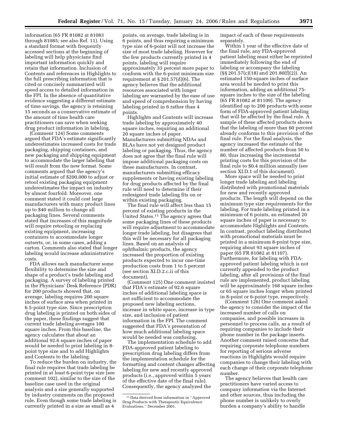information (65 FR 81082 at 81083 through 81085; see also Ref. 11). Using a standard format with frequently accessed sections at the beginning of labeling will help physicians find important information quickly and retain that information. Inclusion of Contents and references in Highlights to the full prescribing information that is cited or concisely summarized will speed access to detailed information in the FPI. In the absence of quantitative evidence suggesting a different estimate of time savings, the agency is retaining 15 seconds as a conservative estimate of the amount of time health care practitioners can save when seeking drug product information in labeling.

(Comment 124) Some comments argued that FDA's estimate significantly underestimates increased costs for trade packaging, shipping containers, and new packaging and shipping equipment to accommodate the larger labeling that will result from the new format. Some comments argued that the agency's initial estimate of \$200,000 to adjust or retool existing packaging equipment underestimates the impact on industry by almost fourfold. Moreover, one comment stated it could cost large manufacturers with many product lines up to \$40 million to change all packaging lines. Several comments stated that increases of this magnitude will require retooling or replacing existing equipment, increasing containers to accommodate longer outserts, or, in some cases, adding a carton. Comments also stated that longer labeling would increase administrative costs.

FDA allows each manufacturer some flexibility to determine the size and shape of a product's trade labeling and packaging. A survey of labeling printed in the Physicians' Desk Reference (PDR) for 200 products showed that, on average, labeling requires 200 square inches of surface area when printed in 6.5-point type size. Since prescription drug labeling is printed on both sides of the paper, these findings suggest that current trade labeling averages 100 square inches. From this baseline, the agency calculates that about an additional 92.6 square inches of paper would be needed to print labeling in 8 point type size and to add Highlights and Contents to the labeling.

To reduce the burden on industry, the final rule requires that trade labeling be printed in at least 6-point type size (see comment 102), similar to the size of the baseline case used in the original analysis and a size generally supported by industry comments on the proposed rule. Even though some trade labeling is currently printed in a size as small as 4

points, on average, trade labeling is in 6 points, and thus requiring a minimum type size of 6-point will not increase the size of most trade labeling. However for the few products currently printed in 4 points, labeling will require approximately 33 percent more paper to conform with the 6-point minimum size requirement at § 201.57(d)(6). The agency believes that the additional resources associated with longer labeling are warranted by the ease of use and speed of comprehension by having labeling printed in 6 rather than 4 points.

Highlights and Contents will increase trade labeling by approximately 40 square inches, requiring an additional 20 square inches of paper. Manufacturers submitting NDAs and BLAs have not yet designed product labeling or packaging. Thus, the agency does not agree that the final rule will impose additional packaging costs on these manufacturers. In contrast, manufacturers submitting efficacy supplements or having existing labeling for drug products affected by the final rule will need to determine if their redesigned trade labeling fits on or within existing packaging.

The final rule will affect less than 15 percent of existing products in the United States.11 The agency agrees that some packaging lines of these products will require adjustment to accommodate longer trade labeling, but disagrees that this will be necessary for all packaging lines. Based on an analysis of ophthalmic products, the agency increased the proportion of existing products expected to incur one-time production costs from 1 to 5 percent (see section XI.D.2.c.ii of this document).

(Comment 125) One comment insisted that FDA's estimate of 92.6 square inches of additional labeling space is not sufficient to accommodate the proposed new labeling sections, increase in white space, increase in type size, and inclusion of patient information in the FPI. The comment suggested that FDA's presentation of how much additional labeling space would be needed was confusing.

The implementation schedule to add FDA-approved patient labeling to prescription drug labeling differs from the implementation schedule for the formatting and content changes affecting labeling for new and recently approved products (i.e., approved within 5 years of the effective date of the final rule). Consequently, the agency analyzed the

impact of each of these requirements separately.

Within 1 year of the effective date of the final rule, any FDA-approved patient labeling must either be reprinted immediately following the end of labeling or accompany the labeling (§§ 201.57(c)(18) and 201.80(f)(2)). An estimated 150-square inches of surface area would be needed to print this information, adding an additional 75 square inches to the size of the labeling (65 FR 81082 at 81109). The agency identified up to 200 products with some form of FDA-approved patient labeling that will be affected by the final rule. A sample of these affected products shows that the labeling of more than 60 percent already conforms to this provision of the final rule. For the final analysis, the agency increased the estimate of the number of affected products from 50 to 80, thus increasing the incremental printing costs for this provision of the final rule to \$0.4 million annually (see section XI.D.1 of this document).

More space will be needed to print longer trade labeling and labeling distributed with promotional materials for new and recently approved products. The length will depend on the minimum type size requirements for the labeling. For trade labeling printed in a minimum of 6 points, an estimated 20 square inches of paper is necessary to accommodate Highlights and Contents. In contrast, product labeling distributed with promotional materials must be printed in a minimum 8-point type size, requiring about 93 square inches of paper (65 FR 81082 at 81107). Furthermore, for labeling with FDAapproved patient labeling which is not currently appended to the product labeling, after all provisions of the final rule are implemented, product labeling will be approximately 168 square inches or 65 square inches longer when printed in 8-point or 6-point type, respectively.

(Comment 126) One comment asked the agency to consider the impact of the increased number of calls on companies, and possible increases in personnel to process calls, as a result of requiring companies to include their phone number in the package inserts. Another comment raised concerns that requiring corporate telephone numbers for reporting of serious adverse reactions in Highlights would require companies to change their labeling with each change of their corporate telephone number.

The agency believes that health care practitioners have varied access to company information via the Internet and other sources, thus including the phone number is unlikely to overly burden a company's ability to handle

<sup>11</sup> Data derived from information in ''Approved Drug Products with Therapeutic Equivalence Evaluations,'' December 2001.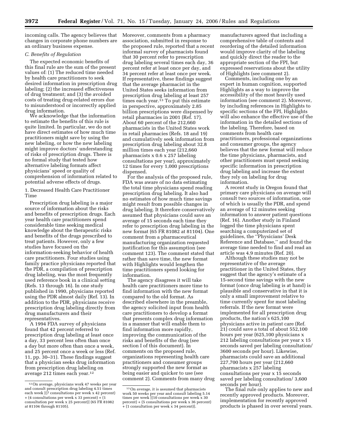incoming calls. The agency believes that changes in corporate phone numbers are an ordinary business expense.

# *C. Benefits of Regulation*

The expected economic benefits of this final rule are the sum of the present values of: (1) The reduced time needed by health care practitioners to seek desired information in prescription drug labeling; (2) the increased effectiveness of drug treatment; and (3) the avoided costs of treating drug-related errors due to misunderstood or incorrectly applied drug information.

We acknowledge that the information to estimate the benefits of this rule is quite limited. In particular, we do not have direct estimates of how much time practitioners might save by using the new labeling, or how the new labeling might improve doctors' understanding of risks of prescription drugs. There is no formal study that tested how alternative labeling formats affect physicians' speed or quality of comprehension of information related to potential adverse effects of drugs.

1. Decreased Health Care Practitioner Time

Prescription drug labeling is a major source of information about the risks and benefits of prescription drugs. Each year health care practitioners spend considerable time seeking medical knowledge about the therapeutic risks and benefits of the drugs prescribed to treat patients. However, only a few studies have focused on the information-seeking behavior of health care practitioners. Four studies using family practice physicians reported that the PDR, a compilation of prescription drug labeling, was the most frequently used reference book in a clinical setting (Refs. 13 through 16). In one study published in 1990, physicians reported using the PDR almost daily (Ref. 13). In addition to the PDR, physicians receive prescription drug labeling directly from drug manufacturers and their representatives.

A 1994 FDA survey of physicians found that 42 percent referred to prescription drug labeling at least once a day, 33 percent less often than once a day but more often than once a week, and 25 percent once a week or less (Ref. 11, pp. 30–31). These findings suggest that a physician seeks drug information from prescription drug labeling on average 212 times each year.12

Moreover, comments from a pharmacy association, submitted in response to the proposed rule, reported that a recent informal survey of pharmacists found that 30 percent refer to prescription drug labeling several times each day, 36 percent refer at least once per day, and 34 percent refer at least once per week. If representative, these findings suggest that the average pharmacist in the United States seeks information from prescription drug labeling at least 257 times each year.<sup>13</sup> To put this estimate in perspective, approximately 2.85 billion prescriptions were dispensed by retail pharmacies in 2001 (Ref. 17). About 60 percent of the 212,660 pharmacists in the United States work in retail pharmacies (Refs. 18 and 19) and cumulatively seek information from prescription drug labeling about 32.8 million times each year (212,660 pharmacists x 0.6 x 257 labeling consultations per year), approximately 12 times for every 1,000 prescriptions dispensed.

For the analysis of the proposed rule, FDA was aware of no data estimating the total time physicians spend reading prescription drug labeling. It also had no estimates of how much time savings might result from possible changes in drug labeling. It therefore conservatively assumed that physicians could save an average of 15 seconds each time they refer to prescription drug labeling in the new format (65 FR 81082 at 81104). One comment from a pharmaceutical manufacturing organization requested justification for this assumption (see comment 123). The comment stated that rather than save time, the new format with Highlights would lengthen the time practitioners spend looking for information.

The agency disagrees it will take health care practitioners more time to find information with the new format compared to the old format. As described elsewhere in the preamble, the agency solicited input from health care practitioners to develop a format that presents complex drug information in a manner that will enable them to find information more rapidly, improving the communication of the risks and benefits of the drug (see section I of this document). In comments on the proposed rule, organizations representing health care practitioners and consumer groups strongly supported the new format as being easier and quicker to use (see comment 2). Comments from many drug

manufacturers agreed that including a comprehensive table of contents and reordering of the detailed information would improve clarity of the labeling and quickly direct the reader to the appropriate section of the FPI, but expressed reservations about the utility of Highlights (see comment 2).

Comments, including one by an expert in human cognition, supported Highlights as a way to improve the accessibility of the most heavily used information (see comment 2). Moreover, by including references in Highlights to specific sections of the FPI, Highlights will also enhance the effective use of the information in the detailed sections of the labeling. Therefore, based on comments from health care practitioners, professional organizations and consumer groups, the agency believes that the new format will reduce the time physicians, pharmacists, and other practitioners must spend seeking specific information in prescription drug labeling and increase the extent they rely on labeling for drug information.

A recent study in Oregon found that primary care physicians on average will consult two sources of information, one of which is usually the PDR, and spend an average of 12 minutes seeking information to answer patient questions (Ref. 16). Another study in Finland logged the time physicians spent searching a computerized set of guidelines, the ''Physicians' Desk Reference and Database,'' and found the average time needed to find and read an article was 4.9 minutes (Ref. 20).

Although these studies may not be representative of the average practitioner in the United States, they suggest that the agency's estimate of a 15-second time savings with the new format (once drug labeling is at hand) is plausible and conservative in that it is only a small improvement relative to time currently spent for most labeling referrals. If the new format were implemented for all prescription drug products, the nation's 625,100 physicians active in patient care (Ref. 21) could save a total of about 552,100 hours per year (625,100 physicians x 212 labeling consultations per year x 15 seconds saved per labeling consultation/ 3600 seconds per hour). Likewise, pharmacists could save an additional 227,700 hours per year (212,660 pharmacists x 257 labeling consultations per year x 15 seconds saved per labeling consultation/ 3,600 seconds per hour).

The final rule only applies to new and recently approved products. Moreover, implementation for recently approved products is phased in over several years.

<sup>12</sup>On average, physicians work 47 weeks per year and consult prescription drug labeling 4.51 times each week [(7 consultations per week x 42 percent) + (4 consultations per week x 33 percent) + (1 consultation per week x 25 percent)] (65 FR 81082 at 81104 through 81105).

<sup>13</sup>On average, it is assumed that pharmacists work 50 weeks per year and consult labeling 5.14 times per week [(10 consultations per week x 30 percent) + (5 consultations per week x 36 percent) + (1 consultation per week x 34 percent)].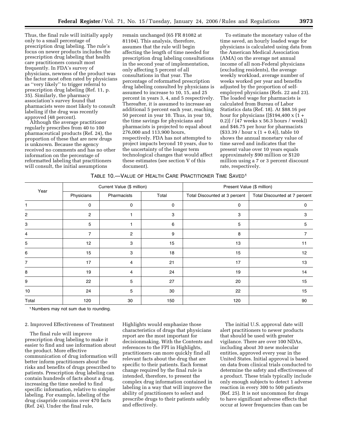Thus, the final rule will initially apply only to a small percentage of prescription drug labeling. The rule's focus on newer products includes the prescription drug labeling that health care practitioners consult most frequently. In FDA's survey of physicians, newness of the product was the factor most often rated by physicians as ''very likely'' to trigger referral to prescription drug labeling (Ref. 11, p. 35). Similarly, the pharmacy association's survey found that pharmacists were most likely to consult labeling if the drug was recently approved (48 percent).

Although the average practitioner regularly prescribes from 40 to 100 pharmaceutical products (Ref. 24), the proportion of these that are new drugs is unknown. Because the agency received no comments and has no other information on the percentage of reformatted labeling that practitioners will consult, the initial assumptions

remain unchanged (65 FR 81082 at 81104). This analysis, therefore, assumes that the rule will begin affecting the length of time needed for prescription drug labeling consultations in the second year of implementation, only affecting 5 percent of all consultations in that year. The percentage of reformatted prescription drug labeling consulted by physicians is assumed to increase to 10, 15, and 25 percent in years 3, 4, and 5 respectively. Thereafter, it is assumed to increase an additional 5 percent each year, reaching 50 percent in year 10. Thus, in year 10, the time savings for physicians and pharmacists is projected to equal about 276,000 and 113,900 hours, respectively. FDA has not attempted to project impacts beyond 10 years, due to the uncertainty of the longer term technological changes that would affect these estimates (see section V of this document).

To estimate the monetary value of the time saved, an hourly loaded wage for physicians is calculated using data from the American Medical Association (AMA) on the average net annual income of all non-Federal physicians (excluding residents), the average weekly workload, average number of weeks worked per year and benefits adjusted by the proportion of selfemployed physicians (Refs. 22 and 23). The loaded wage for pharmacists is calculated from Bureau of Labor Statistics data (Ref. 18). At \$88.16 per hour for physicians ( $[$194,400 \times (1 +$ 0.2)] / [47 weeks x 56.3 hours / week]) and \$46.75 per hour for pharmacists  $($33.39 / hour x (1 + 0.4))$ , table 10 shows the annual monetary value of time saved and indicates that the present value over 10 years equals approximately \$90 million or \$120 million using a 7 or 3 percent discount rate, respectively.

| Table 10.—Value of Health Care Practitioner Time $\mathsf{SaveD^1}$ |  |
|---------------------------------------------------------------------|--|
|---------------------------------------------------------------------|--|

|                |                |             | Present Value (\$ million)    |                               |  |
|----------------|----------------|-------------|-------------------------------|-------------------------------|--|
| Physicians     | Pharmacists    | Total       | Total Discounted at 3 percent | Total Discounted at 7 percent |  |
| 0              | 0              | $\mathbf 0$ | 0                             | 0                             |  |
| $\overline{2}$ |                | 3           | 3                             | 3                             |  |
| 5              |                | 6           | 5                             | 5                             |  |
| $\overline{7}$ | $\overline{2}$ | 9           | 8                             | 7                             |  |
| 12             | 3              | 15          | 13                            | 11                            |  |
| 15             | 3              | 18          | 15                            | 12                            |  |
| 17             | $\overline{4}$ | 21          | 17                            | 13                            |  |
| 19             | 4              | 24          | 19                            | 14                            |  |
| 22             | 5              | 27          | 20                            | 15                            |  |
| 24             | 5              | 30          | 22                            | 15                            |  |
| 120            | 30             | 150         | 120                           | 90                            |  |
|                |                |             | Current Value (\$ million)    |                               |  |

1 Numbers may not sum due to rounding.

#### 2. Improved Effectiveness of Treatment

The final rule will improve prescription drug labeling to make it easier to find and use information about the product. More effective communication of drug information will better inform practitioners about the risks and benefits of drugs prescribed to patients. Prescription drug labeling can contain hundreds of facts about a drug, increasing the time needed to find specific information, relative to simpler labeling. For example, labeling of the drug cisapride contains over 470 facts (Ref. 24). Under the final rule,

Highlights would emphasize those characteristics of drugs that physicians report are the most important for decisionmaking. With the Contents and references to the FPI in Highlights, practitioners can more quickly find all relevant facts about the drug that are specific to their patients. Each format change required by the final rule is intended, therefore, to present the complex drug information contained in labeling in a way that will improve the ability of practitioners to select and prescribe drugs to their patients safely and effectively.

The initial U.S. approval date will alert practitioners to newer products that should be used with greater vigilance. There are over 100 NDAs, including about 30 new molecular entities, approved every year in the United States. Initial approval is based on data from clinical trials conducted to determine the safety and effectiveness of a product. These trials typically include only enough subjects to detect 1 adverse reaction in every 300 to 500 patients (Ref. 25). It is not uncommon for drugs to have significant adverse effects that occur at lower frequencies than can be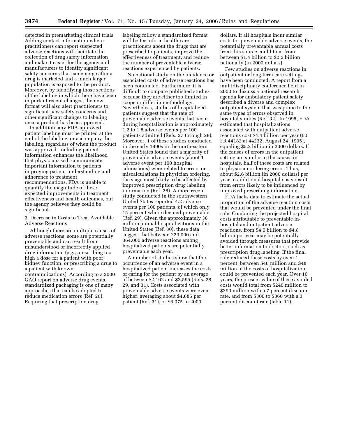detected in premarketing clinical trials. Adding contact information where practitioners can report suspected adverse reactions will facilitate the collection of drug safety information and make it easier for the agency and manufacturers to identify significant safety concerns that can emerge after a drug is marketed and a much larger population is exposed to the product. Moreover, by identifying those sections of the labeling in which there have been important recent changes, the new format will also alert practitioners to significant new safety concerns and other significant changes to labeling once a product has been approved.

In addition, any FDA-approved patient labeling must be printed at the end of the labeling, or accompany the labeling, regardless of when the product was approved. Including patient information enhances the likelihood that physicians will communicate important information to patients, improving patient understanding and adherence to treatment recommendations. FDA is unable to quantify the magnitude of these expected improvements in treatment effectiveness and health outcomes, but the agency believes they could be significant.

3. Decrease in Costs to Treat Avoidable Adverse Reactions

Although there are multiple causes of adverse reactions, some are potentially preventable and can result from misunderstood or incorrectly applied drug information (e.g., prescribing too high a dose for a patient with poor kidney function, or prescribing a drug to a patient with known contraindications). According to a 2000 GAO report on adverse drug events, standardized packaging is one of many approaches that can be adopted to reduce medication errors (Ref. 26). Requiring that prescription drug

labeling follow a standardized format will better inform health care practitioners about the drugs that are prescribed to patients, improve the effectiveness of treatment, and reduce the number of preventable adverse reactions experienced by patients.

No national study on the incidence or associated costs of adverse reactions has been conducted. Furthermore, it is difficult to compare published studies because they are either too limited in scope or differ in methodology. Nevertheless, studies of hospitalized patients suggest that the rate of preventable adverse events that occur during hospitalization is approximately 1.2 to 1.8 adverse events per 100 patients admitted (Refs. 27 through 29). Moreover, 1 of these studies conducted in the early 1990s in the northeastern United States found that a majority of preventable adverse events (about 1 adverse event per 100 hospital admissions) were related to errors or miscalculations in physician ordering, the stage most likely to be affected by improved prescription drug labeling information (Ref. 28). A more recent study conducted in the southwestern United States reported 4.2 adverse events per 100 patients, of which only 15 percent where deemed preventable (Ref. 29). Given the approximately 36 million annual hospitalizations in the United States (Ref. 30), these data suggest that between 229,000 and 364,000 adverse reactions among hospitalized patients are potentially preventable each year.

A number of studies show that the occurrence of an adverse event in a hospitalized patient increases the costs of caring for the patient by an average of between \$2,162 and \$2,595 (Refs. 28, 29, and 31). Costs associated with preventable adverse events were even higher, averaging about \$4,685 per patient (Ref. 31), or \$6,075 in 2000

dollars. If all hospitals incur similar costs for preventable adverse events, the potentially preventable annual costs from this source could total from between \$1.4 billion to \$2.2 billion nationally (in 2000 dollars).

Few studies on adverse reactions in outpatient or long-term care settings have been conducted. A report from a multidisciplinary conference held in 2000 to discuss a national research agenda for ambulatory patient safety described a diverse and complex outpatient system that was prone to the same types of errors observed in hospital studies (Ref. 32). In 1995, FDA estimated that hospitalizations associated with outpatient adverse reactions cost \$4.4 billion per year (60 FR 44182 at 44232; August 24, 1995), equaling \$5.2 billion in 2000 dollars. If the causes of errors in the outpatient setting are similar to the causes in hospitals, half of these costs are related to physician ordering errors. Thus, about \$2.6 billion (in 2000 dollars) per year in additional hospital costs result from errors likely to be influenced by improved prescribing information.

FDA lacks data to estimate the actual proportion of the adverse reaction costs that would be prevented under the final rule. Combining the projected hospital costs attributable to preventable inhospital and outpatient adverse reactions, from \$4.0 billion to \$4.8 billion per year may be potentially avoided through measures that provide better information to doctors, such as prescription drug labeling. If the final rule reduced these costs by even 1 percent, between \$40 million and \$48 million of the costs of hospitalization could be prevented each year. Over 10 years, the present value of these avoided costs would total from \$240 million to \$290 million with a 7 percent discount rate, and from \$300 to \$360 with a 3 percent discount rate (table 11).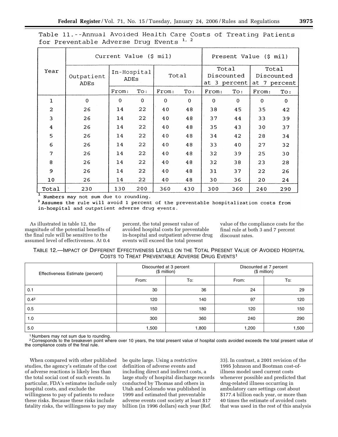|                         | Current Value (\$ mil) |                     |          |          |          | Present Value (\$ mil) |              |                     |              |
|-------------------------|------------------------|---------------------|----------|----------|----------|------------------------|--------------|---------------------|--------------|
| Year                    | Outpatient<br>ADES     | In-Hospital<br>ADES |          | Total    |          | Total<br>Discounted    | at 3 percent | Total<br>Discounted | at 7 percent |
|                         |                        | From:               | To:      | From:    | To:      | From:                  | To:          | From:               | To:          |
| 1                       | $\mathbf 0$            | $\Omega$            | $\Omega$ | $\Omega$ | $\Omega$ | $\Omega$               | $\Omega$     | $\Omega$            | - 0          |
| $\overline{\mathbf{c}}$ | 26                     | 14                  | 22       | 40       | 48       | 38                     | 45           | 35                  | 42           |
| 3                       | 26                     | 14                  | 22       | 40       | 48       | 37                     | 44           | 33                  | 39           |
| $\boldsymbol{4}$        | 26                     | 14                  | 22       | 40       | 48       | 35                     | 43           | 30                  | 37           |
| 5                       | 26                     | 14                  | 22       | 40       | 48       | 34                     | 42           | 28                  | 34           |
| 6                       | 26                     | 14                  | 22       | 40       | 48       | 33                     | 40           | 27                  | 32           |
| 7                       | 26                     | 14                  | 22       | 40       | 48       | 32                     | 39           | 25                  | 30           |
| 8                       | 26                     | 14                  | 22       | 40       | 48       | 32                     | 38           | 23                  | 28           |
| 9                       | 26                     | 14                  | 22       | 40       | 48       | 31                     | 37           | 22                  | 26           |
| 10                      | 26                     | 14                  | 22       | 40       | 48       | 30                     | 36           | 20                  | 24           |
| Total                   | 230                    | 130                 | 200      | 360      | 430      | 300                    | 360          | 240                 | 290          |

Table 11.--Annual Avoided Health Care Costs of Treating Patients for Preventable Adverse Drug Events<sup>1,2</sup>

<sup>1</sup> Numbers may not sum due to rounding.

<sup>2</sup> Assumes the rule will avoid 1 percent of the preventable hospitalization costs from in-hospital and outpatient adverse drug events.

As illustrated in table 12, the magnitude of the potential benefits of the final rule will be sensitive to the assumed level of effectiveness. At 0.4

percent, the total present value of avoided hospital costs for preventable in-hospital and outpatient adverse drug events will exceed the total present

value of the compliance costs for the final rule at both 3 and 7 percent discount rates.

| Table 12.—Impact of Different Effectiveness Levels on the Total Present Value of Avoided Hospital |                                                             |  |  |
|---------------------------------------------------------------------------------------------------|-------------------------------------------------------------|--|--|
|                                                                                                   | COSTS TO TREAT PREVENTABLE ADVERSE DRUG EVENTS <sup>1</sup> |  |  |

| Effectiveness Estimate (percent) |       | Discounted at 3 percent<br>$($$ million) | Discounted at 7 percent<br>$($$ million) |              |  |
|----------------------------------|-------|------------------------------------------|------------------------------------------|--------------|--|
|                                  | From: | To:                                      | From:                                    | To:          |  |
| 0.1                              | 30    | 36                                       | 24                                       | 29           |  |
| 0.4 <sup>2</sup>                 | 120   | 140                                      | 97                                       | 120          |  |
| 0.5                              | 150   | 180                                      | 120                                      | 150          |  |
| 1.0                              | 300   | 360                                      | 240                                      | 290          |  |
| 5.0                              | 1,500 | 1,800                                    | 1,200                                    | <b>1,500</b> |  |

1 Numbers may not sum due to rounding.

<sup>2</sup> Corresponds to the breakeven point where over 10 years, the total present value of hospital costs avoided exceeds the total present value of the compliance costs of the final rule.

When compared with other published studies, the agency's estimate of the cost of adverse reactions is likely less than the total social cost of such events. In particular, FDA's estimates include only hospital costs, and exclude the willingness to pay of patients to reduce these risks. Because these risks include fatality risks, the willingness to pay may

be quite large. Using a restrictive definition of adverse events and including direct and indirect costs, a large study of hospital discharge records conducted by Thomas and others in Utah and Colorado was published in 1999 and estimated that preventable adverse events cost society at least \$17 billion (in 1996 dollars) each year (Ref.

33). In contrast, a 2001 revision of the 1995 Johnson and Bootman cost-ofillness model used current costs whenever possible and predicted that drug-related illness occurring in ambulatory care settings cost about \$177.4 billion each year, or more than 40 times the estimate of avoided costs that was used in the rest of this analysis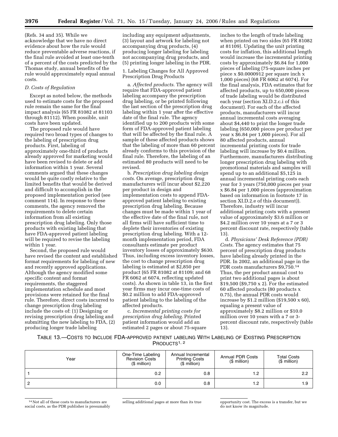(Refs. 34 and 35). While we acknowledge that we have no direct evidence about how the rule would reduce preventable adverse reactions, if the final rule avoided at least one-tenth of a percent of the costs predicted by the Thomas study, annual benefits of the rule would approximately equal annual costs.

## *D. Costs of Regulation*

Except as noted below, the methods used to estimate costs for the proposed rule remain the same for the final impact analysis (65 FR 81082 at 81103 through 81112). When possible, unit costs have been updated.

The proposed rule would have required two broad types of changes to the labeling of prescription drug products. First, labeling of approximately one-third of products already approved for marketing would have been revised to delete or add information within 1 year. Several comments argued that these changes would be quite costly relative to the limited benefits that would be derived and difficult to accomplish in the proposed implementation period (see comment 114). In response to these comments, the agency removed the requirements to delete certain information from all existing prescription drug labeling. Only those products with existing labeling that have FDA-approved patient labeling will be required to revise the labeling within 1 year.

Second, the proposed rule would have revised the content and established format requirements for labeling of new and recently approved applications. Although the agency modified some specific content and format requirements, the staggered implementation schedule and most provisions were retained for the final rule. Therefore, direct costs incurred to change prescription drug labeling include the costs of: (1) Designing or revising prescription drug labeling and submitting the new labeling to FDA, (2) producing longer trade labeling

including any equipment adjustments, (3) layout and artwork for labeling not accompanying drug products, (4) producing longer labeling for labeling not accompanying drug products, and (5) printing longer labeling in the PDR.

1. Labeling Changes for All Approved Prescription Drug Products

a. *Affected products*. The agency will require that FDA-approved patient labeling accompany the prescription drug labeling, or be printed following the last section of the prescription drug labeling within 1 year after the effective date of the final rule. The agency identified up to 200 products with some form of FDA-approved patient labeling that will be affected by the final rule. A sample of these affected products shows that the labeling of more than 60 percent already conforms to this provision of the final rule. Therefore, the labeling of an estimated 80 products will need to be revised.

b. *Prescription drug labeling design costs*. On average, prescription drug manufacturers will incur about \$2,220 per product in design and implementation costs to append FDAapproved patient labeling to existing prescription drug labeling. Because changes must be made within 1 year of the effective date of the final rule, not all firms will have sufficient time to deplete their inventories of existing prescription drug labeling. With a 12 month implementation period, FDA consultants estimate per product inventory losses of approximately \$630. Thus, including excess inventory losses, the cost to change prescription drug labeling is estimated at \$2,850 per product (65 FR 81082 at 81109; and 68 FR 6062 at 6074, reflecting updated costs). As shown in table 13, in the first year firms may incur one-time costs of \$0.2 million to add FDA-approved patient labeling to the labeling of the affected products.

c. *Incremental printing costs for prescription drug labeling*. Printed patient information would add an estimated 2 pages or about 75-square

inches to the length of trade labeling when printed on two sides (65 FR 81082 at 81109). Updating the unit printing costs for inflation, this additional length would increase the incremental printing costs by approximately \$6.84 for 1,000 pieces of labeling (75-square inches per piece x \$0.0000912 per square inch x 1,000 pieces) (68 FR 6062 at 6074). For the final analysis, FDA estimates that for affected products, up to 650,000 pieces of trade labeling would be distributed each year (section XI.D.2.c.i of this document). For each of the affected products, manufacturers will incur annual incremental costs averaging about \$4,440 to print the longer trade labeling (650,000 pieces per product per year x \$6.84 per 1,000 pieces). For all 80 affected products, annual incremental printing costs for trade labeling will increase by \$0.4 million. Furthermore, manufacturers distributing longer prescription drug labeling with promotional materials and samples will spend up to an additional \$5,125 in annual incremental printing costs each year for 3 years (750,000 pieces per year x \$6.84 per 1,000 pieces (approximation based on information in footnote 17 in section XI.D.2.e of this document)). Therefore, industry will incur additional printing costs with a present value of approximately \$3.6 million or \$4.2 million over 10 years at a 7 or 3 percent discount rate, respectively (table 13).

d. *Physicians' Desk Reference (PDR) Costs*. The agency estimates that 75 percent of prescription drug products have labeling already printed in the PDR. In 2002, an additional page in the PDR costs manufacturers \$9,750.14 Thus, the per product annual cost to print two additional pages is about \$19,500 (\$9,750 x 2). For the estimated 60 affected products (80 products x 0.75), the annual PDR costs would increase by \$1.2 million (\$19,500 x 60), equaling a present value of approximately \$8.2 million or \$10.0 million over 10 years with a 7 or 3 percent discount rate, respectively (table 13).

TABLE 13.—COSTS TO INCLUDE FDA-APPROVED PATIENT LABELING WITH LABELING OF EXISTING PRESCRIPTION PRODUCTS<sup>1, 2</sup>

| Year | One-Time Labeling<br><b>Revision Costs</b><br>$$$ million) | Annual Incremental<br><b>Printing Costs</b><br>$$$ million) | Annual PDR Costs<br>$$$ million) | <b>Total Costs</b><br>$$$ million) |
|------|------------------------------------------------------------|-------------------------------------------------------------|----------------------------------|------------------------------------|
|      | 0.2                                                        | 0.8                                                         | 1.2                              | 2.2                                |
| 2    | 0.0                                                        | 0.8                                                         | 2. ا                             | 1.9                                |

<sup>14</sup>Not all of these costs to manufacturers are social costs, as the PDR publisher is presumably

selling additional pages at more than its true opportunity cost. The excess is a transfer, but we do not know its magnitude.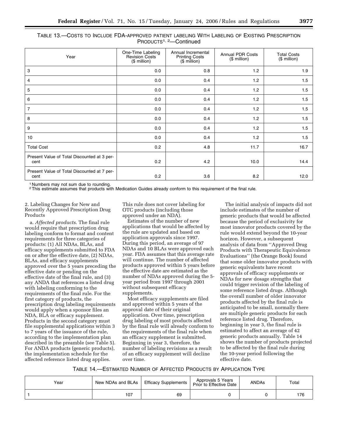| TABLE 13.—COSTS TO INCLUDE FDA-APPROVED PATIENT LABELING WITH LABELING OF EXISTING PRESCRIPTION |
|-------------------------------------------------------------------------------------------------|
| PRODUCTS <sup>1, 2</sup> —Continued                                                             |

| Year                                                | One-Time Labeling<br>Revision Costs<br>(\$ million) | Annual Incremental<br><b>Printing Costs</b><br>$$$ million) | <b>Annual PDR Costs</b><br>$($$ million) | <b>Total Costs</b><br>(\$ million) |
|-----------------------------------------------------|-----------------------------------------------------|-------------------------------------------------------------|------------------------------------------|------------------------------------|
| 3                                                   | 0.0                                                 | 0.8                                                         | 1.2                                      | 1.9                                |
| 4                                                   | 0.0                                                 | 0.4                                                         | 1.2                                      | 1.5                                |
| $\sqrt{5}$                                          | 0.0                                                 | 0.4                                                         | 1.2                                      | 1.5                                |
| 6                                                   | 0.0                                                 | 0.4                                                         | 1.2                                      | 1.5                                |
| $\overline{7}$                                      | 0.0                                                 | 0.4                                                         | 1.2                                      | 1.5                                |
| 8                                                   | 0.0                                                 | 0.4                                                         | 1.2                                      | 1.5                                |
| 9                                                   | 0.0                                                 | 0.4                                                         | 1.2                                      | 1.5                                |
| 10                                                  | 0.0                                                 | 0.4                                                         | 1.2                                      | 1.5                                |
| <b>Total Cost</b>                                   | 0.2                                                 | 4.8                                                         | 11.7                                     | 16.7                               |
| Present Value of Total Discounted at 3 per-<br>cent | 0.2                                                 | 4.2                                                         | 10.0                                     | 14.4                               |
| Present Value of Total Discounted at 7 per-<br>cent | 0.2                                                 | 3.6                                                         | 8.2                                      | 12.0                               |

1 Numbers may not sum due to rounding.

<sup>2</sup>This estimate assumes that products with Medication Guides already conform to this requirement of the final rule.

2. Labeling Changes for New and Recently Approved Prescription Drug Products

a. *Affected products*. The final rule would require that prescription drug labeling conform to format and content requirements for three categories of products: (1) All NDAs, BLAs, and efficacy supplements submitted to FDA on or after the effective date, (2) NDAs, BLAs, and efficacy supplements approved over the 5 years preceding the effective date or pending on the effective date of the final rule, and (3) any ANDA that references a listed drug with labeling conforming to the requirements of the final rule. For the first category of products, the prescription drug labeling requirements would apply when a sponsor files an NDA, BLA or efficacy supplement. Products in the second category must file supplemental applications within 3 to 7 years of the issuance of the rule, according to the implementation plan described in the preamble (see Table 5). For ANDA products (generic products), the implementation schedule for the affected reference listed drug applies.

This rule does not cover labeling for OTC products (including those approved under an NDA).

Estimates of the number of new applications that would be affected by the rule are updated and based on application approvals since 1997. During this period, an average of 97 NDAs and 10 BLAs were approved each year. FDA assumes that this average rate will continue. The number of affected products approved within 5 years before the effective date are estimated as the number of NDAs approved during the 5 year period from 1997 through 2001 without subsequent efficacy supplements.

Most efficacy supplements are filed and approved within 5 years of the approval date of their original application. Over time, prescription drug labeling of most products affected by the final rule will already conform to the requirements of the final rule when an efficacy supplement is submitted. Beginning in year 3, therefore, the number of labeling revisions as a result of an efficacy supplement will decline over time.

The initial analysis of impacts did not include estimates of the number of generic products that would be affected because the period of exclusivity for most innovator products covered by the rule would extend beyond the 10-year horizon. However, a subsequent analysis of data from ''Approved Drug Products with Therapeutic Equivalence Evaluations'' (the Orange Book) found that some older innovator products with generic equivalents have recent approvals of efficacy supplements or NDAs for new dosage strengths that could trigger revision of the labeling of some reference listed drugs. Although the overall number of older innovator products affected by the final rule is anticipated to be small, normally there are multiple generic products for each reference listed drug. Therefore, beginning in year 3, the final rule is estimated to affect an average of 42 generic products annually. Table 14 shows the number of products projected to be affected by the final rule during the 10-year period following the effective date.

TABLE 14.—ESTIMATED NUMBER OF AFFECTED PRODUCTS BY APPLICATION TYPE

| Year | New NDAs and BLAs | Efficacy Supplements | Approvals 5 Years<br>Prior to Effective Date | ANDAs | Total |
|------|-------------------|----------------------|----------------------------------------------|-------|-------|
|      | 107               | 69                   |                                              |       |       |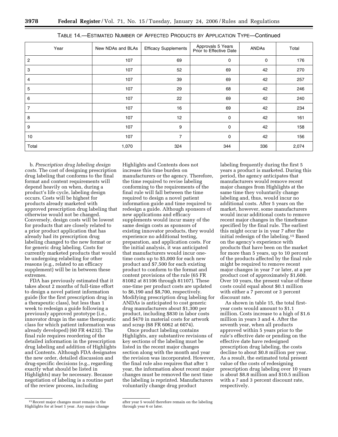| Year  | New NDAs and BLAs | <b>Efficacy Supplements</b> | Approvals 5 Years<br>Prior to Effective Date | ANDAs       | Total |
|-------|-------------------|-----------------------------|----------------------------------------------|-------------|-------|
| 2     | 107               | 69                          | 0                                            | $\mathbf 0$ | 176   |
| 3     | 107               | 52                          | 69                                           | 42          | 270   |
| 4     | 107               | 39                          | 69                                           | 42          | 257   |
| 5     | 107               | 29                          | 68                                           | 42          | 246   |
| 6     | 107               | 22                          | 69                                           | 42          | 240   |
| 7     | 107               | 16                          | 69                                           | 42          | 234   |
| 8     | 107               | 12                          | 0                                            | 42          | 161   |
| 9     | 107               | 9                           | 0                                            | 42          | 158   |
| 10    | 107               | $\overline{7}$              | 0                                            | 42          | 156   |
| Total | 1,070             | 324                         | 344                                          | 336         | 2,074 |

Highlights and Contents does not

|  | TABLE 14. ESTIMATED NUMBER OF AFFECTED PRODUCTS BY APPLICATION TYPE-Continued |
|--|-------------------------------------------------------------------------------|
|--|-------------------------------------------------------------------------------|

b. *Prescription drug labeling design costs*. The cost of designing prescription drug labeling that conforms to the final format and content requirements will depend heavily on when, during a product's life cycle, labeling design occurs. Costs will be highest for products already marketed with approved prescription drug labeling that otherwise would not be changed. Conversely, design costs will be lowest for products that are closely related to a prior product application that has already had its prescription drug labeling changed to the new format or for generic drug labeling. Costs for currently marketed products that would be undergoing relabeling for other reasons (e.g., related to an efficacy supplement) will be in between these extremes.

FDA has previously estimated that it takes about 2 months of full-time effort to design a novel patient information guide (for the first prescription drug in a therapeutic class), but less than 1 week to redesign a guide following a previously approved prototype (i.e., innovator drugs in the same therapeutic class for which patient information was already developed) (60 FR 44232). The final rule requires reordering of the detailed information in the prescription drug labeling and addition of Highlights and Contents. Although FDA designates the new order, detailed discussion and drug-specific decisions (e.g., regarding exactly what should be listed in Highlights) may be necessary. Because negotiation of labeling is a routine part of the review process, including

increase this time burden on manufacturers or the agency. Therefore, the time required to revise labeling conforming to the requirements of the final rule will fall between the time required to design a novel patient information guide and time required to redesign a guide. Although sponsors of new applications and efficacy supplements would incur many of the same design costs as sponsors of existing innovator products, they would experience no additional testing, preparation, and application costs. For the initial analysis, it was anticipated that manufacturers would incur onetime costs up to \$5,000 for each new product and \$7,500 for each existing product to conform to the format and content provisions of the rule (65 FR 81082 at 81106 through 81107). These one-time per product costs are updated to \$6,190 and \$8,700, respectively. Modifying prescription drug labeling for ANDAs is anticipated to cost generic drug manufacturers about \$1,300 per product, including \$830 in labor costs and \$470 in material costs for artwork and scrap (68 FR 6062 at 6074).

Once product labeling contains Highlights, any substantive revisions of key sections of the labeling must be listed in the recent major changes section along with the month and year the revision was incorporated. However, the final rule also requires that after 1 year, the information about recent major changes must be removed the next time the labeling is reprinted. Manufacturers voluntarily change drug product

labeling frequently during the first 5 years a product is marketed. During this period, the agency anticipates that manufacturers would remove recent major changes from Highlights at the same time they voluntarily change labeling and, thus, would incur no additional costs. After 5 years on the market, however, some manufacturers would incur additional costs to remove recent major changes in the timeframe specified by the final rule. The earliest this might occur is in year 7 after the initial redesign of the labeling.15 Based on the agency's experience with products that have been on the market for more than 5 years, up to 10 percent of the products affected by the final rule might be required to remove recent major changes in year 7 or later, at a per product cost of approximately \$1,600. Over 10 years, the present value of these costs could equal about \$0.1 million with either a 7 percent or 3 percent discount rate.

As shown in table 15, the total firstyear costs would amount to \$1.1 million. Costs increase to a high of \$1.6 million in years 3 and 4. After the seventh year, when all products approved within 5 years prior to the rule's effective date or pending on the effective date have redesigned prescription drug labeling, the costs decline to about \$0.8 million per year. As a result, the estimated total present value of the costs of redesigning prescription drug labeling over 10 years is about \$8.8 million and \$10.5 million with a 7 and 3 percent discount rate, respectively.

<sup>15</sup>Recent major changes must remain in the Highlights for at least 1 year. Any major change

after year 5 would therefore remain on the labeling through year 6 or later.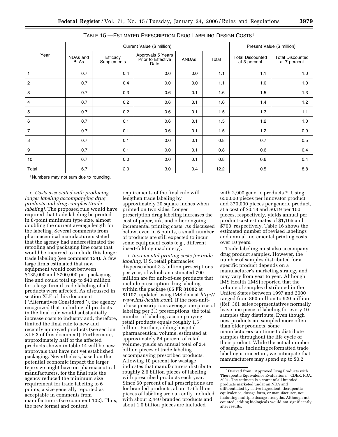|                |                         | Current Value (\$ million) | Present Value (\$ million)                      |              |       |                                         |                                         |  |
|----------------|-------------------------|----------------------------|-------------------------------------------------|--------------|-------|-----------------------------------------|-----------------------------------------|--|
| Year           | NDAs and<br><b>BLAs</b> | Efficacy<br>Supplements    | Approvals 5 Years<br>Prior to Effective<br>Date | <b>ANDAS</b> | Total | <b>Total Discounted</b><br>at 3 percent | <b>Total Discounted</b><br>at 7 percent |  |
| $\mathbf{1}$   | 0.7                     | 0.4                        | 0.0                                             | 0.0          | 1.1   | 1.1                                     | 1.0                                     |  |
| $\overline{2}$ | 0.7                     | 0.4                        | 0.0                                             | 0.0          | 1.1   | 1.0                                     | 1.0                                     |  |
| 3              | 0.7                     | 0.3                        | 0.6                                             | 0.1          | 1.6   | 1.5                                     | 1.3                                     |  |
| 4              | 0.7                     | 0.2                        | 0.6                                             | 0.1          | 1.6   | 1.4                                     | 1.2                                     |  |
| 5              | 0.7                     | 0.2                        | 0.6                                             | 0.1          | 1.5   | 1.3                                     | 1.1                                     |  |
| 6              | 0.7                     | 0.1                        | 0.6                                             | 0.1          | 1.5   | 1.2                                     | 1.0                                     |  |
| $\overline{7}$ | 0.7                     | 0.1                        | 0.6                                             | 0.1          | 1.5   | 1.2                                     | 0.9                                     |  |
| 8              | 0.7                     | 0.1                        | 0.0                                             | 0.1          | 0.8   | 0.7                                     | 0.5                                     |  |
| 9              | 0.7                     | 0.1                        | 0.0                                             | 0.1          | 0.8   | 0.6                                     | 0.4                                     |  |
| 10             | 0.7                     | 0.0                        | 0.0                                             | 0.1          | 0.8   | 0.6                                     | 0.4                                     |  |
| Total          | 6.7                     | 2.0                        | 3.0                                             | 0.4          | 12.2  | 10.5                                    | 8.8                                     |  |

TABLE 15.—ESTIMATED PRESCRIPTION DRUG LABELING DESIGN COSTS1

1 Numbers may not sum due to rounding.

c. *Costs associated with producing longer labeling accompanying drug products and drug samples (trade labeling)*. The proposed rule would have required that trade labeling be printed in 8-point minimum type size, almost doubling the current average length for the labeling. Several comments from pharmaceutical manufacturers stated that the agency had underestimated the retooling and packaging line costs that would be incurred to include this longer trade labeling (see comment 124). A few large firms estimated that new equipment would cost between \$135,000 and \$700,000 per packaging line and could total up to \$40 million for a large firm if trade labeling of all products were affected. As discussed in section XI.F of this document (''Alternatives Considered''), the agency recognized that including all products in the final rule would substantially increase costs to industry and, therefore, limited the final rule to new and recently approved products (see section XI.F.3 of this document). Furthermore, approximately half of the affected products shown in table 14 will be new approvals that have not yet established packaging. Nevertheless, based on the potential economic impact the larger type size might have on pharmaceutical manufacturers, for the final rule the agency reduced the minimum size requirement for trade labeling to 6 points, a size generally reported as acceptable in comments from manufacturers (see comment 102). Thus, the new format and content

requirements of the final rule will lengthen trade labeling by approximately 20 square inches when printed on two sides. Longer prescription drug labeling increases the cost of paper, ink, and other ongoing incremental printing costs. As discussed below, even in 6 points, a small number of products are still expected to incur some equipment costs (e.g., different insert-folding machinery).

i. *Incremental printing costs for trade labeling*. U.S. retail pharmacies dispense about 3.3 billion prescriptions per year, of which an estimated 790 million are for unit-of-use products that include prescription drug labeling within the package (65 FR 81082 at 81107, updated using IMS data at *http:// www.ims-health.com*). If the non-unitof-use prescriptions average one piece of labeling per 3.3 prescriptions, the total number of labelings accompanying retail products equals roughly 1.5 billion. Further, adding hospital pharmaceutical volume, estimated at approximately 54 percent of retail volume, yields an annual total of 2.4 billion pieces of trade labeling accompanying prescribed products. Allowing 10 percent for wastage indicates that manufacturers distribute roughly 2.6 billion pieces of labeling with prescribed products each year. Since 60 percent of all prescriptions are for branded products, about 1.6 billion pieces of labeling are currently included with about 2,440 branded products and about 1.0 billion pieces are included

with 2,900 generic products.16 Using 650,000 pieces per innovator product and 370,000 pieces per generic product, at a cost of \$0.18 and \$0.19 per 100 pieces, respectively, yields annual per product cost estimates of \$1,165 and \$700, respectively. Table 16 shows the estimated number of revised labelings and annual incremental printing costs over 10 years.

Trade labeling must also accompany drug product samples. However, the number of samples distributed for a specific product depends on a manufacturer's marketing strategy and may vary from year to year. Although IMS Health (IMS) reported that the volume of samples distributed in the United States between 1997 and 2000 ranged from 860 million to 920 million (Ref. 36), sales representatives normally leave one piece of labeling for every 10 samples they distribute. Even though new products are sampled more often than older products, some manufacturers continue to distribute samples throughout the life cycle of their product. While the actual number of samples including reformatted trade labeling is uncertain, we anticipate that manufacturers may spend up to \$0.2

<sup>16</sup> Derived from ''Approved Drug Products with Therapeutic Equivalence Evaluations,'' CDER, FDA, 2001. The estimate is a count of all branded products marketed under an NDA and differentiated by active ingredient, therapeutic equivalence, dosage form, or manufacturer, not including multiple dosage strengths. Although not counted, adding biologicals would not significantly alter results.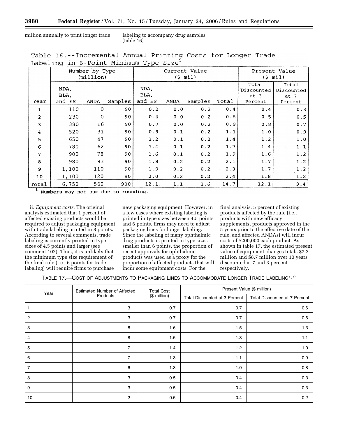million annually to print longer trade labeling to accompany drug samples

(table 16).

| Table 16.--Incremental Annual Printing Costs for Longer Trade |  |  |  |  |  |
|---------------------------------------------------------------|--|--|--|--|--|
| Labeling in 6-Point Minimum Type Size <sup>1</sup>            |  |  |  |  |  |

|              |              | Number by Type<br>(min) |         | Current Value<br>$(S \text{ mil})$ |      |         |       | Present Value<br>$(5 \text{ mil})$ |                     |
|--------------|--------------|-------------------------|---------|------------------------------------|------|---------|-------|------------------------------------|---------------------|
|              | NDA,<br>BLA, |                         |         | NDA,<br>BLA,                       |      |         |       | Total<br>Discounted                | Total<br>Discounted |
| Year         | and ES       | ANDA                    | Samples | and ES                             | ANDA | Samples | Total | at <sub>3</sub><br>Percent         | at 7<br>Percent     |
| 1            | 110          | $\overline{0}$          | 90      | 0.2                                | 0.0  | 0.2     | 0.4   | 0.4                                | 0.3                 |
| 2            | 230          | $\Omega$                | 90      | 0.4                                | 0.0  | 0.2     | 0.6   | 0.5                                | 0.5                 |
| 3            | 380          | 16                      | 90      | 0.7                                | 0.0  | 0.2     | 0.9   | 0.8                                | 0.7                 |
| 4            | 520          | 31                      | 90      | 0.9                                | 0.1  | 0.2     | 1.1   | 1.0                                | 0.9                 |
| 5            | 650          | 47                      | 90      | 1.2                                | 0.1  | 0.2     | 1.4   | 1.2                                | 1.0                 |
| 6            | 780          | 62                      | 90      | 1.4                                | 0.1  | 0.2     | 1.7   | 1.4                                | 1.1                 |
| 7            | 900          | 78                      | 90      | 1.6                                | 0.1  | 0.2     | 1.9   | 1.6                                | 1.2                 |
| 8            | 980          | 93                      | 90      | 1.8                                | 0.2  | 0.2     | 2.1   | 1.7                                | 1.2                 |
| $\mathbf{9}$ | 1,100        | 110                     | 90      | 1.9                                | 0.2  | 0.2     | 2.3   | 1.7                                | 1.2                 |
| 10           | 1,100        | 120                     | 90      | 2.0                                | 0.2  | 0.2     | 2.4   | 1.8                                | 1.2                 |
| Total        | 6,750        | 560                     | 900     | 12.1                               | 1.1  | 1.6     | 14.7  | 12.1                               | 9.4 <sup>1</sup>    |

<sup>1</sup> Numbers may not sum due to rounding.

ii. *Equipment costs*. The original analysis estimated that 1 percent of affected existing products would be required to adjust packaging equipment with trade labeling printed in 8 points. According to several comments, trade labeling is currently printed in type sizes of 4.5 points and larger (see comment 102). Thus, it is unlikely that the minimum type size requirement of the final rule (i.e., 6 points for trade labeling) will require firms to purchase

new packaging equipment. However, in a few cases where existing labeling is printed in type sizes between 4.5 points and 6 points, firms may need to adjust packaging lines for longer labeling. Since the labeling of many ophthalmic drug products is printed in type sizes smaller than 6 points, the proportion of recent approvals for ophthalmic products was used as a proxy for the proportion of affected products that will incur some equipment costs. For the

final analysis, 5 percent of existing products affected by the rule (i.e., products with new efficacy supplements, products approved in the 5 years prior to the effective date of the rule, and affected ANDAs) will incur costs of \$200,000 each product. As shown in table 17, the estimated present value of equipment changes totals \$7.2 million and \$8.7 million over 10 years discounted at 7 and 3 percent respectively.

|  | TABLE 17.—COST OF ADJUSTMENTS TO PACKAGING LINES TO ACCOMMODATE LONGER TRADE LABELING <sup>1, 2</sup> |
|--|-------------------------------------------------------------------------------------------------------|
|--|-------------------------------------------------------------------------------------------------------|

| Year           | <b>Estimated Number of Affected</b> | <b>Total Cost</b> | Present Value (\$ million)    |                               |  |  |
|----------------|-------------------------------------|-------------------|-------------------------------|-------------------------------|--|--|
|                | Products                            | (\$ million)      | Total Discounted at 3 Percent | Total Discounted at 7 Percent |  |  |
|                | 3                                   | 0.7               | 0.7                           | 0.6                           |  |  |
| $\overline{c}$ | 3                                   | 0.7               | 0.7                           | 0.6                           |  |  |
| 3              | 8                                   | 1.6               | 1.5                           | 1.3                           |  |  |
| $\overline{4}$ | 8                                   | 1.5               | 1.3                           | 1.1                           |  |  |
| 5              | $\overline{7}$                      | 1.4               | 1.2                           | 1.0                           |  |  |
| 6              | $\overline{7}$                      | 1.3               | 1.1                           | 0.9                           |  |  |
| $\overline{7}$ | 6                                   | 1.3               | 1.0                           | 0.8                           |  |  |
| 8              | 3                                   | 0.5               | 0.4                           | 0.3                           |  |  |
| 9              | 3                                   | 0.5               | 0.4                           | 0.3                           |  |  |
| 10             | $\overline{c}$                      | 0.5               | 0.4                           | 0.2                           |  |  |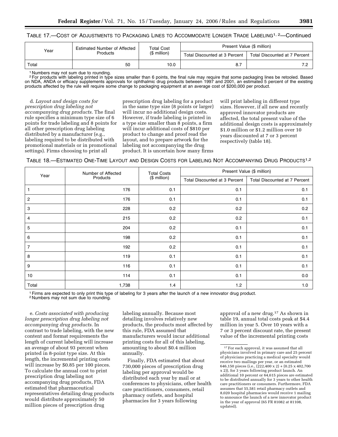# TABLE 17.—COST OF ADJUSTMENTS TO PACKAGING LINES TO ACCOMMODATE LONGER TRADE LABELING1, 2—Continued

| Year  | Estimated Number of Affected | <b>Total Cost</b> | Present Value (\$ million)    |                               |  |  |
|-------|------------------------------|-------------------|-------------------------------|-------------------------------|--|--|
|       | <b>Products</b>              | $(S$ million)     | Total Discounted at 3 Percent | Total Discounted at 7 Percent |  |  |
| Total | 50                           | 10.0              | 8.7                           |                               |  |  |

1 Numbers may not sum due to rounding.

2For products with labeling printed in type sizes smaller than 6 points, the final rule may require that some packaging lines be retooled. Based on NDA, ANDA or efficacy supplements approvals for ophthalmic drug products between 1997 and 2001, an estimated 5 percent of the existing products affected by the rule will require some change to packaging equipment at an average cost of \$200,000 per product.

d. *Layout and design costs for prescription drug labeling not accompanying drug products*. The final rule specifies a minimum type size of 6 points for trade labeling and 8 points for all other prescription drug labeling distributed by a manufacturer (e.g., labeling required to be distributed with promotional materials or in promotional settings). Firms choosing to print all

prescription drug labeling for a product in the same type size (8 points or larger) will incur no additional design costs. However, if trade labeling is printed in a type size smaller than 8 points, a firm will incur additional costs of \$810 per product to change and proof read the layout, and to prepare artwork for the labeling not accompanying the drug product. It is uncertain how many firms

will print labeling in different type sizes. However, if all new and recently approved innovator products are affected, the total present value of the additional design costs is approximately \$1.0 million or \$1.2 million over 10 years discounted at 7 or 3 percent respectively (table 18).

| Year           | Number of Affected | <b>Total Costs</b> | Present Value (\$ million)    |                               |  |  |
|----------------|--------------------|--------------------|-------------------------------|-------------------------------|--|--|
|                | Products           | (\$ million)       | Total Discounted at 3 Percent | Total Discounted at 7 Percent |  |  |
|                | 176                | 0.1                | 0.1                           | 0.1                           |  |  |
| $\overline{c}$ | 176                | 0.1                | 0.1                           | 0.1                           |  |  |
| 3              | 228                | 0.2                | 0.2                           | 0.2                           |  |  |
| 4              | 215                | 0.2                | 0.2                           | 0.1                           |  |  |
| 5              | 204                | 0.2                | 0.1                           | 0.1                           |  |  |
| 6              | 198                | 0.2                | 0.1                           | 0.1                           |  |  |
| $\overline{7}$ | 192                | 0.2                | 0.1                           | 0.1                           |  |  |
| 8              | 119                | 0.1                | 0.1                           | 0.1                           |  |  |
| 9              | 116                | 0.1                | 0.1                           | 0.1                           |  |  |
| 10             | 114                | 0.1                | 0.1                           | 0.0                           |  |  |
| Total          | 1,738              | 1.4                | 1.2                           | 1.0                           |  |  |

1Firms are expected to only print this type of labeling for 3 years after the launch of a new innovator drug product.

2 Numbers may not sum due to rounding.

e. *Costs associated with producing longer prescription drug labeling not accompanying drug products*. In contrast to trade labeling, with the new content and format requirements the length of current labeling will increase an average of about 93 percent when printed in 8-point type size. At this length, the incremental printing costs will increase by \$0.85 per 100 pieces. To calculate the annual cost to print prescription drug labeling not accompanying drug products, FDA estimated that pharmaceutical representatives detailing drug products would distribute approximately 50 million pieces of prescription drug

labeling annually. Because most detailing involves relatively new products, the products most affected by this rule, FDA assumed that manufacturers would incur additional printing costs for all of this labeling, amounting to about \$0.4 million annually.

Finally, FDA estimated that about 730,000 pieces of prescription drug labeling per approval would be distributed each year by mail or at conferences to physicians, other health care practitioners, consumers, retail pharmacy outlets, and hospital pharmacies for 3 years following

approval of a new drug.17 As shown in table 19, annual total costs peak at \$4.4 million in year 5. Over 10 years with a 7 or 3 percent discount rate, the present value of the incremental printing costs

<sup>&</sup>lt;sup>17</sup> For each approval, it was assumed that all physicians involved in primary care and 25 percent of physicians practicing a medical specialty would receive two mailings per year, or an estimated 646,150 pieces (i.e., (222,400 x 2) + (0.25 x 402,700 x 2)), for 3 years following product launch. An additional 10 percent or 64,615 pieces are estimated to be distributed annually for 3 years to other health care practitioners or consumers. Furthermore, FDA assumes that 55,581 retail pharmacy outlets and 8,020 hospital pharmacies would receive 1 mailing to announce the launch of a new innovator product in the year of approval (65 FR 81082 at 81108, updated).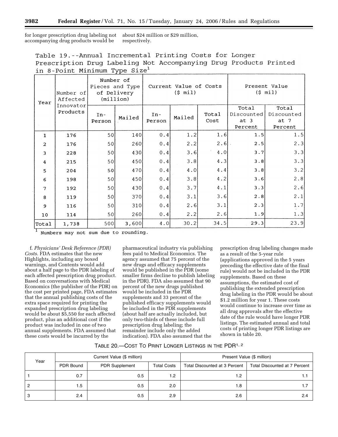for longer prescription drug labeling not about \$24 million or \$29 million, accompanying drug products would be respectively.

Table 19.--Annual Incremental Printing Costs for Longer Prescription Drug Labeling Not Accompanying Drug Products Printed in 8-Point Minimum Type Size<sup>1</sup>

| Number of<br>Affected<br>Year |                 | Number of<br>Pieces and Type<br>of Delivery<br>(millic) |                 | Current Value of Costs<br>$(5 \text{ mil})$ |               |                                                   | Present Value<br>$(\frac{1}{2} \text{ mil})$ |      |
|-------------------------------|-----------------|---------------------------------------------------------|-----------------|---------------------------------------------|---------------|---------------------------------------------------|----------------------------------------------|------|
| Innovator<br>Products         | $In-$<br>Person | Mailed                                                  | $In-$<br>Person | Mailed                                      | Total<br>Cost | Total<br>Discounted<br>at <sub>3</sub><br>Percent | Total<br>Discounted<br>at 7<br>Percent       |      |
| $\mathbf{1}$                  | 176             | 50                                                      | 140             | 0.4                                         | 1.2           | 1.6                                               | 1.5                                          | 1.5  |
| 2                             | 176             | 50                                                      | 260             | 0.4                                         | 2.2           | $2.6$ .                                           | 2.5                                          | 2.3  |
| $\overline{3}$                | 228             | 50                                                      | 430             | 0.4                                         | 3.6           | 4.0                                               | 3.7                                          | 3.3  |
| $\overline{4}$                | 215             | 50                                                      | 450             | 0.4                                         | 3.8           | 4.3                                               | 3.8                                          | 3.3  |
| 5                             | 204             | 50                                                      | 470             | 0.4                                         | 4.0           | 4.4                                               | 3.8                                          | 3.2  |
| 6                             | 198             | 50                                                      | 450             | 0.4                                         | 3.8           | 4.2                                               | 3.6                                          | 2.8  |
| 7                             | 192             | 50                                                      | 430             | 0.4                                         | 3.7           | 4.1                                               | 3.3                                          | 2.6  |
| 8                             | 119             | 50                                                      | 370             | 0.4                                         | 3.1           | 3.6                                               | 2.8                                          | 2.1  |
| 9                             | 116             | 50                                                      | 310             | 0.4                                         | 2.6           | 3.1                                               | 2.3                                          | 1.7  |
| 10                            | 114             | 50                                                      | 260             | 0.4                                         | 2.2           | 2.6                                               | 1.9                                          | 1.3  |
| Total                         | 1,738           | 500                                                     | 3,600           | 4.0                                         | 30.2          | 34.5                                              | 29.3                                         | 23.9 |

ı Numbers may not sum due to rounding.

f. *Physicians' Desk Reference (PDR) Costs*. FDA estimates that the new Highlights, including any boxed warnings, and Contents would add about a half page to the PDR labeling of each affected prescription drug product. Based on conversations with Medical Economics (the publisher of the PDR) on the cost per printed page, FDA estimates that the annual publishing costs of the extra space required for printing the expanded prescription drug labeling would be about \$5,550 for each affected product, plus an additional cost if the product was included in one of two annual supplements. FDA assumed that these costs would be incurred by the

pharmaceutical industry via publishing fees paid to Medical Economics. The agency assumed that 75 percent of the new drugs and efficacy supplements would be published in the PDR (some smaller firms decline to publish labeling in the PDR). FDA also assumed that 90 percent of the new drugs published would be included in the PDR supplements and 33 percent of the published efficacy supplements would be included in the PDR supplements (about half are actually included, but only two-thirds of these include full prescription drug labeling; the remainder include only the added indication). FDA also assumed that the

prescription drug labeling changes made as a result of the 5-year rule (applications approved in the 5 years preceding the effective date of the final rule) would not be included in the PDR supplements. Based on these assumptions, the estimated cost of publishing the extended prescription drug labeling in the PDR would be about \$1.2 million for year 1. These costs would continue to increase over time as all drug approvals after the effective date of the rule would have longer PDR listings. The estimated annual and total costs of printing longer PDR listings are shown in table 20.

TABLE 20.—COST TO PRINT LONGER LISTINGS IN THE PDR1, 2

| Year | Current Value (\$ million) |                       |                    | Present Value (\$ million)    |                               |
|------|----------------------------|-----------------------|--------------------|-------------------------------|-------------------------------|
|      | PDR Bound                  | <b>PDR Supplement</b> | <b>Total Costs</b> | Total Discounted at 3 Percent | Total Discounted at 7 Percent |
|      | 0.7                        | 0.5                   | 1.2                | 1.2                           | . .                           |
|      | 1.5                        | 0.5                   | 2.0                | 1.8                           |                               |
|      | 2.4                        | 0.5                   | 2.9                | 2.6                           | 2.4                           |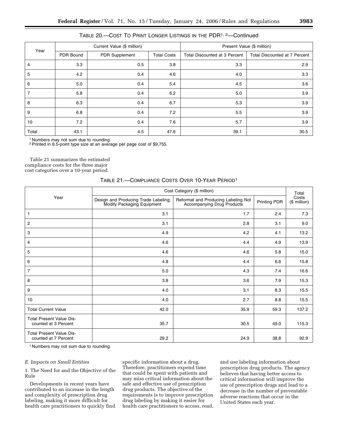# TABLE 20.—COST TO PRINT LONGER LISTINGS IN THE PDR1, 2—Continued

| Year           | Current Value (\$ million) |                |                    | Present Value (\$ million)    |                               |  |
|----------------|----------------------------|----------------|--------------------|-------------------------------|-------------------------------|--|
|                | PDR Bound                  | PDR Supplement | <b>Total Costs</b> | Total Discounted at 3 Percent | Total Discounted at 7 Percent |  |
| 4              | 3.3                        | 0.5            | 3.8                | 3.3                           | 2.9                           |  |
| 5              | 4.2                        | 0.4            | 4.6                | 4.0                           | 3.3                           |  |
| 6              | 5.0                        | 0.4            | 5.4                | 4.5                           | 3.6                           |  |
| $\overline{7}$ | 5.8                        | 0.4            | 6.2                | 5.0                           | 3.9                           |  |
| 8              | 6.3                        | 0.4            | 6.7                | 5.3                           | 3.9                           |  |
| 9              | 6.8                        | 0.4            | 7.2                | 5.5                           | 3.9                           |  |
| 10             | 7.2                        | 0.4            | 7.6                | 5.7                           | 3.9                           |  |
| Total          | 43.1                       | 4.5            | 47.6               | 39.1                          | 30.5                          |  |

1 Numbers may not sum due to rounding.

2Printed in 6.5-point type size at an average per page cost of \$9,755.

Table 21 summarizes the estimated compliance costs for the three major cost categories over a 10-year period.

| TABLE 21.-COMPLIANCE COSTS OVER 10-YEAR PERIOD <sup>1</sup> |  |  |
|-------------------------------------------------------------|--|--|
|-------------------------------------------------------------|--|--|

|                                                         | Cost Category (\$ million)                                         |                                                                   |              |                       |  |
|---------------------------------------------------------|--------------------------------------------------------------------|-------------------------------------------------------------------|--------------|-----------------------|--|
| Year                                                    | Design and Producing Trade Labeling;<br>Modify Packaging Equipment | Reformat and Producing Labeling Not<br>Accompanying Drug Products | Printing PDR | Costs<br>(\$ million) |  |
| $\mathbf{1}$                                            | 3.1                                                                | 1.7                                                               | 2.4          | 7.3                   |  |
| $\overline{\mathbf{c}}$                                 | 3.1                                                                | 2.8                                                               | 3.1          | 9.0                   |  |
| 3                                                       | 4.9                                                                | 4.2                                                               | 4.1          | 13.2                  |  |
| 4                                                       | 4.6                                                                | 4.4                                                               | 4.9          | 13.9                  |  |
| 5                                                       | 4.6                                                                | 4.6                                                               | 5.8          | 15.0                  |  |
| 6                                                       | 4.8                                                                | 4.4                                                               | 6.6          | 15.8                  |  |
| $\overline{7}$                                          | 5.0                                                                | 4.3                                                               | 7.4          | 16.6                  |  |
| 8                                                       | 3.8                                                                | 3.6                                                               | 7.9          | 15.3                  |  |
| 9                                                       | 4.0                                                                | 3.1                                                               | 8.3          | 15.5                  |  |
| 10                                                      | 4.0                                                                | 2.7                                                               | 8.8          | 15.5                  |  |
| <b>Total Current Value</b>                              | 42.0                                                               | 35.9                                                              | 59.3         | 137.2                 |  |
| <b>Total Present Value Dis-</b><br>counted at 3 Percent | 35.7                                                               | 30.5                                                              | 49.0         | 115.3                 |  |
| <b>Total Present Value Dis-</b><br>counted at 7 Percent | 29.2                                                               | 24.9                                                              | 38.8         | 92.9                  |  |

1 Numbers may not sum due to rounding.

# *E. Impacts on Small Entities*

1. The Need for and the Objective of the Rule

Developments in recent years have contributed to an increase in the length and complexity of prescription drug labeling, making it more difficult for health care practitioners to quickly find

specific information about a drug. Therefore, practitioners expend time that could be spent with patients and may miss critical information about the safe and effective use of prescription drug products. The objective of the requirements is to improve prescription drug labeling by making it easier for health care practitioners to access, read, and use labeling information about prescription drug products. The agency believes that having better access to critical information will improve the use of prescription drugs and lead to a decrease in the number of preventable adverse reactions that occur in the United States each year.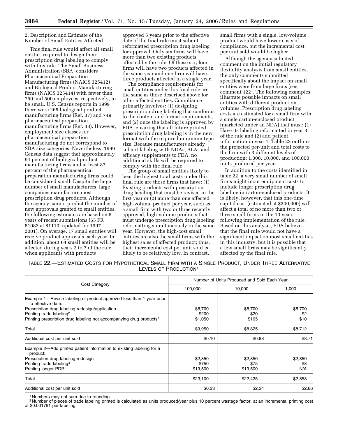2. Description and Estimate of the Number of Small Entities Affected

This final rule would affect all small entities required to design their prescription drug labeling to comply with this rule. The Small Business Administration (SBA) considers Pharmaceutical Preparation Manufacturing firms (NAICS 325412) and Biological Product Manufacturing firms (NAICS 325414) with fewer than 750 and 500 employees, respectively, to be small. U.S. Census reports in 1999 there were 265 biological product manufacturing firms (Ref. 37) and 749 pharmaceutical preparation manufacturing firms (Ref. 38). However, employment size classes for pharmaceutical preparation manufacturing do not correspond to SBA size categories. Nevertheless, 1999 Census data suggest that approximately 94 percent of biological product manufacturing firms and at least 87 percent of the pharmaceutical preparation manufacturing firms could be considered small. Despite the large number of small manufacturers, large companies manufacture most prescription drug products. Although the agency cannot predict the number of new approvals granted to small entities, the following estimates are based on 5 years of recent submissions (65 FR 81082 at 81110, updated for 1997– 2001). On average, 17 small entities will receive product approvals each year. In addition, about 64 small entities will be affected during years 3 to 7 of the rule, when applicants with products

approved 5 years prior to the effective date of the final rule must submit reformatted prescription drug labeling for approval. Only six firms will have more than two existing products affected by the rule. Of these six, four firms will have two products affected in the same year and one firm will have three products affected in a single year.

The compliance requirements for small entities under this final rule are the same as those described above for other affected entities. Compliance primarily involves: (1) designing prescription drug labeling that conforms to the content and format requirements, and (2) once the labeling is approved by FDA, ensuring that all future printed prescription drug labeling is in the new format with the required minimum type size. Because manufacturers already submit labeling with NDAs, BLAs and efficacy supplements to FDA, no additional skills will be required to comply with the final rule.

The group of small entities likely to bear the highest total costs under this final rule are those firms that have: (1) Existing products with prescription drug labeling that must be revised in the first year or (2) more than one affected high-volume product per year, such as a small firm with two or three recently approved, high-volume products that must undergo prescription drug labeling reformatting simultaneously in the same year. However, the high-cost small entities are also the small firms with the highest sales of affected product; thus, their incremental cost per unit sold is likely to be relatively low. In contrast,

small firms with a single, low-volume product would have lower costs of compliance, but the incremental cost per unit sold would be higher.

Although the agency solicited comment on the initial regulatory flexibility analysis from small entities, the only comments submitted specifically about the impact on small entities were from large firms (see comment 122). The following examples illustrate possible impacts on small entities with different production volumes. Prescription drug labeling costs are estimated for a small firm with a single carton-enclosed product (marketed under an NDA) that must: (1) Have its labeling reformatted in year 3 of the rule and (2) add patient information in year 1. Table 22 outlines the projected per-unit and total costs to the firm with 3 different levels of production: 1,000, 10,000, and 100,000 units produced per year.

In addition to the costs identified in table 22, a very small number of small firms might incur equipment costs to include longer prescription drug labeling in carton-enclosed products. It is likely, however, that this one-time capital cost (estimated at \$200,000) will affect a total of no more than two or three small firms in the 10 years following implementation of the rule. Based on this analysis, FDA believes that the final rule would not have a significant impact on most small entities in this industry, but it is possible that a few small firms may be significantly affected by the final rule.

TABLE 22.—ESTIMATED COSTS FOR HYPOTHETICAL SMALL FIRM WITH A SINGLE PRODUCT, UNDER THREE ALTERNATIVE LEVELS OF PRODUCTION1

|                                                                                                                                                                                                                                                                          | Number of Units Produced and Sold Each Year |                             |                        |  |
|--------------------------------------------------------------------------------------------------------------------------------------------------------------------------------------------------------------------------------------------------------------------------|---------------------------------------------|-----------------------------|------------------------|--|
| Cost Category                                                                                                                                                                                                                                                            | 100,000                                     | 10,000                      | 1,000                  |  |
| Example 1—Revise labeling of product approved less than 1 year prior<br>to effective date:<br>Prescription drug labeling redesign/application<br>Printing trade labeling <sup>2</sup><br>Printing prescription drug labeling not accompanying drug products <sup>3</sup> | \$8,700<br>\$200<br>\$1,050                 | \$8,700<br>\$20<br>\$105    | \$8,700<br>\$2<br>\$10 |  |
| Total                                                                                                                                                                                                                                                                    | \$9,950                                     | \$8,825                     | \$8,712                |  |
| Additional cost per unit sold                                                                                                                                                                                                                                            | \$0.10                                      | \$0.88                      | \$8.71                 |  |
| Example 2-Add printed patient information to existing labeling for a<br>product:<br>Prescription drug labeling redesign<br>Printing trade labeling <sup>4</sup><br>Printing longer PDR <sup>5</sup>                                                                      | \$2,850<br>\$750<br>\$19,500                | \$2,850<br>\$75<br>\$19,500 | \$2,850<br>\$8<br>N/A  |  |
| Total                                                                                                                                                                                                                                                                    | \$23,100                                    | \$22,425                    | \$2,858                |  |
| Additional cost per unit sold                                                                                                                                                                                                                                            | \$0.23                                      | \$2.24                      | \$2.86                 |  |

1 Numbers may not sum due to rounding.

2 Number of pieces of trade labeling printed is calculated as units produced/year plus 10 percent wastage factor, at an incremental printing cost of \$0.001791 per labeling.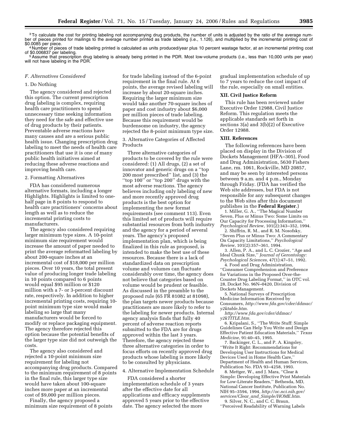<sup>3</sup>To calculate the cost for printing labeling not accompanying drug products, the number of units is adjusted by the ratio of the average number of pieces printed for mailings to the average number printed as trade labeling (i.e., 1.126), and multiplied by the incremental printing cost of<br>\$0.0085 per piece.

<sup>4</sup> Number of pieces of trade labeling printed is calculated as units produced/year plus 10 percent wastage factor, at an incremental printing cost of \$0.006837 per labeling.<br>5 Assume that prescription drug labeling is already being printed in the PDR. Most low-volume products (i.e., less than 10,000 units per year)

will not have labeling in the PDR.

# *F. Alternatives Considered*

## 1. Do Nothing

The agency considered and rejected this option. The current prescription drug labeling is complex, requiring health care practitioners to spend unnecessary time seeking information they need for the safe and effective use of drug products by their patients. Preventable adverse reactions have many causes and are a serious public health issue. Changing prescription drug labeling to meet the needs of health care practitioners that use it is one of many public health initiatives aimed at reducing these adverse reactions and improving health care.

#### 2. Formatting Alternatives

FDA has considered numerous alternative formats, including a longer Highlights. Highlights is limited to onehalf page in 8 points to respond to health care practitioners' concerns about length as well as to reduce the incremental printing costs to manufacturers.

The agency also considered requiring larger minimum type sizes. A 10-point minimum size requirement would increase the amount of paper needed to print the average reformatted labeling by about 200-square inches at an incremental cost of \$18,000 per million pieces. Over 10 years, the total present value of producing longer trade labeling in 10 points compared to 6 points would equal \$95 million or \$120 million with a 7- or 3-percent discount rate, respectively. In addition to higher incremental printing costs, requiring 10 point minimum type size would make labeling so large that many manufacturers would be forced to modify or replace packaging equipment. The agency therefore rejected this option because the potential benefits of the larger type size did not outweigh the costs.

The agency also considered and rejected a 10-point minimum size requirement for labeling not accompanying drug products. Compared to the minimum requirement of 8 points in the final rule, this larger type size would have taken about 100-square inches more paper at an incremental cost of \$9,000 per million pieces.

Finally, the agency proposed a minimum size requirement of 8 points for trade labeling instead of the 6-point requirement in the final rule. At 6 points, the average revised labeling will increase by about 20-square inches. Requiring the larger minimum size would take another 70-square inches of paper and cost industry about \$6,000 per million pieces of trade labeling. Because this requirement would be burdensome on industry, the agency rejected the 8-point minimum type size.

3. Alternative Categories of Affected Products

Three alternative categories of products to be covered by the rule were considered: (1) All drugs, (2) a set of innovator and generic drugs on a ''top 200 most prescribed'' list, and (3) the ''top 100'' or ''top 200'' drugs with the most adverse reactions. The agency believes including only labeling of new and more recently approved drug products is the best option for implementing the new format requirements (see comment 113). Even this limited set of products will require substantial resources from both industry and the agency for a period of several years. The agency's proposed implementation plan, which is being finalized in this rule as proposed, is intended to make the best use of these resources. Because there is a lack of standardized data on prescription volume and volumes can fluctuate considerably over time, the agency does not believe that categories based on volume would be prudent or feasible. As discussed in the preamble to the proposed rule (65 FR 81082 at 81098), the plan targets newer products because practitioners are more likely to refer to the labeling for newer products. Internal agency analysis finds that fully 40 percent of adverse reaction reports submitted to the FDA are for drugs approved within the last 3 years. Therefore, the agency rejected these three alternative categories in order to focus efforts on recently approved drug products whose labeling is more likely to be consulted by physicians.

4. Alternative Implementation Schedule

FDA considered a shorter implementation schedule of 3 years after the effective date for all applications and efficacy supplements approved 5 years prior to the effective date. The agency selected the more

gradual implementation schedule of up to 7 years to reduce the cost impact of the rule, especially on small entities.

#### **XII. Civil Justice Reform**

This rule has been reviewed under Executive Order 12988, Civil Justice Reform. This regulation meets the applicable standards set forth in sections 3(a) and 3(b)(2) of Executive Order 12988.

#### **XIII. References**

The following references have been placed on display in the Division of Dockets Management (HFA–305), Food and Drug Administration, 5630 Fishers Lane, rm. 1061, Rockville, MD 20857, and may be seen by interested persons between 9 a.m. and 4 p.m., Monday through Friday. (FDA has verified the Web site addresses, but FDA is not responsible for any subsequent changes to the Web sites after this document publishes in the **Federal Register**.)

1. Miller, G. A., ''The Magical Number Seven, Plus or Minus Two: Some Limits on Our Capacity for Processing Information, *Psychological Review*, 101(2):343–352, 1994.

2. Shiffrin, R. M., and R. M. Nosofsky, ''Seven Plus or Minus Two: A Commentary On Capacity Limitations,'' *Psychological Review*, 101(2):357–361, 1994.

3. Allen, P. A., and L. C. Crozier, ''Age and Ideal Chunk Size,'' *Journal of Gerontology: Psychological Sciences*, 47(1):47–51, 1992.

4. Food and Drug Administration, ''Consumer Comprehension and Preference for Variations in the Proposed Over-the-Counter Drug Labeling Format,'' in OTC vol. 28, Docket No. 96N–0420, Division of Dockets Management.

5. National Surveys of Prescription Medicine Information Received by Consumers, *http://www.fda.gov/cder/ddmac/ y2ktable.htm*.

*http://www.fda.gov/cder/ddmac/ y2kTITLE.htm*.

6. Kripalani, S., ''The Write Stuff: Simple Guidelines Can Help You Write and Design Effective Patient Education Materials,'' *Texas Medicine*, 91:40–45, 1995.

7. Backinger, C. L., and P. A. Kingsley, ''Write It Right: Recommendations for Developing User Instructions for Medical Devices Used in Home Health Care,'' Department of Health and Human Services, Publication No. FDA 93–4258, 1993.

8. Mettger, W., and J. Mara, ''Clear & Simple: Developing Effective Print Materials for Low-Literate Readers,'' Bethesda, MD, National Cancer Institute, Publication No. NIH 95–3594, 1994, *http://oc.nci.nih.gov/ services/Clear*\_*and*\_*Simple/HOME.htm*. 9. Silver, N. C., and C. C. Braun,

''Perceived Readability of Warning Labels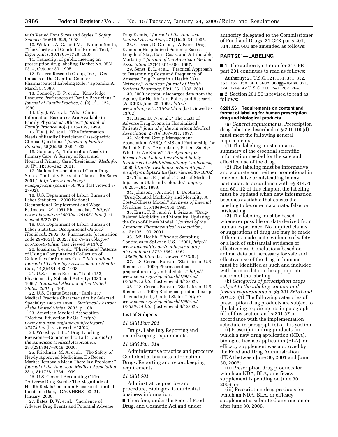with Varied Font Sizes and Styles,'' *Safety Science*, 16:615–625, 1993.

10. Wilkins, A. G., and M. I. Nimmo-Smith, ''The Clarity and Comfort of Printed Text,'' *Ergonomics*, 30:1705–1720, 1987.

11. Transcript of public meeting on prescription drug labeling, Docket No. 95N– 0314, October 30, 1995.

12. Eastern Research Group, Inc., ''Cost Impacts of the Over-the-Counter Pharmaceutical Labeling Rule,'' appendix A, March 5, 1999.

13. Connelly, D. P. et al., ''Knowledge Resource Preferences of Family Physicians,'' *Journal of Family Practice*, 31(2):121–122, 1990.

14. Ely, J. W. et al., ''What Clinical Information Resources Are Available in Family Physicians' Offices?'' *Journal of Family Practice*, 48(2):135–139, 1999.

15. Ely, J. W. et al., ''The Information Needs of Family Physicians: Case-Specific Clinical Questions,'' *Journal of Family Practice*, 35(3):265–269, 1992.

16. Gorman, P., ''Information Needs in Primary Care: A Survey of Rural and Nonrural Primary Care Physicians,'' *Medinfo*, 10 (Pt. 1):338–342, 2001.

17. National Association of Chain Drug Stores, ''Industry Facts-at-a-Glance—Rx Sales 2001,'' *http://www.nacds.org/ wmspage.cfm?parm1=507*#*rx* (last viewed 8/  $27/02$ ).

18. U.S. Department of Labor, Bureau of Labor Statistics, ''2000 National Occupational Employment and Wage Estimates—29–1051 Pharmacists,'' *http:// www.bls.gov/oes/2000/oes291051.htm* (last viewed 8/27/02).

19. U.S. Department of Labor, Bureau of Labor Statistics, *Occupational Outlook Handbook, 2002–03*, Pharmacists (occupation code 29–1051), 2002, *http://www.bls.gov/ oco/ocos079.htm* (last viewed 9/13/02).

20. Jousimaa, J. et al., ''Physicians' Patterns of Using a Computerized Collection of Guidelines for Primary Care,'' *International Journal of Technology Assessment in Health Care*, 14(3):484–493, 1998.

21. U.S. Census Bureau, ''Table 153, Physicians by Selected Activity: 1980 to 1999,'' *Statistical Abstract of the United States: 2001*, p. 106.

22. U.S. Census Bureau, ''Table 157, Medical Practice Characteristics by Selected Specialty: 1985 to 1998,'' *Statistical Abstract of the United States: 2001*, p. 108.

23. American Medical Association, ''Medical Education FAQs,'' *http:// www.ama-assn.org/ama/pub/category/ 3627.html* (last viewed 9/13/02).

24. Woosley, R. L., ''Drug Labeling Revisions—Guaranteed to Fail?'' *Journal of the American Medical Association*, 284(23):3047–3049, 2000.

25. Friedman, M. A. et al., ''The Safety of Newly Approved Medicines: Do Recent Market Removals Mean There Is a Problem?'' *Journal of the American Medical Association*, 281(18):1728–1734, 1999.

26. U.S. General Accounting Office, ''Adverse Drug Events: The Magnitude of Health Risk Is Uncertain Because of Limited Incidence Data,'' GAO/HEHS–00–21, January, 2000.

27. Bates, D. W. et al., ''Incidence of Adverse Drug Events and Potential Adverse Drug Events,'' *Journal of the American Medical Association*, 274(1):29–34, 1995.

28. Classen, D. C. et al., ''Adverse Drug Events in Hospitalized Patients: Excess Length of Stay, Extra Costs, and Attributable Mortality,'' *Journal of the American Medical Association* 277(4):301–306, 1997.

29. Senst, B. L. et al., ''Practical Approach to Determining Costs and Frequency of Adverse Drug Events in a Health Care Network,'' *American Journal of Health-Systems Pharmacy*, 58:1126–1132, 2001.

30. 2000 hospital discharges data from the Agency for Health Care Policy and Research (AHCPR), June 25, 1998, *http:// www.ahrq.gov/HCUPnet.htm* (last viewed 8/ 13/02).

31. Bates, D. W. et al., ''The Costs of Adverse Drug Events in Hospitalized Patients,'' *Journal of the American Medical Association*, 277(4):307–311, 1997.

32. Medical Group Management Association, AHRQ, CMS and Partnership for Patient Safety, ''Ambulatory Patient Safety: What Do We Know?'' *An Agenda for Research in Ambulatory Patient Safety— Synthesis of a Multidisciplinary Conference*, 2000, *http://www.ahcpr.gov/about/cpcr/ ptsafety/ambpts2.htm* (last viewed 10/10/02).

33. Thomas, E. J. et al., ''Costs of Medical Injuries in Utah and Colorado,'' *Inquiry*, 36:255–264, 1999.

34. Johnson, J. A., and J. L. Bootman, ''Drug-Related Morbidity and Mortality: A Cost-of-Illness Model,'' *Archives of Internal Medicine*, 155:1949–1956, 1995.

35. Ernst, F. R., and A. J. Grizzle, ''Drug-Related Morbidity and Mortality: Updating the Cost-of-Illness Model,'' *Journal of the American Pharmaceutical Association*, 41(2):192–199, 2001.

36. IMS Health, ''Product Sampling Continues to Spike in U.S.,'' 2001, *http:// www.imshealth.com/public/structure/ dispcontent/1,2779,1362–1362– 143626,00.html* (last viewed 9/23/02).

37. U.S. Census Bureau, ''Statistics of U.S. Businesses; 1999; Pharmaceutical preparation mfg, United States,'' *http:// www.census.gov/epcd/susb/1999/us/ US325412.htm* (last viewed 9/12/02).

38. U.S. Census Bureau, ''Statistics of U.S. Businesses; 1999; Biological product (except diagnostic) mfg, United States,'' *http:// www.census.gov/epcd/susb/1999/us/ US325414.htm* (last viewed 9/12/02).

#### **List of Subjects**

#### *21 CFR Part 201*

Drugs, Labeling, Reporting and recordkeeping requirements.

#### *21 CFR Part 314*

Administrative practice and procdure, Confidential business information, Drugs, Reporting and recordkeeping requirements.

# *21 CFR 601*

Adminstrative practice and procedure, Biologics, Confidential business information.

■ Therefore, under the Federal Food, Drug, and Cosmetic Act and under

authority delegated to the Commissioner of Food and Drugs, 21 CFR parts 201, 314, and 601 are amended as follows:

### **PART 201—LABELING**

■ 1. The authority citation for 21 CFR part 201 continues to read as follows:

**Authority:** 21 U.S.C. 321, 331, 351, 352, 353, 355, 358, 360, 360b, 360gg–360ss, 371, 374, 379e; 42 U.S.C. 216, 241, 262, 264.

■ 2. Section 201.56 is revised to read as follows:

#### **§ 201.56 Requirements on content and format of labeling for human prescription drug and biological products.**

(a) *General requirements*. Prescription drug labeling described in § 201.100(d) must meet the following general requirements:

(1) The labeling must contain a summary of the essential scientific information needed for the safe and effective use of the drug.

(2) The labeling must be informative and accurate and neither promotional in tone nor false or misleading in any particular. In accordance with §§ 314.70 and 601.12 of this chapter, the labeling must be updated when new information becomes available that causes the labeling to become inaccurate, false, or misleading.

(3) The labeling must be based whenever possible on data derived from human experience. No implied claims or suggestions of drug use may be made if there is inadequate evidence of safety or a lack of substantial evidence of effectiveness. Conclusions based on animal data but necessary for safe and effective use of the drug in humans must be identified as such and included with human data in the appropriate section of the labeling.

(b) *Categories of prescription drugs subject to the labeling content and format requirements in §§ 201.56(d) and 201.57*. (1) The following categories of prescription drug products are subject to the labeling requirements in paragraph (d) of this section and § 201.57 in accordance with the implementation schedule in paragraph (c) of this section:

(i) Prescription drug products for which a new drug application (NDA), biologics license application (BLA), or efficacy supplement was approved by the Food and Drug Administration (FDA) between June 30, 2001 and June 30, 2006;

(ii) Prescription drug products for which an NDA, BLA, or efficacy supplement is pending on June 30, 2006; or

(iii) Prescription drug products for which an NDA, BLA, or efficacy supplement is submitted anytime on or after June 30, 2006.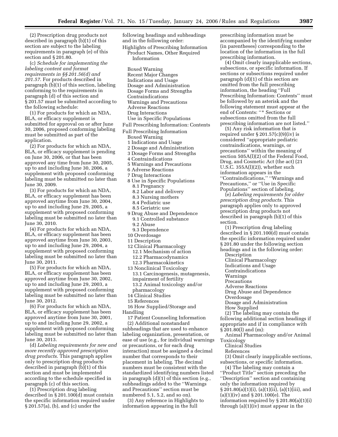(2) Prescription drug products not described in paragraph (b)(1) of this section are subject to the labeling requirements in paragraph (e) of this section and § 201.80.

(c) *Schedule for implementing the labeling content and format requirements in §§ 201.56(d) and 201.57*. For products described in paragraph (b)(1) of this section, labeling conforming to the requirements in paragraph (d) of this section and § 201.57 must be submitted according to the following schedule:

(1) For products for which an NDA, BLA, or efficacy supplement is submitted for approval on or after June 30, 2006, proposed conforming labeling must be submitted as part of the application.

(2) For products for which an NDA, BLA, or efficacy supplement is pending on June 30, 2006, or that has been approved any time from June 30, 2005, up to and including June 30, 2006, a supplement with proposed conforming labeling must be submitted no later than June 30, 2009.

(3) For products for which an NDA, BLA, or efficacy supplement has been approved anytime from June 30, 2004, up to and including June 29, 2005, a supplement with proposed conforming labeling must be submitted no later than June 30, 2010.

(4) For products for which an NDA, BLA, or efficacy supplement has been approved anytime from June 30, 2003, up to and including June 29, 2004, a supplement with proposed conforming labeling must be submitted no later than June 30, 2011.

(5) For products for which an NDA, BLA, or efficacy supplement has been approved anytime from June 30, 2002, up to and including June 29, 2003, a supplement with proposed conforming labeling must be submitted no later than June 30, 2012.

(6) For products for which an NDA, BLA, or efficacy supplement has been approved anytime from June 30, 2001, up to and including June 29, 2002, a supplement with proposed conforming labeling must be submitted no later than June 30, 2013.

(d) *Labeling requirements for new and more recently approved prescription drug products*. This paragraph applies only to prescription drug products described in paragraph (b)(1) of this section and must be implemented according to the schedule specified in paragraph (c) of this section.

(1) Prescription drug labeling described in § 201.100(d) must contain the specific information required under § 201.57(a), (b), and (c) under the

following headings and subheadings and in the following order:

Highlights of Prescribing Information Product Names, Other Required Information

Boxed Warning Recent Major Changes Indications and Usage Dosage and Administration Dosage Forms and Strengths Contraindications Warnings and Precautions Adverse Reactions Drug Interactions Use in Specific Populations

Full Prescribing Information: Contents

Full Prescribing Information

Boxed Warning

- 1 Indications and Usage
- 2 Dosage and Administration
- 3 Dosage Forms and Strengths
- 4 Contraindications
- 5 Warnings and Precautions
- 6 Adverse Reactions
- 7 Drug Interactions
- 8 Use in Specific Populations 8.1 Pregnancy
	- 8.2 Labor and delivery
	- 8.3 Nursing mothers
	- 8.4 Pediatric use
	- 8.5 Geriatric use
- 9 Drug Abuse and Dependence 9.1 Controlled substance 9.2 Abuse
	- 9.3 Dependence
- 10 Overdosage
- 11 Description
- 12 Clinical Pharmacology 12.1 Mechanism of action 12.2 Pharmacodynamics 12.3 Pharmacokinetics
- 13 Nonclinical Toxicology 13.1 Carcinogenesis, mutagenesis, impairment of fertility 13.2 Animal toxicology and/or
- pharmacology 14 Clinical Studies
- 15 References

16 How Supplied/Storage and Handling

17 Patient Counseling Information (2) Additional nonstandard subheadings that are used to enhance labeling organization, presentation, or ease of use (e.g., for individual warnings or precautions, or for each drug interaction) must be assigned a decimal number that corresponds to their placement in labeling. The decimal numbers must be consistent with the standardized identifying numbers listed in paragraph (d)(1) of this section (e.g., subheadings added to the ''Warnings and Precautions'' section must be numbered 5.1, 5.2, and so on).

(3) Any reference in Highlights to information appearing in the full

prescribing information must be accompanied by the identifying number (in parentheses) corresponding to the location of the information in the full prescribing information.

(4) Omit clearly inapplicable sections, subsections, or specific information. If sections or subsections required under paragraph (d)(1) of this section are omitted from the full prescribing information, the heading ''Full Prescribing Information: Contents'' must be followed by an asterisk and the following statement must appear at the end of Contents: ''\* Sections or subsections omitted from the full prescribing information are not listed.''

(5) Any risk information that is required under § 201.57(c)(9)(iv) is considered ''appropriate pediatric contraindications, warnings, or precautions'' within the meaning of section 505A(l)(2) of the Federal Food, Drug, and Cosmetic Act (the act) (21 U.S.C.  $355A(1)(2)$ , whether such information appears in the ''Contraindications,'' ''Warnings and Precautions,'' or ''Use in Specific Populations'' section of labeling.

(e) *Labeling requirements for older prescription drug products*. This paragraph applies only to approved prescription drug products not described in paragraph (b)(1) of this section.

(1) Prescription drug labeling described in § 201.100(d) must contain the specific information required under § 201.80 under the following section headings and in the following order:

Description

- Clinical Pharmacology
- Indications and Usage
- Contraindications
- Warnings
- **Precautions**
- Adverse Reactions
- Drug Abuse and Dependence

Overdosage

Dosage and Administration How Supplied

(2) The labeling may contain the following additional section headings if appropriate and if in compliance with § 201.80(l) and (m):

Animal Pharmacology and/or Animal Toxicology

Clinical Studies

References

(3) Omit clearly inapplicable sections, subsections, or specific information.

(4) The labeling may contain a ''Product Title'' section preceding the ''Description'' section and containing only the information required by § 201.80(a)(1)(i), (a)(1)(ii), (a)(1)(iii), and (a)(1)(iv) and § 201.100(e). The information required by § 201.80(a)(1)(i) through (a)(1)(iv) must appear in the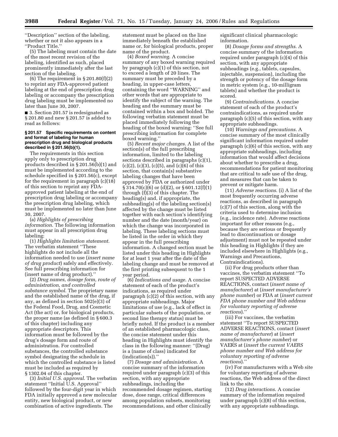''Description'' section of the labeling, whether or not it also appears in a ''Product Title.''

(5) The labeling must contain the date of the most recent revision of the labeling, identified as such, placed prominently immediately after the last section of the labeling.

(6) The requirement in  $\S 201.80(f)(2)$ to reprint any FDA-approved patient labeling at the end of prescription drug labeling or accompany the prescription drug labeling must be implemented no later than June 30, 2007.

■ 3. Section 201.57 is redesignated as § 201.80 and new § 201.57 is added to read as follows:

#### **§ 201.57 Specific requirements on content and format of labeling for human prescription drug and biological products described in § 201.56(b)(1).**

The requirements in this section apply only to prescription drug products described in § 201.56(b)(1) and must be implemented according to the schedule specified in § 201.56(c), except for the requirement in paragraph (c)(18) of this section to reprint any FDAapproved patient labeling at the end of prescription drug labeling or accompany the prescription drug labeling, which must be implemented no later than June 30, 2007.

(a) *Highlights of prescribing information*. The following information must appear in all prescription drug labeling:

(1) *Highlights limitation statement*. The verbatim statement ''These highlights do not include all the information needed to use (*insert name of drug product*) safely and effectively. See full prescribing information for (insert name of drug product).''

(2) *Drug names, dosage form, route of administration, and controlled substance symbol*. The proprietary name and the established name of the drug, if any, as defined in section 502(e)(3) of the Federal Food, Drug, and Cosmetic Act (the act) or, for biological products, the proper name (as defined in § 600.3 of this chapter) including any appropriate descriptors. This information must be followed by the drug's dosage form and route of administration. For controlled substances, the controlled substance symbol designating the schedule in which the controlled substance is listed must be included as required by § 1302.04 of this chapter.

(3) *Initial U.S. approval*. The verbatim statement ''Initial U.S. Approval'' followed by the four-digit year in which FDA initially approved a new molecular entity, new biological product, or new combination of active ingredients. The

statement must be placed on the line immediately beneath the established name or, for biological products, proper name of the product.

(4) *Boxed warning*. A concise summary of any boxed warning required by paragraph (c)(1) of this section, not to exceed a length of 20 lines. The summary must be preceded by a heading, in upper-case letters, containing the word ''WARNING'' and other words that are appropriate to identify the subject of the warning. The heading and the summary must be contained within a box and bolded. The following verbatim statement must be placed immediately following the heading of the boxed warning: ''See full prescribing information for complete boxed warning.''

(5) *Recent major changes*. A list of the section(s) of the full prescribing information, limited to the labeling sections described in paragraphs (c)(1),  $(c)(2)$ ,  $(c)(3)$ ,  $(c)(5)$ , and  $(c)(6)$  of this section, that contain(s) substantive labeling changes that have been approved by FDA or authorized under  $\S 314.70(c)(6)$  or (d)(2), or  $\S 601.12(f)(1)$ through (f)(3) of this chapter. The heading(s) and, if appropriate, the subheading(s) of the labeling section(s) affected by the change must be listed together with each section's identifying number and the date (month/year) on which the change was incorporated in labeling. These labeling sections must be listed in the order in which they appear in the full prescribing information. A changed section must be listed under this heading in Highlights for at least 1 year after the date of the labeling change and must be removed at the first printing subsequent to the 1 year period.

(6) *Indications and usage*. A concise statement of each of the product's indications, as required under paragraph (c)(2) of this section, with any appropriate subheadings. Major limitations of use (e.g., lack of effect in particular subsets of the population, or second line therapy status) must be briefly noted. If the product is a member of an established pharmacologic class, the concise statement under this heading in Highlights must identify the class in the following manner: ''(Drug) is a (name of class) indicated for (indication(s)).''

(7) *Dosage and administration*. A concise summary of the information required under paragraph (c)(3) of this section, with any appropriate subheadings, including the recommended dosage regimen, starting dose, dose range, critical differences among population subsets, monitoring recommendations, and other clinically

significant clinical pharmacologic information.

(8) *Dosage forms and strengths*. A concise summary of the information required under paragraph (c)(4) of this section, with any appropriate subheadings (e.g., tablets, capsules, injectable, suspension), including the strength or potency of the dosage form in metric system (e.g., 10-milligram tablets) and whether the product is scored.

(9) *Contraindications*. A concise statement of each of the product's contraindications, as required under paragraph (c)(5) of this section, with any appropriate subheadings.

(10) *Warnings and precautions*. A concise summary of the most clinically significant information required under paragraph (c)(6) of this section, with any appropriate subheadings, including information that would affect decisions about whether to prescribe a drug, recommendations for patient monitoring that are critical to safe use of the drug, and measures that can be taken to prevent or mitigate harm.

(11) *Adverse reactions*. (i) A list of the most frequently occurring adverse reactions, as described in paragraph (c)(7) of this section, along with the criteria used to determine inclusion (e.g., incidence rate). Adverse reactions important for other reasons (e.g., because they are serious or frequently lead to discontinuation or dosage adjustment) must not be repeated under this heading in Highlights if they are included elsewhere in Highlights (e.g., Warnings and Precautions, Contraindications).

(ii) For drug products other than vaccines, the verbatim statement ''To report SUSPECTED ADVERSE REACTIONS, contact (*insert name of manufacturer*) at (*insert manufacturer's phone number*) or FDA at (*insert current FDA phone number and Web address for voluntary reporting of adverse reactions*).''

(iii) For vaccines, the verbatim statement ''To report SUSPECTED ADVERSE REACTIONS, contact (*insert name of manufacturer*) at (*insert manufacturer's phone number*) or VAERS at (*insert the current VAERS phone number and Web address for voluntary reporting of adverse reactions*).''

(iv) For manufacturers with a Web site for voluntary reporting of adverse reactions, the Web address of the direct link to the site.

(12) *Drug interactions*. A concise summary of the information required under paragraph (c)(8) of this section, with any appropriate subheadings.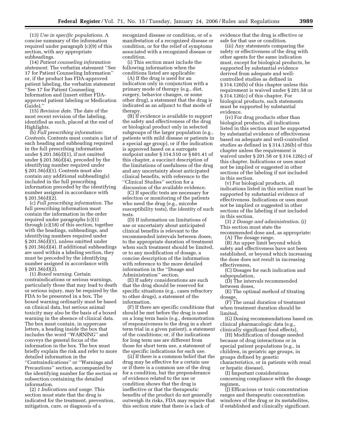(13) *Use in specific populations*. A concise summary of the information required under paragraph (c)(9) of this section, with any appropriate subheadings.

(14) *Patient counseling information statement*. The verbatim statement ''See 17 for Patient Counseling Information'' or, if the product has FDA-approved patient labeling, the verbatim statement ''See 17 for Patient Counseling Information and (insert either FDAapproved patient labeling or Medication Guide).''

(15) *Revision date*. The date of the most recent revision of the labeling, identified as such, placed at the end of Highlights.

(b) *Full prescribing information: Contents*. Contents must contain a list of each heading and subheading required in the full prescribing information under  $\S 201.56(d)(1)$ , if not omitted under  $\S 201.56(d)(4)$ , preceded by the identifying number required under § 201.56(d)(1). Contents must also contain any additional subheading(s) included in the full prescribing information preceded by the identifying number assigned in accordance with  $§ 201.56(d)(2).$ 

(c) *Full prescribing information*. The full prescribing information must contain the information in the order required under paragraphs (c)(1) through (c)(18) of this section, together with the headings, subheadings, and identifying numbers required under § 201.56(d)(1), unless omitted under § 201.56(d)(4). If additional subheadings are used within a labeling section, they must be preceded by the identifying number assigned in accordance with § 201.56(d)(2).

(1) *Boxed warning*. Certain contraindications or serious warnings, particularly those that may lead to death or serious injury, may be required by the FDA to be presented in a box. The boxed warning ordinarily must be based on clinical data, but serious animal toxicity may also be the basis of a boxed warning in the absence of clinical data. The box must contain, in uppercase letters, a heading inside the box that includes the word ''WARNING'' and conveys the general focus of the information in the box. The box must briefly explain the risk and refer to more detailed information in the ''Contraindications'' or ''Warnings and Precautions'' section, accompanied by the identifying number for the section or subsection containing the detailed information.

(2) *1 Indications and usage*. This section must state that the drug is indicated for the treatment, prevention, mitigation, cure, or diagnosis of a

recognized disease or condition, or of a manifestation of a recognized disease or condition, or for the relief of symptoms associated with a recognized disease or condition.

(i) This section must include the following information when the conditions listed are applicable:

(A) If the drug is used for an indication only in conjunction with a primary mode of therapy (e.g., diet, surgery, behavior changes, or some other drug), a statement that the drug is indicated as an adjunct to that mode of therapy.

(B) If evidence is available to support the safety and effectiveness of the drug or biological product only in selected subgroups of the larger population (e.g., patients with mild disease or patients in a special age group), or if the indication is approved based on a surrogate endpoint under § 314.510 or § 601.41 of this chapter, a succinct description of the limitations of usefulness of the drug and any uncertainty about anticipated clinical benefits, with reference to the ''Clinical Studies'' section for a discussion of the available evidence.

(C) If specific tests are necessary for selection or monitoring of the patients who need the drug (e.g., microbe susceptibility tests), the identity of such tests.

(D) If information on limitations of use or uncertainty about anticipated clinical benefits is relevant to the recommended intervals between doses, to the appropriate duration of treatment when such treatment should be limited, or to any modification of dosage, a concise description of the information with reference to the more detailed information in the ''Dosage and Administration'' section.

(E) If safety considerations are such that the drug should be reserved for specific situations (e.g., cases refractory to other drugs), a statement of the information.

(F) If there are specific conditions that should be met before the drug is used on a long term basis (e.g., demonstration of responsiveness to the drug in a short term trial in a given patient), a statement of the conditions; or, if the indications for long term use are different from those for short term use, a statement of the specific indications for each use.

(ii) If there is a common belief that the drug may be effective for a certain use or if there is a common use of the drug for a condition, but the preponderance of evidence related to the use or condition shows that the drug is ineffective or that the therapeutic benefits of the product do not generally outweigh its risks, FDA may require that this section state that there is a lack of

evidence that the drug is effective or safe for that use or condition.

(iii) Any statements comparing the safety or effectiveness of the drug with other agents for the same indication must, except for biological products, be supported by substantial evidence derived from adequate and wellcontrolled studies as defined in § 314.126(b) of this chapter unless this requirement is waived under § 201.58 or § 314.126(c) of this chapter. For biological products, such statements must be supported by substantial evidence.

(iv) For drug products other than biological products, all indications listed in this section must be supported by substantial evidence of effectiveness based on adequate and well-controlled studies as defined in § 314.126(b) of this chapter unless the requirement is waived under § 201.58 or § 314.126(c) of this chapter. Indications or uses must not be implied or suggested in other sections of the labeling if not included in this section.

(v) For biological products, all indications listed in this section must be supported by substantial evidence of effectiveness. Indications or uses must not be implied or suggested in other sections of the labeling if not included in this section.

(3) *2 Dosage and administration*. (i) This section must state the

recommended dose and, as appropriate: (A) The dosage range,

(B) An upper limit beyond which safety and effectiveness have not been established, or beyond which increasing the dose does not result in increasing effectiveness,

(C) Dosages for each indication and subpopulation,

(D) The intervals recommended between doses,

(E) The optimal method of titrating dosage,

(F) The usual duration of treatment when treatment duration should be limited,

(G) Dosing recommendations based on clinical pharmacologic data (e.g., clinically significant food effects),

(H) Modification of dosage needed because of drug interactions or in special patient populations (e.g., in children, in geriatric age groups, in groups defined by genetic characteristics, or in patients with renal or hepatic disease),

(I) Important considerations concerning compliance with the dosage regimen,

(J) Efficacious or toxic concentration ranges and therapeutic concentration windows of the drug or its metabolites, if established and clinically significant.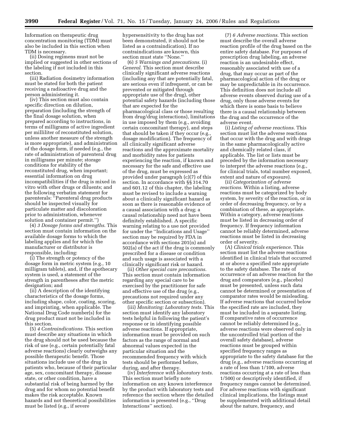Information on therapeutic drug concentration monitoring (TDM) must also be included in this section when TDM is necessary.

(ii) Dosing regimens must not be implied or suggested in other sections of the labeling if not included in this section.

(iii) Radiation dosimetry information must be stated for both the patient receiving a radioactive drug and the person administering it.

(iv) This section must also contain specific direction on dilution, preparation (including the strength of the final dosage solution, when prepared according to instructions, in terms of milligrams of active ingredient per milliliter of reconstituted solution, unless another measure of the strength is more appropriate), and administration of the dosage form, if needed (e.g., the rate of administration of parenteral drug in milligrams per minute; storage conditions for stability of the reconstituted drug, when important; essential information on drug incompatibilities if the drug is mixed in vitro with other drugs or diluents; and the following verbatim statement for parenterals: ''Parenteral drug products should be inspected visually for particulate matter and discoloration prior to administration, whenever solution and container permit.'')

(4) *3 Dosage forms and strengths*. This section must contain information on the available dosage forms to which the labeling applies and for which the manufacturer or distributor is responsible, including:

(i) The strength or potency of the dosage form in metric system (e.g., 10 milligram tablets), and, if the apothecary system is used, a statement of the strength in parentheses after the metric designation; and

(ii) A description of the identifying characteristics of the dosage forms, including shape, color, coating, scoring, and imprinting, when applicable. The National Drug Code number(s) for the drug product must not be included in this section.

(5) *4 Contraindications*. This section must describe any situations in which the drug should not be used because the risk of use (e.g., certain potentially fatal adverse reactions) clearly outweighs any possible therapeutic benefit. Those situations include use of the drug in patients who, because of their particular age, sex, concomitant therapy, disease state, or other condition, have a substantial risk of being harmed by the drug and for whom no potential benefit makes the risk acceptable. Known hazards and not theoretical possibilities must be listed (e.g., if severe

hypersensitivity to the drug has not been demonstrated, it should not be listed as a contraindication). If no contraindications are known, this section must state ''None.''

(6) *5 Warnings and precautions*. (i) *General*. This section must describe clinically significant adverse reactions (including any that are potentially fatal, are serious even if infrequent, or can be prevented or mitigated through appropriate use of the drug), other potential safety hazards (including those that are expected for the pharmacological class or those resulting from drug/drug interactions), limitations in use imposed by them (e.g., avoiding certain concomitant therapy), and steps that should be taken if they occur (e.g., dosage modification). The frequency of all clinically significant adverse reactions and the approximate mortality and morbidity rates for patients experiencing the reaction, if known and necessary for the safe and effective use of the drug, must be expressed as provided under paragraph (c)(7) of this section. In accordance with §§ 314.70 and 601.12 of this chapter, the labeling must be revised to include a warning about a clinically significant hazard as soon as there is reasonable evidence of a causal association with a drug; a causal relationship need not have been definitely established. A specific warning relating to a use not provided for under the ''Indications and Usage'' section may be required by FDA in accordance with sections 201(n) and 502(a) of the act if the drug is commonly prescribed for a disease or condition and such usage is associated with a clinically significant risk or hazard.

(ii) *Other special care precautions*. This section must contain information regarding any special care to be exercised by the practitioner for safe and effective use of the drug (e.g., precautions not required under any other specific section or subsection).

(iii) *Monitoring: Laboratory tests*. This section must identify any laboratory tests helpful in following the patient's response or in identifying possible adverse reactions. If appropriate, information must be provided on such factors as the range of normal and abnormal values expected in the particular situation and the recommended frequency with which tests should be performed before, during, and after therapy.

(iv) *Interference with laboratory tests*. This section must briefly note information on any known interference by the product with laboratory tests and reference the section where the detailed information is presented (e.g., ''Drug Interactions'' section).

(7) *6 Adverse reactions*. This section must describe the overall adverse reaction profile of the drug based on the entire safety database. For purposes of prescription drug labeling, an adverse reaction is an undesirable effect, reasonably associated with use of a drug, that may occur as part of the pharmacological action of the drug or may be unpredictable in its occurrence. This definition does not include all adverse events observed during use of a drug, only those adverse events for which there is some basis to believe there is a causal relationship between the drug and the occurrence of the adverse event.

(i) *Listing of adverse reactions*. This section must list the adverse reactions that occur with the drug and with drugs in the same pharmacologically active and chemically related class, if applicable. The list or lists must be preceded by the information necessary to interpret the adverse reactions (e.g., for clinical trials, total number exposed, extent and nature of exposure).

(ii) *Categorization of adverse reactions*. Within a listing, adverse reactions must be categorized by body system, by severity of the reaction, or in order of decreasing frequency, or by a combination of these, as appropriate. Within a category, adverse reactions must be listed in decreasing order of frequency. If frequency information cannot be reliably determined, adverse reactions must be listed in decreasing order of severity.

(A) *Clinical trials experience*. This section must list the adverse reactions identified in clinical trials that occurred at or above a specified rate appropriate to the safety database. The rate of occurrence of an adverse reaction for the drug and comparators (e.g., placebo) must be presented, unless such data cannot be determined or presentation of comparator rates would be misleading. If adverse reactions that occurred below the specified rate are included, they must be included in a separate listing. If comparative rates of occurrence cannot be reliably determined (e.g., adverse reactions were observed only in the uncontrolled trial portion of the overall safety database), adverse reactions must be grouped within specified frequency ranges as appropriate to the safety database for the drug (e.g., adverse reactions occurring at a rate of less than 1/100, adverse reactions occurring at a rate of less than 1/500) or descriptively identified, if frequency ranges cannot be determined. For adverse reactions with significant clinical implications, the listings must be supplemented with additional detail about the nature, frequency, and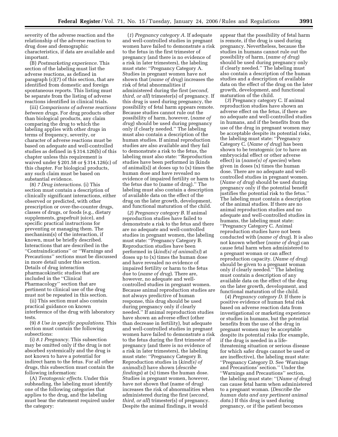severity of the adverse reaction and the relationship of the adverse reaction to drug dose and demographic characteristics, if data are available and important.

(B) *Postmarketing experience*. This section of the labeling must list the adverse reactions, as defined in paragraph (c)(7) of this section, that are identified from domestic and foreign spontaneous reports. This listing must be separate from the listing of adverse reactions identified in clinical trials.

(iii) *Comparisons of adverse reactions between drugs*. For drug products other than biological products, any claim comparing the drug to which the labeling applies with other drugs in terms of frequency, severity, or character of adverse reactions must be based on adequate and well-controlled studies as defined in § 314.126(b) of this chapter unless this requirement is waived under § 201.58 or § 314.126(c) of this chapter. For biological products, any such claim must be based on substantial evidence.

(8) *7 Drug interactions*. (i) This section must contain a description of clinically significant interactions, either observed or predicted, with other prescription or over-the-counter drugs, classes of drugs, or foods (e.g., dietary supplements, grapefruit juice), and specific practical instructions for preventing or managing them. The mechanism(s) of the interaction, if known, must be briefly described. Interactions that are described in the ''Contraindications'' or ''Warnings and Precautions'' sections must be discussed in more detail under this section. Details of drug interaction pharmacokinetic studies that are included in the ''Clinical Pharmacology'' section that are pertinent to clinical use of the drug must not be repeated in this section.

(ii) This section must also contain practical guidance on known interference of the drug with laboratory tests.

(9) *8 Use in specific populations*. This section must contain the following subsections:

(i) *8.1 Pregnancy*. This subsection may be omitted only if the drug is not absorbed systemically and the drug is not known to have a potential for indirect harm to the fetus. For all other drugs, this subsection must contain the following information:

(A) *Teratogenic effects*. Under this subheading, the labeling must identify one of the following categories that applies to the drug, and the labeling must bear the statement required under the category:

(*1*) *Pregnancy category A*. If adequate and well-controlled studies in pregnant women have failed to demonstrate a risk to the fetus in the first trimester of pregnancy (and there is no evidence of a risk in later trimesters), the labeling must state: ''Pregnancy Category A. Studies in pregnant women have not shown that (*name of drug*) increases the risk of fetal abnormalities if administered during the first (*second, third, or all*) trimester(s) of pregnancy. If this drug is used during pregnancy, the possibility of fetal harm appears remote. Because studies cannot rule out the possibility of harm, however, (*name of drug*) should be used during pregnancy only if clearly needed.'' The labeling must also contain a description of the human studies. If animal reproduction studies are also available and they fail to demonstrate a risk to the fetus, the labeling must also state: ''Reproduction studies have been performed in (kinds of animal(s)) at doses up to (x) times the human dose and have revealed no evidence of impaired fertility or harm to the fetus due to (name of drug).'' The labeling must also contain a description of available data on the effect of the drug on the later growth, development, and functional maturation of the child.

(*2*) *Pregnancy category B*. If animal reproduction studies have failed to demonstrate a risk to the fetus and there are no adequate and well-controlled studies in pregnant women, the labeling must state: ''Pregnancy Category B. Reproduction studies have been performed in (*kind(s) of animal(s)*) at doses up to (x) times the human dose and have revealed no evidence of impaired fertility or harm to the fetus due to (*name of drug*). There are, however, no adequate and wellcontrolled studies in pregnant women. Because animal reproduction studies are not always predictive of human response, this drug should be used during pregnancy only if clearly needed.'' If animal reproduction studies have shown an adverse effect (other than decrease in fertility), but adequate and well-controlled studies in pregnant women have failed to demonstrate a risk to the fetus during the first trimester of pregnancy (and there is no evidence of a risk in later trimesters), the labeling must state: ''Pregnancy Category B. Reproduction studies in (*kind(s) of animal(s)*) have shown (*describe findings*) at (x) times the human dose. Studies in pregnant women, however, have not shown that (name of drug) increases the risk of abnormalities when administered during the first (*second, third, or all*) trimester(s) of pregnancy. Despite the animal findings, it would

appear that the possibility of fetal harm is remote, if the drug is used during pregnancy. Nevertheless, because the studies in humans cannot rule out the possibility of harm, (*name of drug*) should be used during pregnancy only if clearly needed.'' The labeling must also contain a description of the human studies and a description of available data on the effect of the drug on the later growth, development, and functional maturation of the child.

(*3*) Pregnancy category C. If animal reproduction studies have shown an adverse effect on the fetus, if there are no adequate and well-controlled studies in humans, and if the benefits from the use of the drug in pregnant women may be acceptable despite its potential risks, the labeling must state: ''Pregnancy Category C. (*Name of drug*) has been shown to be teratogenic (or to have an embryocidal effect or other adverse effect) in (*name(s) of species*) when given in doses (x) times the human dose. There are no adequate and wellcontrolled studies in pregnant women. (*Name of drug*) should be used during pregnancy only if the potential benefit justifies the potential risk to the fetus.'' The labeling must contain a description of the animal studies. If there are no animal reproduction studies and no adequate and well-controlled studies in humans, the labeling must state: ''Pregnancy Category C. Animal reproduction studies have not been conducted with (*name of drug*). It is also not known whether (*name of drug*) can cause fetal harm when administered to a pregnant woman or can affect reproduction capacity. (*Name of drug*) should be given to a pregnant woman only if clearly needed.'' The labeling must contain a description of any available data on the effect of the drug on the later growth, development, and functional maturation of the child.

(*4*) *Pregnancy category D*. If there is positive evidence of human fetal risk based on adverse reaction data from investigational or marketing experience or studies in humans, but the potential benefits from the use of the drug in pregnant women may be acceptable despite its potential risks (for example, if the drug is needed in a lifethreatening situation or serious disease for which safer drugs cannot be used or are ineffective), the labeling must state: ''Pregnancy Category D. See 'Warnings and Precautions' section.'' Under the ''Warnings and Precautions'' section, the labeling must state: ''(*Name of drug*) can cause fetal harm when administered to a pregnant woman. (*Describe the human data and any pertinent animal data.*) If this drug is used during pregnancy, or if the patient becomes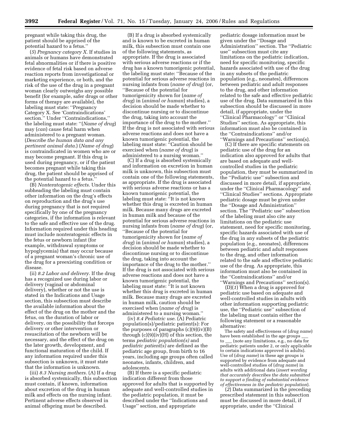pregnant while taking this drug, the patient should be apprised of the potential hazard to a fetus.''

(*5*) *Pregnancy category X*. If studies in animals or humans have demonstrated fetal abnormalities or if there is positive evidence of fetal risk based on adverse reaction reports from investigational or marketing experience, or both, and the risk of the use of the drug in a pregnant woman clearly outweighs any possible benefit (for example, safer drugs or other forms of therapy are available), the labeling must state: ''Pregnancy Category X. See 'Contraindications' section.'' Under ''Contraindications,'' the labeling must state: ''(*Name of drug*) may (*can*) cause fetal harm when administered to a pregnant woman. (*Describe the human data and any pertinent animal data.*) (*Name of drug*) is contraindicated in women who are or may become pregnant. If this drug is used during pregnancy, or if the patient becomes pregnant while taking this drug, the patient should be apprised of the potential hazard to a fetus.''

(B) *Nonteratogenic effects*. Under this subheading the labeling must contain other information on the drug's effects on reproduction and the drug's use during pregnancy that is not required specifically by one of the pregnancy categories, if the information is relevant to the safe and effective use of the drug. Information required under this heading must include nonteratogenic effects in the fetus or newborn infant (for example, withdrawal symptoms or hypoglycemia) that may occur because of a pregnant woman's chronic use of the drug for a preexisting condition or disease.

(ii) *8.2 Labor and delivery*. If the drug has a recognized use during labor or delivery (vaginal or abdominal delivery), whether or not the use is stated in the Indications and Usage section, this subsection must describe the available information about the effect of the drug on the mother and the fetus, on the duration of labor or delivery, on the possibility that forceps delivery or other intervention or resuscitation of the newborn will be necessary, and the effect of the drug on the later growth, development, and functional maturation of the child. If any information required under this subsection is unknown, it must state that the information is unknown.

(iii) *8.3 Nursing mothers*. (A) If a drug is absorbed systemically, this subsection must contain, if known, information about excretion of the drug in human milk and effects on the nursing infant. Pertinent adverse effects observed in animal offspring must be described.

(B) If a drug is absorbed systemically and is known to be excreted in human milk, this subsection must contain one of the following statements, as appropriate. If the drug is associated with serious adverse reactions or if the drug has a known tumorigenic potential, the labeling must state: ''Because of the potential for serious adverse reactions in nursing infants from (*name of drug*) (or, ''Because of the potential for tumorigenicity shown for (*name of drug*) in (*animal or human*) studies), a decision should be made whether to discontinue nursing or to discontinue the drug, taking into account the importance of the drug to the mother.'' If the drug is not associated with serious adverse reactions and does not have a known tumorigenic potential, the labeling must state: ''Caution should be exercised when (*name of drug*) is administered to a nursing woman.''

(C) If a drug is absorbed systemically and information on excretion in human milk is unknown, this subsection must contain one of the following statements, as appropriate. If the drug is associated with serious adverse reactions or has a known tumorigenic potential, the labeling must state: ''It is not known whether this drug is excreted in human milk. Because many drugs are excreted in human milk and because of the potential for serious adverse reactions in nursing infants from (*name of drug*) (or, ''Because of the potential for tumorigenicity shown for (*name of drug*) in (*animal or human*) studies), a decision should be made whether to discontinue nursing or to discontinue the drug, taking into account the importance of the drug to the mother.'' If the drug is not associated with serious adverse reactions and does not have a known tumorigenic potential, the labeling must state: ''It is not known whether this drug is excreted in human milk. Because many drugs are excreted in human milk, caution should be exercised when (*name of drug*) is administered to a nursing woman.''

(iv) *8.4 Pediatric use*. (A) Pediatric population(s)/pediatric patient(s): For the purposes of paragraphs  $(c)(9)(iv)(B)$ through  $(c)(9)(iv)(H)$  of this section, the terms *pediatric population(s)* and *pediatric patient(s)* are defined as the pediatric age group, from birth to 16 years, including age groups often called neonates, infants, children, and adolescents.

(B) If there is a specific pediatric indication different from those approved for adults that is supported by adequate and well-controlled studies in the pediatric population, it must be described under the ''Indications and Usage'' section, and appropriate

pediatric dosage information must be given under the ''Dosage and Administration'' section. The ''Pediatric use'' subsection must cite any limitations on the pediatric indication, need for specific monitoring, specific hazards associated with use of the drug in any subsets of the pediatric population (e.g., neonates), differences between pediatric and adult responses to the drug, and other information related to the safe and effective pediatric use of the drug. Data summarized in this subsection should be discussed in more detail, if appropriate, under the ''Clinical Pharmacology'' or ''Clinical Studies'' section. As appropriate, this information must also be contained in the ''Contraindications'' and/or ''Warnings and Precautions'' section(s).

(C) If there are specific statements on pediatric use of the drug for an indication also approved for adults that are based on adequate and wellcontrolled studies in the pediatric population, they must be summarized in the ''Pediatric use'' subsection and discussed in more detail, if appropriate, under the ''Clinical Pharmacology'' and ''Clinical Studies'' sections. Appropriate pediatric dosage must be given under the ''Dosage and Administration'' section. The ''Pediatric use'' subsection of the labeling must also cite any limitations on the pediatric use statement, need for specific monitoring, specific hazards associated with use of the drug in any subsets of the pediatric population (e.g., neonates), differences between pediatric and adult responses to the drug, and other information related to the safe and effective pediatric use of the drug. As appropriate, this information must also be contained in the ''Contraindications'' and/or ''Warnings and Precautions'' section(s).

(D)(*1*) When a drug is approved for pediatric use based on adequate and well-controlled studies in adults with other information supporting pediatric use, the ''Pediatric use'' subsection of the labeling must contain either the following statement or a reasonable alternative:

The safety and effectiveness of (*drug name*) have been established in the age groups to \_\_\_ (note any limitations, e.g., no data for pediatric patients under 2, or only applicable to certain indications approved in adults). Use of (*drug name*) in these age groups is supported by evidence from adequate and well-controlled studies of (*drug name*) in adults with additional data (*insert wording that accurately describes the data submitted to support a finding of substantial evidence of effectiveness in the pediatric population*).

(*2*) Data summarized in the preceding prescribed statement in this subsection must be discussed in more detail, if appropriate, under the ''Clinical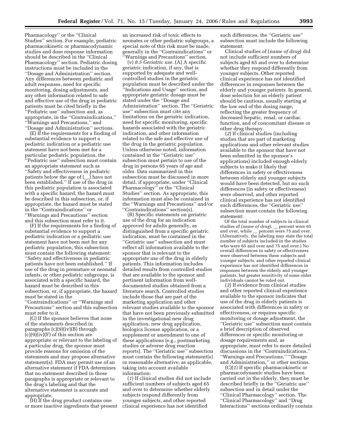Pharmacology'' or the ''Clinical Studies'' section. For example, pediatric pharmacokinetic or pharmacodynamic studies and dose response information should be described in the ''Clinical Pharmacology'' section. Pediatric dosing instructions must be included in the ''Dosage and Administration'' section. Any differences between pediatric and adult responses, need for specific monitoring, dosing adjustments, and any other information related to safe and effective use of the drug in pediatric patients must be cited briefly in the ''Pediatric use'' subsection and, as appropriate, in the ''Contraindications,'' ''Warnings and Precautions,'' and ''Dosage and Administration'' sections.

(E) If the requirements for a finding of substantial evidence to support a pediatric indication or a pediatric use statement have not been met for a particular pediatric population, the ''Pediatric use'' subsection must contain an appropriate statement such as ''Safety and effectiveness in pediatric patients below the age of  $(\_)$  have not been established.'' If use of the drug in this pediatric population is associated with a specific hazard, the hazard must be described in this subsection, or, if appropriate, the hazard must be stated in the ''Contraindications'' or ''Warnings and Precautions'' section and this subsection must refer to it.

(F) If the requirements for a finding of substantial evidence to support a pediatric indication or a pediatric use statement have not been met for any pediatric population, this subsection must contain the following statement: ''Safety and effectiveness in pediatric patients have not been established.'' If use of the drug in premature or neonatal infants, or other pediatric subgroups, is associated with a specific hazard, the hazard must be described in this subsection, or, if appropriate, the hazard must be stated in the ''Contraindications'' or ''Warnings and Precautions'' section and this subsection

must refer to it.

(G) If the sponsor believes that none of the statements described in paragraphs (c)(9)(iv)(B) through  $(c)(9)(iv)(F)$  of this section are appropriate or relevant to the labeling of a particular drug, the sponsor must provide reasons for omission of the statements and may propose alternative statement(s). FDA may permit use of an alternative statement if FDA determines that no statement described in those paragraphs is appropriate or relevant to the drug's labeling and that the alternative statement is accurate and appropriate.

(H) If the drug product contains one or more inactive ingredients that present

an increased risk of toxic effects to neonates or other pediatric subgroups, a special note of this risk must be made, generally in the ''Contraindications'' or 'Warnings and Precautions" section.

(v) *8.5 Geriatric use*. (A) A specific geriatric indication, if any, that is supported by adequate and wellcontrolled studies in the geriatric population must be described under the ''Indications and Usage'' section, and appropriate geriatric dosage must be stated under the ''Dosage and Administration'' section. The ''Geriatric use'' subsection must cite any limitations on the geriatric indication, need for specific monitoring, specific hazards associated with the geriatric indication, and other information related to the safe and effective use of the drug in the geriatric population. Unless otherwise noted, information contained in the ''Geriatric use'' subsection must pertain to use of the drug in persons 65 years of age and older. Data summarized in this subsection must be discussed in more detail, if appropriate, under ''Clinical Pharmacology" or the "Clinical" Studies'' section. As appropriate, this information must also be contained in the ''Warnings and Precautions'' and/or ''Contraindications'' section(s).

(B) Specific statements on geriatric use of the drug for an indication approved for adults generally, as distinguished from a specific geriatric indication, must be contained in the ''Geriatric use'' subsection and must reflect all information available to the sponsor that is relevant to the appropriate use of the drug in elderly patients. This information includes detailed results from controlled studies that are available to the sponsor and pertinent information from welldocumented studies obtained from a literature search. Controlled studies include those that are part of the marketing application and other relevant studies available to the sponsor that have not been previously submitted in the investigational new drug application, new drug application, biologics license application, or a supplement or amendment to one of these applications (e.g., postmarketing studies or adverse drug reaction reports). The ''Geriatric use'' subsection must contain the following statement(s) or reasonable alternative, as applicable, taking into account available information:

(*1*) If clinical studies did not include sufficient numbers of subjects aged 65 and over to determine whether elderly subjects respond differently from younger subjects, and other reported clinical experience has not identified

such differences, the ''Geriatric use'' subsection must include the following statement:

Clinical studies of (*name of drug*) did not include sufficient numbers of subjects aged 65 and over to determine whether they respond differently from younger subjects. Other reported clinical experience has not identified differences in responses between the elderly and younger patients. In general, dose selection for an elderly patient should be cautious, usually starting at the low end of the dosing range, reflecting the greater frequency of decreased hepatic, renal, or cardiac function, and of concomitant disease or other drug therapy.

(*2*) If clinical studies (including studies that are part of marketing applications and other relevant studies available to the sponsor that have not been submitted in the sponsor's applications) included enough elderly subjects to make it likely that differences in safety or effectiveness between elderly and younger subjects would have been detected, but no such differences (in safety or effectiveness) were observed, and other reported clinical experience has not identified such differences, the ''Geriatric use'' subsection must contain the following statement:

Of the total number of subjects in clinical studies of (*name of drug*), \_\_ percent were 65 and over, while \_ percent were 75 and over. (Alternatively, the labeling may state the total number of subjects included in the studies who were 65 and over and 75 and over.) No overall differences in safety or effectiveness were observed between these subjects and younger subjects, and other reported clinical experience has not identified differences in responses between the elderly and younger patients, but greater sensitivity of some older individuals cannot be ruled out.

(*3*) If evidence from clinical studies and other reported clinical experience available to the sponsor indicates that use of the drug in elderly patients is associated with differences in safety or effectiveness, or requires specific monitoring or dosage adjustment, the ''Geriatric use'' subsection must contain a brief description of observed differences or specific monitoring or dosage requirements and, as appropriate, must refer to more detailed discussions in the ''Contraindications,'' ''Warnings and Precautions,'' ''Dosage and Administration,'' or other sections.

(C)(*1*) If specific pharmacokinetic or pharmacodynamic studies have been carried out in the elderly, they must be described briefly in the ''Geriatric use'' subsection and in detail under the ''Clinical Pharmacology'' section. The ''Clinical Pharmacology'' and ''Drug Interactions'' sections ordinarily contain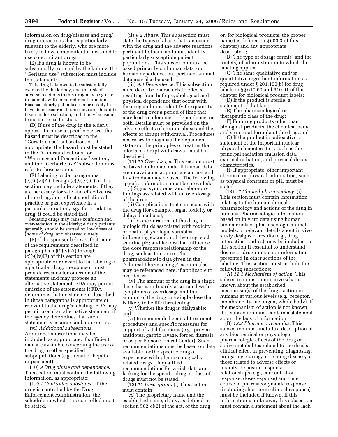information on drug/disease and drug/ drug interactions that is particularly relevant to the elderly, who are more likely to have concomitant illness and to use concomitant drugs.

(*2*) If a drug is known to be substantially excreted by the kidney, the ''Geriatric use'' subsection must include the statement:

This drug is known to be substantially excreted by the kidney, and the risk of adverse reactions to this drug may be greater in patients with impaired renal function. Because elderly patients are more likely to have decreased renal function, care should be taken in dose selection, and it may be useful to monitor renal function.

(D) If use of the drug in the elderly appears to cause a specific hazard, the hazard must be described in the ''Geriatric use'' subsection, or, if appropriate, the hazard must be stated in the ''Contraindications'' or ''Warnings and Precautions'' section, and the ''Geriatric use'' subsection must refer to those sections.

(E) Labeling under paragraphs  $(c)(9)(v)(A)$  through  $(c)(9)(v)(C)$  of this section may include statements, if they are necessary for safe and effective use of the drug, and reflect good clinical practice or past experience in a particular situation, e.g., for a sedating drug, it could be stated that:

Sedating drugs may cause confusion and over-sedation in the elderly; elderly patients generally should be started on low doses of (*name of drug*) and observed closely.

(F) If the sponsor believes that none of the requirements described in paragraphs  $(c)(9)(v)(A)$  through  $(c)(9)(v)(E)$  of this section are appropriate or relevant to the labeling of a particular drug, the sponsor must provide reasons for omission of the statements and may propose an alternative statement. FDA may permit omission of the statements if FDA determines that no statement described in those paragraphs is appropriate or relevant to the drug's labeling. FDA may permit use of an alternative statement if the agency determines that such statement is accurate and appropriate.

(vi) *Additional subsections*. Additional subsections may be included, as appropriate, if sufficient data are available concerning the use of the drug in other specified subpopulations (e.g., renal or hepatic impairment).

(10) *9 Drug abuse and dependence*. This section must contain the following information, as appropriate:

(i) *9.1 Controlled substance*. If the drug is controlled by the Drug Enforcement Administration, the schedule in which it is controlled must be stated.

(ii) *9.2 Abuse*. This subsection must state the types of abuse that can occur with the drug and the adverse reactions pertinent to them, and must identify particularly susceptible patient populations. This subsection must be based primarily on human data and human experience, but pertinent animal data may also be used.

(iii) *9.3 Dependence*. This subsection must describe characteristic effects resulting from both psychological and physical dependence that occur with the drug and must identify the quantity of the drug over a period of time that may lead to tolerance or dependence, or both. Details must be provided on the adverse effects of chronic abuse and the effects of abrupt withdrawal. Procedures necessary to diagnose the dependent state and the principles of treating the effects of abrupt withdrawal must be described.

(11) *10 Overdosage*. This section must be based on human data. If human data are unavailable, appropriate animal and in vitro data may be used. The following specific information must be provided:

(i) Signs, symptoms, and laboratory findings associated with an overdosage of the drug;

(ii) Complications that can occur with the drug (for example, organ toxicity or delayed acidosis);

(iii) Concentrations of the drug in biologic fluids associated with toxicity or death; physiologic variables influencing excretion of the drug, such as urine pH; and factors that influence the dose response relationship of the drug, such as tolerance. The pharmacokinetic data given in the ''Clinical Pharmacology'' section also may be referenced here, if applicable to overdoses;

(iv) The amount of the drug in a single dose that is ordinarily associated with symptoms of overdosage and the amount of the drug in a single dose that is likely to be life threatening;

(v) Whether the drug is dialyzable; and

(vi) Recommended general treatment procedures and specific measures for support of vital functions (e.g., proven antidotes, gastric lavage, forced diuresis, or as per Poison Control Center). Such recommendations must be based on data available for the specific drug or experience with pharmacologically related drugs. Unqualified recommendations for which data are lacking for the specific drug or class of drugs must not be stated.

(12) *11 Description*. (i) This section must contain:

(A) The proprietary name and the established name, if any, as defined in section 502(e)(2) of the act, of the drug

or, for biological products, the proper name (as defined in § 600.3 of this chapter) and any appropriate descriptors;

(B) The type of dosage form(s) and the route(s) of administration to which the labeling applies;

(C) The same qualitative and/or quantitative ingredient information as required under § 201.100(b) for drug labels or §§ 610.60 and 610.61 of this chapter for biological product labels;

(D) If the product is sterile, a statement of that fact;

(E) The pharmacological or therapeutic class of the drug;

(F) For drug products other than biological products, the chemical name and structural formula of the drug; and

(G) If the product is radioactive, a statement of the important nuclear physical characteristics, such as the principal radiation emission data, external radiation, and physical decay characteristics.

(ii) If appropriate, other important chemical or physical information, such as physical constants or pH, must be stated.

(13) *12 Clinical pharmacology*. (i) This section must contain information relating to the human clinical pharmacology and actions of the drug in humans. Pharmacologic information based on in vitro data using human biomaterials or pharmacologic animal models, or relevant details about in vivo study designs or results (e.g., drug interaction studies), may be included in this section if essential to understand dosing or drug interaction information presented in other sections of the labeling. This section must include the following subsections:

(A) *12.1 Mechanism of action*. This subsection must summarize what is known about the established mechanism(s) of the drug's action in humans at various levels (e.g., receptor, membrane, tissue, organ, whole body). If the mechanism of action is not known, this subsection must contain a statement about the lack of information.

(B) *12.2 Pharmacodynamics*. This subsection must include a description of any biochemical or physiologic pharmacologic effects of the drug or active metabolites related to the drug's clinical effect in preventing, diagnosing, mitigating, curing, or treating disease, or those related to adverse effects or toxicity. Exposure-response relationships (e.g., concentrationresponse, dose-response) and time course of pharmacodynamic response (including short-term clinical response) must be included if known. If this information is unknown, this subsection must contain a statement about the lack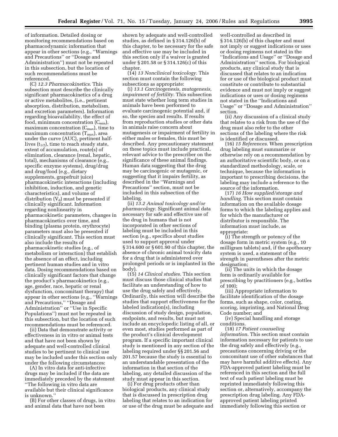of information. Detailed dosing or monitoring recommendations based on pharmacodynamic information that appear in other sections (e.g., ''Warnings and Precautions'' or ''Dosage and Administration'') must not be repeated in this subsection, but the location of such recommendations must be referenced.

(C) *12.3 Pharmacokinetics*. This subsection must describe the clinically significant pharmacokinetics of a drug or active metabolites, (i.e., pertinent absorption, distribution, metabolism, and excretion parameters). Information regarding bioavailability, the effect of food, minimum concentration  $(C_{min})$ , maximum concentration  $(C_{\text{max}})$ , time to maximum concentration  $(T_{\text{max}})$ , area under the curve (AUC), pertinent halflives  $(t_{1/2})$ , time to reach steady state, extent of accumulation, route(s) of elimination, clearance (renal, hepatic, total), mechanisms of clearance (e.g., specific enzyme systems), drug/drug and drug/food (e.g., dietary supplements, grapefruit juice) pharmacokinetic interactions (including inhibition, induction, and genetic characteristics), and volume of distribution  $(V_d)$  must be presented if clinically significant. Information regarding nonlinearity in pharmacokinetic parameters, changes in pharmacokinetics over time, and binding (plasma protein, erythrocyte) parameters must also be presented if clinically significant. This section must also include the results of pharmacokinetic studies (e.g., of metabolism or interaction) that establish the absence of an effect, including pertinent human studies and in vitro data. Dosing recommendations based on clinically significant factors that change the product's pharmacokinetics (e.g., age, gender, race, hepatic or renal dysfunction, concomitant therapy) that appear in other sections (e.g., ''Warnings and Precautions,'' ''Dosage and Administration'' or ''Use in Specific Populations'') must not be repeated in this subsection, but the location of such recommendations must be referenced.

(ii) Data that demonstrate activity or effectiveness in in vitro or animal tests and that have not been shown by adequate and well-controlled clinical studies to be pertinent to clinical use may be included under this section only under the following circumstances:

(A) In vitro data for anti-infective drugs may be included if the data are immediately preceded by the statement ''The following in vitro data are available but their clinical significance is unknown.''

(B) For other classes of drugs, in vitro and animal data that have not been

shown by adequate and well-controlled studies, as defined in § 314.126(b) of this chapter, to be necessary for the safe and effective use may be included in this section only if a waiver is granted under § 201.58 or § 314.126(c) of this chapter.

(14) *13 Nonclinical toxicology*. This section must contain the following subsections as appropriate:

(i) *13.1 Carcinogenesis, mutagenesis, impairment of fertility*. This subsection must state whether long term studies in animals have been performed to evaluate carcinogenic potential and, if so, the species and results. If results from reproduction studies or other data in animals raise concern about mutagenesis or impairment of fertility in either males or females, this must be described. Any precautionary statement on these topics must include practical, relevant advice to the prescriber on the significance of these animal findings. Human data suggesting that the drug may be carcinogenic or mutagenic, or suggesting that it impairs fertility, as described in the ''Warnings and Precautions'' section, must not be included in this subsection of the labeling.

(ii) *13.2 Animal toxicology and/or pharmacology*. Significant animal data necessary for safe and effective use of the drug in humans that is not incorporated in other sections of labeling must be included in this section (e.g., specifics about studies used to support approval under § 314.600 or § 601.90 of this chapter, the absence of chronic animal toxicity data for a drug that is administered over prolonged periods or is implanted in the body).

(15) *14 Clinical studies*. This section must discuss those clinical studies that facilitate an understanding of how to use the drug safely and effectively. Ordinarily, this section will describe the studies that support effectiveness for the labeled indication(s), including discussion of study design, population, endpoints, and results, but must not include an encyclopedic listing of all, or even most, studies performed as part of the product's clinical development program. If a specific important clinical study is mentioned in any section of the labeling required under §§ 201.56 and 201.57 because the study is essential to an understandable presentation of the information in that section of the labeling, any detailed discussion of the study must appear in this section.

(i) For drug products other than biological products, any clinical study that is discussed in prescription drug labeling that relates to an indication for or use of the drug must be adequate and well-controlled as described in § 314.126(b) of this chapter and must not imply or suggest indications or uses or dosing regimens not stated in the ''Indications and Usage'' or ''Dosage and Administration'' section. For biological products, any clinical study that is discussed that relates to an indication for or use of the biological product must constitute or contribute to substantial evidence and must not imply or suggest indications or uses or dosing regimens not stated in the ''Indications and Usage'' or ''Dosage and Administration'' section.

(ii) Any discussion of a clinical study that relates to a risk from the use of the drug must also refer to the other sections of the labeling where the risk is identified or discussed.

(16) *15 References*. When prescription drug labeling must summarize or otherwise rely on a recommendation by an authoritative scientific body, or on a standardized methodology, scale, or technique, because the information is important to prescribing decisions, the labeling may include a reference to the source of the information.

(17) *16 How supplied/storage and handling*. This section must contain information on the available dosage forms to which the labeling applies and for which the manufacturer or distributor is responsible. The information must include, as appropriate:

(i) The strength or potency of the dosage form in metric system (e.g., 10 milligram tablets) and, if the apothecary system is used, a statement of the strength in parentheses after the metric designation;

(ii) The units in which the dosage form is ordinarily available for prescribing by practitioners (e.g., bottles of 100);

(iii) Appropriate information to facilitate identification of the dosage forms, such as shape, color, coating, scoring, imprinting, and National Drug Code number; and

(iv) Special handling and storage conditions.

(18) *17 Patient counseling information*. This section must contain information necessary for patients to use the drug safely and effectively (e.g., precautions concerning driving or the concomitant use of other substances that may have harmful additive effects). Any FDA-approved patient labeling must be referenced in this section and the full text of such patient labeling must be reprinted immediately following this section or, alternatively, accompany the prescription drug labeling. Any FDAapproved patient labeling printed immediately following this section or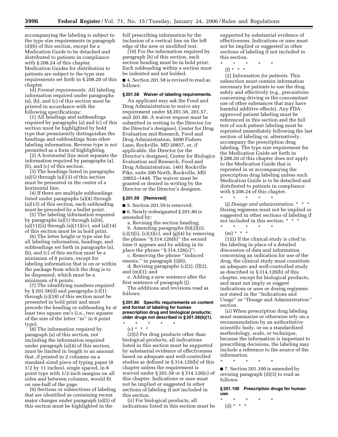accompanying the labeling is subject to the type size requirements in paragraph (d)(6) of this section, except for a Medication Guide to be detached and distributed to patients in compliance with § 208.24 of this chapter. Medication Guides for distribution to patients are subject to the type size requirements set forth in § 208.20 of this chapter.

(d) *Format requirements*. All labeling information required under paragraphs (a), (b), and (c) of this section must be printed in accordance with the following specifications:

(1) All headings and subheadings required by paragraphs (a) and (c) of this section must be highlighted by bold type that prominently distinguishes the headings and subheadings from other labeling information. Reverse type is not permitted as a form of highlighting.

(2) A horizontal line must separate the information required by paragraphs (a), (b), and (c) of this section.

(3) The headings listed in paragraphs (a)(5) through (a)(13) of this section must be presented in the center of a horizontal line.

(4) If there are multiple subheadings listed under paragraphs (a)(4) through (a)(13) of this section, each subheading must be preceded by a bullet point.

(5) The labeling information required by paragraphs (a)(1) through (a)(4),  $(a)(11)(ii)$  through  $(a)(11)(iv)$ , and  $(a)(14)$ of this section must be in bold print.

(6) The letter height or type size for all labeling information, headings, and subheadings set forth in paragraphs (a), (b), and (c) of this section must be a minimum of 8 points, except for labeling information that is on or within the package from which the drug is to be dispensed, which must be a minimum of 6 points.

(7) The identifying numbers required by  $\S 201.56(d)$  and paragraphs  $(c)(1)$ through (c)(18) of this section must be presented in bold print and must precede the heading or subheading by at least two square em's (i.e., two squares of the size of the letter ''m'' in 8 point type).

(8) The information required by paragraph (a) of this section, not including the information required under paragraph (a)(4) of this section, must be limited in length to an amount that, if printed in 2 columns on a standard sized piece of typing paper (8 1/2 by 11 inches), single spaced, in 8 point type with 1/2-inch margins on all sides and between columns, would fit on one-half of the page.

(9) Sections or subsections of labeling that are identified as containing recent major changes under paragraph (a)(5) of this section must be highlighted in the

full prescribing information by the inclusion of a vertical line on the left edge of the new or modified text.

(10) For the information required by paragraph (b) of this section, each section heading must be in bold print. Each subheading within a section must be indented and not bolded.

■ 4. Section 201.58 is revised to read as follows:

## **§ 201.58 Waiver of labeling requirements.**

An applicant may ask the Food and Drug Administration to waive any requirement under §§ 201.56, 201.57, and 201.80. A waiver request must be submitted in writing to the Director (or the Director's designee), Center for Drug Evaluation and Research, Food and Drug Administration, 5600 Fishers Lane, Rockville, MD 20857, or, if applicable, the Director (or the Director's designee), Center for Biologics Evaluation and Research, Food and Drug Administration, 1401 Rockville Pike, suite 200 North, Rockville, MD 20852–1448. The waiver must be granted or denied in writing by the Director or the Director's designee.

#### **§ 201.59 [Removed]**

■ 5. Section 201.59 is removed.

■ 6. Newly redesignated § 201.80 is amended by:

a. Revising the section heading; b. Amending paragraphs (b)(2)(ii),  $(c)(3)(i)$ ,  $(c)(3)(v)$ , and  $(g)(4)$  by removing the phrase ''§ 314.126(b)'' the second time it appears and by adding in its place the phrase " $\S 314.126(c)$ ";

c. Removing the phrase ''induced emesis," in paragraph (i)(6);

d. Revising paragraphs (c)(2), (f)(2), and  $(m)(1)$ ; and

e. Adding a new sentence after the first sentence of paragraph (j).

The additions and revisions read as follows:

## **§ 201.80 Specific requirements on content and format of labeling for human prescription drug and biological products; older drugs not described in § 201.56(b)(1).**

\* \* \* \* \* (c) \* \* \*

(2)(i) For drug products other than biological products, all indications listed in this section must be supported by substantial evidence of effectiveness based on adequate and well-controlled studies as defined in § 314.126(b) of this chapter unless the requirement is waived under § 201.58 or § 314.126(c) of this chapter. Indications or uses must not be implied or suggested in other sections of labeling if not included in this section.

(ii) For biological products, all indications listed in this section must be supported by substantial evidence of effectiveness. Indications or uses must not be implied or suggested in other sections of labeling if not included in this section.

- \* \* \* \* \*
- (f) \* \* \*

(2) *Information for patients*. This subsection must contain information necessary for patients to use the drug safely and effectively (e.g., precautions concerning driving or the concomitant use of other substances that may have harmful additive effects). Any FDAapproved patient labeling must be referenced in this section and the full text of such patient labeling must be reprinted immediately following the last section of labeling or, alternatively, accompany the prescription drug labeling. The type size requirement for the Medication Guide set forth in § 208.20 of this chapter does not apply to the Medication Guide that is reprinted in or accompanying the prescription drug labeling unless such Medication Guide is to be detached and distributed to patients in compliance with § 208.24 of this chapter.

\* \* \* \* \* (j) *Dosage and administration*. \* \* \* Dosing regimens must not be implied or suggested in other sections of labeling if not included in this section. \* \* \*

\* \* \* \* \*  $(m) * * * *$ 

(1)(i) If the clinical study is cited in the labeling in place of a detailed discussion of data and information concerning an indication for use of the drug, the clinical study must constitute an adequate and well-controlled study as described in § 314.126(b) of this chapter, except for biological products, and must not imply or suggest indications or uses or dosing regimens not stated in the ''Indications and Usage'' or ''Dosage and Administration'' section.

(ii) When prescription drug labeling must summarize or otherwise rely on a recommendation by an authoritative scientific body, or on a standardized methodology, scale, or technique, because the information is important to prescribing decisions, the labeling may include a reference to the source of the information.

\* \* \* \* \*

■ 7. Section 201.100 is amended by revising paragraph (d)(3) to read as follows:

**§ 201.100 Prescription drugs for human use.** 

\* \* \* \* \* (d) \* \* \*